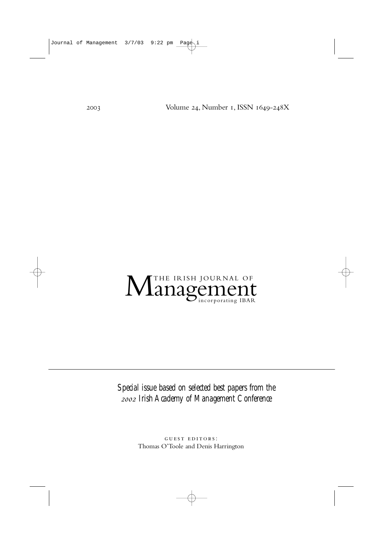2003 Volume 24, Number 1, ISSN 1649-248X



*Special issue based on selected best papers from the Irish Academy of Management Conference*

> GUEST EDITORS: Thomas O'Toole and Denis Harrington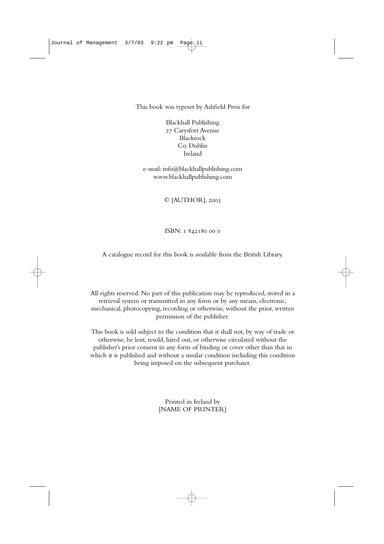This book was typeset by Ashfield Press for

Blackhall Publishing Carysfort Avenue Blackrock Co. Dublin Ireland

e-mail: info@blackhallpublishing.com www.blackhallpublishing.com

© [AUTHOR],

ISBN: 1 842180 00 0

A catalogue record for this book is available from the British Library.

All rights reserved. No part of this publication may be reproduced, stored in a retrieval system or transmitted in any form or by any means, electronic, mechanical, photocopying, recording or otherwise, without the prior, written permission of the publisher.

This book is sold subject to the condition that it shall not, by way of trade or otherwise, be lent, resold, hired out, or otherwise circulated without the publisher's prior consent in any form of binding or cover other than that in which it is published and without a similar condition including this condition being imposed on the subsequent purchaser.

> Printed in Ireland by [NAME OF PRINTER]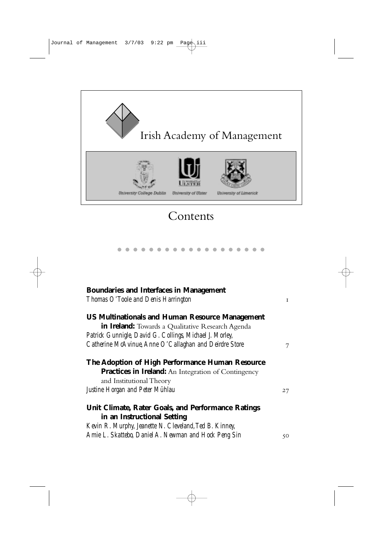

# Contents

 $\blacksquare$  $\overline{\phantom{a}}$ 

| <b>Boundaries and Interfaces in Management</b>                                                                                                                                |     |
|-------------------------------------------------------------------------------------------------------------------------------------------------------------------------------|-----|
| Thomas O'Toole and Denis Harrington                                                                                                                                           | T   |
| <b>US Multinationals and Human Resource Management</b><br><b>in Ireland:</b> Towards a Qualitative Research Agenda<br>Patrick Gunnigle, David G. Collings, Michael J. Morley, |     |
| Catherine McAvinue, Anne O'Callaghan and Deirdre Store                                                                                                                        |     |
| The Adoption of High Performance Human Resource<br><b>Practices in Ireland:</b> An Integration of Contingency<br>and Institutional Theory<br>Justine Horgan and Peter Mühlau  | 27  |
| Unit Climate, Rater Goals, and Performance Ratings<br>in an Instructional Setting<br>Kevin R. Murphy, Jeanette N. Cleveland, Ted B. Kinney,                                   |     |
| Amie L. Skattebo, Daniel A. Newman and Hock Peng Sin                                                                                                                          | 5O. |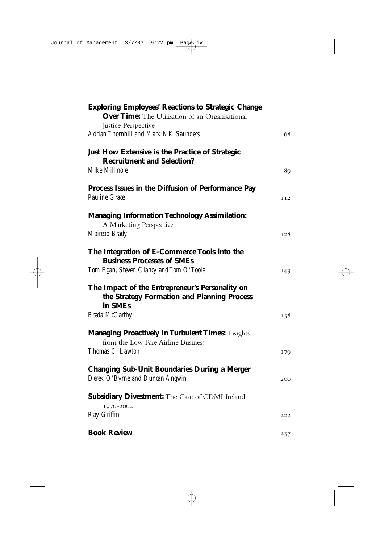| <b>Exploring Employees' Reactions to Strategic Change</b><br>Over Time: The Utilisation of an Organisational |                 |
|--------------------------------------------------------------------------------------------------------------|-----------------|
| Justice Perspective<br><b>Adrian Thornhill and Mark NK Saunders</b>                                          | 68              |
| Just How Extensive is the Practice of Strategic<br><b>Recruitment and Selection?</b>                         |                 |
| Mike Millmore                                                                                                | 89              |
| Process Issues in the Diffusion of Performance Pay<br>Pauline Grace                                          | II <sub>2</sub> |
| <b>Managing Information Technology Assimilation:</b><br>A Marketing Perspective                              |                 |
| Mairead Brady                                                                                                | 128             |
| The Integration of E-Commerce Tools into the<br><b>Business Processes of SMEs</b>                            |                 |
| Tom Egan, Steven Clancy and Tom O'Toole                                                                      | 143             |
| The Impact of the Entrepreneur's Personality on<br>the Strategy Formation and Planning Process<br>in SMEs    |                 |
| <b>Breda McCarthy</b>                                                                                        | 158             |
| <b>Managing Proactively in Turbulent Times: Insights</b><br>from the Low Fare Airline Business               |                 |
| Thomas C. Lawton                                                                                             | 179             |
| <b>Changing Sub-Unit Boundaries During a Merger</b><br>Derek O'Byrne and Duncan Angwin                       | 200             |
| <b>Subsidiary Divestment:</b> The Case of CDMI Ireland<br>1970-2002                                          |                 |
| Ray Griffin                                                                                                  | 222             |
| <b>Book Review</b>                                                                                           | 237             |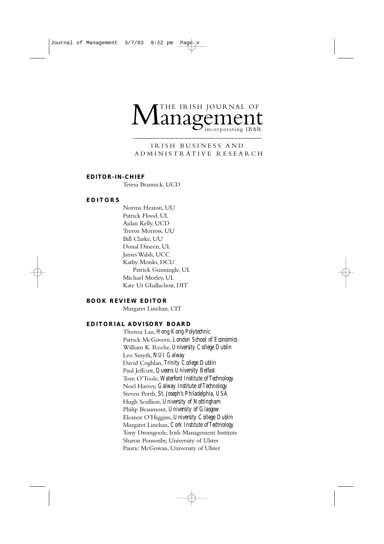# THE IRISH JOURNAL OF<br>**ANAGEMENT**

## IRISH BUSINESS AND ADMINISTRATIVE RESEARCH

### **EDITOR-IN-CHIEF**

Teresa Brannick, UCD

#### **EDITORS**

Norma Heaton, UU Patrick Flood, UL Aidan Kelly, UCD Trevor Morrow, UU Bill Clarke, UU Donal Dineen, UL James Walsh, UCC Kathy Monks, DCU Patrick Gunningle, UL Michael Morley, UL Kate Ui Ghallachoir, DIT

## **BOOK REVIEW EDITOR**

Margaret Linehan, CIT

#### **EDITORIAL ADVISORY BOARD**

Theresa Lau, *Hong Kong Polytechnic* Patrick McGovern, *London School of Economics* William K. Roche, *University College Dublin* Leo Smyth, *NUI Galway* David Coghlan, *Trinity College Dublin* Paul Jeffcutt, *Queens University Belfast* Tom O'Toole, *Waterford Institute of Technology* Noel Harvey, *Galway Institute of Technology* Steven Porth, *St. Joseph's Philadelphia, USA* Hugh Scullion, *University of Nottingham* Philip Beaumont, *University of Glasgow* Eleanor O'Higgins, *University College Dublin* Margaret Linehan, *Cork Institute of Technology* Tony Dromgoole, Irish Management Institute Sharon Ponsonby, University of Ulster Pauric McGowan, University of Ulster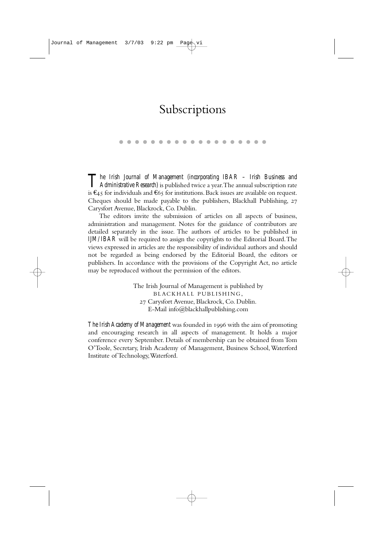# Subscriptions

*The Irish Journal of Management (incorporating IBAR – Irish Business and*<br>*Administrative Research*) is published twice a year.The annual subscription rate is €45 for individuals and €65 for institutions. Back issues are available on request. Cheques should be made payable to the publishers, Blackhall Publishing, Carysfort Avenue, Blackrock, Co. Dublin.

The editors invite the submission of articles on all aspects of business, administration and management. Notes for the guidance of contributors are detailed separately in the issue. The authors of articles to be published in *IJM/IBAR* will be required to assign the copyrights to the Editorial Board.The views expressed in articles are the responsibility of individual authors and should not be regarded as being endorsed by the Editorial Board, the editors or publishers. In accordance with the provisions of the Copyright Act, no article may be reproduced without the permission of the editors.

> The Irish Journal of Management is published by BLACKHALL PUBLISHING, Carysfort Avenue, Blackrock, Co. Dublin. E-Mail info@blackhallpublishing.com

*The Irish Academy of Management* was founded in 1996 with the aim of promoting and encouraging research in all aspects of management. It holds a major conference every September. Details of membership can be obtained from Tom O'Toole, Secretary, Irish Academy of Management, Business School,Waterford Institute of Technology,Waterford.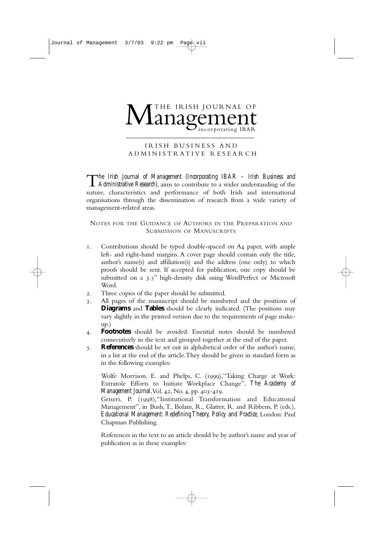# THE IRISH JOURNAL OF<br>**ANAGEMENT**

# IRISH BUSINESS AND ADMINISTRATIVE RESEARCH

T*he Irish Journal of Management (Incorporating IBAR – Irish Business and Administrative Research)*, aims to contribute to a wider understanding of the nature, characteristics and performance of both Irish and international organisations through the dissemination of research from a wide variety of management-related areas.

NOTES FOR THE GUIDANCE OF AUTHORS IN THE PREPARATION AND SUBMISSION OF MANUSCRIPTS

- $I.$  Contributions should be typed double-spaced on  $A_4$  paper, with ample left- and right-hand margins. A cover page should contain only the title, author's name(s) and affiliation(s) and the address (one only) to which proofs should be sent. If accepted for publication, one copy should be submitted on a 3.5" high-density disk using WordPerfect or Microsoft Word.
- . Three copies of the paper should be submitted.
- . All pages of the manuscript should be numbered and the positions of **Diagrams** and **Tables** should be clearly indicated. (The positions may vary slightly in the printed version due to the requirements of page makeup.)
- . **Footnotes** should be avoided. Essential notes should be numbered consecutively in the text and grouped together at the end of the paper.
- . **References** should be set out in alphabetical order of the author's name, in a list at the end of the article.They should be given in standard form as in the following examples:

Wolfe Morrison, E. and Phelps, C. (1999), "Taking Charge at Work: Extrarole Efforts to Initiate Workplace Change", *The Academy of Management Journal*, Vol. 42, No. 4, pp. 403-419.

Griseri, P. (1998), "Institutional Transformation and Educational Management", in Bush, T., Bolam, R., Glatter, R. and Ribbens, P. (eds.), *Educational Management: Redefining Theory, Policy and Practice*, London: Paul Chapman Publishing.

References in the text to an article should be by author's name and year of publication as in these examples: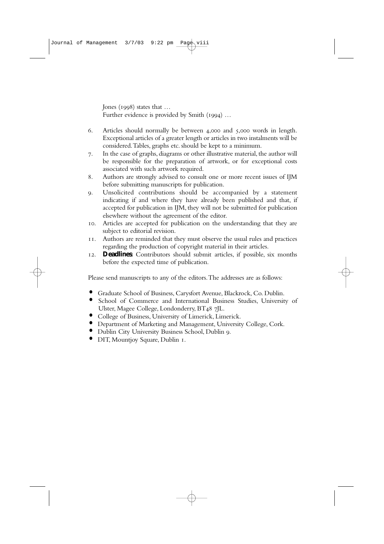Jones ( $1998$ ) states that ... Further evidence is provided by Smith  $(1994)$  ...

- 6. Articles should normally be between  $\alpha$ ,  $\alpha$ ,  $\alpha$ ,  $\alpha$ ,  $\alpha$ ,  $\alpha$ ,  $\alpha$ ,  $\alpha$ ,  $\alpha$ ,  $\alpha$ ,  $\alpha$ ,  $\alpha$ ,  $\alpha$ ,  $\alpha$ ,  $\alpha$ ,  $\alpha$ ,  $\alpha$ ,  $\alpha$ ,  $\alpha$ ,  $\alpha$ ,  $\alpha$ ,  $\alpha$ ,  $\alpha$ ,  $\alpha$ ,  $\alpha$ ,  $\alpha$ ,  $\alpha$ ,  $\alpha$ ,  $\alpha$ ,  $\alpha$ ,  $\$ Exceptional articles of a greater length or articles in two instalments will be considered.Tables, graphs etc. should be kept to a minimum.
- . In the case of graphs, diagrams or other illustrative material, the author will be responsible for the preparation of artwork, or for exceptional costs associated with such artwork required.
- . Authors are strongly advised to consult one or more recent issues of IJM before submitting manuscripts for publication.
- . Unsolicited contributions should be accompanied by a statement indicating if and where they have already been published and that, if accepted for publication in IJM, they will not be submitted for publication elsewhere without the agreement of the editor.
- . Articles are accepted for publication on the understanding that they are subject to editorial revision.
- . Authors are reminded that they must observe the usual rules and practices regarding the production of copyright material in their articles.
- . **Deadlines**: Contributors should submit articles, if possible, six months before the expected time of publication.

Please send manuscripts to any of the editors.The addresses are as follows:

- **•** Graduate School of Business, Carysfort Avenue, Blackrock, Co. Dublin.
- **•** School of Commerce and International Business Studies, University of Ulster, Magee College, Londonderry, BT48 7IL.
- **•** College of Business, University of Limerick, Limerick.
- **•** Department of Marketing and Management, University College, Cork.
- Dublin City University Business School, Dublin 9.
- DIT, Mountjoy Square, Dublin 1.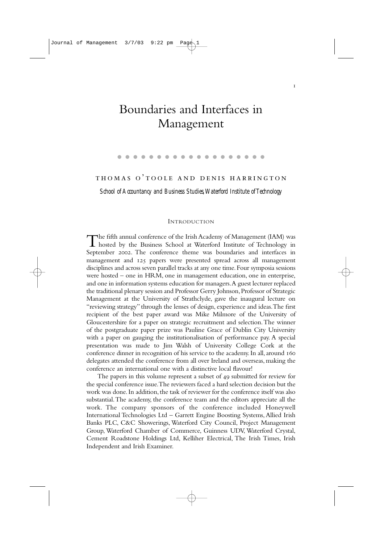# Boundaries and Interfaces in Management

. . . . . . . . . . . . . . . . . . .

# THOMAS O'TOOLE AND DENIS HARRINGTON

*School of Accountancy and Business Studies,Waterford Institute of Technology*

#### INTRODUCTION

The fifth annual conference of the Irish Academy of Management (IAM) was<br>hosted by the Business School at Waterford Institute of Technology in September 2002. The conference theme was boundaries and interfaces in management and 125 papers were presented spread across all management disciplines and across seven parallel tracks at any one time.Four symposia sessions were hosted – one in HRM, one in management education, one in enterprise, and one in information systems education for managers.A guest lecturer replaced the traditional plenary session and Professor Gerry Johnson,Professor of Strategic Management at the University of Strathclyde, gave the inaugural lecture on "reviewing strategy" through the lenses of design, experience and ideas.The first recipient of the best paper award was Mike Milmore of the University of Gloucestershire for a paper on strategic recruitment and selection.The winner of the postgraduate paper prize was Pauline Grace of Dublin City University with a paper on gauging the institutionalisation of performance pay. A special presentation was made to Jim Walsh of University College Cork at the conference dinner in recognition of his service to the academy.In all,around delegates attended the conference from all over Ireland and overseas, making the conference an international one with a distinctive local flavour!

The papers in this volume represent a subset of 49 submitted for review for the special conference issue.The reviewers faced a hard selection decision but the work was done.In addition,the task of reviewer for the conference itself was also substantial.The academy, the conference team and the editors appreciate all the work. The company sponsors of the conference included Honeywell International Technologies Ltd – Garrett Engine Boosting Systems, Allied Irish Banks PLC, C&C Showerings, Waterford City Council, Project Management Group, Waterford Chamber of Commerce, Guinness UDV, Waterford Crystal, Cement Roadstone Holdings Ltd, Kelliher Electrical, The Irish Times, Irish Independent and Irish Examiner.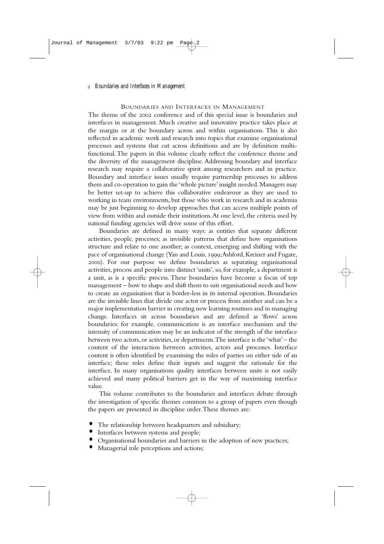#### BOUNDARIES AND INTERFACES IN MANAGEMENT

The theme of the 2002 conference and of this special issue is boundaries and interfaces in management. Much creative and innovative practice takes place at the margin or at the boundary across and within organisations. This is also reflected in academic work and research into topics that examine organisational processes and systems that cut across definitions and are by definition multifunctional.The papers in this volume clearly reflect the conference theme and the diversity of the management discipline. Addressing boundary and interface research may require a collaborative spirit among researchers and in practice. Boundary and interface issues usually require partnership processes to address them and co-operation to gain the 'whole picture' insight needed.Managers may be better set-up to achieve this collaborative endeavour as they are used to working in team environments, but those who work in research and in academia may be just beginning to develop approaches that can access multiple points of view from within and outside their institutions.At one level, the criteria used by national funding agencies will drive some of this effort.

Boundaries are defined in many ways: as entities that separate different activities, people, processes; as invisible patterns that define how organisations structure and relate to one another; as context, emerging and shifting with the pace of organisational change (Yan and Louis, 1999; Ashford, Kreiner and Fugate, ). For our purpose we define boundaries as separating organisational activities, process and people into distinct 'units', so, for example, a department is a unit, as is a specific process. These boundaries have become a focus of top management – how to shape and shift them to suit organisational needs and how to create an organisation that is border-less in its internal operation. Boundaries are the invisible lines that divide one actor or process from another and can be a major implementation barrier in creating new learning routines and in managing change. Interfaces sit across boundaries and are defined as 'flows' across boundaries: for example, communication is an interface mechanism and the intensity of communication may be an indicator of the strength of the interface between two actors, or activities, or departments.The interface is the 'what' – the content of the interaction between activities, actors and processes. Interface content is often identified by examining the roles of parties on either side of an interface; these roles define their inputs and suggest the rationale for the interface. In many organisations quality interfaces between units is not easily achieved and many political barriers get in the way of maximising interface value.

This volume contributes to the boundaries and interfaces debate through the investigation of specific themes common to a group of papers even though the papers are presented in discipline order.These themes are:

- **•** The relationship between headquarters and subsidiary;
- **•** Interfaces between systems and people;
- **•** Organisational boundaries and barriers in the adoption of new practices;
- **•** Managerial role perceptions and actions;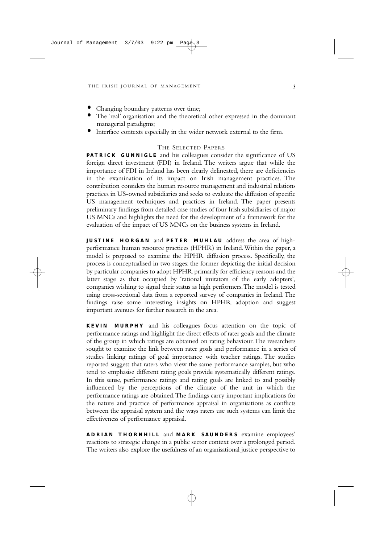- Changing boundary patterns over time;
- **•** The 'real' organisation and the theoretical other expressed in the dominant managerial paradigms;
- **•** Interface contexts especially in the wider network external to the firm.

#### THE SELECTED PAPERS

PATRICK GUNNIGLE and his colleagues consider the significance of US foreign direct investment (FDI) in Ireland. The writers argue that while the importance of FDI in Ireland has been clearly delineated, there are deficiencies in the examination of its impact on Irish management practices. The contribution considers the human resource management and industrial relations practices in US-owned subsidiaries and seeks to evaluate the diffusion of specific US management techniques and practices in Ireland. The paper presents preliminary findings from detailed case studies of four Irish subsidiaries of major US MNCs and highlights the need for the development of a framework for the evaluation of the impact of US MNCs on the business systems in Ireland.

**JUSTINE HORGAN** and **PETER MUHLAU** address the area of highperformance human resource practices (HPHR) in Ireland.Within the paper, a model is proposed to examine the HPHR diffusion process. Specifically, the process is conceptualised in two stages: the former depicting the initial decision by particular companies to adopt HPHR primarily for efficiency reasons and the latter stage as that occupied by 'rational imitators of the early adopters', companies wishing to signal their status as high performers.The model is tested using cross-sectional data from a reported survey of companies in Ireland.The findings raise some interesting insights on HPHR adoption and suggest important avenues for further research in the area.

**KEVIN MURPHY** and his colleagues focus attention on the topic of performance ratings and highlight the direct effects of rater goals and the climate of the group in which ratings are obtained on rating behaviour.The researchers sought to examine the link between rater goals and performance in a series of studies linking ratings of goal importance with teacher ratings. The studies reported suggest that raters who view the same performance samples, but who tend to emphasise different rating goals provide systematically different ratings. In this sense, performance ratings and rating goals are linked to and possibly influenced by the perceptions of the climate of the unit in which the performance ratings are obtained.The findings carry important implications for the nature and practice of performance appraisal in organisations as conflicts between the appraisal system and the ways raters use such systems can limit the effectiveness of performance appraisal.

**ADRIAN THORNHILL** and **MARK SAUNDERS** examine employees' reactions to strategic change in a public sector context over a prolonged period. The writers also explore the usefulness of an organisational justice perspective to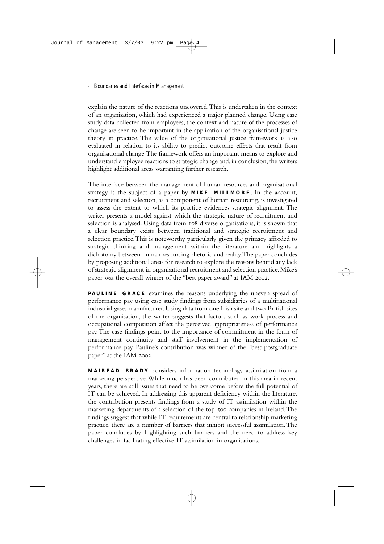explain the nature of the reactions uncovered.This is undertaken in the context of an organisation, which had experienced a major planned change. Using case study data collected from employees, the context and nature of the processes of change are seen to be important in the application of the organisational justice theory in practice. The value of the organisational justice framework is also evaluated in relation to its ability to predict outcome effects that result from organisational change.The framework offers an important means to explore and understand employee reactions to strategic change and, in conclusion, the writers highlight additional areas warranting further research.

The interface between the management of human resources and organisational strategy is the subject of a paper by **MIKE MILLMORE** . In the account, recruitment and selection, as a component of human resourcing, is investigated to assess the extent to which its practice evidences strategic alignment. The writer presents a model against which the strategic nature of recruitment and selection is analysed. Using data from 108 diverse organisations, it is shown that a clear boundary exists between traditional and strategic recruitment and selection practice.This is noteworthy particularly given the primacy afforded to strategic thinking and management within the literature and highlights a dichotomy between human resourcing rhetoric and reality.The paper concludes by proposing additional areas for research to explore the reasons behind any lack of strategic alignment in organisational recruitment and selection practice.Mike's paper was the overall winner of the "best paper award" at IAM 2002.

**PAULINE GRACE** examines the reasons underlying the uneven spread of performance pay using case study findings from subsidiaries of a multinational industrial gases manufacturer. Using data from one Irish site and two British sites of the organisation, the writer suggests that factors such as work process and occupational composition affect the perceived appropriateness of performance pay.The case findings point to the importance of commitment in the form of management continuity and staff involvement in the implementation of performance pay. Pauline's contribution was winner of the "best postgraduate paper" at the IAM 2002.

**MAIREAD BRADY** considers information technology assimilation from a marketing perspective.While much has been contributed in this area in recent years, there are still issues that need to be overcome before the full potential of IT can be achieved. In addressing this apparent deficiency within the literature, the contribution presents findings from a study of IT assimilation within the marketing departments of a selection of the top 500 companies in Ireland. The findings suggest that while IT requirements are central to relationship marketing practice, there are a number of barriers that inhibit successful assimilation.The paper concludes by highlighting such barriers and the need to address key challenges in facilitating effective IT assimilation in organisations.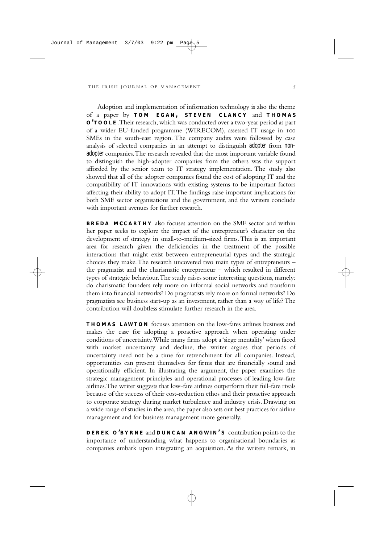Adoption and implementation of information technology is also the theme of a paper by **TOM EGAN , STEVEN CLANCY** and **THOMAS O 'TOOLE** .Their research, which was conducted over a two-year period as part of a wider EU-funded programme (WIRECOM), assessed IT usage in SMEs in the south-east region. The company audits were followed by case analysis of selected companies in an attempt to distinguish *adopter* from *nonadopter* companies.The research revealed that the most important variable found to distinguish the high-adopter companies from the others was the support afforded by the senior team to IT strategy implementation. The study also showed that all of the adopter companies found the cost of adopting IT and the compatibility of IT innovations with existing systems to be important factors affecting their ability to adopt IT.The findings raise important implications for both SME sector organisations and the government, and the writers conclude with important avenues for further research.

**BREDA M c CARTHY** also focuses attention on the SME sector and within her paper seeks to explore the impact of the entrepreneur's character on the development of strategy in small-to-medium-sized firms. This is an important area for research given the deficiencies in the treatment of the possible interactions that might exist between entrepreneurial types and the strategic choices they make.The research uncovered two main types of entrepreneurs – the pragmatist and the charismatic entrepreneur – which resulted in different types of strategic behaviour.The study raises some interesting questions, namely: do charismatic founders rely more on informal social networks and transform them into financial networks? Do pragmatists rely more on formal networks? Do pragmatists see business start-up as an investment, rather than a way of life? The contribution will doubtless stimulate further research in the area.

**THOMAS LAWTON** focuses attention on the low-fares airlines business and makes the case for adopting a proactive approach when operating under conditions of uncertainty.While many firms adopt a 'siege mentality'when faced with market uncertainty and decline, the writer argues that periods of uncertainty need not be a time for retrenchment for all companies. Instead, opportunities can present themselves for firms that are financially sound and operationally efficient. In illustrating the argument, the paper examines the strategic management principles and operational processes of leading low-fare airlines.The writer suggests that low-fare airlines outperform their full-fare rivals because of the success of their cost-reduction ethos and their proactive approach to corporate strategy during market turbulence and industry crisis. Drawing on a wide range of studies in the area, the paper also sets out best practices for airline management and for business management more generally.

**DEREK O 'BYRNE** and **DUNCAN ANGWIN ' S** contribution points to the importance of understanding what happens to organisational boundaries as companies embark upon integrating an acquisition. As the writers remark, in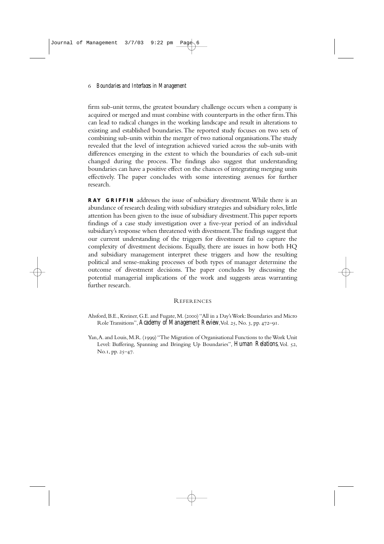firm sub-unit terms, the greatest boundary challenge occurs when a company is acquired or merged and must combine with counterparts in the other firm.This can lead to radical changes in the working landscape and result in alterations to existing and established boundaries.The reported study focuses on two sets of combining sub-units within the merger of two national organisations.The study revealed that the level of integration achieved varied across the sub-units with differences emerging in the extent to which the boundaries of each sub-unit changed during the process. The findings also suggest that understanding boundaries can have a positive effect on the chances of integrating merging units effectively. The paper concludes with some interesting avenues for further research.

**RAY GRIFFIN** addresses the issue of subsidiary divestment.While there is an abundance of research dealing with subsidiary strategies and subsidiary roles,little attention has been given to the issue of subsidiary divestment.This paper reports findings of a case study investigation over a five-year period of an individual subsidiary's response when threatened with divestment.The findings suggest that our current understanding of the triggers for divestment fail to capture the complexity of divestment decisions. Equally, there are issues in how both HQ and subsidiary management interpret these triggers and how the resulting political and sense-making processes of both types of manager determine the outcome of divestment decisions. The paper concludes by discussing the potential managerial implications of the work and suggests areas warranting further research.

## REFERENCES

- Ahsford, B.E., Kreiner, G.E. and Fugate, M. (2000) "All in a Day's Work: Boundaries and Micro Role Transitions", *Academy of Management Review*, Vol. 25, No. 3, pp. 472–91.
- Yan, A. and Louis, M.R. (1999) "The Migration of Organisational Functions to the Work Unit Level: Buffering, Spanning and Bringing Up Boundaries", *Human Relations*, Vol. 52, No.1, pp. 25-47.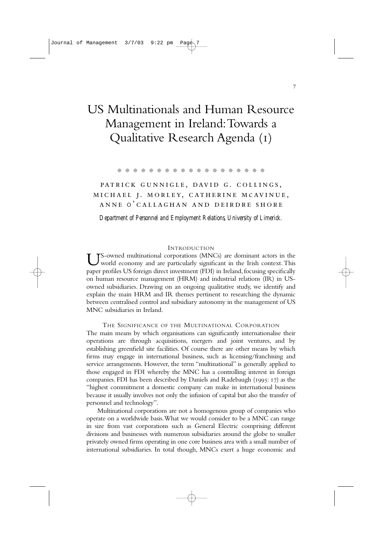# US Multinationals and Human Resource Management in Ireland:Towards a Qualitative Research Agenda (I)

#### . . . . . . . . . . . . . . . . . . .

# PATRICK GUNNIGLE, DAVID G. COLLINGS, MICHAEL J. MORLEY, CATHERINE MCAVINUE, ANNE O'CALLAGHAN AND DEIRDRE SHORE

*Department of Personnel and Employment Relations, University of Limerick.*

#### INTRODUCTION

US-owned multinational corporations (MNCs) are dominant actors in the world economy and are particularly significant in the Irish context. This paper profiles US foreign direct investment (FDI) in Ireland, focusing specifically on human resource management (HRM) and industrial relations (IR) in USowned subsidiaries. Drawing on an ongoing qualitative study, we identify and explain the main HRM and IR themes pertinent to researching the dynamic between centralised control and subsidiary autonomy in the management of US MNC subsidiaries in Ireland.

THE SIGNIFICANCE OF THE MULTINATIONAL CORPORATION The main means by which organisations can significantly internationalise their operations are through acquisitions, mergers and joint ventures, and by establishing greenfield site facilities. Of course there are other means by which firms may engage in international business, such as licensing/franchising and service arrangements. However, the term "multinational" is generally applied to those engaged in FDI whereby the MNC has a controlling interest in foreign companies. FDI has been described by Daniels and Radebaugh (1995: 17) as the "highest commitment a domestic company can make in international business because it usually involves not only the infusion of capital but also the transfer of personnel and technology".

Multinational corporations are not a homogenous group of companies who operate on a worldwide basis.What we would consider to be a MNC can range in size from vast corporations such as General Electric comprising different divisions and businesses with numerous subsidiaries around the globe to smaller privately owned firms operating in one core business area with a small number of international subsidiaries. In total though, MNCs exert a huge economic and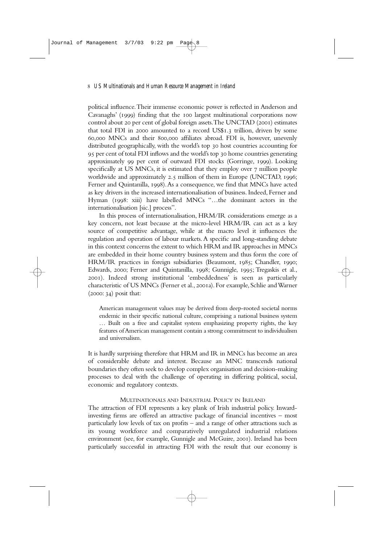political influence.Their immense economic power is reflected in Anderson and Cavanaghs' (1999) finding that the 100 largest multinational corporations now control about 20 per cent of global foreign assets. The UNCTAD (2001) estimates that total FDI in 2000 amounted to a record US\$1.3 trillion, driven by some 60,000 MNCs and their 800,000 affiliates abroad. FDI is, however, unevenly distributed geographically, with the world's top 30 host countries accounting for per cent of total FDI inflows and the world's top home countries generating approximately 99 per cent of outward FDI stocks (Gorringe, 1999). Looking specifically at US MNCs, it is estimated that they employ over 7 million people worldwide and approximately  $2.5$  million of them in Europe (UNCTAD, 1996; Ferner and Quintanilla, 1998). As a consequence, we find that MNCs have acted as key drivers in the increased internationalisation of business. Indeed, Ferner and Hyman (1998: xiii) have labelled MNCs "...the dominant actors in the internationalisation [sic.] process".

In this process of internationalisation, HRM/IR considerations emerge as a key concern, not least because at the micro-level HRM/IR can act as a key source of competitive advantage, while at the macro level it influences the regulation and operation of labour markets.A specific and long-standing debate in this context concerns the extent to which HRM and IR approaches in MNCs are embedded in their home country business system and thus form the core of HRM/IR practices in foreign subsidiaries (Beaumont, 1985; Chandler, 1990; Edwards, 2000; Ferner and Quintanilla, 1998; Gunnigle, 1995; Tregaskis et al., ). Indeed strong institutional 'embeddedness' is seen as particularly characteristic of US MNCs (Ferner et al., 2001a). For example, Schlie and Warner  $(2000: 34)$  posit that:

American management values may be derived from deep-rooted societal norms endemic in their specific national culture, comprising a national business system … Built on a free and capitalist system emphasizing property rights, the key features of American management contain a strong commitment to individualism and universalism.

It is hardly surprising therefore that HRM and IR in MNCs has become an area of considerable debate and interest. Because an MNC transcends national boundaries they often seek to develop complex organisation and decision-making processes to deal with the challenge of operating in differing political, social, economic and regulatory contexts.

#### MULTINATIONALS AND INDUSTRIAL POLICY IN IRELAND

The attraction of FDI represents a key plank of Irish industrial policy. Inwardinvesting firms are offered an attractive package of financial incentives – most particularly low levels of tax on profits – and a range of other attractions such as its young workforce and comparatively unregulated industrial relations environment (see, for example, Gunnigle and McGuire, 2001). Ireland has been particularly successful in attracting FDI with the result that our economy is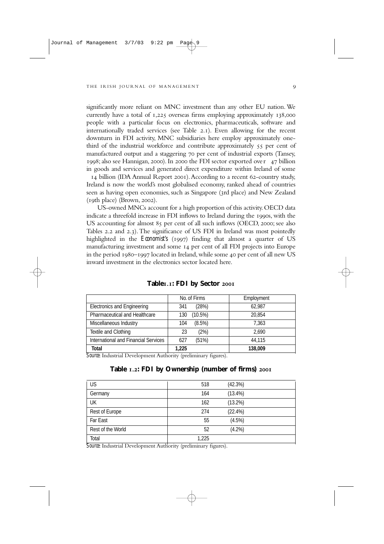significantly more reliant on MNC investment than any other EU nation. We currently have a total of  $1.225$  overseas firms employing approximately  $138.000$ people with a particular focus on electronics, pharmaceuticals, software and internationally traded services (see Table 2.1). Even allowing for the recent downturn in FDI activity, MNC subsidiaries here employ approximately onethird of the industrial workforce and contribute approximately  $\varsigma$  per cent of manufactured output and a staggering 70 per cent of industrial exports (Tansey, 1998; also see Hannigan, 2000). In 2000 the FDI sector exported over 47 billion in goods and services and generated direct expenditure within Ireland of some

 $I_4$  billion (IDA Annual Report 2001). According to a recent 62-country study, Ireland is now the world's most globalised economy, ranked ahead of countries seen as having open economies, such as Singapore (3rd place) and New Zealand  $($ I qth place $)$  (Brown, 2002).

US-owned MNCs account for a high proportion of this activity.OECD data indicate a threefold increase in FDI inflows to Ireland during the 1990s, with the US accounting for almost  $85$  per cent of all such inflows (OECD, 2000; see also Tables 2.2 and 2.3). The significance of US FDI in Ireland was most pointedly highlighted in the *Economist's* (1997) finding that almost a quarter of US manufacturing investment and some 14 per cent of all FDI projects into Europe in the period  $1980-1997$  located in Ireland, while some 40 per cent of all new US inward investment in the electronics sector located here.

|                                      |       | No. of Firms | Employment |
|--------------------------------------|-------|--------------|------------|
| <b>Electronics and Engineering</b>   | 341   | (28%)        | 62.987     |
| <b>Pharmaceutical and Healthcare</b> | 130   | $(10.5\%)$   | 20.854     |
| Miscellaneous Industry               | 104   | $(8.5\%)$    | 7.363      |
| Textile and Clothing                 | 23    | (2%)         | 2.690      |
| International and Financial Services | 627   | (51%)        | 44.115     |
| Total                                | 1.225 |              | 138,009    |

#### **Table.: FDI by Sector**

*Source*: Industrial Development Authority (preliminary figures).

## **Table .: FDI by Ownership (number of firms)**

| <b>US</b>         | 518   | (42.3%)    |  |
|-------------------|-------|------------|--|
| Germany           | 164   | $(13.4\%)$ |  |
| UK                | 162   | (13.2%)    |  |
| Rest of Europe    | 274   | (22.4%)    |  |
| <b>Far East</b>   | 55    | (4.5%)     |  |
| Rest of the World | 52    | (4.2%)     |  |
| Total             | 1,225 |            |  |

*Source*: Industrial Development Authority (preliminary figures).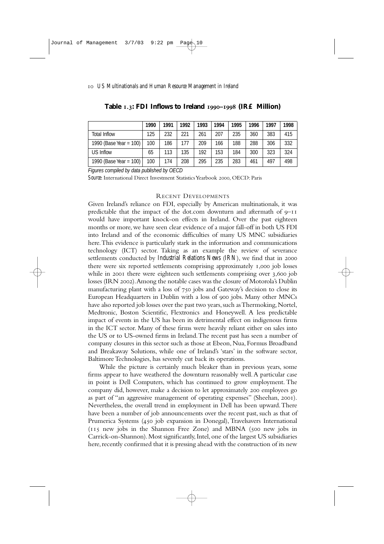|                        | 1990 | 1991 | 1992 | 1993 | 1994 | 1995 | 1996 | 1997 | 1998 |
|------------------------|------|------|------|------|------|------|------|------|------|
| <b>Total Inflow</b>    | 125  | 232  | 221  | 261  | 207  | 235  | 360  | 383  | 415  |
| 1990 (Base Year = 100) | 100  | 186  | 177  | 209  | 166  | 188  | 288  | 306  | 332  |
| US Inflow              | 65   | 113  | 135  | 192  | 153  | 184  | 300  | 323  | 324  |
| 1990 (Base Year = 100) | 100  | 174  | 208  | 295  | 235  | 283  | 461  | 497  | 498  |

Table **1.3:** FDI Inflows to Ireland **1990-1998** (IR£ Million)

*Figures compiled by data published by OECD*

**Source**: International Direct Investment Statistics Yearbook 2000, OECD: Paris

#### RECENT DEVELOPMENTS

Given Ireland's reliance on FDI, especially by American multinationals, it was predictable that the impact of the dot.com downturn and aftermath of  $9-11$ would have important knock-on effects in Ireland. Over the past eighteen months or more, we have seen clear evidence of a major fall-off in both US FDI into Ireland and of the economic difficulties of many US MNC subsidiaries here.This evidence is particularly stark in the information and communications technology (ICT) sector. Taking as an example the review of severance settlements conducted by *Industrial Relations News* (*IRN*), we find that in there were six reported settlements comprising approximately 1,000 job losses while in  $2001$  there were eighteen such settlements comprising over  $3,600$  job losses (IRN 2002). Among the notable cases was the closure of Motorola's Dublin manufacturing plant with a loss of 750 jobs and Gateway's decision to close its European Headquarters in Dublin with a loss of 900 jobs. Many other MNCs have also reported job losses over the past two years, such as Thermoking, Nortel, Medtronic, Boston Scientific, Flextronics and Honeywell. A less predictable impact of events in the US has been its detrimental effect on indigenous firms in the ICT sector. Many of these firms were heavily reliant either on sales into the US or to US-owned firms in Ireland.The recent past has seen a number of company closures in this sector such as those at Ebeon, Nua, Formus Broadband and Breakaway Solutions, while one of Ireland's 'stars' in the software sector, Baltimore Technologies, has severely cut back its operations.

While the picture is certainly much bleaker than in previous years, some firms appear to have weathered the downturn reasonably well.A particular case in point is Dell Computers, which has continued to grow employment. The company did, however, make a decision to let approximately 200 employees go as part of "an aggressive management of operating expenses" (Sheehan, 2001). Nevertheless, the overall trend in employment in Dell has been upward.There have been a number of job announcements over the recent past, such as that of Prumerica Systems (450 job expansion in Donegal), Travelsavers International  $(115$  new jobs in the Shannon Free Zone) and MBNA  $(500$  new jobs in Carrick-on-Shannon). Most significantly, Intel, one of the largest US subsidiaries here, recently confirmed that it is pressing ahead with the construction of its new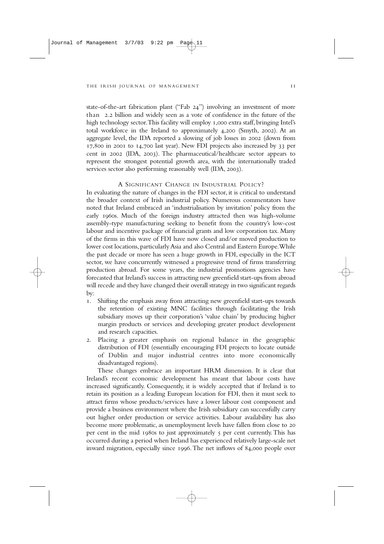state-of-the-art fabrication plant ("Fab  $24$ ") involving an investment of more than  $2.2$  billion and widely seen as a vote of confidence in the future of the high technology sector. This facility will employ 1,000 extra staff, bringing Intel's total workforce in the Ireland to approximately  $4,200$  (Smyth, 2002). At an aggregate level, the IDA reported a slowing of job losses in  $2002$  (down from  $17,800$  in 2001 to  $14,700$  last year). New FDI projects also increased by 33 per cent in 2002 (IDA, 2003). The pharmaceutical/healthcare sector appears to represent the strongest potential growth area, with the internationally traded services sector also performing reasonably well (IDA, 2003).

#### A SIGNIFICANT CHANGE IN INDUSTRIAL POLICY?

In evaluating the nature of changes in the FDI sector, it is critical to understand the broader context of Irish industrial policy. Numerous commentators have noted that Ireland embraced an 'industrialisation by invitation' policy from the early 1960s. Much of the foreign industry attracted then was high-volume assembly-type manufacturing seeking to benefit from the country's low-cost labour and incentive package of financial grants and low corporation tax. Many of the firms in this wave of FDI have now closed and/or moved production to lower cost locations, particularly Asia and also Central and Eastern Europe. While the past decade or more has seen a huge growth in FDI, especially in the ICT sector, we have concurrently witnessed a progressive trend of firms transferring production abroad. For some years, the industrial promotions agencies have forecasted that Ireland's success in attracting new greenfield start-ups from abroad will recede and they have changed their overall strategy in two significant regards by:

- . Shifting the emphasis away from attracting new greenfield start-ups towards the retention of existing MNC facilities through facilitating the Irish subsidiary moves up their corporation's 'value chain' by producing higher margin products or services and developing greater product development and research capacities.
- . Placing a greater emphasis on regional balance in the geographic distribution of FDI (essentially encouraging FDI projects to locate outside of Dublin and major industrial centres into more economically disadvantaged regions).

These changes embrace an important HRM dimension. It is clear that Ireland's recent economic development has meant that labour costs have increased significantly. Consequently, it is widely accepted that if Ireland is to retain its position as a leading European location for FDI, then it must seek to attract firms whose products/services have a lower labour cost component and provide a business environment where the Irish subsidiary can successfully carry out higher order production or service activities. Labour availability has also become more problematic, as unemployment levels have fallen from close to per cent in the mid 1980s to just approximately 5 per cent currently. This has occurred during a period when Ireland has experienced relatively large-scale net inward migration, especially since 1996. The net inflows of 84,000 people over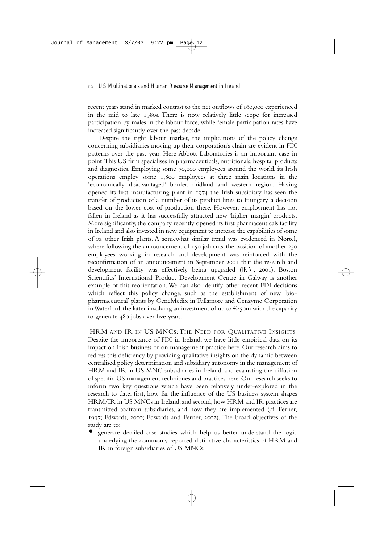recent years stand in marked contrast to the net outflows of 160,000 experienced in the mid to late 1980s. There is now relatively little scope for increased participation by males in the labour force, while female participation rates have increased significantly over the past decade.

Despite the tight labour market, the implications of the policy change concerning subsidiaries moving up their corporation's chain are evident in FDI patterns over the past year. Here Abbott Laboratories is an important case in point.This US firm specialises in pharmaceuticals, nutritionals, hospital products and diagnostics. Employing some 70,000 employees around the world, its Irish  $o$  berations employ some  $I.800$  employees at three main locations in the 'economically disadvantaged' border, midland and western region. Having opened its first manufacturing plant in  $1974$  the Irish subsidiary has seen the transfer of production of a number of its product lines to Hungary, a decision based on the lower cost of production there. However, employment has not fallen in Ireland as it has successfully attracted new 'higher margin' products. More significantly, the company recently opened its first pharmaceuticals facility in Ireland and also invested in new equipment to increase the capabilities of some of its other Irish plants. A somewhat similar trend was evidenced in Nortel, where following the announcement of  $\overline{150}$  job cuts, the position of another  $\overline{250}$ employees working in research and development was reinforced with the reconfirmation of an announcement in September 2001 that the research and development facility was effectively being upgraded *(IRN*, 2001). Boston Scientifics' International Product Development Centre in Galway is another example of this reorientation.We can also identify other recent FDI decisions which reflect this policy change, such as the establishment of new 'biopharmaceutical' plants by GeneMedix in Tullamore and Genzyme Corporation in Waterford, the latter involving an investment of up to  $\epsilon$ 250m with the capacity to generate 480 jobs over five years.

HRM AND IR IN US MNCS: THE NEED FOR QUALITATIVE INSIGHTS Despite the importance of FDI in Ireland, we have little empirical data on its impact on Irish business or on management practice here. Our research aims to redress this deficiency by providing qualitative insights on the dynamic between centralised policy determination and subsidiary autonomy in the management of HRM and IR in US MNC subsidiaries in Ireland, and evaluating the diffusion of specific US management techniques and practices here. Our research seeks to inform two key questions which have been relatively under-explored in the research to date: first, how far the influence of the US business system shapes HRM/IR in US MNCs in Ireland,and second,how HRM and IR practices are transmitted to/from subsidiaries, and how they are implemented (cf. Ferner, 1997; Edwards, 2000; Edwards and Ferner, 2002). The broad objectives of the study are to:

**•** generate detailed case studies which help us better understand the logic underlying the commonly reported distinctive characteristics of HRM and IR in foreign subsidiaries of US MNCs;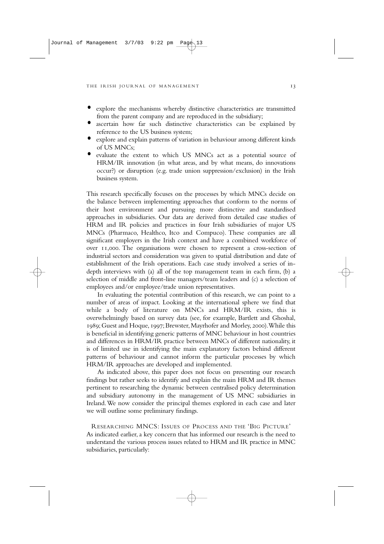- **•** explore the mechanisms whereby distinctive characteristics are transmitted from the parent company and are reproduced in the subsidiary;
- **•** ascertain how far such distinctive characteristics can be explained by reference to the US business system;
- **•** explore and explain patterns of variation in behaviour among different kinds of US MNCs;
- **•** evaluate the extent to which US MNCs act as a potential source of HRM/IR innovation (in what areas, and by what means, do innovations occur?) or disruption (e.g. trade union suppression/exclusion) in the Irish business system.

This research specifically focuses on the processes by which MNCs decide on the balance between implementing approaches that conform to the norms of their host environment and pursuing more distinctive and standardised approaches in subsidiaries. Our data are derived from detailed case studies of HRM and IR policies and practices in four Irish subsidiaries of major US MNCs (Pharmaco, Healthco, Itco and Compuco). These companies are all significant employers in the Irish context and have a combined workforce of over 11,000. The organisations were chosen to represent a cross-section of industrial sectors and consideration was given to spatial distribution and date of establishment of the Irish operations. Each case study involved a series of indepth interviews with (a) all of the top management team in each firm, (b) a selection of middle and front-line managers/team leaders and (c) a selection of employees and/or employee/trade union representatives.

In evaluating the potential contribution of this research, we can point to a number of areas of impact. Looking at the international sphere we find that while a body of literature on MNCs and HRM/IR exists, this is overwhelmingly based on survey data (see, for example, Bartlett and Ghoshal, 1989; Guest and Hoque, 1997; Brewster, Mayrhofer and Morley, 2000). While this is beneficial in identifying generic patterns of MNC behaviour in host countries and differences in HRM/IR practice between MNCs of different nationality, it is of limited use in identifying the main explanatory factors behind different patterns of behaviour and cannot inform the particular processes by which HRM/IR approaches are developed and implemented.

As indicated above, this paper does not focus on presenting our research findings but rather seeks to identify and explain the main HRM and IR themes pertinent to researching the dynamic between centralised policy determination and subsidiary autonomy in the management of US MNC subsidiaries in Ireland.We now consider the principal themes explored in each case and later we will outline some preliminary findings.

RESEARCHING MNCS: ISSUES OF PROCESS AND THE 'BIG PICTURE' As indicated earlier, a key concern that has informed our research is the need to understand the various process issues related to HRM and IR practice in MNC subsidiaries, particularly: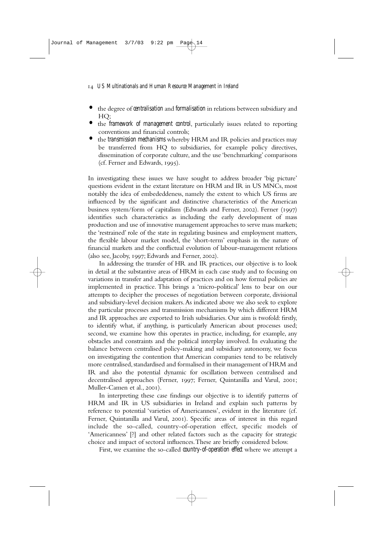- **•** the degree of *centralisation* and *formalisation* in relations between subsidiary and HQ;
- **•** the *framework of management control*, particularly issues related to reporting conventions and financial controls;
- **•** the *transmission mechanisms* whereby HRM and IR policies and practices may be transferred from HQ to subsidiaries, for example policy directives, dissemination of corporate culture, and the use 'benchmarking' comparisons  $(cf. Ferrner and Edwards, 1995).$

In investigating these issues we have sought to address broader 'big picture' questions evident in the extant literature on HRM and IR in US MNCs, most notably the idea of embededdeness, namely the extent to which US firms are influenced by the significant and distinctive characteristics of the American business system/form of capitalism (Edwards and Ferner, 2002). Ferner (1997). identifies such characteristics as including the early development of mass production and use of innovative management approaches to serve mass markets; the 'restrained' role of the state in regulating business and employment matters, the flexible labour market model, the 'short-term' emphasis in the nature of financial markets and the conflictual evolution of labour-management relations (also see, Jacoby, 1997; Edwards and Ferner, 2002).

In addressing the transfer of HR and IR practices, our objective is to look in detail at the substantive areas of HRM in each case study and to focusing on variations in transfer and adaptation of practices and on how formal policies are implemented in practice. This brings a 'micro-political' lens to bear on our attempts to decipher the processes of negotiation between corporate, divisional and subsidiary-level decision makers.As indicated above we also seek to explore the particular processes and transmission mechanisms by which different HRM and IR approaches are exported to Irish subsidiaries. Our aim is twofold: firstly, to identify what, if anything, is particularly American about processes used; second, we examine how this operates in practice, including, for example, any obstacles and constraints and the political interplay involved. In evaluating the balance between centralised policy-making and subsidiary autonomy, we focus on investigating the contention that American companies tend to be relatively more centralised, standardised and formalised in their management of HRM and IR and also the potential dynamic for oscillation between centralised and decentralised approaches (Ferner, 1997; Ferner, Quintanilla and Varul, 2001; Muller-Camen et al., 2001).

In interpreting these case findings our objective is to identify patterns of HRM and IR in US subsidiaries in Ireland and explain such patterns by reference to potential 'varieties of Americanness', evident in the literature (cf. Ferner, Quintanilla and Varul, 2001). Specific areas of interest in this regard include the so-called, country-of-operation effect, specific models of 'Americanness' [?] and other related factors such as the capacity for strategic choice and impact of sectoral influences.These are briefly considered below.

First, we examine the so-called *country-of-operation effect* where we attempt a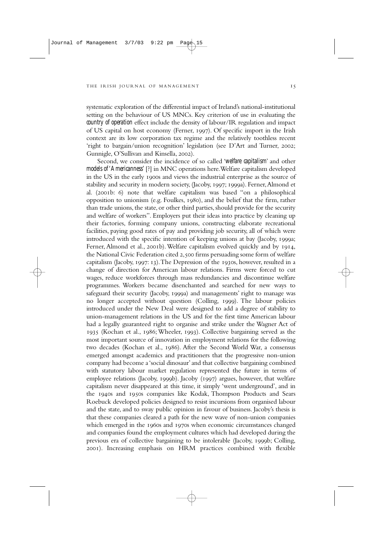systematic exploration of the differential impact of Ireland's national-institutional setting on the behaviour of US MNCs. Key criterion of use in evaluating the *country of operation* effect include the density of labour/IR regulation and impact of US capital on host economy (Ferner, 1997). Of specific import in the Irish context are its low corporation tax regime and the relatively toothless recent 'right to bargain/union recognition' legislation (see D'Art and Turner, 2002; Gunnigle, O'Sullivan and Kinsella, 2002).

Second, we consider the incidence of so called '*welfare capitalism*' and other *models of 'Americanness'*[?] in MNC operations here.Welfare capitalism developed in the US in the early 1900s and views the industrial enterprise as the source of stability and security in modern society, (Jacoby, 1997; 1999a). Ferner, Almond et al. (2001b: 6) note that welfare capitalism was based "on a philosophical opposition to unionism (e.g. Foulkes, 1980), and the belief that the firm, rather than trade unions, the state, or other third parties, should provide for the security and welfare of workers". Employers put their ideas into practice by cleaning up their factories, forming company unions, constructing elaborate recreational facilities, paying good rates of pay and providing job security, all of which were introduced with the specific intention of keeping unions at bay (Jacoby, 1999a; Ferner, Almond et al., 2001b). Welfare capitalism evolved quickly and by 1914, the National Civic Federation cited 2,500 firms persuading some form of welfare capitalism (Jacoby, 1997: 13). The Depression of the 1930s, however, resulted in a change of direction for American labour relations. Firms were forced to cut wages, reduce workforces through mass redundancies and discontinue welfare programmes. Workers became disenchanted and searched for new ways to safeguard their security (Jacoby, 1999a) and managements' right to manage was no longer accepted without question (Colling, 1999). The labour policies introduced under the New Deal were designed to add a degree of stability to union-management relations in the US and for the first time American labour had a legally guaranteed right to organise and strike under the Wagner Act of 1935 (Kochan et al., 1986; Wheeler, 1993). Collective bargaining served as the most important source of innovation in employment relations for the following two decades (Kochan et al., 1986). After the Second World War, a consensus emerged amongst academics and practitioners that the progressive non-union company had become a 'social dinosaur'and that collective bargaining combined with statutory labour market regulation represented the future in terms of employee relations (Jacoby, 1999b). Jacoby (1997) argues, however, that welfare capitalism never disappeared at this time, it simply 'went underground', and in the 1940s and 1950s companies like Kodak, Thompson Products and Sears Roebuck developed policies designed to resist incursions from organised labour and the state, and to sway public opinion in favour of business. Jacoby's thesis is that these companies cleared a path for the new wave of non-union companies which emerged in the 1960s and 1970s when economic circumstances changed and companies found the employment cultures which had developed during the previous era of collective bargaining to be intolerable (Jacoby, 1999b; Colling, ). Increasing emphasis on HRM practices combined with flexible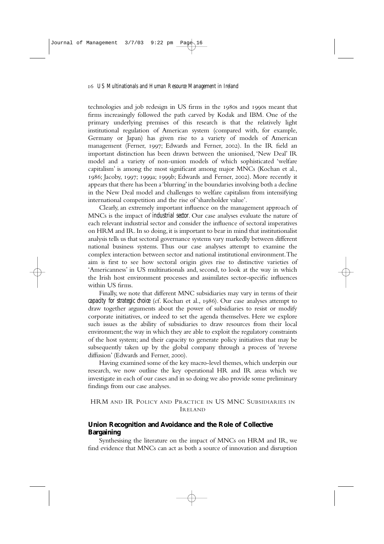technologies and job redesign in US firms in the 1980s and 1990s meant that firms increasingly followed the path carved by Kodak and IBM. One of the primary underlying premises of this research is that the relatively light institutional regulation of American system (compared with, for example, Germany or Japan) has given rise to a variety of models of American management (Ferner, 1997; Edwards and Ferner, 2002). In the IR field an important distinction has been drawn between the unionised, 'New Deal' IR model and a variety of non-union models of which sophisticated 'welfare capitalism' is among the most significant among major MNCs (Kochan et al., 1986; Jacoby, 1997; 1999a; 1999b; Edwards and Ferner, 2002). More recently it appears that there has been a 'blurring'in the boundaries involving both a decline in the New Deal model and challenges to welfare capitalism from intensifying international competition and the rise of 'shareholder value'.

Clearly, an extremely important influence on the management approach of MNCs is the impact of *industrial sector*. Our case analyses evaluate the nature of each relevant industrial sector and consider the influence of sectoral imperatives on HRM and IR.In so doing,it is important to bear in mind that institutionalist analysis tells us that sectoral governance systems vary markedly between different national business systems. Thus our case analyses attempt to examine the complex interaction between sector and national institutional environment.The aim is first to see how sectoral origin gives rise to distinctive varieties of 'Americanness' in US multinationals and, second, to look at the way in which the Irish host environment processes and assimilates sector-specific influences within US firms.

Finally, we note that different MNC subsidiaries may vary in terms of their *capacity for strategic choice* (cf. Kochan et al., 1986). Our case analyses attempt to draw together arguments about the power of subsidiaries to resist or modify corporate initiatives, or indeed to set the agenda themselves. Here we explore such issues as the ability of subsidiaries to draw resources from their local environment; the way in which they are able to exploit the regulatory constraints of the host system; and their capacity to generate policy initiatives that may be subsequently taken up by the global company through a process of 'reverse diffusion' (Edwards and Ferner, 2000).

Having examined some of the key macro-level themes, which underpin our research, we now outline the key operational HR and IR areas which we investigate in each of our cases and in so doing we also provide some preliminary findings from our case analyses.

## HRM AND IR POLICY AND PRACTICE IN US MNC SUBSIDIARIES IN IRELAND

# **Union Recognition and Avoidance and the Role of Collective Bargaining**

Synthesising the literature on the impact of MNCs on HRM and IR, we find evidence that MNCs can act as both a source of innovation and disruption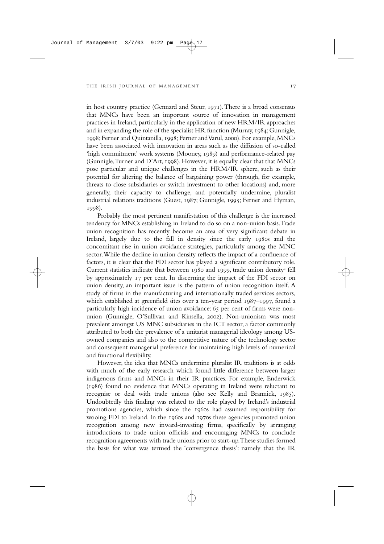in host country practice (Gennard and Steur, 1971). There is a broad consensus that MNCs have been an important source of innovation in management practices in Ireland, particularly in the application of new HRM/IR approaches and in expanding the role of the specialist HR function (Murray, 1984; Gunnigle, 1998; Ferner and Quintanilla, 1998; Ferner and Varul, 2000). For example, MNCs have been associated with innovation in areas such as the diffusion of so-called 'high commitment' work systems (Mooney, 1989) and performance-related pay (Gunnigle, Turner and D'Art, 1998). However, it is equally clear that that MNCs pose particular and unique challenges in the HRM/IR sphere, such as their potential for altering the balance of bargaining power (through, for example, threats to close subsidiaries or switch investment to other locations) and, more generally, their capacity to challenge, and potentially undermine, pluralist industrial relations traditions (Guest, 1987; Gunnigle, 1995; Ferner and Hyman, 1998).

Probably the most pertinent manifestation of this challenge is the increased tendency for MNCs establishing in Ireland to do so on a non-union basis.Trade union recognition has recently become an area of very significant debate in Ireland, largely due to the fall in density since the early 1980s and the concomitant rise in union avoidance strategies, particularly among the MNC sector.While the decline in union density reflects the impact of a confluence of factors, it is clear that the FDI sector has played a significant contributory role. Current statistics indicate that between 1980 and 1999, trade union density<sup>2</sup> fell by approximately 17 per cent. In discerning the impact of the FDI sector on union density, an important issue is the pattern of union recognition itself. A study of firms in the manufacturing and internationally traded services sectors, which established at greenfield sites over a ten-year period  $1087 - 1097$ , found a particularly high incidence of union avoidance: 65 per cent of firms were nonunion (Gunnigle, O'Sullivan and Kinsella, 2002). Non-unionism was most prevalent amongst US MNC subsidiaries in the ICT sector, a factor commonly attributed to both the prevalence of a unitarist managerial ideology among USowned companies and also to the competitive nature of the technology sector and consequent managerial preference for maintaining high levels of numerical and functional flexibility.

However, the idea that MNCs undermine pluralist IR traditions is at odds with much of the early research which found little difference between larger indigenous firms and MNCs in their IR practices. For example, Enderwick (1986) found no evidence that MNCs operating in Ireland were reluctant to recognise or deal with trade unions (also see Kelly and Brannick, 1985). Undoubtedly this finding was related to the role played by Ireland's industrial promotions agencies, which since the 1960s had assumed responsibility for wooing FDI to Ireland. In the 1960s and 1970s these agencies promoted union recognition among new inward-investing firms, specifically by arranging introductions to trade union officials and encouraging MNCs to conclude recognition agreements with trade unions prior to start-up.These studies formed the basis for what was termed the 'convergence thesis': namely that the IR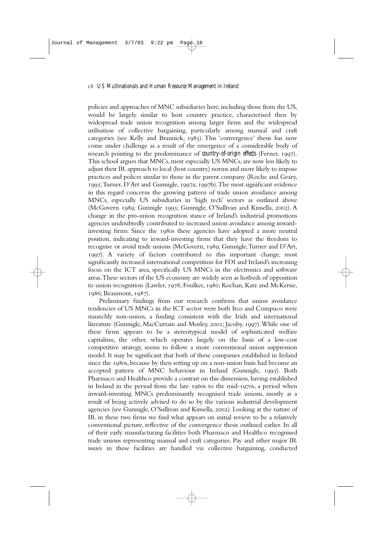policies and approaches of MNC subsidiaries here, including those from the US, would be largely similar to host country practice, characterised then by widespread trade union recognition among larger firms and the widespread utilisation of collective bargaining, particularly among manual and craft categories (see Kelly and Brannick,  $1985$ ). This 'convergence' thesis has now come under challenge as a result of the emergence of a considerable body of research pointing to the predominance of *country-of-origin effects* (Ferner, 1997). This school argues that MNCs, most especially US MNCs, are now less likely to adjust their IR approach to local (host country) norms and more likely to impose practices and polices similar to those in the parent company (Roche and Geary, 1995; Turner, D'Art and Gunnigle, 1997a; 1997b). The most significant evidence in this regard concerns the growing pattern of trade union avoidance among MNCs, especially US subsidiaries in 'high tech' sectors as outlined above (McGovern 1989; Gunnigle 1995; Gunnigle, O'Sullivan and Kinsella, 2002). A change in the pro-union recognition stance of Ireland's industrial promotions agencies undoubtedly contributed to increased union avoidance among inwardinvesting firms. Since the 1980s these agencies have adopted a more neutral position, indicating to inward-investing firms that they have the freedom to recognise or avoid trade unions (McGovern, 1989; Gunnigle, Turner and D'Art, ). A variety of factors contributed to this important change, most significantly increased international competition for FDI and Ireland's increasing focus on the ICT area, specifically US MNCs in the electronics and software areas.These sectors of the US economy are widely seen as hotbeds of opposition to union recognition (Lawler, 1978; Foulkes, 1980; Kochan, Katz and McKersie, 1986: Beaumont, 1987).

Preliminary findings from our research confirms that union avoidance tendencies of US MNCs in the ICT sector were both Itco and Compuco were staunchly non-union, a finding consistent with the Irish and international literature (Gunnigle, MacCurtain and Morley, 2001; Jacoby, 1997). While one of these firms appears to be a stereotypical model of sophisticated welfare capitalism, the other, which operates largely on the basis of a low-cost competitive strategy, seems to follow a more conventional union suppression model. It may be significant that both of these companies established in Ireland since the 1980s, because by then setting up on a non-union basis had become an accepted pattern of MNC behaviour in Ireland (Gunnigle, 1995). Both Pharmaco and Healthco provide a contrast on this dimension, having established in Ireland in the period from the late 1960s to the mid-1970s, a period when inward-investing MNCs predominantly recognised trade unions, mostly as a result of being actively advised to do so by the various industrial development agencies (see Gunnigle, O'Sullivan and Kinsella, 2002). Looking at the nature of IR in these two firms we find what appears on initial review to be a relatively conventional picture, reflective of the convergence thesis outlined earlier. In all of their early manufacturing facilities both Pharmaco and Healthco recognised trade unions representing manual and craft categories. Pay and other major IR issues in these facilities are handled via collective bargaining, conducted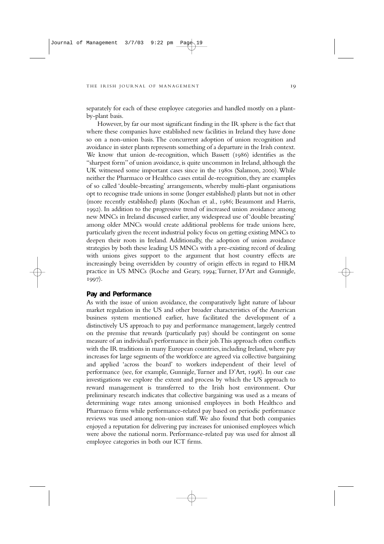separately for each of these employee categories and handled mostly on a plantby-plant basis.

However, by far our most significant finding in the IR sphere is the fact that where these companies have established new facilities in Ireland they have done so on a non-union basis. The concurrent adoption of union recognition and avoidance in sister plants represents something of a departure in the Irish context. We know that union de-recognition, which Bassett (1986) identifies as the "sharpest form" of union avoidance, is quite uncommon in Ireland, although the UK witnessed some important cases since in the 1980s (Salamon, 2000). While neither the Pharmaco or Healthco cases entail de-recognition, they are examples of so called 'double-breasting' arrangements, whereby multi-plant organisations opt to recognise trade unions in some (longer established) plants but not in other (more recently established) plants (Kochan et al., 1986; Beaumont and Harris, ). In addition to the progressive trend of increased union avoidance among new MNCs in Ireland discussed earlier, any widespread use of 'double breasting' among older MNCs would create additional problems for trade unions here, particularly given the recent industrial policy focus on getting existing MNCs to deepen their roots in Ireland. Additionally, the adoption of union avoidance strategies by both these leading US MNCs with a pre-existing record of dealing with unions gives support to the argument that host country effects are increasingly being overridden by country of origin effects in regard to HRM practice in US MNCs (Roche and Geary, 1994; Turner, D'Art and Gunnigle, 1997).

## **Pay and Performance**

As with the issue of union avoidance, the comparatively light nature of labour market regulation in the US and other broader characteristics of the American business system mentioned earlier, have facilitated the development of a distinctively US approach to pay and performance management, largely centred on the premise that rewards (particularly pay) should be contingent on some measure of an individual's performance in their job.This approach often conflicts with the IR traditions in many European countries, including Ireland, where pay increases for large segments of the workforce are agreed via collective bargaining and applied 'across the board' to workers independent of their level of performance (see, for example, Gunnigle, Turner and D'Art, 1998). In our case investigations we explore the extent and process by which the US approach to reward management is transferred to the Irish host environment. Our preliminary research indicates that collective bargaining was used as a means of determining wage rates among unionised employees in both Healthco and Pharmaco firms while performance-related pay based on periodic performance reviews was used among non-union staff. We also found that both companies enjoyed a reputation for delivering pay increases for unionised employees which were above the national norm. Performance-related pay was used for almost all employee categories in both our ICT firms.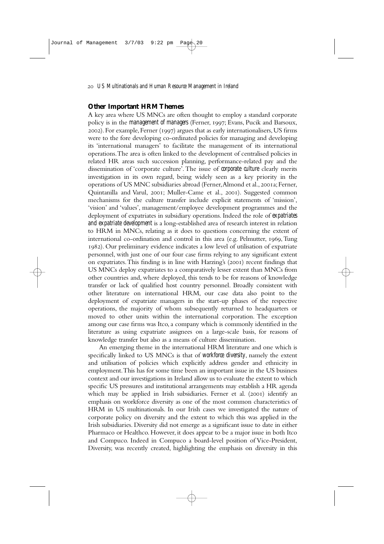## **Other Important HRM Themes**

A key area where US MNCs are often thought to employ a standard corporate policy is in the *management of managers* (Ferner, 1997; Evans, Pucik and Barsoux, 2002). For example, Ferner (1997) argues that as early internationalisers, US firms were to the fore developing co-ordinated policies for managing and developing its 'international managers' to facilitate the management of its international operations.The area is often linked to the development of centralised policies in related HR areas such succession planning, performance-related pay and the dissemination of 'corporate culture'. The issue of *corporate culture* clearly merits investigation in its own regard, being widely seen as a key priority in the operations of US MNC subsidiaries abroad (Ferner, Almond et al., 2001a; Ferner, Quintanilla and Varul, 2001; Muller-Came et al., 2001). Suggested common mechanisms for the culture transfer include explicit statements of 'mission', 'vision' and 'values', management/employee development programmes and the deployment of expatriates in subsidiary operations. Indeed the role of *expatriates and expatriate development* is a long-established area of research interest in relation to HRM in MNCs, relating as it does to questions concerning the extent of international co-ordination and control in this area (e.g. Pelmutter, 1969, Tung ). Our preliminary evidence indicates a low level of utilisation of expatriate personnel, with just one of our four case firms relying to any significant extent on expatriates. This finding is in line with Harzing's  $(2001)$  recent findings that US MNCs deploy expatriates to a comparatively lesser extent than MNCs from other countries and, where deployed, this tends to be for reasons of knowledge transfer or lack of qualified host country personnel. Broadly consistent with other literature on international HRM, our case data also point to the deployment of expatriate managers in the start-up phases of the respective operations, the majority of whom subsequently returned to headquarters or moved to other units within the international corporation. The exception among our case firms was Itco, a company which is commonly identified in the literature as using expatriate assignees on a large-scale basis, for reasons of knowledge transfer but also as a means of culture dissemination.

An emerging theme in the international HRM literature and one which is specifically linked to US MNCs is that of *workforce diversity*, namely the extent and utilisation of policies which explicitly address gender and ethnicity in employment.This has for some time been an important issue in the US business context and our investigations in Ireland allow us to evaluate the extent to which specific US pressures and institutional arrangements may establish a HR agenda which may be applied in Irish subsidiaries. Ferner et al. (2001) identify an emphasis on workforce diversity as one of the most common characteristics of HRM in US multinationals. In our Irish cases we investigated the nature of corporate policy on diversity and the extent to which this was applied in the Irish subsidiaries. Diversity did not emerge as a significant issue to date in either Pharmaco or Healthco. However, it does appear to be a major issue in both Itco and Compuco. Indeed in Compuco a board-level position of Vice-President, Diversity, was recently created, highlighting the emphasis on diversity in this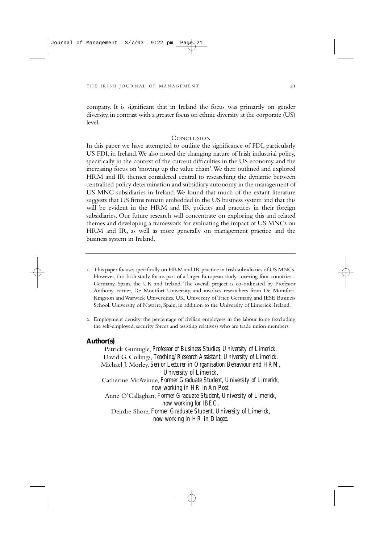company. It is significant that in Ireland the focus was primarily on gender diversity,in contrast with a greater focus on ethnic diversity at the corporate (US) level.

#### **CONCLUSION**

In this paper we have attempted to outline the significance of FDI, particularly US FDI, in Ireland.We also noted the changing nature of Irish industrial policy, specifically in the context of the current difficulties in the US economy, and the increasing focus on 'moving up the value chain'.We then outlined and explored HRM and IR themes considered central to researching the dynamic between centralised policy determination and subsidiary autonomy in the management of US MNC subsidiaries in Ireland.We found that much of the extant literature suggests that US firms remain embedded in the US business system and that this will be evident in the HRM and IR policies and practices in their foreign subsidiaries. Our future research will concentrate on exploring this and related themes and developing a framework for evaluating the impact of US MNCs on HRM and IR, as well as more generally on management practice and the business system in Ireland.

- . This paper focuses specifically on HRM and IR practice in Irish subsidiaries of US MNCs. However, this Irish study forms part of a larger European study covering four countries - Germany, Spain, the UK and Ireland. The overall project is co-ordinated by Professor Anthony Ferner, De Montfort University, and involves researchers from De Montfort, Kingston and Warwick Universities, UK, University of Trier, Germany, and IESE Business School, University of Navarre, Spain, in addition to the University of Limerick, Ireland.
- . Employment density: the percentage of civilian employees in the labour force (excluding the self-employed, security forces and assisting relatives) who are trade union members.

#### **Author(s)**

Patrick Gunnigle, *Professor of Business Studies, University of Limerick*. David G. Collings, *Teaching/Research Assistant, University of Limerick*. Michael J. Morley, *Senior Lecturer in Organisation Behaviour and HRM, University of Limerick*. Catherine McAvinue, *Former Graduate Student, University of Limerick, now working in HR in An Post.* Anne O'Callaghan, *Former Graduate Student, University of Limerick, now working for IBEC.* Deirdre Shore, *Former Graduate Student, University of Limerick, now working in HR in Diageo.*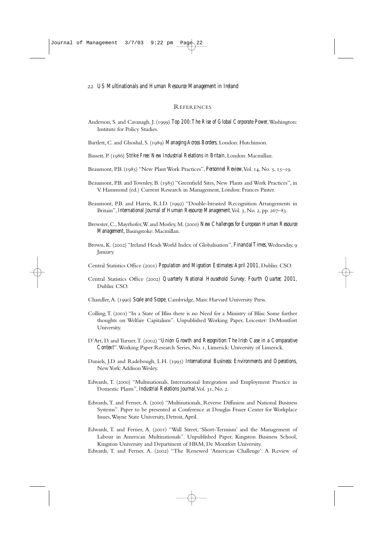#### REFERENCES

- Anderson, S. and Cavanagh, J. (1999) *Top 200: The Rise of Global Corporate Power*, Washington: Institute for Policy Studies.
- Bartlett, C. and Ghoshal, S. (1989) Managing Across Borders, London: Hutchinson.
- Bassett, P. (1986) *Strike Free: New Industrial Relations in Britain*, London: Macmillan.
- Beaumont, P.B. (1985) "New Plant Work Practices", *Personnel Review*, Vol. 14, No. 5, 15-19.
- Beaumont, P.B. and Townley, B. (1985) "Greenfield Sites, New Plants and Work Practices", in V. Hammond (ed.) Current Research in Management, London: Frances Pinter.
- Beaumont, P.B. and Harris, R.I.D. (1992) "Double-breasted Recognition Arrangements in Britain", *International Journal of Human Resource Management*, Vol. 3, No. 2, pp. 267-83.
- Brewster,C.,Mayrhofer,W.and Morley,M.() *New Challenges for European Human Resource Management*, Basingstoke: Macmillan.
- Brown, K. (2002) "Ireland Heads World Index of Globalisation", *Financial Times*, Wednesday, 9 January.
- Central Statistics Office (2001) *Population and Migration Estimates: April 2001*, Dublin: CSO.
- Central Statistics Office (2002) Quarterly National Household Survey: Fourth Quarter, 2001, Dublin: CSO.
- Chandler, A. (1990) Scale and Scope, Cambridge, Mass: Harvard University Press.
- Colling, T. (2001) "In a State of Bliss there is no Need for a Ministry of Bliss: Some further thoughts on Welfare Capitalism". Unpublished Working Paper, Leicester: DeMontfort University.
- D'Art, D. and Turner, T. (2002) "*Union Growth and Recognition: The Irish Case in a Comparative* Context". Working Paper Research Series, No. 1, Limerick: University of Limerick.
- Daniels, J.D. and Radebough, L.H. (1995) *International Business: Environments and Operations*, New York:Addison Wesley.
- Edwards, T. (2000) "Multinationals, International Integration and Employment Practice in Domestic Plants", *Industrial Relations Journal*, Vol. 31, No. 2.
- Edwards, T. and Ferner, A. (2000) "Multinationals, Reverse Diffusion and National Business Systems". Paper to be presented at Conference at Douglas Fraser Center for Workplace Issues,Wayne State University, Detroit,April.
- Edwards, T. and Ferner, A. (2001) "Wall Street, 'Short-Termism' and the Management of Labour in American Multinationals". Unpublished Paper, Kingston Business School, Kingston University and Department of HRM, De Montfort University.
- Edwards, T. and Ferner, A. (2002) "The Renewed 'American Challenge': A Review of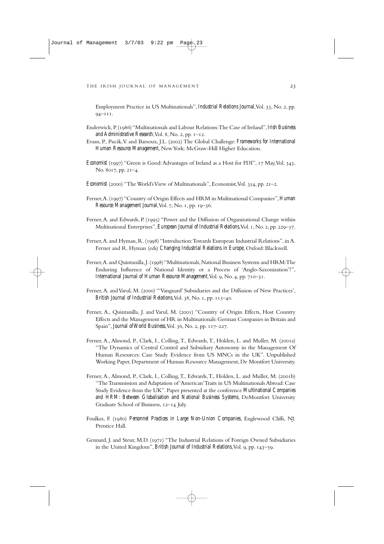Employment Practice in US Multinationals", *Industrial Relations Journal*, Vol. 33, No. 2, pp.  $94 - 111.$ 

- Enderwick,P.() "Multinationals and Labour Relations:The Case of Ireland",*Irish Business and Administrative Research*, Vol. 8, No. 2, pp.  $I-I2$ .
- Evans, P., Pucik, V. and Barsoux, J.L. (2002) The Global Challenge: *Frameworks for International Human Resource Management*, New York: McGraw-Hill Higher Education.
- *Economist* (1997) "Green is Good: Advantages of Ireland as a Host for FDI", 17 May, Vol. 343, No. 8017, pp.  $21-4$ .
- *Economist* (2000) "The World's View of Multinationals", Economist, Vol. 354, pp. 21–2.
- Ferner,A.() "Country of Origin Effects and HRM in Multinational Companies",*Human Resource Management Journal*, Vol. 7, No. 1, pp. 19-36.
- Ferner, A. and Edwards, P. (1995) "Power and the Diffusion of Organizational Change within Multinational Enterprises", *European Journal of Industrial Relations*, Vol. 1, No. 2, pp. 229-57.
- Ferner, A. and Hyman, R. (1998) "Introduction: Towards European Industrial Relations", in A. Ferner and R. Hyman (eds) *Changing Industrial Relations in Europe*, Oxford: Blackwell.
- Ferner, A. and Quintanilla, J. (1998) "Multinationals, National Business Systems and HRM: The Enduring Influence of National Identity or a Process of 'Anglo-Saxonization'?", *International Journal of Human Resource Management*, Vol. 9, No. 4, pp. 710-31.
- Ferner, A. and Varul, M. (2000) "'Vanguard' Subsidiaries and the Diffusion of New Practices', *British Journal of Industrial Relations*, Vol. 38, No. 1, pp. 115-40.
- Ferner, A., Quintanilla, J. and Varul, M. (2001) "Country of Origin Effects, Host Country Effects and the Management of HR in Multinationals: German Companies in Britain and Spain", *Journal of World Business*, Vol. 36, No. 2, pp. 117-227.
- Ferner, A., Almond, P., Clark, I., Colling, T., Edwards, T., Holden, L. and Muller, M. (2001a) "The Dynamics of Central Control and Subsidiary Autonomy in the Management Of Human Resources: Case Study Evidence from US MNCs in the UK". Unpublished Working Paper, Department of Human Resource Management, De Montfort University.
- Ferner, A., Almond, P., Clark, I., Colling, T., Edwards, T., Holden, L. and Muller, M. (2001b) "The Transmission and Adaptation of 'American'Traits in US Multinationals Abroad: Case Study Evidence from the UK". Paper presented at the conference *Multinational Companies and HRM: Between Globalisation and National Business Systems*, DeMontfort University Graduate School of Business, 12-14 July.
- Foulkes, F. () *Personnel Practices in Large Non-Union Companies*, Englewood Cliffs, NJ: Prentice Hall.
- Gennard, J. and Steur, M.D. (1971) "The Industrial Relations of Foreign Owned Subsidiaries in the United Kingdom", *British Journal of Industrial Relations*, Vol. 9, pp. 143–59.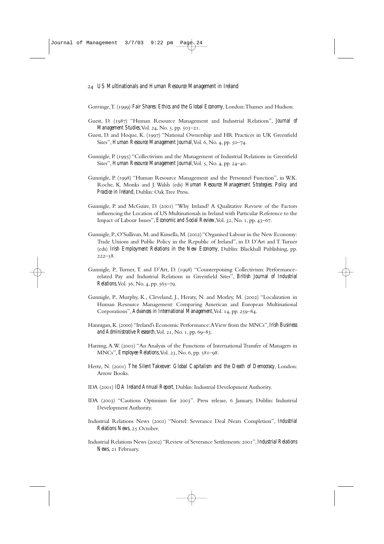Gorringe, T. (1999) *Fair Shares: Ethics and the Global Economy*, London: Thames and Hudson.

- Guest, D. () "Human Resource Management and Industrial Relations", *Journal of Management Studies*, Vol. 24, No. 5, pp. 503-21.
- Guest, D. and Hoque, K. (1997) "National Ownership and HR Practices in UK Greenfield Sites", *Human Resource Management Journal*, Vol. 6, No. 4, pp. 50–74.
- Gunnigle, P. (1995) "Collectivism and the Management of Industrial Relations in Greenfield Sites", *Human Resource Management Journal*, Vol. 5, No. 4, pp. 24-40.
- Gunnigle, P. (1998) "Human Resource Management and the Personnel Function", in W.K. Roche, K. Monks and J. Walsh (eds) *Human Resource Management Strategies: Policy and Practice in Ireland*, Dublin: Oak Tree Press.
- Gunnigle, P. and McGuire, D. (2001) "Why Ireland? A Qualitative Review of the Factors influencing the Location of US Multinationals in Ireland with Particular Reference to the Impact of Labour Issues", *Economic and Social Review*, Vol. 32, No. 1, pp. 43–67.
- Gunnigle, P., O'Sullivan, M. and Kinsella, M. (2002) "Organised Labour in the New Economy: Trade Unions and Public Policy in the Republic of Ireland", in D. D'Art and T.Turner (eds) *Irish Employment Relations in the New Economy*, Dublin: Blackhall Publishing, pp.  $222 - 58$ .
- Gunnigle, P., Turner, T. and D'Art, D. (1998) "Counterpoising Collectivism: Performancerelated Pay and Industrial Relations in Greenfield Sites", *British Journal of Industrial Relations*, Vol. 36, No. 4, pp. 565-79.
- Gunnigle, P., Murphy, K., Cleveland, J., Heraty, N. and Morley, M. (2002) "Localization in Human Resource Management: Comparing American and European Multinational Corporations", *Advances in International Management*, Vol. 14, pp. 259-84.
- Hannigan,K.() "Ireland's Economic Performance:A View from the MNCs",*Irish Business* and Administrative Research, Vol.  $2I$ , No.  $I$ , pp. 69-83.
- Harzing, A.W. (2001) "An Analysis of the Functions of International Transfer of Managers in MNCs", *Employee Relations*, Vol. 23, No. 6, pp. 581-98.
- Hertz, N. (2001) The Silent Takeover: Global Capitalism and the Death of Democracy, London: Arrow Books.
- IDA (2001) *IDA Ireland Annual Report*, Dublin: Industrial Development Authority.
- IDA (2003) "Cautious Optimism for 2003". Press release, 6 January, Dublin: Industrial Development Authority.
- Industrial Relations News (2001) "Nortel: Severance Deal Nears Completion", *Industrial Relations News*, 25 October.
- Industrial Relations News (2002) "Review of Severance Settlements: 2001", Industrial Relations *News*, 21 February.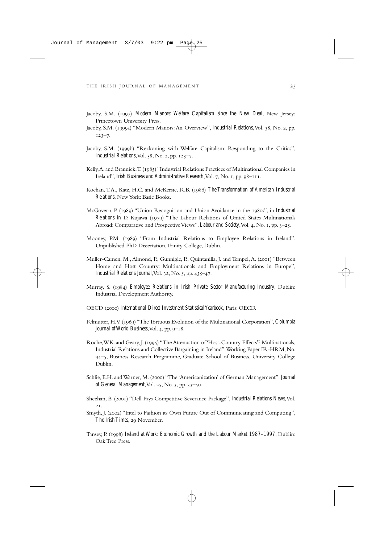- Jacoby, S.M. (1997) Modern Manors: Welfare Capitalism since the New Deal, New Jersey: Princetown University Press.
- Jacoby, S.M. (1999a) "Modern Manors: An Overview", *Industrial Relations*, Vol. 38, No. 2, pp.  $123 - 7.$
- Jacoby, S.M. (1999b) "Reckoning with Welfare Capitalism: Responding to the Critics", *Industrial Relations*, Vol. 38, No. 2, pp. 123-7.
- Kelly, A. and Brannick, T. (1985) "Industrial Relations Practices of Multinational Companies in Ireland", *Irish Business and Administrative Research*, Vol. 7, No. 1, pp. 98–111.
- Kochan, T.A., Katz, H.C. and McKersie, R.B. (1986) The Transformation of American Industrial *Relations*, New York: Basic Books.
- McGovern, P. (1989) "Union Recognition and Union Avoidance in the 1980s", in *Industrial Relations in* D. Kujawa (1979) "The Labour Relations of United States Multinationals Abroad: Comparative and Prospective Views", *Labour and Society*, Vol. 4, No. 1, pp. 3-25.
- Mooney, P.M. (1989) "From Industrial Relations to Employee Relations in Ireland". Unpublished PhD Dissertation,Trinity College, Dublin.
- Muller-Camen, M., Almond, P., Gunnigle, P., Quintanilla, J. and Tempel, A. (2001) "Between Home and Host Country: Multinationals and Employment Relations in Europe", *Industrial Relations Journal*, Vol. 32, No. 5, pp. 435-47.
- Murray, S. (1984) *Employee Relations in Irish Private Sector Manufacturing Industry*, Dublin: Industrial Development Authority.
- OECD () *International Direct Investment Statistical Yearbook*, Paris: OECD.
- Pelmutter, H.V. () "The Tortuous Evolution of the Multinational Corporation", *Columbia Journal of World Business*, Vol. 4, pp. 9-18.
- Roche, W.K. and Geary, J. (1995) "The Attenuation of 'Host-Country Effects'? Multinationals, Industrial Relations and Collective Bargaining in Ireland".Working Paper IR-HRM, No. –, Business Research Programme, Graduate School of Business, University College Dublin.
- Schlie, E.H. and Warner, M. (2000) "The 'Americanization' of German Management", *Journal of General Management*, Vol. 25, No. 3, pp. 33–50.
- Sheehan, B. (2001) "Dell Pays Competitive Severance Package", *Industrial Relations News*, Vol.  $2I.$
- Smyth, J. (2002) "Intel to Fashion its Own Future Out of Communicating and Computing", **The Irish Times**, 29 November.
- Tansey, P. () *Ireland at Work: Economic Growth and the Labour Market 1987–1997*, Dublin: Oak Tree Press.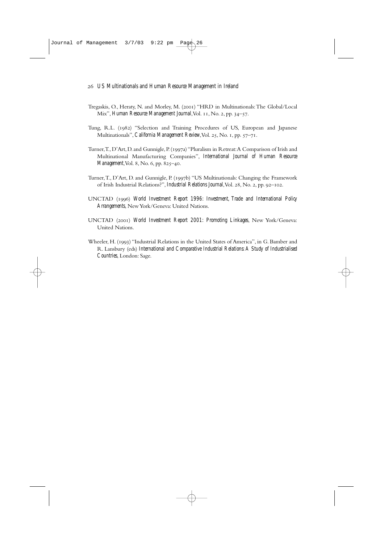- Tregaskis, O., Heraty, N. and Morley, M. (2001) "HRD in Multinationals: The Global/Local Mix", *Human Resource Management Journal*, Vol. 11, No. 2, pp. 34-57.
- Tung, R.L. (1982) "Selection and Training Procedures of US, European and Japanese Multinationals", *California Management Review*, Vol. 25, No. 1, pp. 57-71.
- Turner, T., D'Art, D. and Gunnigle, P. (1997a) "Pluralism in Retreat: A Comparison of Irish and Multinational Manufacturing Companies", *International Journal of Human Resource Management*, Vol. 8, No. 6, pp. 825-40.
- Turner, T., D'Art, D. and Gunnigle, P. (1997b) "US Multinationals: Changing the Framework of Irish Industrial Relations?", *Industrial Relations Journal*, Vol. 28, No. 2, pp. 92-102.
- UNCTAD () *World Investment Report 1996: Investment, Trade and International Policy Arrangements*, New York/Geneva: United Nations.
- UNCTAD () *World Investment Report 2001: Promoting Linkages*, New York/Geneva: United Nations.
- Wheeler, H. (1993) "Industrial Relations in the United States of America", in G. Bamber and R. Lansbury (eds) *International and Comparative Industrial Relations:A Study of Industrialised Countries*, London: Sage.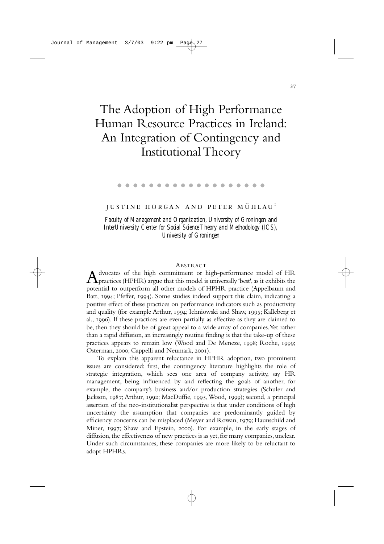# The Adoption of High Performance Human Resource Practices in Ireland: An Integration of Contingency and Institutional Theory

. . . . . . . . . . . . . . . .

# JUSTINE HORGAN AND PETER MÜHLAU<sup>1</sup>

*Faculty of Management and Organization, University of Groningen and InterUniversity Center for Social Science Theory and Methodology (ICS), University of Groningen*

#### ABSTRACT

dvocates of the high commitment or high-performance model of HR  $\Gamma$  practices (HPHR) argue that this model is universally 'best', as it exhibits the potential to outperform all other models of HPHR practice (Appelbaum and Batt, 1994; Pfeffer, 1994). Some studies indeed support this claim, indicating a positive effect of these practices on performance indicators such as productivity and quality (for example Arthur, 1994; Ichniowski and Shaw, 1995; Kalleberg et al., 1996). If these practices are even partially as effective as they are claimed to be, then they should be of great appeal to a wide array of companies.Yet rather than a rapid diffusion, an increasingly routine finding is that the take-up of these practices appears to remain low (Wood and De Meneze, 1998; Roche, 1999; Osterman, 2000; Cappelli and Neumark, 2001).

To explain this apparent reluctance in HPHR adoption, two prominent issues are considered: first, the contingency literature highlights the role of strategic integration, which sees one area of company activity, say HR management, being influenced by and reflecting the goals of another, for example, the company's business and/or production strategies (Schuler and Jackson, 1987; Arthur, 1992; MacDuffie, 1995, Wood, 1999); second, a principal assertion of the neo-institutionalist perspective is that under conditions of high uncertainty the assumption that companies are predominantly guided by efficiency concerns can be misplaced (Meyer and Rowan, 1979; Haunschild and Miner, 1997; Shaw and Epstein, 2000). For example, in the early stages of diffusion, the effectiveness of new practices is as yet, for many companies, unclear. Under such circumstances, these companies are more likely to be reluctant to adopt HPHRs.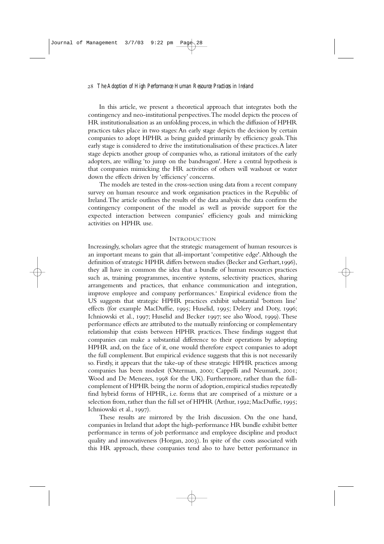In this article, we present a theoretical approach that integrates both the contingency and neo-institutional perspectives.The model depicts the process of HR institutionalisation as an unfolding process,in which the diffusion of HPHR practices takes place in two stages:An early stage depicts the decision by certain companies to adopt HPHR as being guided primarily by efficiency goals.This early stage is considered to drive the institutionalisation of these practices.A later stage depicts another group of companies who, as rational imitators of the early adopters, are willing 'to jump on the bandwagon'. Here a central hypothesis is that companies mimicking the HR activities of others will washout or water down the effects driven by 'efficiency' concerns.

The models are tested in the cross-section using data from a recent company survey on human resource and work organisation practices in the Republic of Ireland.The article outlines the results of the data analysis: the data confirm the contingency component of the model as well as provide support for the expected interaction between companies' efficiency goals and mimicking activities on HPHR use.

#### INTRODUCTION

Increasingly, scholars agree that the strategic management of human resources is an important means to gain that all-important 'competitive edge'.Although the definition of strategic HPHR differs between studies (Becker and Gerhart, 1996), they all have in common the idea that a bundle of human resources practices such as, training programmes, incentive systems, selectivity practices, sharing arrangements and practices, that enhance communication and integration, improve employee and company performances. Empirical evidence from the US suggests that strategic HPHR practices exhibit substantial 'bottom line' effects (for example MacDuffie, 1995; Huselid, 1995; Delery and Doty, 1996; Ichniowski et al., 1997; Huselid and Becker 1997; see also Wood, 1999). These performance effects are attributed to the mutually reinforcing or complementary relationship that exists between HPHR practices. These findings suggest that companies can make a substantial difference to their operations by adopting HPHR and, on the face of it, one would therefore expect companies to adopt the full complement. But empirical evidence suggests that this is not necessarily so. Firstly, it appears that the take-up of these strategic HPHR practices among companies has been modest (Osterman, 2000; Cappelli and Neumark, 2001; Wood and De Menezes, 1998 for the UK). Furthermore, rather than the fullcomplement of HPHR being the norm of adoption,empirical studies repeatedly find hybrid forms of HPHR, i.e. forms that are comprised of a mixture or a selection from, rather than the full set of HPHR (Arthur, 1992; MacDuffie, 1995; Ichniowski et al., 1997).

These results are mirrored by the Irish discussion. On the one hand, companies in Ireland that adopt the high-performance HR bundle exhibit better performance in terms of job performance and employee discipline and product quality and innovativeness (Horgan, 2003). In spite of the costs associated with this HR approach, these companies tend also to have better performance in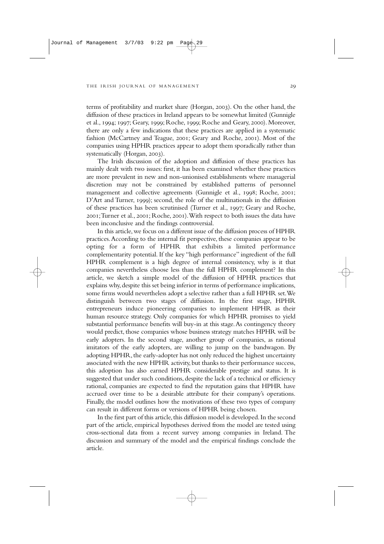terms of profitability and market share (Horgan, 2003). On the other hand, the diffusion of these practices in Ireland appears to be somewhat limited (Gunnigle et al., 1994; 1997; Geary, 1999; Roche, 1999; Roche and Geary, 2000). Moreover, there are only a few indications that these practices are applied in a systematic fashion (McCartney and Teague, 2001; Geary and Roche, 2001). Most of the companies using HPHR practices appear to adopt them sporadically rather than systematically (Horgan, 2003).

The Irish discussion of the adoption and diffusion of these practices has mainly dealt with two issues: first, it has been examined whether these practices are more prevalent in new and non-unionised establishments where managerial discretion may not be constrained by established patterns of personnel management and collective agreements (Gunnigle et al., 1998; Roche, 2001; D'Art and Turner, 1999); second, the role of the multinationals in the diffusion of these practices has been scrutinised (Turner et al., 1997; Geary and Roche, 2001; Turner et al., 2001; Roche, 2001). With respect to both issues the data have been inconclusive and the findings controversial.

In this article, we focus on a different issue of the diffusion process of HPHR practices.According to the internal fit perspective, these companies appear to be opting for a form of HPHR that exhibits a limited performance complementarity potential. If the key "high performance" ingredient of the full HPHR complement is a high degree of internal consistency, why is it that companies nevertheless choose less than the full HPHR complement? In this article, we sketch a simple model of the diffusion of HPHR practices that explains why, despite this set being inferior in terms of performance implications, some firms would nevertheless adopt a selective rather than a full HPHR set.We distinguish between two stages of diffusion. In the first stage, HPHR entrepreneurs induce pioneering companies to implement HPHR as their human resource strategy. Only companies for which HPHR promises to yield substantial performance benefits will buy-in at this stage.As contingency theory would predict, those companies whose business strategy matches HPHR will be early adopters. In the second stage, another group of companies, as rational imitators of the early adopters, are willing to jump on the bandwagon. By adopting HPHR, the early-adopter has not only reduced the highest uncertainty associated with the new HPHR activity, but thanks to their performance success, this adoption has also earned HPHR considerable prestige and status. It is suggested that under such conditions, despite the lack of a technical or efficiency rational, companies are expected to find the reputation gains that HPHR have accrued over time to be a desirable attribute for their company's operations. Finally, the model outlines how the motivations of these two types of company can result in different forms or versions of HPHR being chosen.

In the first part of this article, this diffusion model is developed. In the second part of the article, empirical hypotheses derived from the model are tested using cross-sectional data from a recent survey among companies in Ireland. The discussion and summary of the model and the empirical findings conclude the article.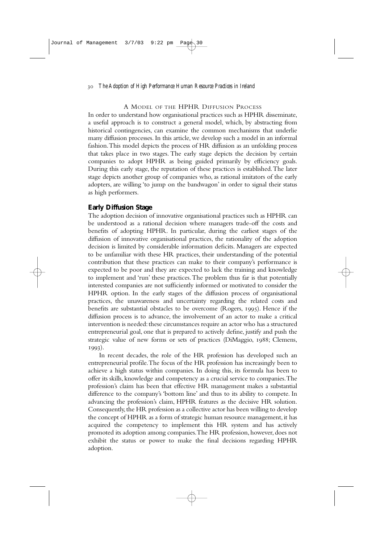#### A MODEL OF THE HPHR DIFFUSION PROCESS

In order to understand how organisational practices such as HPHR disseminate, a useful approach is to construct a general model, which, by abstracting from historical contingencies, can examine the common mechanisms that underlie many diffusion processes. In this article, we develop such a model in an informal fashion.This model depicts the process of HR diffusion as an unfolding process that takes place in two stages. The early stage depicts the decision by certain companies to adopt HPHR as being guided primarily by efficiency goals. During this early stage, the reputation of these practices is established.The later stage depicts another group of companies who, as rational imitators of the early adopters, are willing 'to jump on the bandwagon' in order to signal their status as high performers.

## **Early Diffusion Stage**

The adoption decision of innovative organisational practices such as HPHR can be understood as a rational decision where managers trade-off the costs and benefits of adopting HPHR. In particular, during the earliest stages of the diffusion of innovative organisational practices, the rationality of the adoption decision is limited by considerable information deficits. Managers are expected to be unfamiliar with these HR practices, their understanding of the potential contribution that these practices can make to their company's performance is expected to be poor and they are expected to lack the training and knowledge to implement and 'run' these practices.The problem thus far is that potentially interested companies are not sufficiently informed or motivated to consider the HPHR option. In the early stages of the diffusion process of organisational practices, the unawareness and uncertainty regarding the related costs and benefits are substantial obstacles to be overcome (Rogers, 1995). Hence if the diffusion process is to advance, the involvement of an actor to make a critical intervention is needed: these circumstances require an actor who has a structured entrepreneurial goal, one that is prepared to actively define, justify and push the strategic value of new forms or sets of practices (DiMaggio, 1988; Clemens, 1993).

In recent decades, the role of the HR profession has developed such an entrepreneurial profile.The focus of the HR profession has increasingly been to achieve a high status within companies. In doing this, its formula has been to offer its skills, knowledge and competency as a crucial service to companies.The profession's claim has been that effective HR management makes a substantial difference to the company's 'bottom line' and thus to its ability to compete. In advancing the profession's claim, HPHR features as the decisive HR solution. Consequently, the HR profession as a collective actor has been willing to develop the concept of HPHR as a form of strategic human resource management, it has acquired the competency to implement this HR system and has actively promoted its adoption among companies.The HR profession, however, does not exhibit the status or power to make the final decisions regarding HPHR adoption.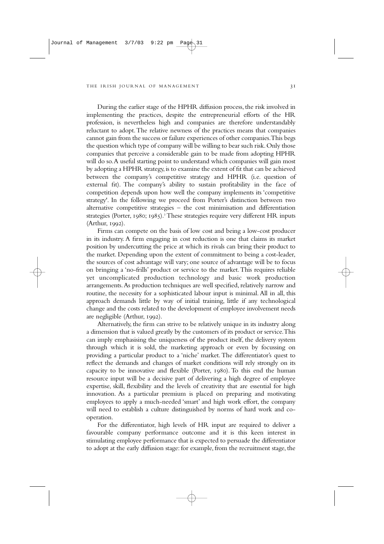During the earlier stage of the HPHR diffusion process, the risk involved in implementing the practices, despite the entrepreneurial efforts of the HR profession, is nevertheless high and companies are therefore understandably reluctant to adopt.The relative newness of the practices means that companies cannot gain from the success or failure experiences of other companies.This begs the question which type of company will be willing to bear such risk.Only those companies that perceive a considerable gain to be made from adopting HPHR will do so. A useful starting point to understand which companies will gain most by adopting a HPHR strategy,is to examine the extent of fit that can be achieved between the company's competitive strategy and HPHR (i.e. question of external fit). The company's ability to sustain profitability in the face of competition depends upon how well the company implements its 'competitive strategy'. In the following we proceed from Porter's distinction between two alternative competitive strategies – the cost minimisation and differentiation strategies (Porter,  $1980$ ;  $1985$ ).<sup>3</sup> These strategies require very different HR inputs  $(A$ rthur,  $1002$ ).

Firms can compete on the basis of low cost and being a low-cost producer in its industry. A firm engaging in cost reduction is one that claims its market position by undercutting the price at which its rivals can bring their product to the market. Depending upon the extent of commitment to being a cost-leader, the sources of cost advantage will vary; one source of advantage will be to focus on bringing a 'no-frills' product or service to the market.This requires reliable yet uncomplicated production technology and basic work production arrangements.As production techniques are well specified, relatively narrow and routine, the necessity for a sophisticated labour input is minimal. All in all, this approach demands little by way of initial training, little if any technological change and the costs related to the development of employee involvement needs are negligible (Arthur, 1992).

Alternatively, the firm can strive to be relatively unique in its industry along a dimension that is valued greatly by the customers of its product or service.This can imply emphasising the uniqueness of the product itself, the delivery system through which it is sold, the marketing approach or even by focussing on providing a particular product to a 'niche' market.The differentiator's quest to reflect the demands and changes of market conditions will rely strongly on its capacity to be innovative and flexible (Porter, 1980). To this end the human resource input will be a decisive part of delivering a high degree of employee expertise, skill, flexibility and the levels of creativity that are essential for high innovation. As a particular premium is placed on preparing and motivating employees to apply a much-needed 'smart' and high work effort, the company will need to establish a culture distinguished by norms of hard work and cooperation.

For the differentiator, high levels of HR input are required to deliver a favourable company performance outcome and it is this keen interest in stimulating employee performance that is expected to persuade the differentiator to adopt at the early diffusion stage: for example, from the recruitment stage, the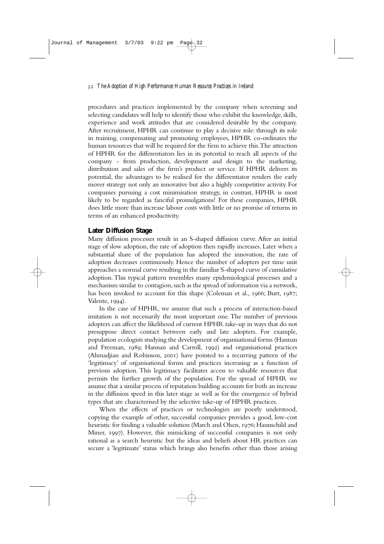procedures and practices implemented by the company when screening and selecting candidates will help to identify those who exhibit the knowledge, skills, experience and work attitudes that are considered desirable by the company. After recruitment, HPHR can continue to play a decisive role: through its role in training, compensating and promoting employees, HPHR co-ordinates the human resources that will be required for the firm to achieve this.The attraction of HPHR for the differentiators lies in its potential to reach all aspects of the company - from production, development and design to the marketing, distribution and sales of the firm's product or service. If HPHR delivers its potential, the advantages to be realised for the differentiator renders the early mover strategy not only an innovative but also a highly competitive activity. For companies pursuing a cost minimisation strategy, in contrast, HPHR is most likely to be regarded as fanciful promulgations! For these companies, HPHR does little more than increase labour costs with little or no promise of returns in terms of an enhanced productivity.

## **Later Diffusion Stage**

Many diffusion processes result in an S-shaped diffusion curve. After an initial stage of slow adoption, the rate of adoption then rapidly increases. Later when a substantial share of the population has adopted the innovation, the rate of adoption decreases continuously. Hence the number of adopters per time unit approaches a normal curve resulting in the familiar S-shaped curve of cumulative adoption.This typical pattern resembles many epidemiological processes and a mechanism similar to contagion,such as the spread of information via a network, has been invoked to account for this shape (Coleman et al.,  $1966$ ; Burt,  $1987$ ; Valente, 1994).

In the case of HPHR, we assume that such a process of interaction-based imitation is not necessarily the most important one. The number of previous adopters can affect the likelihood of current HPHR take-up in ways that do not presuppose direct contact between early and late adopters. For example, population ecologists studying the development of organisational forms (Hannan and Freeman, 1989; Hannan and Carroll, 1992) and organisational practices (Ahmadjian and Robinson, 2001) have pointed to a recurring pattern of the 'legitimacy' of organisational forms and practices increasing as a function of previous adoption. This legitimacy facilitates access to valuable resources that permits the further growth of the population. For the spread of HPHR we assume that a similar process of reputation building accounts for both an increase in the diffusion speed in this later stage as well as for the emergence of hybrid types that are characterised by the selective take-up of HPHR practices.

When the effects of practices or technologies are poorly understood, copying the example of other, successful companies provides a good, low-cost heuristic for finding a valuable solution (March and Olsen, 1976; Haunschild and Miner, 1997). However, this mimicking of successful companies is not only rational as a search heuristic but the ideas and beliefs about HR practices can secure a 'legitimate' status which brings also benefits other than those arising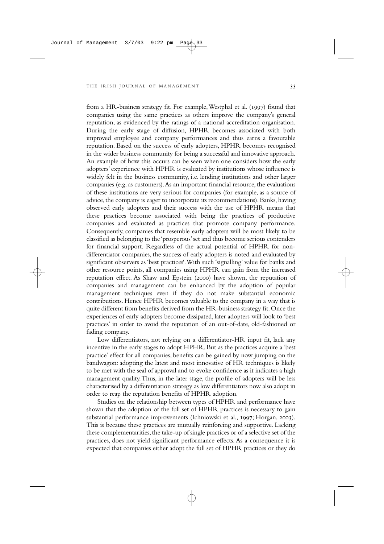from a HR-business strategy fit. For example, Westphal et al. (1997) found that companies using the same practices as others improve the company's general reputation, as evidenced by the ratings of a national accreditation organisation. During the early stage of diffusion, HPHR becomes associated with both improved employee and company performances and thus earns a favourable reputation. Based on the success of early adopters, HPHR becomes recognised in the wider business community for being a successful and innovative approach. An example of how this occurs can be seen when one considers how the early adopters' experience with HPHR is evaluated by institutions whose influence is widely felt in the business community, i.e. lending institutions and other larger companies (e.g. as customers).As an important financial resource, the evaluations of these institutions are very serious for companies (for example, as a source of advice, the company is eager to incorporate its recommendations). Banks, having observed early adopters and their success with the use of HPHR means that these practices become associated with being the practices of productive companies and evaluated as practices that promote company performance. Consequently, companies that resemble early adopters will be most likely to be classified as belonging to the 'prosperous'set and thus become serious contenders for financial support. Regardless of the actual potential of HPHR for nondifferentiator companies, the success of early adopters is noted and evaluated by significant observers as 'best practices'.With such 'signalling' value for banks and other resource points, all companies using HPHR can gain from the increased reputation effect. As Shaw and Epstein (2000) have shown, the reputation of companies and management can be enhanced by the adoption of popular management techniques even if they do not make substantial economic contributions. Hence HPHR becomes valuable to the company in a way that is quite different from benefits derived from the HR-business strategy fit. Once the experiences of early adopters become dissipated, later adopters will look to 'best practices' in order to avoid the reputation of an out-of-date, old-fashioned or fading company.

Low differentiators, not relying on a differentiator-HR input fit, lack any incentive in the early stages to adopt HPHR. But as the practices acquire a 'best practice' effect for all companies, benefits can be gained by now jumping on the bandwagon: adopting the latest and most innovative of HR techniques is likely to be met with the seal of approval and to evoke confidence as it indicates a high management quality.Thus, in the later stage, the profile of adopters will be less characterised by a differentiation strategy as low differentiators now also adopt in order to reap the reputation benefits of HPHR adoption.

Studies on the relationship between types of HPHR and performance have shown that the adoption of the full set of HPHR practices is necessary to gain substantial performance improvements (Ichniowski et al., 1997; Horgan, 2003). This is because these practices are mutually reinforcing and supportive. Lacking these complementarities, the take-up of single practices or of a selective set of the practices, does not yield significant performance effects. As a consequence it is expected that companies either adopt the full set of HPHR practices or they do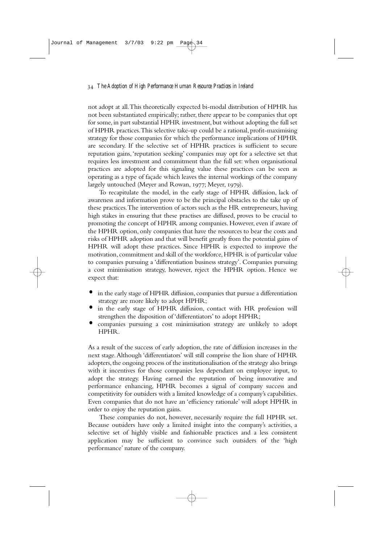not adopt at all.This theoretically expected bi-modal distribution of HPHR has not been substantiated empirically; rather, there appear to be companies that opt for some, in part substantial HPHR investment, but without adopting the full set of HPHR practices.This selective take-up could be a rational, profit-maximising strategy for those companies for which the performance implications of HPHR are secondary. If the selective set of HPHR practices is sufficient to secure reputation gains,'reputation seeking' companies may opt for a selective set that requires less investment and commitment than the full set: when organisational practices are adopted for this signaling value these practices can be seen as operating as a type of façade which leaves the internal workings of the company largely untouched (Meyer and Rowan, 1977; Meyer, 1979).

To recapitulate the model, in the early stage of HPHR diffusion, lack of awareness and information prove to be the principal obstacles to the take up of these practices.The intervention of actors such as the HR entrepreneurs, having high stakes in ensuring that these practises are diffused, proves to be crucial to promoting the concept of HPHR among companies. However, even if aware of the HPHR option, only companies that have the resources to bear the costs and risks of HPHR adoption and that will benefit greatly from the potential gains of HPHR will adopt these practices. Since HPHR is expected to improve the motivation,commitment and skill of the workforce,HPHR is of particular value to companies pursuing a 'differentiation business strategy'. Companies pursuing a cost minimisation strategy, however, reject the HPHR option. Hence we expect that:

- in the early stage of HPHR diffusion, companies that pursue a differentiation strategy are more likely to adopt HPHR;
- **•** in the early stage of HPHR diffusion, contact with HR profession will strengthen the disposition of 'differentiators' to adopt HPHR;
- **•** companies pursuing a cost minimisation strategy are unlikely to adopt HPHR.

As a result of the success of early adoption, the rate of diffusion increases in the next stage.Although 'differentiators' will still comprise the lion share of HPHR adopters, the ongoing process of the institutionalisation of the strategy also brings with it incentives for those companies less dependant on employee input, to adopt the strategy. Having earned the reputation of being innovative and performance enhancing, HPHR becomes a signal of company success and competitivity for outsiders with a limited knowledge of a company's capabilities. Even companies that do not have an 'efficiency rationale' will adopt HPHR in order to enjoy the reputation gains.

These companies do not, however, necessarily require the full HPHR set. Because outsiders have only a limited insight into the company's activities, a selective set of highly visible and fashionable practices and a less consistent application may be sufficient to convince such outsiders of the 'high performance' nature of the company.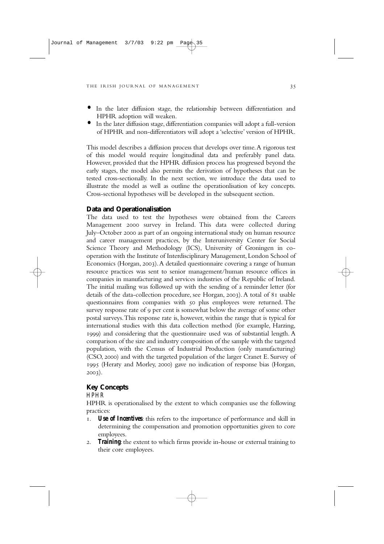- **•** In the later diffusion stage, the relationship between differentiation and HPHR adoption will weaken.
- **•** In the later diffusion stage, differentiation companies will adopt a full-version of HPHR and non-differentiators will adopt a 'selective' version of HPHR.

This model describes a diffusion process that develops over time.A rigorous test of this model would require longitudinal data and preferably panel data. However, provided that the HPHR diffusion process has progressed beyond the early stages, the model also permits the derivation of hypotheses that can be tested cross-sectionally. In the next section, we introduce the data used to illustrate the model as well as outline the operationlisation of key concepts. Cross-sectional hypotheses will be developed in the subsequent section.

## **Data and Operationalisation**

The data used to test the hypotheses were obtained from the Careers Management 2000 survey in Ireland. This data were collected during July-October 2000 as part of an ongoing international study on human resource and career management practices, by the Interuniversity Center for Social Science Theory and Methodology (ICS), University of Groningen in cooperation with the Institute of Interdisciplinary Management, London School of Economics (Horgan, 2003). A detailed questionnaire covering a range of human resource practices was sent to senior management/human resource offices in companies in manufacturing and services industries of the Republic of Ireland. The initial mailing was followed up with the sending of a reminder letter (for details of the data-collection procedure, see Horgan, 2003). A total of 81 usable questionnaires from companies with 50 plus employees were returned. The survey response rate of 9 per cent is somewhat below the average of some other postal surveys.This response rate is, however, within the range that is typical for international studies with this data collection method (for example, Harzing, ) and considering that the questionnaire used was of substantial length. A comparison of the size and industry composition of the sample with the targeted population, with the Census of Industrial Production (only manufacturing) (CSO, 2000) and with the targeted population of the larger Cranet E. Survey of 1995 (Heraty and Morley, 2000) gave no indication of response bias (Horgan,  $2003)$ .

#### **Key Concepts**

#### *HPHR*

HPHR is operationalised by the extent to which companies use the following practices:

- . *Use of Incentives*: this refers to the importance of performance and skill in determining the compensation and promotion opportunities given to core employees.
- . *Training*: the extent to which firms provide in-house or external training to their core employees.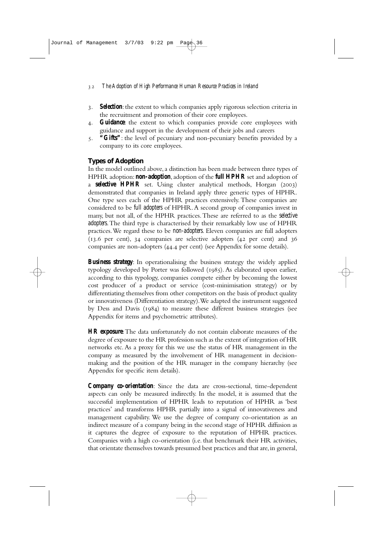- . *Selection*: the extent to which companies apply rigorous selection criteria in the recruitment and promotion of their core employees.
- . *Guidance*: the extent to which companies provide core employees with guidance and support in the development of their jobs and careers
- . *"Gifts"*: the level of pecuniary and non-pecuniary benefits provided by a company to its core employees.

## **Types of Adoption**

In the model outlined above, a distinction has been made between three types of HPHR adoption: *non-adoption*, adoption of the *full HPHR* set and adoption of a **selective HPHR** set. Using cluster analytical methods, Horgan (2003) demonstrated that companies in Ireland apply three generic types of HPHR. One type sees each of the HPHR practices extensively. These companies are considered to be *full adopters* of HPHR.A second group of companies invest in many, but not all, of the HPHR practices.These are referred to as the *selective adopters*.The third type is characterised by their remarkably low use of HPHR practices.We regard these to be *non-adopters*. Eleven companies are full adopters  $(13.6 \text{ per cent}),$  34 companies are selective adopters  $(42 \text{ per cent})$  and 36 companies are non-adopters (44.4 per cent) (see Appendix for some details).

**Business strategy**: In operationalising the business strategy the widely applied typology developed by Porter was followed (1985). As elaborated upon earlier, according to this typology, companies compete either by becoming the lowest cost producer of a product or service (cost-minimisation strategy) or by differentiating themselves from other competitors on the basis of product quality or innovativeness (Differentiation strategy).We adapted the instrument suggested by Dess and Davis (1984) to measure these different business strategies (see Appendix for items and psychometric attributes).

*HR exposure*: The data unfortunately do not contain elaborate measures of the degree of exposure to the HR profession such as the extent of integration of HR networks etc. As a proxy for this we use the status of HR management in the company as measured by the involvement of HR management in decisionmaking and the position of the HR manager in the company hierarchy (see Appendix for specific item details).

*Company co-orientation*: Since the data are cross-sectional, time-dependent aspects can only be measured indirectly. In the model, it is assumed that the successful implementation of HPHR leads to reputation of HPHR as 'best practices' and transforms HPHR partially into a signal of innovativeness and management capability. We use the degree of company co-orientation as an indirect measure of a company being in the second stage of HPHR diffusion as it captures the degree of exposure to the reputation of HPHR practices. Companies with a high co-orientation (i.e. that benchmark their HR activities, that orientate themselves towards presumed best practices and that are, in general,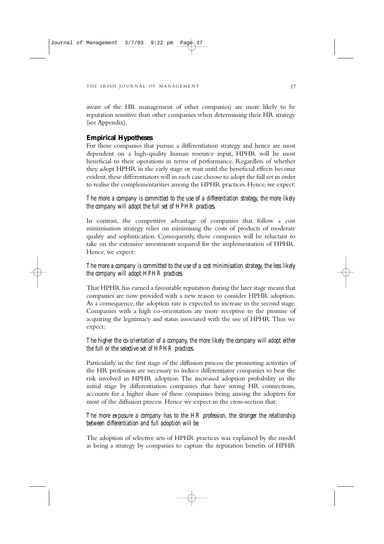aware of the HR management of other companies) are more likely to be reputation sensitive than other companies when determining their HR strategy (see Appendix).

## **Empirical Hypotheses**

For those companies that pursue a differentiation strategy and hence are most dependent on a high-quality human resource input, HPHR will be most beneficial to their operations in terms of performance. Regardless of whether they adopt HPHR in the early stage or wait until the beneficial effects become evident, these differentiators will in each case choose to adopt the full set in order to realise the complementarities among the HPHR practices. Hence, we expect:

## *The more a company is committed to the use of a differentiation strategy, the more likely the company will adopt the full set of HPHR practices.*

In contrast, the competitive advantage of companies that follow a cost minimisation strategy relies on minimising the costs of products of moderate quality and sophistication. Consequently, these companies will be reluctant to take on the extensive investments required for the implementation of HPHR. Hence, we expect:

## *The more a company is committed to the use of a cost minimisation strategy, the less likely the company will adopt HPHR practices.*

That HPHR has earned a favourable reputation during the later stage means that companies are now provided with a new reason to consider HPHR adoption. As a consequence, the adoption rate is expected to increase in the second stage. Companies with a high co-orientation are more receptive to the promise of acquiring the legitimacy and status associated with the use of HPHR.Thus we expect:

## *The higher the co-orientation of a company, the more likely the company will adopt either the full or the selective set of HPHR practices.*

Particularly in the first stage of the diffusion process the promoting activities of the HR profession are necessary to induce differentiator companies to bear the risk involved in HPHR adoption. The increased adoption probability in the initial stage by differentiation companies that have strong HR connections, accounts for a higher share of these companies being among the adopters for most of the diffusion process. Hence we expect in the cross-section that:

## *The more exposure a company has to the HR profession, the stronger the relationship between differentiation and full adoption will be.*

The adoption of selective sets of HPHR practices was explained by the model as being a strategy by companies to capture the reputation benefits of HPHR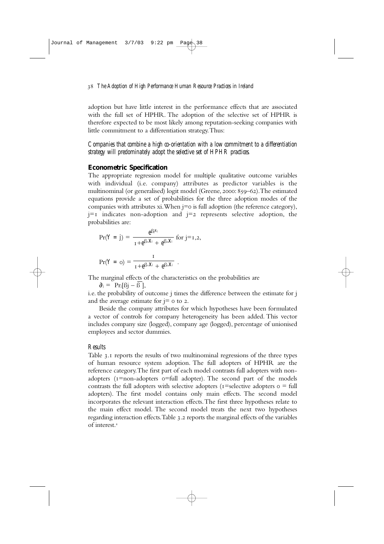adoption but have little interest in the performance effects that are associated with the full set of HPHR. The adoption of the selective set of HPHR is therefore expected to be most likely among reputation-seeking companies with little commitment to a differentiation strategy.Thus:

*Companies that combine a high co-orientation with a low commitment to a differentiation strategy will predominately adopt the selective set of HPHR practices.*

## **Econometric Specification**

The appropriate regression model for multiple qualitative outcome variables with individual (i.e. company) attributes as predictor variables is the multinominal (or generalised) logit model (Greene, 2000: 859-62). The estimated equations provide a set of probabilities for the three adoption modes of the companies with attributes xi. When j=0 is full adoption (the reference category),  $j=1$  indicates non-adoption and  $j=2$  represents selective adoption, the probabilities are:

$$
\Pr(Y = j) = \frac{e^{\beta_j x_j}}{1 + e^{\beta_1 x_j} + e^{\beta_2 x_j}} \text{ for } j = 1, 2,
$$

$$
Pr(Y = 0) = \frac{1}{1 + e^{\beta X} + e^{\beta X}}.
$$

The marginal effects of the characteristics on the probabilities are

 $\partial_i = \Pr_i[\beta_i - \overline{\beta_i}]$ 

i.e. the probability of outcome j times the difference between the estimate for j and the average estimate for  $i = 0$  to 2.

Beside the company attributes for which hypotheses have been formulated a vector of controls for company heterogeneity has been added. This vector includes company size (logged), company age (logged), percentage of unionised employees and sector dummies.

## *Results*

Table 3.1 reports the results of two multinominal regressions of the three types of human resource system adoption. The full adopters of HPHR are the reference category.The first part of each model contrasts full adopters with nonadopters  $(I = non-adopters$   $o = full$  adopter). The second part of the models contrasts the full adopters with selective adopters ( $i$ =selective adopters  $o$  = full adopters). The first model contains only main effects. The second model incorporates the relevant interaction effects.The first three hypotheses relate to the main effect model. The second model treats the next two hypotheses regarding interaction effects. Table 3.2 reports the marginal effects of the variables of interest.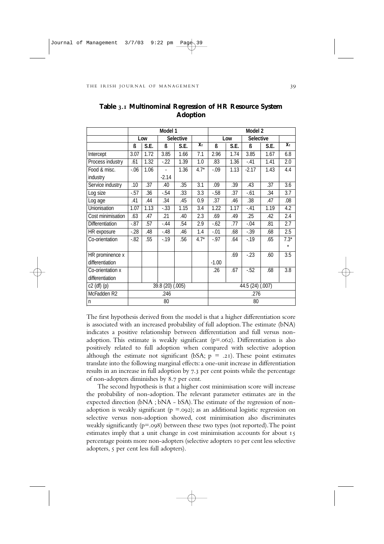|                        |                |      | Model 1          |                  |                  | Model 2          |      |                  |                 |                   |  |  |
|------------------------|----------------|------|------------------|------------------|------------------|------------------|------|------------------|-----------------|-------------------|--|--|
|                        |                | Low  |                  | <b>Selective</b> |                  |                  | Low  | <b>Selective</b> |                 |                   |  |  |
|                        | S.E.<br>ß      |      | S.E.<br>ß        |                  | $\boldsymbol{X}$ | ß                | S.E. | ß                | S.E.            | $\boldsymbol{X}$  |  |  |
| Intercept              | 3.07           | 1.72 | 3.85             | 1.66             | 7.1              | 2.96             | 1.74 | 3.85             | 1.67            | 6.8               |  |  |
| Process industry       | .61            | 1.32 | $-22$            | 1.39<br>1.0      |                  | .83              | 1.36 | $-.41$           | 1.41            | 2.0               |  |  |
| Food & misc.           | $-06$          | 1.06 |                  | 1.36             | $4.7*$           | $-0.09$          | 1.13 |                  | $-2.17$<br>1.43 |                   |  |  |
| industry               |                |      | $-2.14$          |                  |                  |                  |      |                  |                 |                   |  |  |
| Service industry       | .10            | .37  | .40              | .35              | 3.1              | .09<br>.39       |      | .43<br>.37       |                 | $\overline{3.6}$  |  |  |
| Log size               | $-57$          | .36  | $-54$            | .33              | 3.3              | $-0.58$          | .37  | $-0.61$          | .34             | 3.7               |  |  |
| Log age                | .41            | .44  | .34              | .45              | 0.9              | .37              | .46  | .38              | .47             | .08               |  |  |
| Unionisation           | 1.13<br>1.07   |      | $-.33$           | 1.15             | 3.4              | 1.22             | 1.17 | $-.41$           | 1.19            | 4.2               |  |  |
| Cost minimisation      | .63<br>.47     |      | .21              | .40              | 2.3              | .69              | .49  | .25              | .42             | 2.4               |  |  |
| <b>Differentiation</b> | $-0.87$        | .57  | $-.44$           | .54              | 2.9              | $-62$            | .77  | $-0.04$          | .81             | 2.7               |  |  |
| HR exposure            | $-28$          | .48  | $-.48$           | .46              | 1.4              | $-0.01$          | .68  | $-39$            | .68             | 2.5               |  |  |
| Co-orientation         | $-0.82$<br>.55 |      | $-19$<br>.56     |                  | $4.7*$           | $-97$<br>.64     |      | $-19$            | .65             | $7.3*$<br>$\star$ |  |  |
| HR prominence x        |                |      |                  |                  |                  |                  | .69  | $-23$            | .60             | 3.5               |  |  |
| differentiation        |                |      |                  |                  |                  | $-1.00$          |      |                  |                 |                   |  |  |
| Co-orientation x       |                |      |                  |                  |                  | .26              | .67  | $-52$            | .68             | 3.8               |  |  |
| differentiation        |                |      |                  |                  |                  |                  |      |                  |                 |                   |  |  |
| $c2$ (df) (p)          |                |      | 39.8 (20) (.005) |                  |                  | 44.5 (24) (.007) |      |                  |                 |                   |  |  |
| McFadden R2            |                |      | .246             |                  |                  | .276             |      |                  |                 |                   |  |  |
| n                      |                |      | 80               |                  |                  | 80               |      |                  |                 |                   |  |  |

**Table . Multinominal Regression of HR Resource System Adoption**

The first hypothesis derived from the model is that a higher differentiation score is associated with an increased probability of full adoption.The estimate (bNA) indicates a positive relationship between differentiation and full versus nonadoption. This estimate is weakly significant ( $p = 0.062$ ). Differentiation is also positively related to full adoption when compared with selective adoption although the estimate not significant (bSA;  $p = .21$ ). These point estimates translate into the following marginal effects:a one-unit increase in differentiation results in an increase in full adoption by 7.3 per cent points while the percentage of non-adopters diminishes by 8.7 per cent.

The second hypothesis is that a higher cost minimisation score will increase the probability of non-adoption. The relevant parameter estimates are in the expected direction (bNA ; bNA - bSA). The estimate of the regression of nonadoption is weakly significant ( $p = .092$ ); as an additional logistic regression on selective versus non-adoption showed, cost minimisation also discriminates weakly significantly  $(p=0.008)$  between these two types (not reported). The point estimates imply that a unit change in cost minimisation accounts for about 15 percentage points more non-adopters (selective adopters 10 per cent less selective adopters, per cent less full adopters).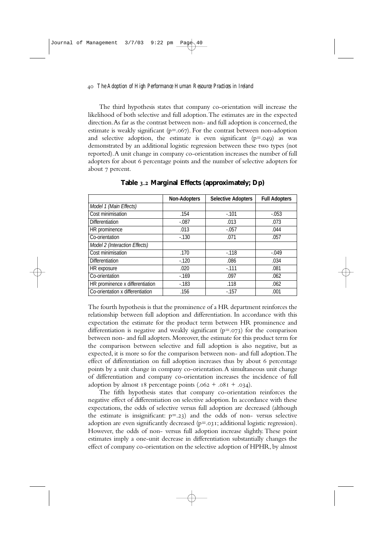The third hypothesis states that company co-orientation will increase the likelihood of both selective and full adoption.The estimates are in the expected direction.As far as the contrast between non- and full adoption is concerned, the estimate is weakly significant ( $p = 0.067$ ). For the contrast between non-adoption and selective adoption, the estimate is even significant  $(p=0.049)$  as was demonstrated by an additional logistic regression between these two types (not reported).A unit change in company co-orientation increases the number of full adopters for about 6 percentage points and the number of selective adopters for about 7 percent.

|                                  | <b>Non-Adopters</b> | <b>Selective Adopters</b> | <b>Full Adopters</b> |
|----------------------------------|---------------------|---------------------------|----------------------|
| Model 1 (Main Effects)           |                     |                           |                      |
| Cost minimisation                | .154                | $-101$                    | $-0.053$             |
| <b>Differentiation</b>           | $-.087$             | .013                      | .073                 |
| HR prominence                    | .013                | $-.057$                   | .044                 |
| Co-orientation                   | $-130$              | .071                      | .057                 |
| Model 2 (Interaction Effects)    |                     |                           |                      |
| Cost minimisation                | .170                | $-0.118$                  | $-.049$              |
| <b>Differentiation</b>           | $-120$              | .086                      | .034                 |
| HR exposure                      | .020                | $-111$                    | .081                 |
| Co-orientation                   | $-169$              | .097                      | .062                 |
| HR prominence x differentiation  | $-183$              | .118                      | .062                 |
| Co-orientation x differentiation | .156                | $-157$                    | .001                 |

**Table . Marginal Effects (approximately; Dp)**

The fourth hypothesis is that the prominence of a HR department reinforces the relationship between full adoption and differentiation. In accordance with this expectation the estimate for the product term between HR prominence and differentiation is negative and weakly significant  $(p=0.073)$  for the comparison between non- and full adopters. Moreover, the estimate for this product term for the comparison between selective and full adoption is also negative, but as expected, it is more so for the comparison between non- and full adoption.The effect of differentiation on full adoption increases thus by about 6 percentage points by a unit change in company co-orientation.A simultaneous unit change of differentiation and company co-orientation increases the incidence of full adoption by almost  $18$  percentage points  $(.062 + .081 + .034).$ 

The fifth hypothesis states that company co-orientation reinforces the negative effect of differentiation on selective adoption. In accordance with these expectations, the odds of selective versus full adoption are decreased (although the estimate is insignificant:  $p=0.23$  and the odds of non- versus selective adoption are even significantly decreased  $(p=0.31;$  additional logistic regression). However, the odds of non- versus full adoption increase slightly. These point estimates imply a one-unit decrease in differentiation substantially changes the effect of company co-orientation on the selective adoption of HPHR, by almost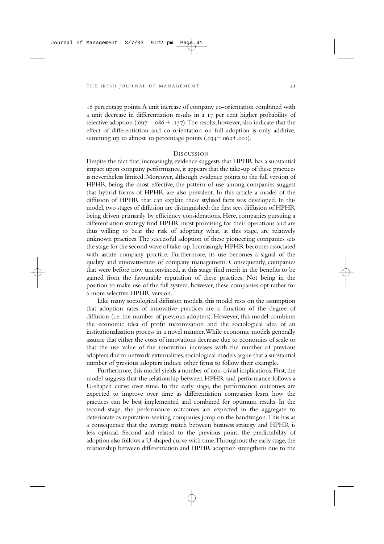percentage points.A unit increase of company co-orientation combined with a unit decrease in differentiation results in a 17 per cent higher probability of selective adoption (.097 - .086 + .157). The results, however, also indicate that the effect of differentiation and co-orientation on full adoption is only additive, summing up to almost to percentage points  $(.034+.062+.001)$ .

#### **DISCUSSION**

Despite the fact that, increasingly, evidence suggests that HPHR has a substantial impact upon company performance, it appears that the take-up of these practices is nevertheless limited. Moreover, although evidence points to the full version of HPHR being the most effective, the pattern of use among companies suggest that hybrid forms of HPHR are also prevalent. In this article a model of the diffusion of HPHR that can explain these stylised facts was developed. In this model, two stages of diffusion are distinguished: the first sees diffusion of HPHR being driven primarily by efficiency considerations. Here, companies pursuing a differentiation strategy find HPHR most promising for their operations and are thus willing to bear the risk of adopting what, at this stage, are relatively unknown practices.The successful adoption of these pioneering companies sets the stage for the second wave of take-up.Increasingly HPHR becomes associated with astute company practice. Furthermore, its use becomes a signal of the quality and innovativeness of company management. Consequently, companies that were before now unconvinced, at this stage find merit in the benefits to be gained from the favourable reputation of these practices. Not being in the position to make use of the full system, however, these companies opt rather for a more selective HPHR version.

Like many sociological diffusion models, this model rests on the assumption that adoption rates of innovative practices are a function of the degree of diffusion (i.e. the number of previous adopters). However, this model combines the economic idea of profit maximisation and the sociological idea of an institutionalisation process in a novel manner.While economic models generally assume that either the costs of innovations decrease due to economies of scale or that the use value of the innovation increases with the number of previous adopters due to network externalities,sociological models argue that a substantial number of previous adopters induce other firms to follow their example.

Furthermore, this model yields a number of non-trivial implications. First, the model suggests that the relationship between HPHR and performance follows a U-shaped curve over time. In the early stage, the performance outcomes are expected to improve over time as differentiation companies learn how the practices can be best implemented and combined for optimum results. In the second stage, the performance outcomes are expected in the aggregate to deteriorate as reputation-seeking companies jump on the bandwagon.This has as a consequence that the average match between business strategy and HPHR is less optimal. Second and related to the previous point, the predictability of adoption also follows a U-shaped curve with time. Throughout the early stage, the relationship between differentiation and HPHR adoption strengthens due to the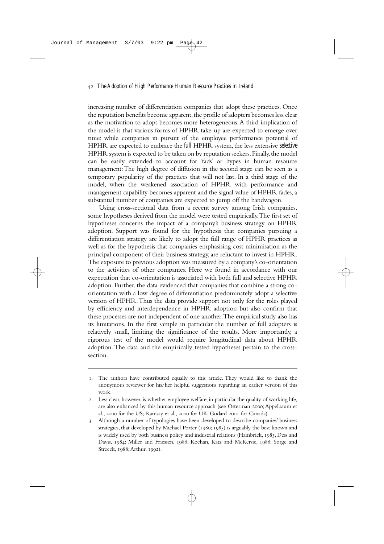increasing number of differentiation companies that adopt these practices. Once the reputation benefits become apparent, the profile of adopters becomes less clear as the motivation to adopt becomes more heterogeneous.A third implication of the model is that various forms of HPHR take-up are expected to emerge over time: while companies in pursuit of the employee performance potential of HPHR are expected to embrace the *full* HPHR system, the less extensive *selective* HPHR system is expected to be taken on by reputation seekers. Finally, the model can be easily extended to account for 'fads' or hypes in human resource management:The high degree of diffusion in the second stage can be seen as a temporary popularity of the practices that will not last. In a third stage of the model, when the weakened association of HPHR with performance and management capability becomes apparent and the signal value of HPHR fades, a substantial number of companies are expected to jump off the bandwagon.

Using cross-sectional data from a recent survey among Irish companies, some hypotheses derived from the model were tested empirically.The first set of hypotheses concerns the impact of a company's business strategy on HPHR adoption. Support was found for the hypothesis that companies pursuing a differentiation strategy are likely to adopt the full range of HPHR practices as well as for the hypothesis that companies emphasising cost minimisation as the principal component of their business strategy, are reluctant to invest in HPHR. The exposure to previous adoption was measured by a company's co-orientation to the activities of other companies. Here we found in accordance with our expectation that co-orientation is associated with both full and selective HPHR adoption. Further, the data evidenced that companies that combine a strong coorientation with a low degree of differentiation predominately adopt a selective version of HPHR.Thus the data provide support not only for the roles played by efficiency and interdependence in HPHR adoption but also confirm that these processes are not independent of one another.The empirical study also has its limitations. In the first sample in particular the number of full adopters is relatively small, limiting the significance of the results. More importantly, a rigorous test of the model would require longitudinal data about HPHR adoption.The data and the empirically tested hypotheses pertain to the crosssection.

<sup>.</sup> The authors have contributed equally to this article. They would like to thank the anonymous reviewer for his/her helpful suggestions regarding an earlier version of this work.

<sup>.</sup> Less clear, however, is whether employee welfare, in particular the quality of working life, are also enhanced by this human resource approach (see Osterman 2000; Appelbaum et al., 2000 for the US; Ramsay et al., 2000 for UK; Godard 2001 for Canada).

<sup>.</sup> Although a number of typologies have been developed to describe companies' business strategies, that developed by Michael Porter (1980; 1985) is arguably the best known and is widely used by both business policy and industrial relations (Hambrick, 1983, Dess and Davis, 1984; Miller and Friessen, 1986; Kochan, Katz and McKersie, 1986; Sorge and Streeck, 1988; Arthur, 1992).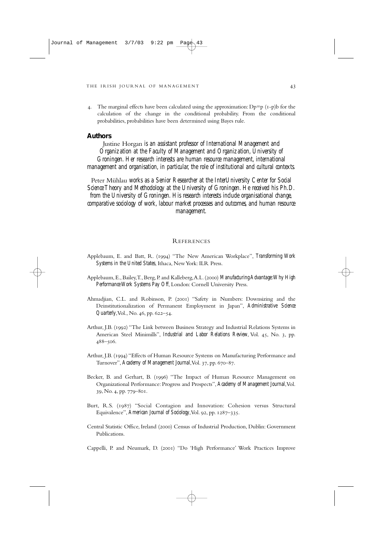4. The marginal effects have been calculated using the approximation:  $Dp=p (I-p)b$  for the calculation of the change in the conditional probability. From the conditional probabilities, probabilities have been determined using Bayes rule.

#### **Authors**

Justine Horgan *is an assistant professor of International Management and Organization at the Faculty of Management and Organization, University of Groningen. Her research interests are human resource management, international management and organisation, in particular, the role of institutional and cultural contexts.*

Peter Mühlau *works as a Senior Researcher at the InterUniversity Center for Social Science Theory and Methodology at the University of Groningen. He received his Ph.D. from the University of Groningen. His research interests include organisational change, comparative sociology of work, labour market processes and outcomes, and human resource management.*

#### REFERENCES

- Applebaum, E. and Batt, R. (1994) "The New American Workplace", *Transforming Work Systems in the United States*, Ithaca, New York: ILR Press.
- Applebaum,E.,Bailey,T.,Berg,P.and Kalleberg,A.L.() *Manufacturing Advantage:Why High Performance Work Systems Pay Off*, London: Cornell University Press.
- Ahmadjian, C.L. and Robinson, P. (2001) "Safety in Numbers: Downsizing and the Deinstitutionalization of Permanent Employment in Japan", *Administrative Science Quarterly*, Vol., No. 46, pp. 622-54.
- Arthur, J.B. (1992) "The Link between Business Strategy and Industrial Relations Systems in American Steel Minimills", *Industrial and Labor Relations Review*, Vol. 45, No. 3, pp. 488-506.
- Arthur, J.B. (1994) "Effects of Human Resource Systems on Manufacturing Performance and Turnover", *Academy of Management Journal*, Vol. 37, pp. 670-87.
- Becker, B. and Gerhart, B. (1996) "The Impact of Human Resource Management on Organizational Performance: Progress and Prospects",*Academy of Management Journal*,Vol. 39, No. 4, pp. 779-801.
- Burt, R.S. (1987) "Social Contagion and Innovation: Cohesion versus Structural Equivalence", American Journal of Sociology, Vol. 92, pp. 1287-335.
- Central Statistic Office, Ireland (2000) Census of Industrial Production, Dublin: Government Publications.

Cappelli, P. and Neumark, D. (2001) "Do 'High Performance' Work Practices Improve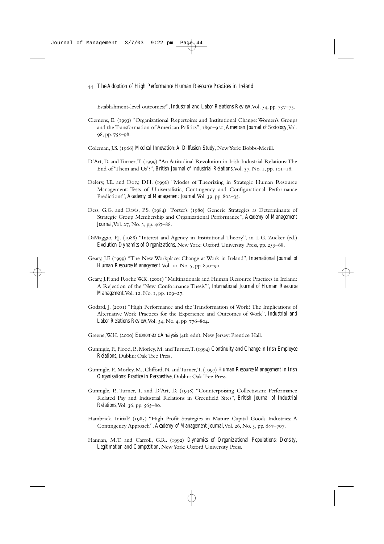Establishment-level outcomes?", *Industrial and Labor Relations Review*, Vol. 54, pp. 737-75.

- Clemens, E. () "Organizational Repertoires and Institutional Change:Women's Groups and the Transformation of American Politics", 1890-920, American Journal of Sociology, Vol.  $98$ , pp.  $755 - 98$ .
- Coleman, J.S. () *Medical Innovation:A Diffusion Study*, New York: Bobbs-Merill.
- D'Art, D. and Turner, T. (1999) "An Attitudinal Revolution in Irish Industrial Relations: The End of 'Them and Us'?", *British Journal of Industrial Relations*, Vol. 37, No. 1, pp. 101–16.
- Delery, J.E. and Doty, D.H. (1996) "Modes of Theorizing in Strategic Human Resource Management: Tests of Universalistic, Contingency and Configurational Performance Predictions", *Academy of Management Journal*, Vol. 39, pp. 802-35.
- Dess, G.G. and Davis, P.S. (1984) "Porter's (1980) Generic Strategies as Determinants of Strategic Group Membership and Organizational Performance", *Academy of Management Journal*, Vol. 27, No. 3, pp. 467–88.
- DiMaggio, P.J. (1988) "Interest and Agency in Institutional Theory", in L.G. Zucker (ed.) *Evolution Dynamics of Organizations*, New York: Oxford University Press, pp. 255–68.
- Geary, J.F. (1999) "The New Workplace: Change at Work in Ireland", *International Journal of Human Resource Management*, Vol. 10, No. 5, pp. 870-90.
- Geary, J.F. and Roche W.K. (2001) "Multinationals and Human Resource Practices in Ireland: A Rejection of the 'New Conformance Thesis'", *International Journal of Human Resource Management*, Vol. 12, No. 1, pp. 109-27.
- Godard, J. (2001) "High Performance and the Transformation of Work? The Implications of Alternative Work Practices for the Experience and Outcomes of Work", *Industrial and* Labor Relations Review, Vol. 54, No. 4, pp. 776-804.
- Greene, W.H. (2000) *Econometric Analysis* (4th edn), New Jersey: Prentice Hall.
- Gunnigle, P., Flood, P., Morley, M. and Turner, T. (1994) Continuity and Change in Irish Employee *Relations*, Dublin: Oak Tree Press.
- Gunnigle, P., Morley, M., Clifford, N. and Turner, T. (1997) Human Resource Management in Irish *Organisations: Practice in Perspective*, Dublin: Oak Tree Press.
- Gunnigle, P., Turner, T. and D'Art, D. (1998) "Counterpoising Collectivism: Performance Related Pay and Industrial Relations in Greenfield Sites", *British Journal of Industrial Relations*, *Vol.* 36, pp. 565–80.
- Hambrick, Initial? (1983) "High Profit Strategies in Mature Capital Goods Industries: A Contingency Approach", *Academy of Management Journal*, Vol. 26, No. 3, pp. 687-707.
- Hannan, M.T. and Carroll, G.R. (1992) *Dynamics of Organizational Populations: Density*, *Legitimation and Competition*, New York: Oxford University Press.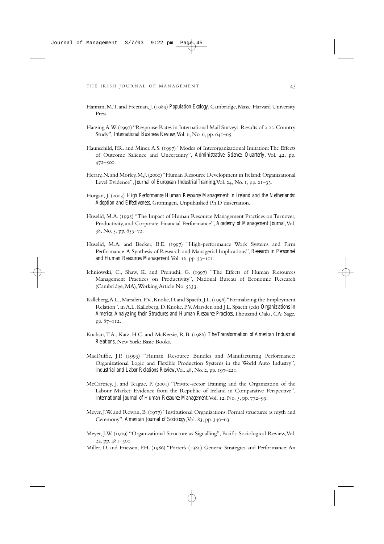- Hannan, M.T. and Freeman, J. (1989) *Population Ecology*, Cambridge, Mass.: Harvard University Press.
- Harzing A.W. (1997) "Response Rates in International Mail Surveys: Results of a 22-Country Study", *International Business Review*, Vol. 6, No. 6, pp. 641–65.
- Haunschild, P.R. and Miner, A.S. (1997) "Modes of Interorganizational Imitation: The Effects of Outcome Salience and Uncertainty", *Administrative Science Quarterly*, Vol. 42, pp.  $472 - 500.$
- Heraty, N. and Morley, M.J. (2000) "Human Resource Development in Ireland: Organizational Level Evidence", *Journal of European Industrial Training*, Vol. 24, No. 1, pp. 21-33.
- Horgan, J. (2003) *High Performance Human Resource Management in Ireland and the Netherlands: Adoption and Effectiveness*, Groningen, Unpublished Ph.D dissertation.
- Huselid, M.A. (1995) "The Impact of Human Resource Management Practices on Turnover, Productivity, and Corporate Financial Performance", *Academy of Management Journal*,Vol. 38, No. 3, pp. 635-72.
- Huselid, M.A. and Becker, B.E. (1997) "High-performance Work Systems and Firm Performance:A Synthesis of Research and Managerial Implications", *Research in Personnel* and Human Resources Management, Vol. 16, pp. 53-101.
- Ichniowski, C., Shaw, K. and Prenushi, G. (1997) "The Effects of Human Resources Management Practices on Productivity", National Bureau of Economic Research (Cambridge, MA), Working Article No. 5333.
- Kalleberg, A.L., Marsden, P.V., Knoke, D. and Spaeth, J.L. (1996) "Formalizing the Employment Relation", in A.L. Kalleberg, D. Knoke, P.V. Marsden and J.L. Spaeth (eds) *Organizations in America:Analyzing their Structures and Human Resource Practices*,Thousand Oaks, CA: Sage, pp. 87-112.
- Kochan,T.A., Katz, H.C. and McKersie, R.B. () *The Transformation of American Industrial Relations*, New York: Basic Books.
- MacDuffie, J.P. (1995) "Human Resource Bundles and Manufacturing Performance: Organizational Logic and Flexible Production Systems in the World Auto Industry", *Industrial and Labor Relations Review*, Vol. 48, No. 2, pp. 197-221.
- McCartney, J. and Teague, P. (2001) "Private-sector Training and the Organization of the Labour Market: Evidence from the Republic of Ireland in Comparative Perspective", *International Journal of Human Resource Management*, Vol. 12, No. 5, pp. 772–99.
- Meyer, J.W. and Rowan, B. (1977) "Institutional Organizations: Formal structures as myth and Ceremony", *American Journal of Sociology*, Vol. 83, pp. 340-63.
- Meyer, J.W. (1979) "Organizational Structure as Signalling", Pacific Sociological Review, Vol.  $22$ , pp.  $481 - 500$ .
- Miller, D. and Friessen, P.H. (1986) "Porter's (1980) Generic Strategies and Performance: An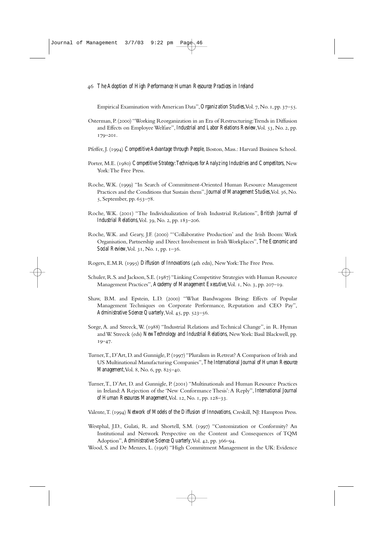Empirical Examination with American Data", *Organization Studies*, Vol. 7, No. 1, pp. 37-55.

- Osterman, P. (2000) "Working Reorganization in an Era of Restructuring: Trends in Diffusion and Effects on Employee Welfare", *Industrial and Labor Relations Review*, Vol. 53, No. 2, pp.  $179 - 201$ .
- Pfeffer, J. (1994) Competitive Advantage through People, Boston, Mass.: Harvard Business School.
- Porter, M.E. (1980) *Competitive Strategy: Techniques for Analyzing Industries and Competitors*, New York:The Free Press.
- Roche, W.K. (1999) "In Search of Commitment-Oriented Human Resource Management Practices and the Conditions that Sustain them", Journal of Management Studies, Vol. 36, No.  $5,$  September, pp.  $653-78$ .
- Roche, W.K. (2001) "The Individualization of Irish Industrial Relations", *British Journal of Industrial Relations*, Vol. 39, No. 2, pp. 183-206.
- Roche, W.K. and Geary, J.F. (2000) "'Collaborative Production' and the Irish Boom: Work Organisation, Partnership and Direct Involvement in Irish Workplaces", *The Economic and Social Review*, Vol. 31, No. 1, pp. 1-36.
- Rogers, E.M.R (1995) *Diffusion of Innovations* (4th edn), New York: The Free Press.
- Schuler, R.S. and Jackson, S.E. (1987) "Linking Competitive Strategies with Human Resource Management Practices", *Academy of Management Executive*, Vol. 1, No. 3, pp. 207-19.
- Shaw, B.M. and Epstein, L.D. (2000) "What Bandwagons Bring: Effects of Popular Management Techniques on Corporate Performance, Reputation and CEO Pay", *Administrative Science Quarterly*, Vol. 45, pp. 523-56.
- Sorge, A. and Streeck, W. (1988) "Industrial Relations and Technical Change", in R. Hyman and W. Streeck (eds) *New Technology and Industrial Relations*, New York: Basil Blackwell, pp.  $19 - 47$ .
- Turner, T., D'Art, D. and Gunnigle, P. (1997) "Pluralism in Retreat? A Comparison of Irish and US Multinational Manufacturing Companies",*The International Journal of Human Resource Management*, Vol. 8, No. 6, pp. 825-40.
- Turner, T., D'Art, D. and Gunnigle, P. (2001) "Multinationals and Human Resource Practices in Ireland:A Rejection of the 'New Conformance Thesis':A Reply", *International Journal of Human Resources Management*, Vol. 12, No. 1, pp. 128-33.
- Valente, T. (1994) *Network of Models of the Diffusion of Innovations*, Creskill, NJ: Hampton Press.
- Westphal, J.D., Gulati, R. and Shortell, S.M. (1997) "Customization or Conformity? An Institutional and Network Perspective on the Content and Consequences of TQM Adoption", *Administrative Science Quarterly*, Vol. 42, pp. 366-94.
- Wood, S. and De Menzes, L. (1998) "High Commitment Management in the UK: Evidence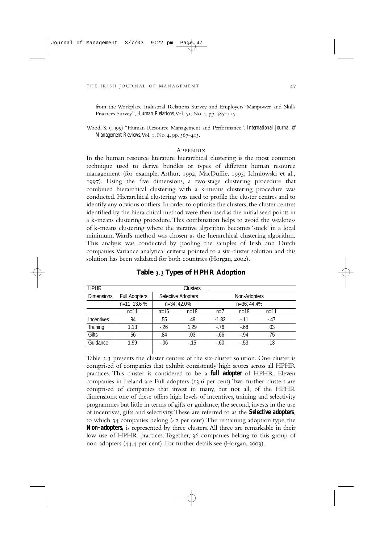from the Workplace Industrial Relations Survey and Employers' Manpower and Skills Practices Survey", *Human Relations*, Vol. 51, No. 4, pp. 485-515.

Wood, S. (1999) "Human Resource Management and Performance", *International Journal of Management Reviews*, Vol. 1, No. 4, pp. 367-413.

#### APPENDIX

In the human resource literature hierarchical clustering is the most common technique used to derive bundles or types of different human resource management (for example, Arthur, 1992; MacDuffie, 1995; Ichniowski et al., ). Using the five dimensions, a two-stage clustering procedure that combined hierarchical clustering with a k-means clustering procedure was conducted. Hierarchical clustering was used to profile the cluster centres and to identify any obvious outliers. In order to optimise the clusters, the cluster centres identified by the hierarchical method were then used as the initial seed points in a k-means clustering procedure.This combination helps to avoid the weakness of k-means clustering where the iterative algorithm becomes 'stuck' in a local minimum.Ward's method was chosen as the hierarchical clustering algorithm. This analysis was conducted by pooling the samples of Irish and Dutch companies.Variance analytical criteria pointed to a six-cluster solution and this solution has been validated for both countries (Horgan, 2002).

| <b>HPHR</b>       |                      |                | <b>Clusters</b>    |              |          |          |  |  |  |
|-------------------|----------------------|----------------|--------------------|--------------|----------|----------|--|--|--|
| <b>Dimensions</b> | <b>Full Adopters</b> |                | Selective Adopters | Non-Adopters |          |          |  |  |  |
|                   | $n=11; 13.6 %$       |                | $n=34:42.0%$       | $n=36:44.4%$ |          |          |  |  |  |
|                   | $n = 11$             | $n = 16$       | $n = 18$           | $n=7$        | $n = 18$ | $n = 11$ |  |  |  |
| <b>Incentives</b> | .94                  | .55            | .49                | $-1.82$      | $-11$    | $-47$    |  |  |  |
| Training          | 1.13                 | $-26$          | 1.29               | $-76$        | -.68     | .03      |  |  |  |
| Gifts             | .56                  | .84            | .03                | $-66$        | $-94$    | .75      |  |  |  |
| Guidance          | 1.99                 | $-15$<br>$-06$ |                    | $-.60$       | $-53$    | .13      |  |  |  |
|                   |                      |                |                    |              |          |          |  |  |  |

**Table . Types of HPHR Adoption**

Table  $3.3$  presents the cluster centres of the six-cluster solution. One cluster is comprised of companies that exhibit consistently high scores across all HPHR practices. This cluster is considered to be a *full adopter* of HPHR. Eleven companies in Ireland are Full adopters (13.6 per cent) Two further clusters are comprised of companies that invest in many, but not all, of the HPHR dimensions: one of these offers high levels of incentives, training and selectivity programmes but little in terms of gifts or guidance; the second, invests in the use of incentives, gifts and selectivity.These are referred to as the *Selective adopters*, to which  $34$  companies belong ( $42$  per cent). The remaining adoption type, the *Non-adopters,* is represented by three clusters. All three are remarkable in their low use of HPHR practices. Together, 36 companies belong to this group of non-adopters (44.4 per cent). For further details see (Horgan, 2003).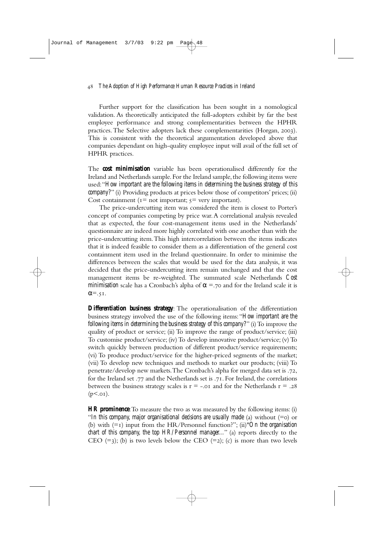Further support for the classification has been sought in a nomological validation. As theoretically anticipated the full-adopters exhibit by far the best employee performance and strong complementarities between the HPHR practices. The Selective adopters lack these complementarities (Horgan, 2003). This is consistent with the theoretical argumentation developed above that companies dependant on high-quality employee input will avail of the full set of HPHR practices.

The *cost minimisation* variable has been operationalised differently for the Ireland and Netherlands sample. For the Ireland sample, the following items were used:"*How important are the following items in determining the business strategy of this company?*" (i) Providing products at prices below those of competitors' prices; (ii) Cost containment ( $I = not$  important;  $S = very$  important).

The price-undercutting item was considered the item is closest to Porter's concept of companies competing by price war.A correlational analysis revealed that as expected, the four cost-management items used in the Netherlands' questionnaire are indeed more highly correlated with one another than with the price-undercutting item.This high intercorrelation between the items indicates that it is indeed feasible to consider them as a differentiation of the general cost containment item used in the Ireland questionnaire. In order to minimise the differences between the scales that would be used for the data analysis, it was decided that the price-undercutting item remain unchanged and that the cost management items be re-weighted. The summated scale Netherlands *Cost minimisation* scale has a Cronbach's alpha of  $\alpha$  =.70 and for the Ireland scale it is  $\alpha = .51$ .

*Differentiation business strategy*: The operationalisation of the differentiation business strategy involved the use of the following items:"*How important are the following items in determining the business strategy of this company?*" (i) To improve the quality of product or service; (ii) To improve the range of product/service; (iii) To customise product/service; (iv) To develop innovative product/service; (v) To switch quickly between production of different product/service requirements; (vi) To produce product/service for the higher-priced segments of the market; (vii) To develop new techniques and methods to market our products; (viii) To penetrate/develop new markets. The Cronbach's alpha for merged data set is .72, for the Ireland set .77 and the Netherlands set is .71. For Ireland, the correlations between the business strategy scales is  $r = -.0I$  and for the Netherlands  $r = .28$  $(p<.01)$ .

*HR prominence*. To measure the two as was measured by the following items: (i) "In this company, major organisational decisions are usually made (a) without  $(=)$  or (b) with (=) input from the HR/Personnel function?"; (ii)"*On the organisation chart of this company, the top HR/Personnel manager...*" (a) reports directly to the CEO  $(=3)$ ; (b) is two levels below the CEO  $(=2)$ ; (c) is more than two levels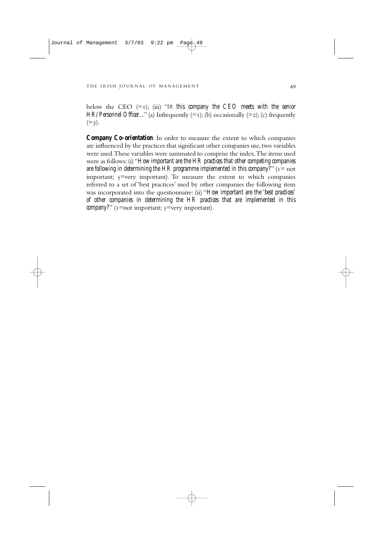below the CEO  $(=i)$ ; (iii) "*In this company the CEO meets with the senior HR/Personnel Officer...*" (a) Infrequently  $(=i)$ ; (b) occasionally  $(=2)$ ; (c) frequently  $(=3).$ 

*Company Co-orientation*: In order to measure the extent to which companies are influenced by the practices that significant other companies use,two variables were used.These variables were summated to comprise the index.The items used were as follows:(i) "*How important are the HR practices that other competing companies are following in determining the HR programme implemented in this company?*"  $(i = not$ important; =very important). To measure the extent to which companies referred to a set of 'best practices' used by other companies the following item was incorporated into the questionnaire: (ii) "*How important are the 'best practices' of other companies in determining the HR practices that are implemented in this company?*" ( $\iota$ =not important;  $\varsigma$ =very important).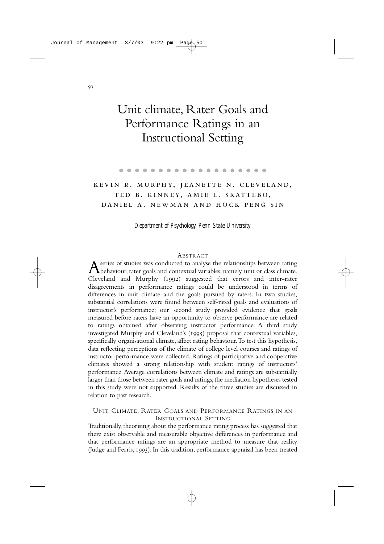# Unit climate, Rater Goals and Performance Ratings in an Instructional Setting

# KEVIN R. MURPHY, JEANETTE N. CLEVELAND, TED B. KINNEY, AMIE L. SKATTEBO, DANIEL A. NEWMAN AND HOCK PENG SIN

*Department of Psychology, Penn State University*

#### ABSTRACT

A series of studies was conducted to analyse the relationships between rating<br>behaviour, rater goals and contextual variables, namely unit or class climate. Cleveland and Murphy (1992) suggested that errors and inter-rater disagreements in performance ratings could be understood in terms of differences in unit climate and the goals pursued by raters. In two studies, substantial correlations were found between self-rated goals and evaluations of instructor's performance; our second study provided evidence that goals measured before raters have an opportunity to observe performance are related to ratings obtained after observing instructor performance. A third study investigated Murphy and Cleveland's (1995) proposal that contextual variables, specifically organisational climate, affect rating behaviour.To test this hypothesis, data reflecting perceptions of the climate of college level courses and ratings of instructor performance were collected. Ratings of participative and cooperative climates showed a strong relationship with student ratings of instructors' performance. Average correlations between climate and ratings are substantially larger than those between rater goals and ratings; the mediation hypotheses tested in this study were not supported. Results of the three studies are discussed in relation to past research.

## UNIT CLIMATE, RATER GOALS AND PERFORMANCE RATINGS IN AN INSTRUCTIONAL SETTING

Traditionally, theorising about the performance rating process has suggested that there exist observable and measurable objective differences in performance and that performance ratings are an appropriate method to measure that reality (Judge and Ferris, 1993). In this tradition, performance appraisal has been treated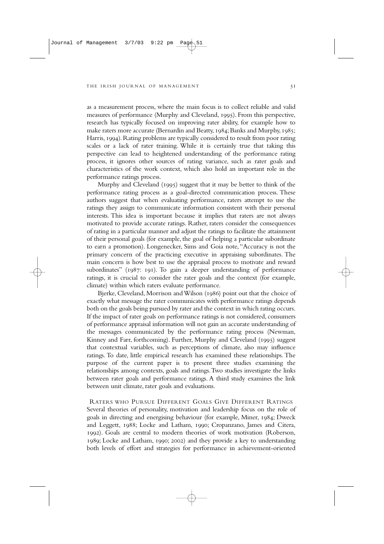as a measurement process, where the main focus is to collect reliable and valid measures of performance (Murphy and Cleveland, 1995). From this perspective, research has typically focused on improving rater ability, for example how to make raters more accurate (Bernardin and Beatty, 1984; Banks and Murphy, 1985; Harris, 1994). Rating problems are typically considered to result from poor rating scales or a lack of rater training. While it is certainly true that taking this perspective can lead to heightened understanding of the performance rating process, it ignores other sources of rating variance, such as rater goals and characteristics of the work context, which also hold an important role in the performance ratings process.

Murphy and Cleveland  $(1995)$  suggest that it may be better to think of the performance rating process as a goal-directed communication process. These authors suggest that when evaluating performance, raters attempt to use the ratings they assign to communicate information consistent with their personal interests. This idea is important because it implies that raters are not always motivated to provide accurate ratings. Rather, raters consider the consequences of rating in a particular manner and adjust the ratings to facilitate the attainment of their personal goals (for example, the goal of helping a particular subordinate to earn a promotion). Longenecker, Sims and Goia note, "Accuracy is not the primary concern of the practicing executive in appraising subordinates. The main concern is how best to use the appraisal process to motivate and reward subordinates" (1987: 191). To gain a deeper understanding of performance ratings, it is crucial to consider the rater goals and the context (for example, climate) within which raters evaluate performance.

Bjerke, Cleveland, Morrison and Wilson (1986) point out that the choice of exactly what message the rater communicates with performance ratings depends both on the goals being pursued by rater and the context in which rating occurs. If the impact of rater goals on performance ratings is not considered, consumers of performance appraisal information will not gain an accurate understanding of the messages communicated by the performance rating process (Newman, Kinney and Farr, forthcoming). Further, Murphy and Cleveland (1995) suggest that contextual variables, such as perceptions of climate, also may influence ratings. To date, little empirical research has examined these relationships. The purpose of the current paper is to present three studies examining the relationships among contexts, goals and ratings.Two studies investigate the links between rater goals and performance ratings. A third study examines the link between unit climate, rater goals and evaluations.

RATERS WHO PURSUE DIFFERENT GOALS GIVE DIFFERENT RATINGS Several theories of personality, motivation and leadership focus on the role of goals in directing and energising behaviour (for example, Miner, 1984; Dweck and Leggett, 1988; Locke and Latham, 1990; Cropanzano, James and Citera, ). Goals are central to modern theories of work motivation (Roberson, 1989; Locke and Latham, 1990; 2002) and they provide a key to understanding both levels of effort and strategies for performance in achievement-oriented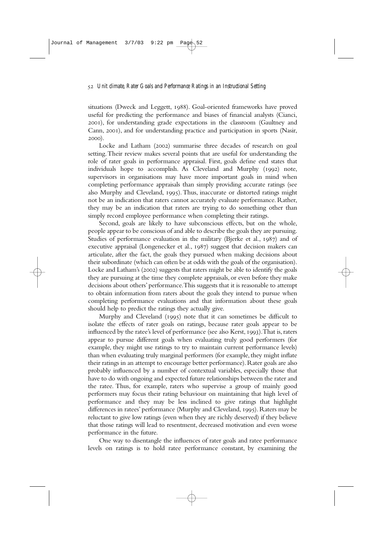situations (Dweck and Leggett, 1988). Goal-oriented frameworks have proved useful for predicting the performance and biases of financial analysts (Cianci, ), for understanding grade expectations in the classroom (Gaultney and Cann, 2001), and for understanding practice and participation in sports (Nasir,  $2000$ ).

Locke and Latham (2002) summarise three decades of research on goal setting.Their review makes several points that are useful for understanding the role of rater goals in performance appraisal. First, goals define end states that individuals hope to accomplish. As Cleveland and Murphy (1992) note, supervisors in organisations may have more important goals in mind when completing performance appraisals than simply providing accurate ratings (see also Murphy and Cleveland,  $1995$ ). Thus, inaccurate or distorted ratings might not be an indication that raters cannot accurately evaluate performance. Rather, they may be an indication that raters are trying to do something other than simply record employee performance when completing their ratings.

Second, goals are likely to have subconscious effects, but on the whole, people appear to be conscious of and able to describe the goals they are pursuing. Studies of performance evaluation in the military (Bjerke et al.,  $1987$ ) and of executive appraisal (Longenecker et al., 1987) suggest that decision makers can articulate, after the fact, the goals they pursued when making decisions about their subordinate (which can often be at odds with the goals of the organisation). Locke and Latham's  $(2002)$  suggests that raters might be able to identify the goals they are pursuing at the time they complete appraisals, or even before they make decisions about others' performance.This suggests that it is reasonable to attempt to obtain information from raters about the goals they intend to pursue when completing performance evaluations and that information about these goals should help to predict the ratings they actually give.

Murphy and Cleveland  $(1995)$  note that it can sometimes be difficult to isolate the effects of rater goals on ratings, because rater goals appear to be influenced by the ratee's level of performance (see also Kerst,  $1993$ ). That is, raters appear to pursue different goals when evaluating truly good performers (for example, they might use ratings to try to maintain current performance levels) than when evaluating truly marginal performers (for example, they might inflate their ratings in an attempt to encourage better performance).Rater goals are also probably influenced by a number of contextual variables, especially those that have to do with ongoing and expected future relationships between the rater and the ratee. Thus, for example, raters who supervise a group of mainly good performers may focus their rating behaviour on maintaining that high level of performance and they may be less inclined to give ratings that highlight differences in ratees' performance (Murphy and Cleveland, 1995). Raters may be reluctant to give low ratings (even when they are richly deserved) if they believe that those ratings will lead to resentment, decreased motivation and even worse performance in the future.

One way to disentangle the influences of rater goals and ratee performance levels on ratings is to hold ratee performance constant, by examining the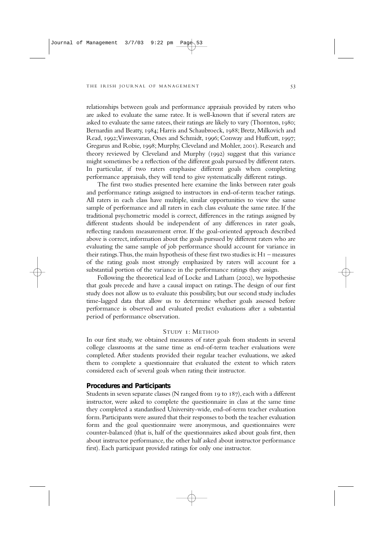relationships between goals and performance appraisals provided by raters who are asked to evaluate the same ratee. It is well-known that if several raters are asked to evaluate the same ratees, their ratings are likely to vary (Thornton, 1980; Bernardin and Beatty, 1984; Harris and Schaubroeck, 1988; Bretz, Milkovich and Read, 1992; Viswesvaran, Ones and Schmidt, 1996; Conway and Huffcutt, 1997; Gregarus and Robie, 1998; Murphy, Cleveland and Mohler, 2001). Research and theory reviewed by Cleveland and Murphy (1992) suggest that this variance might sometimes be a reflection of the different goals pursued by different raters. In particular, if two raters emphasise different goals when completing performance appraisals, they will tend to give systematically different ratings.

The first two studies presented here examine the links between rater goals and performance ratings assigned to instructors in end-of-term teacher ratings. All raters in each class have multiple, similar opportunities to view the same sample of performance and all raters in each class evaluate the same ratee. If the traditional psychometric model is correct, differences in the ratings assigned by different students should be independent of any differences in rater goals, reflecting random measurement error. If the goal-oriented approach described above is correct, information about the goals pursued by different raters who are evaluating the same sample of job performance should account for variance in their ratings. Thus, the main hypothesis of these first two studies is:  $H_I$  – measures of the rating goals most strongly emphasized by raters will account for a substantial portion of the variance in the performance ratings they assign.

Following the theoretical lead of Locke and Latham (2002), we hypothesise that goals precede and have a causal impact on ratings.The design of our first study does not allow us to evaluate this possibility, but our second study includes time-lagged data that allow us to determine whether goals assessed before performance is observed and evaluated predict evaluations after a substantial period of performance observation.

#### STUDY <sub>I</sub>: METHOD

In our first study, we obtained measures of rater goals from students in several college classrooms at the same time as end-of-term teacher evaluations were completed. After students provided their regular teacher evaluations, we asked them to complete a questionnaire that evaluated the extent to which raters considered each of several goals when rating their instructor.

#### **Procedures and Participants**

Students in seven separate classes (N ranged from 19 to  $187$ ), each with a different instructor, were asked to complete the questionnaire in class at the same time they completed a standardised University-wide, end-of-term teacher evaluation form.Participants were assured that their responses to both the teacher evaluation form and the goal questionnaire were anonymous, and questionnaires were counter-balanced (that is, half of the questionnaires asked about goals first, then about instructor performance, the other half asked about instructor performance first). Each participant provided ratings for only one instructor.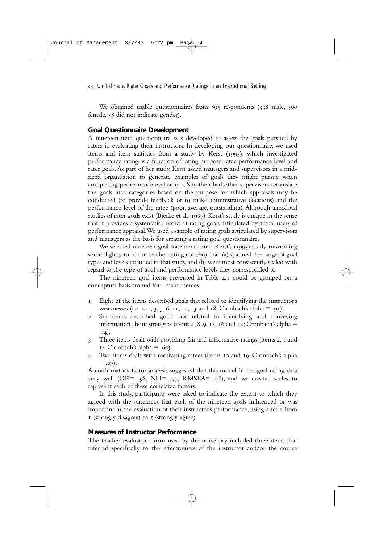We obtained usable questionnaires from  $895$  respondents  $(338)$  male,  $500$ female,  $58$  did not indicate gender).

#### **Goal Questionnaire Development**

A nineteen-item questionnaire was developed to assess the goals pursued by raters in evaluating their instructors. In developing our questionnaire, we used items and item statistics from a study by Kerst (1993), which investigated performance rating as a function of rating purpose, ratee performance level and rater goals.As part of her study, Kerst asked managers and supervisors in a midsized organisation to generate examples of goals they might pursue when completing performance evaluations. She then had other supervisors retranslate the goals into categories based on the purpose for which appraisals may be conducted (to provide feedback or to make administrative decisions) and the performance level of the ratee (poor, average, outstanding). Although anecdotal studies of rater goals exist (Bjerke et al.,  $1987$ ), Kerst's study is unique in the sense that it provides a systematic record of rating goals articulated by actual users of performance appraisal.We used a sample of rating goals articulated by supervisors and managers as the basis for creating a rating goal questionnaire.

We selected nineteen goal statements from Kerst's (1993) study (rewording some slightly to fit the teacher rating context) that: (a) spanned the range of goal types and levels included in that study,and (b) were most consistently scaled with regard to the type of goal and performance levels they corresponded to.

The nineteen goal items presented in Table 4.1 could be grouped on a conceptual basis around four main themes.

- . Eight of the items described goals that related to identifying the instructor's weaknesses (items  $I$ , 3, 5, 6, 11, 12, 13 and 18; Cronbach's alpha = .91);
- . Six items described goals that related to identifying and conveying information about strengths (items 4, 8, 9, 15, 16 and 17; Cronbach's alpha  $=$  $.74);$
- $3.$  Three items dealt with providing fair and informative ratings (items  $2, 7$  and  $I_4$  Cronbach's alpha = .60);
- 4. Two items dealt with motivating ratees (items 10 and 19; Cronbach's alpha  $= .67.$

A confirmatory factor analysis suggested that this model fit the goal rating data very well (GFI= .98, NFI= .97, RMSEA= .08), and we created scales to represent each of these correlated factors.

In this study, participants were asked to indicate the extent to which they agreed with the statement that each of the nineteen goals influenced or was important in the evaluation of their instructor's performance, using a scale from  $\sigma$  (strongly disagree) to  $\sigma$  (strongly agree).

## **Measures of Instructor Performance**

The teacher evaluation form used by the university included three items that referred specifically to the effectiveness of the instructor and/or the course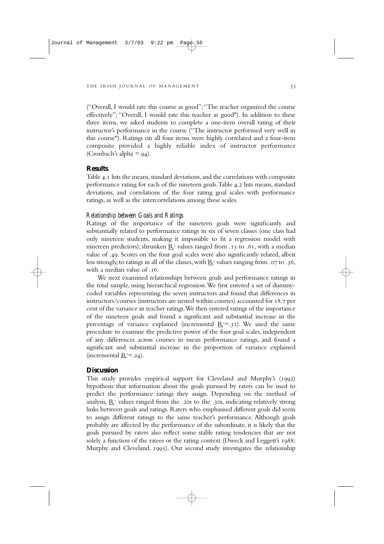("Overall, I would rate this course as good";"The teacher organized the course effectively"; "Overall, I would rate this teacher as good"). In addition to these three items, we asked students to complete a one-item overall rating of their instructor's performance in the course ("The instructor performed very well in this course"). Ratings on all four items were highly correlated and a four-item composite provided a highly reliable index of instructor performance (Cronbach's alpha  $=$ .94).

## **Results**

Table 4.1 lists the means, standard deviations, and the correlations with composite performance rating for each of the nineteen goals. Table 4.2 lists means, standard deviations, and correlations of the four rating goal scales with performance ratings, as well as the intercorrelations among these scales.

#### *Relationship between Goals and Ratings*

Ratings of the importance of the nineteen goals were significantly and substantially related to performance ratings in six of seven classes (one class had only nineteen students, making it impossible to fit a regression model with nineteen predictors); shrunken  $\underline{R}^2$  values ranged from .15 to .61, with a median value of .49. Scores on the four goal scales were also significantly related, albeit less strongly, to ratings in all of the classes, with  $R<sup>2</sup>$  values ranging from .07 to .36, with a median value of .16.

We next examined relationships between goals and performance ratings in the total sample, using hierarchical regression.We first entered a set of dummycoded variables representing the seven instructors and found that differences in  $instructor/courses$  (instructors are nested within courses) accounted for  $18.7$  per cent of the variance in teacher ratings.We then entered ratings of the importance of the nineteen goals and found a significant and substantial increase in the percentage of variance explained (incremental  $\underline{R}^2 = .3I$ ). We used the same procedure to examine the predictive power of the four goal scales, independent of any differences across courses in mean performance ratings, and found a significant and substantial increase in the proportion of variance explained (incremental  $\underline{R}^2 = .24$ ).

## **Discussion**

This study provides empirical support for Cleveland and Murphy's (1992) hypothesis that information about the goals pursued by raters can be used to predict the performance ratings they assign. Depending on the method of analysis,  $\underline{R}^2$  values ranged from the .20s to the .30s, indicating relatively strong links between goals and ratings. Raters who emphasised different goals did seem to assign different ratings to the same teacher's performance. Although goals probably are affected by the performance of the subordinate, it is likely that the goals pursued by raters also reflect some stable rating tendencies that are not solely a function of the ratees or the rating context (Dweck and Leggett's 1988; Murphy and Cleveland, 1995). Our second study investigates the relationship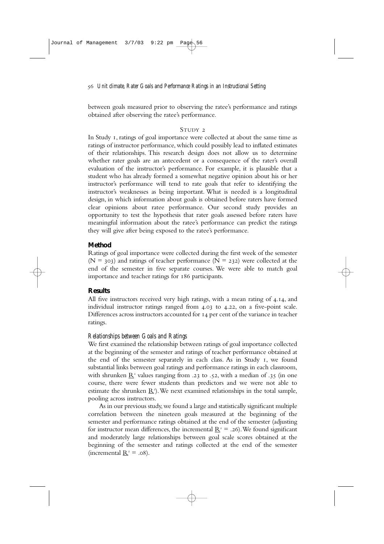between goals measured prior to observing the ratee's performance and ratings obtained after observing the ratee's performance.

#### STUDY<sub>2</sub>

In Study I, ratings of goal importance were collected at about the same time as ratings of instructor performance, which could possibly lead to inflated estimates of their relationships. This research design does not allow us to determine whether rater goals are an antecedent or a consequence of the rater's overall evaluation of the instructor's performance. For example, it is plausible that a student who has already formed a somewhat negative opinion about his or her instructor's performance will tend to rate goals that refer to identifying the instructor's weaknesses as being important. What is needed is a longitudinal design, in which information about goals is obtained before raters have formed clear opinions about ratee performance. Our second study provides an opportunity to test the hypothesis that rater goals assessed before raters have meaningful information about the ratee's performance can predict the ratings they will give after being exposed to the ratee's performance.

## **Method**

Ratings of goal importance were collected during the first week of the semester ( $N = 303$ ) and ratings of teacher performance ( $N = 232$ ) were collected at the end of the semester in five separate courses. We were able to match goal importance and teacher ratings for 186 participants.

## **Results**

All five instructors received very high ratings, with a mean rating of 4.14, and individual instructor ratings ranged from  $4.03$  to  $4.22$ , on a five-point scale. Differences across instructors accounted for 14 per cent of the variance in teacher ratings.

## *Relationships between Goals and Ratings*

We first examined the relationship between ratings of goal importance collected at the beginning of the semester and ratings of teacher performance obtained at the end of the semester separately in each class. As in Study I, we found substantial links between goal ratings and performance ratings in each classroom, with shrunken  $\mathbb{R}^2$  values ranging from .23 to .52, with a median of .35 (in one course, there were fewer students than predictors and we were not able to estimate the shrunken  $\underline{R}^2$ ). We next examined relationships in the total sample, pooling across instructors.

As in our previous study, we found a large and statistically significant multiple correlation between the nineteen goals measured at the beginning of the semester and performance ratings obtained at the end of the semester (adjusting for instructor mean differences, the incremental  $\underline{R}^2 = .26$ . We found significant and moderately large relationships between goal scale scores obtained at the beginning of the semester and ratings collected at the end of the semester (incremental  $R^2 = .08$ ).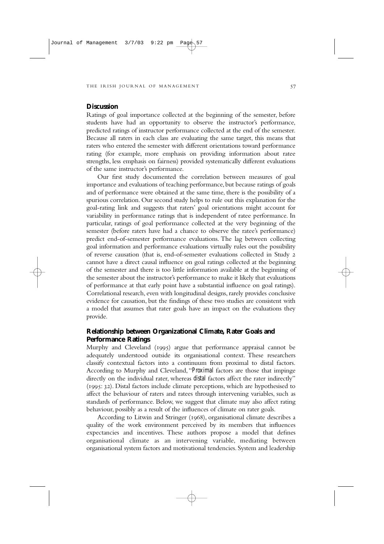## **Discussion**

Ratings of goal importance collected at the beginning of the semester, before students have had an opportunity to observe the instructor's performance, predicted ratings of instructor performance collected at the end of the semester. Because all raters in each class are evaluating the same target, this means that raters who entered the semester with different orientations toward performance rating (for example, more emphasis on providing information about ratee strengths, less emphasis on fairness) provided systematically different evaluations of the same instructor's performance.

Our first study documented the correlation between measures of goal importance and evaluations of teaching performance, but because ratings of goals and of performance were obtained at the same time, there is the possibility of a spurious correlation. Our second study helps to rule out this explanation for the goal-rating link and suggests that raters' goal orientations might account for variability in performance ratings that is independent of ratee performance. In particular, ratings of goal performance collected at the very beginning of the semester (before raters have had a chance to observe the ratee's performance) predict end-of-semester performance evaluations. The lag between collecting goal information and performance evaluations virtually rules out the possibility of reverse causation (that is, end-of-semester evaluations collected in Study cannot have a direct causal influence on goal ratings collected at the beginning of the semester and there is too little information available at the beginning of the semester about the instructor's performance to make it likely that evaluations of performance at that early point have a substantial influence on goal ratings). Correlational research, even with longitudinal designs, rarely provides conclusive evidence for causation, but the findings of these two studies are consistent with a model that assumes that rater goals have an impact on the evaluations they provide.

## **Relationship between Organizational Climate, Rater Goals and Performance Ratings**

Murphy and Cleveland (1995) argue that performance appraisal cannot be adequately understood outside its organisational context. These researchers classify contextual factors into a continuum from proximal to distal factors. According to Murphy and Cleveland, "*Proximal* factors are those that impinge directly on the individual rater, whereas *distal* factors affect the rater indirectly" (1995: 32). Distal factors include climate perceptions, which are hypothesised to affect the behaviour of raters and ratees through intervening variables, such as standards of performance. Below, we suggest that climate may also affect rating behaviour, possibly as a result of the influences of climate on rater goals.

According to Litwin and Stringer (1968), organisational climate describes a quality of the work environment perceived by its members that influences expectancies and incentives. These authors propose a model that defines organisational climate as an intervening variable, mediating between organisational system factors and motivational tendencies. System and leadership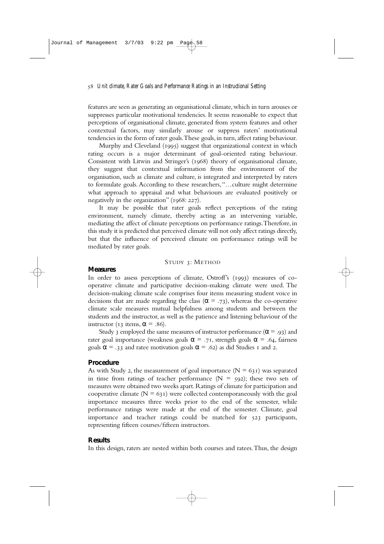features are seen as generating an organisational climate,which in turn arouses or suppresses particular motivational tendencies. It seems reasonable to expect that perceptions of organisational climate, generated from system features and other contextual factors, may similarly arouse or suppress raters' motivational tendencies in the form of rater goals.These goals, in turn, affect rating behaviour.

Murphy and Cleveland  $(1995)$  suggest that organizational context in which rating occurs is a major determinant of goal-oriented rating behaviour. Consistent with Litwin and Stringer's (1968) theory of organisational climate, they suggest that contextual information from the environment of the organisation, such as climate and culture, is integrated and interpreted by raters to formulate goals. According to these researchers, "…culture might determine what approach to appraisal and what behaviours are evaluated positively or negatively in the organization"  $(1968: 227)$ .

It may be possible that rater goals reflect perceptions of the rating environment, namely climate, thereby acting as an intervening variable, mediating the affect of climate perceptions on performance ratings.Therefore, in this study it is predicted that perceived climate will not only affect ratings directly, but that the influence of perceived climate on performance ratings will be mediated by rater goals.

#### STUDY 3: METHOD

#### **Measures**

In order to assess perceptions of climate, Ostroff's (1993) measures of cooperative climate and participative decision-making climate were used. The decision-making climate scale comprises four items measuring student voice in decisions that are made regarding the class ( $\alpha = .73$ ), whereas the co-operative climate scale measures mutual helpfulness among students and between the students and the instructor, as well as the patience and listening behaviour of the instructor (13 items,  $\alpha = .86$ ).

Study 3 employed the same measures of instructor performance ( $\alpha$  = .93) and rater goal importance (weakness goals  $\alpha$  = .71, strength goals  $\alpha$  = .64, fairness goals  $\alpha$  = .33 and ratee motivation goals  $\alpha$  = .62) as did Studies 1 and 2.

#### **Procedure**

As with Study 2, the measurement of goal importance  $(N = 63I)$  was separated in time from ratings of teacher performance  $(N = 592)$ ; these two sets of measures were obtained two weeks apart.Ratings of climate for participation and cooperative climate  $(N = 631)$  were collected contemporaneously with the goal importance measures three weeks prior to the end of the semester, while performance ratings were made at the end of the semester. Climate, goal importance and teacher ratings could be matched for  $523$  participants, representing fifteen courses/fifteen instructors.

## **Results**

In this design, raters are nested within both courses and ratees.Thus, the design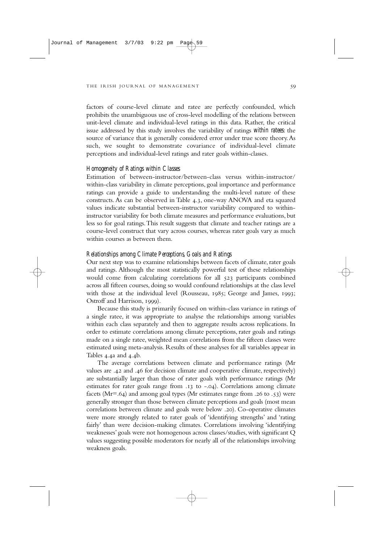factors of course-level climate and ratee are perfectly confounded, which prohibits the unambiguous use of cross-level modelling of the relations between unit-level climate and individual-level ratings in this data. Rather, the critical issue addressed by this study involves the variability of ratings *within ratees*: the source of variance that is generally considered error under true score theory.As such, we sought to demonstrate covariance of individual-level climate perceptions and individual-level ratings and rater goals within-classes.

#### *Homogeneity of Ratings within Classes*

Estimation of between-instructor/between-class versus within-instructor/ within-class variability in climate perceptions, goal importance and performance ratings can provide a guide to understanding the multi-level nature of these constructs. As can be observed in Table 4.3, one-way ANOVA and eta squared values indicate substantial between-instructor variability compared to withininstructor variability for both climate measures and performance evaluations, but less so for goal ratings.This result suggests that climate and teacher ratings are a course-level construct that vary across courses, whereas rater goals vary as much within courses as between them.

## *Relationships among Climate Perceptions, Goals and Ratings*

Our next step was to examine relationships between facets of climate, rater goals and ratings. Although the most statistically powerful test of these relationships would come from calculating correlations for all 523 participants combined across all fifteen courses, doing so would confound relationships at the class level with those at the individual level (Rousseau, 1985; George and James, 1993; Ostroff and Harrison, 1999).

Because this study is primarily focused on within-class variance in ratings of a single ratee, it was appropriate to analyse the relationships among variables within each class separately and then to aggregate results across replications. In order to estimate correlations among climate perceptions, rater goals and ratings made on a single ratee, weighted mean correlations from the fifteen classes were estimated using meta-analysis. Results of these analyses for all variables appear in Tables  $4.4a$  and  $4.4b$ .

The average correlations between climate and performance ratings (Mr values are .42 and .46 for decision climate and cooperative climate, respectively) are substantially larger than those of rater goals with performance ratings (Mr estimates for rater goals range from .13 to -.04). Correlations among climate facets ( $Mr = .64$ ) and among goal types ( $Mr$  estimates range from .26 to .53) were generally stronger than those between climate perceptions and goals (most mean correlations between climate and goals were below .20). Co-operative climates were more strongly related to rater goals of 'identifying strengths' and 'rating fairly' than were decision-making climates. Correlations involving 'identifying weaknesses' goals were not homogenous across classes/studies, with significant Q values suggesting possible moderators for nearly all of the relationships involving weakness goals.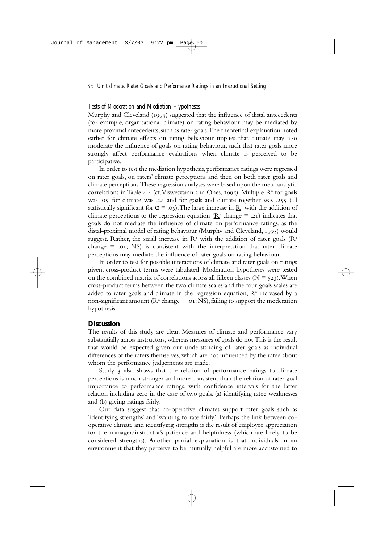## *Tests of Moderation and Mediation Hypotheses*

Murphy and Cleveland (1995) suggested that the influence of distal antecedents (for example, organisational climate) on rating behaviour may be mediated by more proximal antecedents, such as rater goals. The theoretical explanation noted earlier for climate effects on rating behaviour implies that climate may also moderate the influence of goals on rating behaviour, such that rater goals more strongly affect performance evaluations when climate is perceived to be participative.

In order to test the mediation hypothesis, performance ratings were regressed on rater goals, on raters' climate perceptions and then on both rater goals and climate perceptions.These regression analyses were based upon the meta-analytic correlations in Table 4.4 (cf. Viswesvaran and Ones, 1995). Multiple  $R^2$  for goals was .05, for climate was .24 and for goals and climate together was .255 (all statistically significant for  $\alpha = .05$ . The large increase in R<sup>2</sup> with the addition of climate perceptions to the regression equation ( $\mathbb{R}^2$  change = .21) indicates that goals do not mediate the influence of climate on performance ratings, as the distal-proximal model of rating behaviour (Murphy and Cleveland, 1995) would suggest. Rather, the small increase in  $\mathbb{R}^2$  with the addition of rater goals ( $\mathbb{R}^2$ ) change  $=$  .01; NS) is consistent with the interpretation that rater climate perceptions may mediate the influence of rater goals on rating behaviour.

In order to test for possible interactions of climate and rater goals on ratings given, cross-product terms were tabulated. Moderation hypotheses were tested on the combined matrix of correlations across all fifteen classes ( $N = 523$ ). When cross-product terms between the two climate scales and the four goals scales are added to rater goals and climate in the regression equation,  $R<sup>2</sup>$  increased by a non-significant amount ( $\mathbb{R}^2$  change = .01; NS), failing to support the moderation hypothesis.

#### **Discussion**

The results of this study are clear. Measures of climate and performance vary substantially across instructors,whereas measures of goals do not.This is the result that would be expected given our understanding of rater goals as individual differences of the raters themselves, which are not influenced by the ratee about whom the performance judgements are made.

Study 3 also shows that the relation of performance ratings to climate perceptions is much stronger and more consistent than the relation of rater goal importance to performance ratings, with confidence intervals for the latter relation including zero in the case of two goals: (a) identifying ratee weaknesses and (b) giving ratings fairly.

Our data suggest that co-operative climates support rater goals such as 'identifying strengths' and 'wanting to rate fairly'. Perhaps the link between cooperative climate and identifying strengths is the result of employee appreciation for the manager/instructor's patience and helpfulness (which are likely to be considered strengths). Another partial explanation is that individuals in an environment that they perceive to be mutually helpful are more accustomed to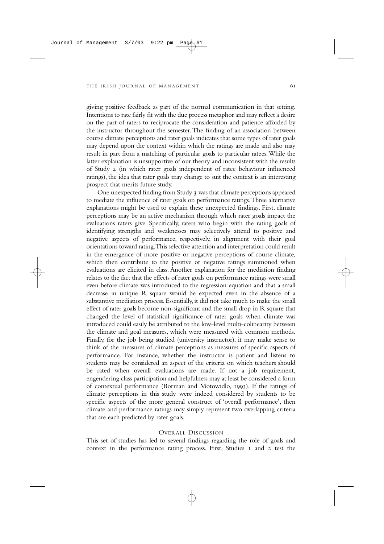giving positive feedback as part of the normal communication in that setting. Intentions to rate fairly fit with the due process metaphor and may reflect a desire on the part of raters to reciprocate the consideration and patience afforded by the instructor throughout the semester.The finding of an association between course climate perceptions and rater goals indicates that some types of rater goals may depend upon the context within which the ratings are made and also may result in part from a matching of particular goals to particular ratees.While the latter explanation is unsupportive of our theory and inconsistent with the results of Study (in which rater goals independent of ratee behaviour influenced ratings), the idea that rater goals may change to suit the context is an interesting prospect that merits future study.

One unexpected finding from Study 3 was that climate perceptions appeared to mediate the influence of rater goals on performance ratings.Three alternative explanations might be used to explain these unexpected findings. First, climate perceptions may be an active mechanism through which rater goals impact the evaluations raters give. Specifically, raters who begin with the rating goals of identifying strengths and weaknesses may selectively attend to positive and negative aspects of performance, respectively, in alignment with their goal orientations toward rating.This selective attention and interpretation could result in the emergence of more positive or negative perceptions of course climate, which then contribute to the positive or negative ratings summoned when evaluations are elicited in class. Another explanation for the mediation finding relates to the fact that the effects of rater goals on performance ratings were small even before climate was introduced to the regression equation and that a small decrease in unique R square would be expected even in the absence of a substantive mediation process. Essentially, it did not take much to make the small effect of rater goals become non-significant and the small drop in R square that changed the level of statistical significance of rater goals when climate was introduced could easily be attributed to the low-level multi-colinearity between the climate and goal measures, which were measured with common methods. Finally, for the job being studied (university instructor), it may make sense to think of the measures of climate perceptions as measures of specific aspects of performance. For instance, whether the instructor is patient and listens to students may be considered an aspect of the criteria on which teachers should be rated when overall evaluations are made. If not a job requirement, engendering class participation and helpfulness may at least be considered a form of contextual performance (Borman and Motowidlo, 1993). If the ratings of climate perceptions in this study were indeed considered by students to be specific aspects of the more general construct of 'overall performance', then climate and performance ratings may simply represent two overlapping criteria that are each predicted by rater goals.

#### OVERALL DISCUSSION

This set of studies has led to several findings regarding the role of goals and context in the performance rating process. First, Studies I and 2 test the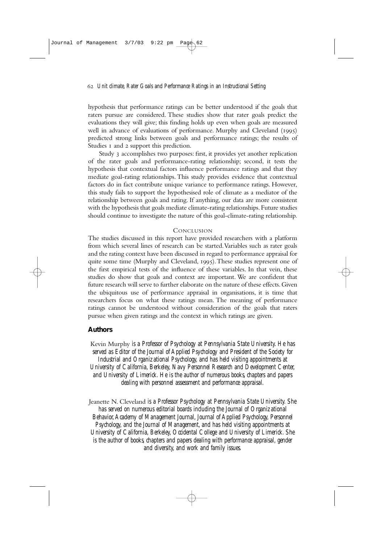hypothesis that performance ratings can be better understood if the goals that raters pursue are considered. These studies show that rater goals predict the evaluations they will give; this finding holds up even when goals are measured well in advance of evaluations of performance. Murphy and Cleveland (1995) predicted strong links between goals and performance ratings; the results of Studies I and 2 support this prediction.

Study 3 accomplishes two purposes: first, it provides yet another replication of the rater goals and performance-rating relationship; second, it tests the hypothesis that contextual factors influence performance ratings and that they mediate goal-rating relationships. This study provides evidence that contextual factors do in fact contribute unique variance to performance ratings. However, this study fails to support the hypothesised role of climate as a mediator of the relationship between goals and rating. If anything, our data are more consistent with the hypothesis that goals mediate climate-rating relationships. Future studies should continue to investigate the nature of this goal-climate-rating relationship.

#### **CONCLUSION**

The studies discussed in this report have provided researchers with a platform from which several lines of research can be started.Variables such as rater goals and the rating context have been discussed in regard to performance appraisal for quite some time (Murphy and Cleveland, 1995). These studies represent one of the first empirical tests of the influence of these variables. In that vein, these studies do show that goals and context are important. We are confident that future research will serve to further elaborate on the nature of these effects.Given the ubiquitous use of performance appraisal in organisations, it is time that researchers focus on what these ratings mean. The meaning of performance ratings cannot be understood without consideration of the goals that raters pursue when given ratings and the context in which ratings are given.

## **Authors**

Kevin Murphy *is a Professor of Psychology at Pennsylvania State University. He has served as Editor of the Journal of Applied Psychology and President of the Society for Industrial and Organizational Psychology, and has held visiting appointments at University of California, Berkeley, Navy Personnel Research and Development Center, and University of Limerick. He is the author of numerous books, chapters and papers dealing with personnel assessment and performance appraisal.*

Jeanette N. Cleveland *is a Professor Psychology at Pennsylvania State University. She has served on numerous editorial boards including the Journal of Organizational Behavior,Academy of Management Journal, Journal of Applied Psychology, Personnel Psychology, and the Journal of Management, and has held visiting appointments at University of California, Berkeley, Occidental College and University of Limerick. She is the author of books, chapters and papers dealing with performance appraisal, gender and diversity, and work and family issues.*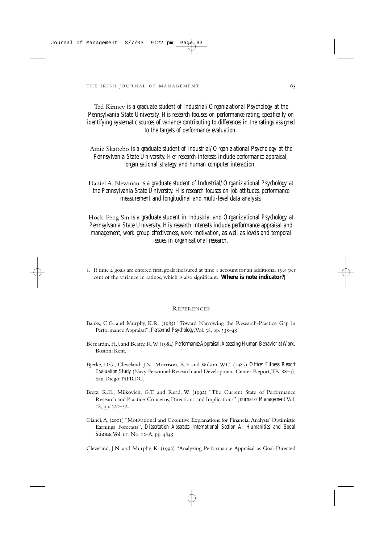Ted Kinney *is a graduate student of Industrial/Organizational Psychology at the Pennsylvania State University. His research focuses on performance rating, specifically on identifying systematic sources of variance contributing to differences in the ratings assigned to the targets of performance evaluation.*

Amie Skattebo *is a graduate student of Industrial/Organizational Psychology at the Pennsylvania State University. Her research interests include performance appraisal, organisational strategy and human computer interaction.*

Daniel A. Newman *is a graduate student of Industrial/Organizational Psychology at the Pennsylvania State University. His research focuses on job attitudes, performance measurement and longitudinal and multi-level data analysis.*

Hock-Peng Sin *is a graduate student in Industrial and Organizational Psychology at Pennsylvania State University. His research interests include performance appraisal and management, work group effectiveness, work motivation, as well as levels and temporal issues in organisational research.*

#### **REFERENCES**

- Banks, C.G. and Murphy, K.R. (1985) "Toward Narrowing the Research-Practice Gap in Performance Appraisal", *Personnel Psychology*, Vol. 38, pp. 335-45.
- Bernardin, H.J. and Beatty, R.W. (1984) Performance Appraisal: Assessing Human Behavior at Work, Boston: Kent.
- Bjerke, D.G., Cleveland, J.N., Morrison, R.F. and Wilson, W.C. () *Officer Fitness Report Evaluation Study* (Navy Personnel Research and Development Center Report, TR 88-4), San Diego: NPRDC.
- Bretz, R.D., Milkovich, G.T. and Read, W. (1992) "The Current State of Performance Research and Practice:Concerns,Directions,and Implications",*Journal of Management*,Vol.  $18$ , pp.  $321 - 52$ .
- Cianci, A. (2001) "Motivational and Cognitive Explanations for Financial Analysts' Optimistic Earnings Forecasts", *Dissertation Abstracts International Section A: Humanities and Social Sciences*, Vol. 61, No. 12-A, pp. 4845.

Cleveland, J.N. and Murphy, K. (1992) "Analyzing Performance Appraisal as Goal-Directed

<sup>1.</sup> If time 2 goals are entered first, goals measured at time 1 account for an additional 19.8 per cent of the variance in ratings, which is also significant. [**Where is note indicator?**]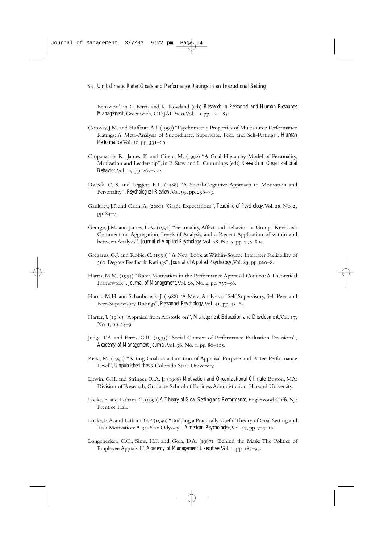Behavior", in G. Ferris and K. Rowland (eds) *Research in Personnel and Human Resources Management*, Greenwich, CT: JAI Press, Vol. 10, pp. 121-85.

- Conway, J.M. and Huffcutt, A.I. (1997) "Psychometric Properties of Multisource Performance Ratings: A Meta-Analysis of Subordinate, Supervisor, Peer, and Self-Ratings", *Human Performance*, Vol. 10, pp. 331–60.
- Cropanzano, R., James, K. and Citera, M. (1992) "A Goal Hierarchy Model of Personality, Motivation and Leadership", in B. Staw and L. Cummings (eds) *Research in Organizational Behavior*, Vol. 15, pp. 267-322.
- Dweck, C. S. and Leggett, E.L. (1988) "A Social-Cognitive Approach to Motivation and Personality", *Psychological Review*, Vol. 95, pp. 256-73.
- Gaultney, J.F. and Cann, A. (2001) "Grade Expectations", *Teaching of Psychology*, Vol. 28, No. 2, pp.  $84-7$ .
- George, J.M. and James, L.R. (1993) "Personality, Affect and Behavior in Groups Revisited: Comment on Aggregation, Levels of Analysis, and a Recent Application of within and between Analysis", *Journal of Applied Psychology*, Vol. 78, No. 5, pp. 798-804.
- Gregarus, G.J. and Robie, C. (1998) "A New Look at Within-Source Interrater Reliability of 360-Degree Feedback Ratings", *Journal of Applied Psychology*, Vol. 83, pp. 960–8.
- Harris, M.M. (1994) "Rater Motivation in the Performance Appraisal Context: A Theoretical Framework", *Journal of Management*, Vol. 20, No. 4, pp. 737-56.
- Harris, M.H. and Schaubroeck, J. (1988) "A Meta-Analysis of Self-Supervisory, Self-Peer, and Peer-Supervisory Ratings", *Personnel Psychology*, Vol. 41, pp. 43-62.
- Harter, J. (1986) "Appraisal from Aristotle on", *Management Education and Development*, Vol. 17, No. 1, pp. 34-9.
- Judge, T.A. and Ferris, G.R. (1993) "Social Context of Performance Evaluation Decisions", Academy of Management Journal, Vol. 36, No. 1, pp. 80-105.
- Kerst, M. (1993) "Rating Goals as a Function of Appraisal Purpose and Ratee Performance Level", *Unpublished thesis*, Colorado State University.
- Litwin, G.H. and Stringer, R.A. Jr (1968) *Motivation and Organizational Climate*, Boston, MA: Division of Research, Graduate School of Business Administration, Harvard University.
- Locke, E. and Latham, G. (1990) A Theory of Goal Setting and Performance, Englewood Cliffs, NJ: Prentice Hall.
- Locke, E.A. and Latham, G.P. (1990) "Building a Practically Useful Theory of Goal Setting and Task Motivation: A 35-Year Odyssey", *American Psychologist*, Vol. 57, pp. 705-17.
- Longenecker, C.O., Sims, H.P. and Goia, D.A. (1987) "Behind the Mask: The Politics of Employee Appraisal", *Academy of Management Executive*, Vol. 1, pp. 183-93.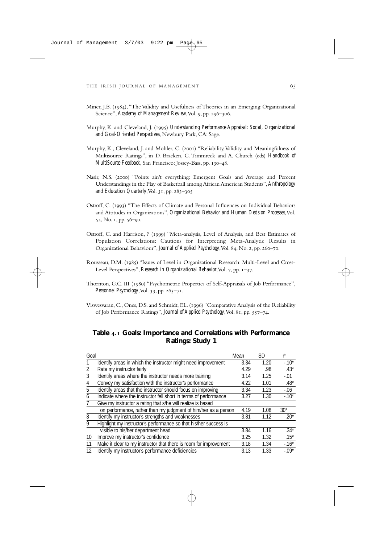- Miner, J.B. (1984), "The Validity and Usefulness of Theories in an Emerging Organizational Science", Academy of Management Review, Vol. 9, pp. 296-306.
- Murphy, K. and Cleveland, J. (1995) *Understanding Performance Appraisal: Social, Organizational and Goal-Oriented Perspectives*, Newbury Park, CA: Sage.
- Murphy, K., Cleveland, J. and Mohler, C. (2001) "Reliability, Validity and Meaningfulness of Multisource Ratings", in D. Bracken, C. Timmreck and A. Church (eds) *Handbook of MultiSource Feedback*, San Francisco: Jossey-Bass, pp. 130-48.
- Nasir, N.S. (2000) "Points ain't everything: Emergent Goals and Average and Percent Understandings in the Play of Basketball among African American Students",*Anthropology and Education Quarterly*, Vol. 31, pp. 283-305
- Ostroff, C. (1993) "The Effects of Climate and Personal Influences on Individual Behaviors and Attitudes in Organizations", *Organizational Behavior and Human Decision Processes*,Vol. 55, No. 1, pp. 56-90.
- Ostroff, C. and Harrison, ? (1999) "Meta-analysis, Level of Analysis, and Best Estimates of Population Correlations: Cautions for Interpreting Meta-Analytic Results in Organizational Behaviour", *Journal of Applied Psychology*, Vol. 84, No. 2, pp. 260-70.
- Rousseau, D.M. (1985) "Issues of Level in Organizational Research: Multi-Level and Cross-Level Perspectives", *Research in Organizational Behavior*, Vol. 7, pp. 1-37.
- Thornton, G.C. III (1980) "Psychometric Properties of Self-Appraisals of Job Performance", *Personnel Psychology*, Vol. 33, pp. 263-71.
- Viswesvaran, C., Ones, D.S. and Schmidt, F.L. (1996) "Comparative Analysis of the Reliability of Job Performance Ratings", *Journal of Applied Psychology*, Vol. 81, pp. 557-74.

## **Table . Goals: Importance and Correlations with Performance Ratings: Study 1**

| Goal |                                                                   | Mean | SD   | ra        |
|------|-------------------------------------------------------------------|------|------|-----------|
|      | Identify areas in which the instructor might need improvement     | 3.34 | 1.20 | $-.10*$   |
| 2    | Rate my instructor fairly                                         | 4.29 | .98  | $.43*$    |
| 3    | Identify areas where the instructor needs more training           | 3.14 | 1.25 | $-.01$    |
| 4    | Convey my satisfaction with the instructor's performance          | 4.22 | 1.01 | $.48*$    |
| 5    | Identify areas that the instructor should focus on improving      | 3.34 | 1.23 | $-06$     |
| 6    | Indicate where the instructor fell short in terms of performance  | 3.27 | 1.30 | $-.10*$   |
|      | Give my instructor a rating that s/he will realize is based       |      |      |           |
|      | on performance, rather than my judgment of him/her as a person    | 4.19 | 1.08 | $30^*$    |
| 8    | Identify my instructor's strengths and weaknesses                 | 3.81 | 1.12 | $.20*$    |
| 9    | Highlight my instructor's performance so that his/her success is  |      |      |           |
|      | visible to his/her department head                                | 3.84 | 1.16 | $.34*$    |
| 10   | Improve my instructor's confidence                                | 3.25 | 1.32 | $.15*$    |
| 11   | Make it clear to my instructor that there is room for improvement | 3.18 | 1.34 | $-16^{*}$ |
| 12   | Identify my instructor's performance deficiencies                 | 3.13 | 1.33 | $-.09*$   |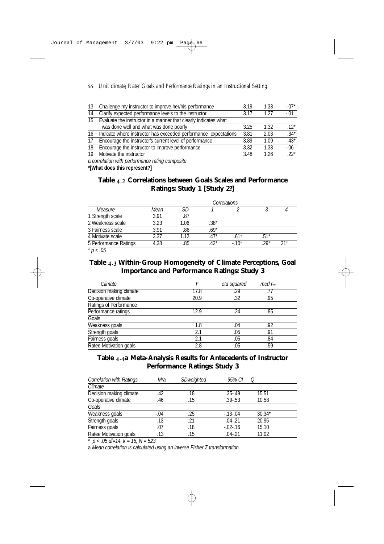| 13 | Challenge my instructor to improve her/his performance          | 3.19 | 1.33 | $-.07*$ |
|----|-----------------------------------------------------------------|------|------|---------|
| 14 | Clarify expected performance levels to the instructor           | 3.17 | 1.27 | $-.01$  |
| 15 | Evaluate the instructor in a manner that clearly indicates what |      |      |         |
|    | was done well and what was done poorly                          | 3.25 | 1.32 | $.12^*$ |
| 16 | Indicate where instructor has exceeded performance expectations | 3.81 | 2.03 | $.34*$  |
| 17 | Encourage the instructor's current level of performance         | 3.89 | 1.09 | $.43*$  |
| 18 | Encourage the instructor to improve performance                 | 3.32 | 1.33 | $-.06$  |
| 19 | Motivate the instructor                                         | 3.48 | 1 26 | $22*$   |

a *correlation with performance rating composite*

**\*[What does this represent?]**

# **Table . Correlations between Goals Scales and Performance Ratings: Study 1 [Study 2?]**

|      |      | Correlations |        |        |       |
|------|------|--------------|--------|--------|-------|
|      | SD   |              |        |        |       |
| 3.91 | .87  |              |        |        |       |
| 3.23 | 1.06 | $.38*$       |        |        |       |
| 3.91 | .86  | $.69*$       |        |        |       |
| 3.37 | 1 12 | $.47*$       | .61*   | $.51*$ |       |
| 4.38 | .85  | $.42*$       | $-10*$ | $70*$  | $21*$ |
|      | Mean |              |        |        |       |

\* *p < .05*

# **Table . Within-Group Homogeneity of Climate Perceptions, Goal Importance and Performance Ratings: Study 3**

| Climate                 |      | eta squared | $med$ $rwg$ |  |
|-------------------------|------|-------------|-------------|--|
| Decision making climate | 17.8 | .29         |             |  |
| Co-operative climate    | 20.9 | .32         | .95         |  |
| Ratings of Performance  |      |             |             |  |
| Performance ratings     | 12.9 | .24         | .85         |  |
| Goals                   |      |             |             |  |
| Weakness goals          | 1.8  | .04         | .92         |  |
| Strength goals          | 2.1  | .05         | .91         |  |
| Fairness goals          | 2.1  | .05         | .84         |  |
| Ratee Motivation goals  | 2.8  | .05         | .59         |  |

# **Table .a Meta-Analysis Results for Antecedents of Instructor Performance Ratings: Study 3**

| Mra  | SDweighted | 95% CI         | Ω        |  |
|------|------------|----------------|----------|--|
|      |            |                |          |  |
| .42  | .18        | $.35 - .49$    | 15.51    |  |
| .46  | .15        | $.39 - .53$    | 10.58    |  |
|      |            |                |          |  |
| -.04 | .25        | $-13 - 04$     | $30.34*$ |  |
| .13  | .21        | $.04 - .21$    | 20.95    |  |
| .07  | .18        | $-0.02 - 0.16$ | 15.10    |  |
| .13  | .15        | $.04 - .21$    | 11.02    |  |
|      |            |                |          |  |

 $\overline{p}$  / *p < .05 df=14, k = 15, N = 523* 

a *Mean correlation is calculated using an inverse Fisher Z transformation.*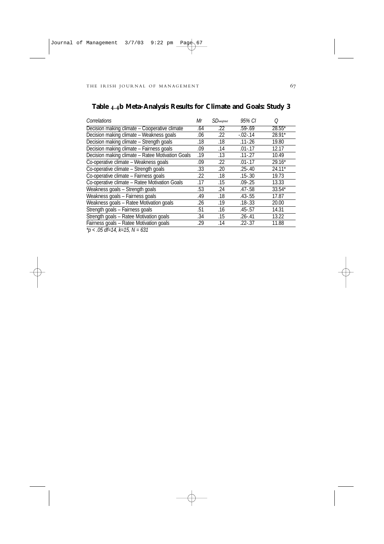| Correlations                                     | Mr  | <b>SD</b> weighted | 95% CI      | Ο        |
|--------------------------------------------------|-----|--------------------|-------------|----------|
| Decision making climate – Cooperative climate    | .64 | .22                | $.59 - .69$ | $28.55*$ |
| Decision making climate - Weakness goals         | .06 | .22                | $-.02-.14$  | 28.91*   |
| Decision making climate - Strength goals         | .18 | .18                | $.11 - .26$ | 19.80    |
| Decision making climate - Fairness goals         | .09 | .14                | $.01 - .17$ | 12.17    |
| Decision making climate - Ratee Motivation Goals | .19 | .13                | $.11 - .27$ | 10.49    |
| Co-operative climate - Weakness goals            | .09 | .22                | $.01 - .17$ | $29.16*$ |
| Co-operative climate - Strength goals            | .33 | .20                | $.25 - .40$ | 24.11*   |
| Co-operative climate - Fairness goals            | .22 | .18                | $.15 - .30$ | 19.73    |
| Co-operative climate - Ratee Motivation Goals    | .17 | .15                | $.09 - .25$ | 13.33    |
| Weakness goals - Strength goals                  | .53 | .24                | $.47 - .58$ | $33.54*$ |
| Weakness goals - Fairness goals                  | .49 | .18                | $.43 - .55$ | 17.87    |
| Weakness goals - Ratee Motivation goals          | .26 | .19                | $.18 - .33$ | 20.00    |
| Strength goals - Fairness goals                  | .51 | .16                | $.45 - .57$ | 14.31    |
| Strength goals - Ratee Motivation goals          | .34 | .15                | $.26 - .41$ | 13.22    |
| Fairness goals - Ratee Motivation goals          | .29 | .14                | $.22 - .37$ | 11.88    |
|                                                  |     |                    |             |          |

# **Table .b Meta-Analysis Results for Climate and Goals: Study 3**

*\*p < .05 df=14, k=15, N = 631*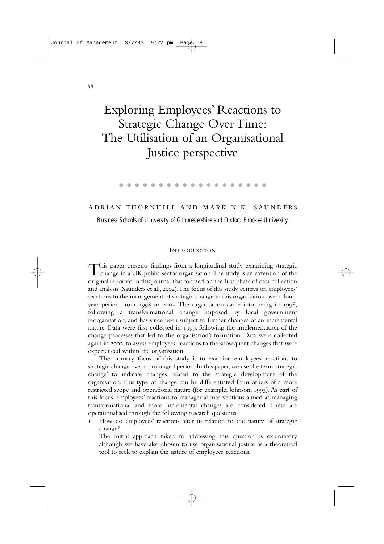# Exploring Employees' Reactions to Strategic Change Over Time: The Utilisation of an Organisational Justice perspective

. . . . . . . . . . . . . . . .

#### ADRIAN THORNHILL AND MARK N.K. SAUNDERS

*Business Schools of University of Gloucestershire and Oxford Brookes University*

#### INTRODUCTION

This paper presents findings from a longitudinal study examining strategic<br>change in a UK public sector organisation. The study is an extension of the original reported in this journal that focused on the first phase of data collection and analysis (Saunders et al., 2002). The focus of this study centres on employees' reactions to the management of strategic change in this organisation over a fouryear period, from 1998 to 2002. The organisation came into being in 1998, following a transformational change imposed by local government reorganisation, and has since been subject to further changes of an incremental nature. Data were first collected in 1999, following the implementation of the change processes that led to the organisation's formation. Data were collected again in 2002, to assess employees' reactions to the subsequent changes that were experienced within the organisation.

The primary focus of this study is to examine employees' reactions to strategic change over a prolonged period.In this paper,we use the term 'strategic change' to indicate changes related to the strategic development of the organisation. This type of change can be differentiated from others of a more restricted scope and operational nature (for example, Johnson, 1993). As part of this focus, employees' reactions to managerial interventions aimed at managing transformational and more incremental changes are considered. These are operationalised through the following research questions:

. How do employees' reactions alter in relation to the nature of strategic change?

The initial approach taken to addressing this question is exploratory although we have also chosen to use organisational justice as a theoretical tool to seek to explain the nature of employees' reactions.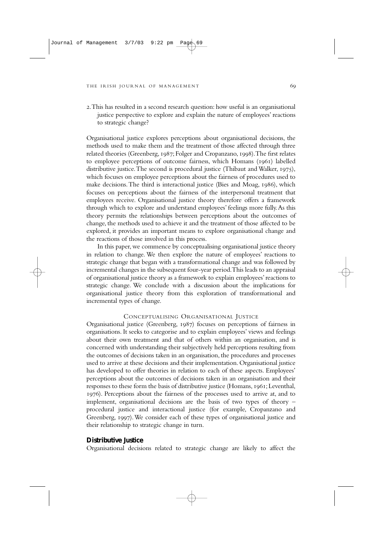.This has resulted in a second research question: how useful is an organisational justice perspective to explore and explain the nature of employees' reactions to strategic change?

Organisational justice explores perceptions about organisational decisions, the methods used to make them and the treatment of those affected through three related theories (Greenberg, 1987; Folger and Cropanzano, 1998). The first relates to employee perceptions of outcome fairness, which Homans (1961) labelled distributive justice. The second is procedural justice (Thibaut and Walker, 1975), which focuses on employee perceptions about the fairness of procedures used to make decisions. The third is interactional justice (Bies and Moag, 1986), which focuses on perceptions about the fairness of the interpersonal treatment that employees receive. Organisational justice theory therefore offers a framework through which to explore and understand employees' feelings more fully.As this theory permits the relationships between perceptions about the outcomes of change, the methods used to achieve it and the treatment of those affected to be explored, it provides an important means to explore organisational change and the reactions of those involved in this process.

In this paper, we commence by conceptualising organisational justice theory in relation to change. We then explore the nature of employees' reactions to strategic change that began with a transformational change and was followed by incremental changes in the subsequent four-year period.This leads to an appraisal of organisational justice theory as a framework to explain employees'reactions to strategic change. We conclude with a discussion about the implications for organisational justice theory from this exploration of transformational and incremental types of change.

#### CONCEPTUALISING ORGANISATIONAL JUSTICE

Organisational justice (Greenberg, 1987) focuses on perceptions of fairness in organisations. It seeks to categorise and to explain employees' views and feelings about their own treatment and that of others within an organisation, and is concerned with understanding their subjectively held perceptions resulting from the outcomes of decisions taken in an organisation, the procedures and processes used to arrive at these decisions and their implementation. Organisational justice has developed to offer theories in relation to each of these aspects. Employees' perceptions about the outcomes of decisions taken in an organisation and their responses to these form the basis of distributive justice (Homans, 1961; Leventhal, ). Perceptions about the fairness of the processes used to arrive at, and to implement, organisational decisions are the basis of two types of theory – procedural justice and interactional justice (for example, Cropanzano and Greenberg, 1997). We consider each of these types of organisational justice and their relationship to strategic change in turn.

#### **Distributive Justice**

Organisational decisions related to strategic change are likely to affect the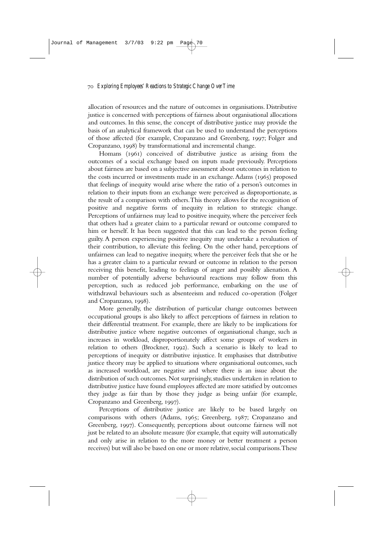allocation of resources and the nature of outcomes in organisations. Distributive justice is concerned with perceptions of fairness about organisational allocations and outcomes. In this sense, the concept of distributive justice may provide the basis of an analytical framework that can be used to understand the perceptions of those affected (for example, Cropanzano and Greenberg, 1997; Folger and Cropanzano, 1998) by transformational and incremental change.

Homans (1961) conceived of distributive justice as arising from the outcomes of a social exchange based on inputs made previously. Perceptions about fairness are based on a subjective assessment about outcomes in relation to the costs incurred or investments made in an exchange. Adams (1965) proposed that feelings of inequity would arise where the ratio of a person's outcomes in relation to their inputs from an exchange were perceived as disproportionate, as the result of a comparison with others.This theory allows for the recognition of positive and negative forms of inequity in relation to strategic change. Perceptions of unfairness may lead to positive inequity, where the perceiver feels that others had a greater claim to a particular reward or outcome compared to him or herself. It has been suggested that this can lead to the person feeling guilty. A person experiencing positive inequity may undertake a revaluation of their contribution, to alleviate this feeling. On the other hand, perceptions of unfairness can lead to negative inequity, where the perceiver feels that she or he has a greater claim to a particular reward or outcome in relation to the person receiving this benefit, leading to feelings of anger and possibly alienation. A number of potentially adverse behavioural reactions may follow from this perception, such as reduced job performance, embarking on the use of withdrawal behaviours such as absenteeism and reduced co-operation (Folger and Cropanzano, 1998).

More generally, the distribution of particular change outcomes between occupational groups is also likely to affect perceptions of fairness in relation to their differential treatment. For example, there are likely to be implications for distributive justice where negative outcomes of organisational change, such as increases in workload, disproportionately affect some groups of workers in relation to others (Brockner, 1992). Such a scenario is likely to lead to perceptions of inequity or distributive injustice. It emphasises that distributive justice theory may be applied to situations where organisational outcomes, such as increased workload, are negative and where there is an issue about the distribution of such outcomes. Not surprisingly, studies undertaken in relation to distributive justice have found employees affected are more satisfied by outcomes they judge as fair than by those they judge as being unfair (for example, Cropanzano and Greenberg, 1997).

Perceptions of distributive justice are likely to be based largely on comparisons with others (Adams, 1965; Greenberg, 1987; Cropanzano and Greenberg, 1997). Consequently, perceptions about outcome fairness will not just be related to an absolute measure (for example, that equity will automatically and only arise in relation to the more money or better treatment a person receives) but will also be based on one or more relative, social comparisons. These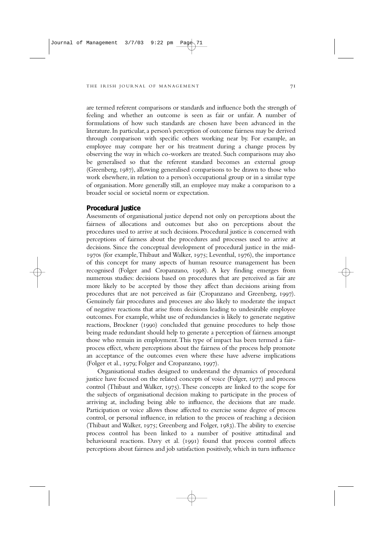are termed referent comparisons or standards and influence both the strength of feeling and whether an outcome is seen as fair or unfair. A number of formulations of how such standards are chosen have been advanced in the literature. In particular, a person's perception of outcome fairness may be derived through comparison with specific others working near by. For example, an employee may compare her or his treatment during a change process by observing the way in which co-workers are treated. Such comparisons may also be generalised so that the referent standard becomes an external group (Greenberg,  $1987$ ), allowing generalised comparisons to be drawn to those who work elsewhere, in relation to a person's occupational group or in a similar type of organisation. More generally still, an employee may make a comparison to a broader social or societal norm or expectation.

### **Procedural Justice**

Assessments of organisational justice depend not only on perceptions about the fairness of allocations and outcomes but also on perceptions about the procedures used to arrive at such decisions. Procedural justice is concerned with perceptions of fairness about the procedures and processes used to arrive at decisions. Since the conceptual development of procedural justice in the mid- 1970s (for example, Thibaut and Walker, 1975; Leventhal, 1976), the importance of this concept for many aspects of human resource management has been recognised (Folger and Cropanzano, 1998). A key finding emerges from numerous studies: decisions based on procedures that are perceived as fair are more likely to be accepted by those they affect than decisions arising from procedures that are not perceived as fair (Cropanzano and Greenberg, 1997). Genuinely fair procedures and processes are also likely to moderate the impact of negative reactions that arise from decisions leading to undesirable employee outcomes. For example, whilst use of redundancies is likely to generate negative reactions, Brockner (1990) concluded that genuine procedures to help those being made redundant should help to generate a perception of fairness amongst those who remain in employment.This type of impact has been termed a fairprocess effect, where perceptions about the fairness of the process help promote an acceptance of the outcomes even where these have adverse implications (Folger et al., 1979; Folger and Cropanzano, 1997).

Organisational studies designed to understand the dynamics of procedural justice have focused on the related concepts of voice (Folger, 1977) and process control (Thibaut and Walker, 1975). These concepts are linked to the scope for the subjects of organisational decision making to participate in the process of arriving at, including being able to influence, the decisions that are made. Participation or voice allows those affected to exercise some degree of process control, or personal influence, in relation to the process of reaching a decision (Thibaut and Walker, 1975; Greenberg and Folger, 1983). The ability to exercise process control has been linked to a number of positive attitudinal and behavioural reactions. Davy et al. (1991) found that process control affects perceptions about fairness and job satisfaction positively, which in turn influence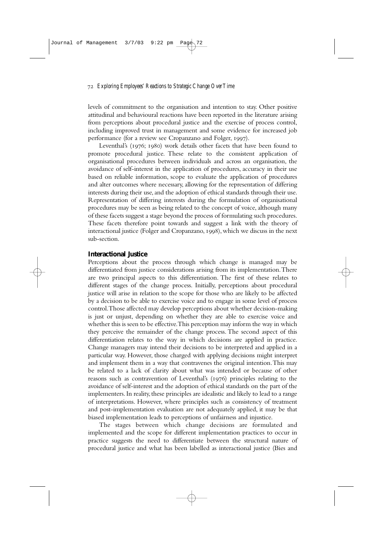levels of commitment to the organisation and intention to stay. Other positive attitudinal and behavioural reactions have been reported in the literature arising from perceptions about procedural justice and the exercise of process control, including improved trust in management and some evidence for increased job performance (for a review see Cropanzano and Folger, 1997).

Leventhal's  $(1976; 1980)$  work details other facets that have been found to promote procedural justice. These relate to the consistent application of organisational procedures between individuals and across an organisation, the avoidance of self-interest in the application of procedures, accuracy in their use based on reliable information, scope to evaluate the application of procedures and alter outcomes where necessary, allowing for the representation of differing interests during their use, and the adoption of ethical standards through their use. Representation of differing interests during the formulation of organisational procedures may be seen as being related to the concept of voice, although many of these facets suggest a stage beyond the process of formulating such procedures. These facets therefore point towards and suggest a link with the theory of interactional justice (Folger and Cropanzano, 1998), which we discuss in the next sub-section.

## **Interactional Justice**

Perceptions about the process through which change is managed may be differentiated from justice considerations arising from its implementation.There are two principal aspects to this differentiation. The first of these relates to different stages of the change process. Initially, perceptions about procedural justice will arise in relation to the scope for those who are likely to be affected by a decision to be able to exercise voice and to engage in some level of process control.Those affected may develop perceptions about whether decision-making is just or unjust, depending on whether they are able to exercise voice and whether this is seen to be effective.This perception may inform the way in which they perceive the remainder of the change process. The second aspect of this differentiation relates to the way in which decisions are applied in practice. Change managers may intend their decisions to be interpreted and applied in a particular way. However, those charged with applying decisions might interpret and implement them in a way that contravenes the original intention.This may be related to a lack of clarity about what was intended or because of other reasons such as contravention of Leventhal's (1976) principles relating to the avoidance of self-interest and the adoption of ethical standards on the part of the implementers. In reality, these principles are idealistic and likely to lead to a range of interpretations. However, where principles such as consistency of treatment and post-implementation evaluation are not adequately applied, it may be that biased implementation leads to perceptions of unfairness and injustice.

The stages between which change decisions are formulated and implemented and the scope for different implementation practices to occur in practice suggests the need to differentiate between the structural nature of procedural justice and what has been labelled as interactional justice (Bies and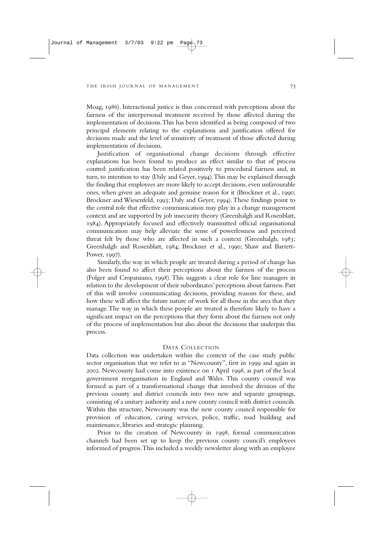Moag, 1986). Interactional justice is thus concerned with perceptions about the fairness of the interpersonal treatment received by those affected during the implementation of decisions.This has been identified as being composed of two principal elements relating to the explanations and justification offered for decisions made and the level of sensitivity of treatment of those affected during implementation of decisions.

Justification of organisational change decisions through effective explanations has been found to produce an effect similar to that of process control: justification has been related positively to procedural fairness and, in turn, to intention to stay (Daly and Geyer, 1994). This may be explained through the finding that employees are more likely to accept decisions, even unfavourable ones, when given an adequate and genuine reason for it (Brockner et al., 1990; Brockner and Wiesenfeld, 1993; Daly and Geyer, 1994). These findings point to the central role that effective communication may play in a change management context and are supported by job insecurity theory (Greenhalgh and Rosenblatt, ). Appropriately focused and effectively transmitted official organisational communication may help alleviate the sense of powerlessness and perceived threat felt by those who are affected in such a context (Greenhalgh,  $1983$ ; Greenhalgh and Rosenblatt, 1984; Brockner et al., 1990; Shaw and Barrett-Power, 1997).

Similarly, the way in which people are treated during a period of change has also been found to affect their perceptions about the fairness of the process (Folger and Cropanzano, 1998). This suggests a clear role for line managers in relation to the development of their subordinates' perceptions about fairness.Part of this will involve communicating decisions, providing reasons for these, and how these will affect the future nature of work for all those in the area that they manage.The way in which these people are treated is therefore likely to have a significant impact on the perceptions that they form about the fairness not only of the process of implementation but also about the decisions that underpin this process.

#### DATA COLLECTION

Data collection was undertaken within the context of the case study public sector organisation that we refer to as "Newcounty", first in 1999 and again in 2002. Newcounty had come into existence on I April 1998, as part of the local government reorganisation in England and Wales. This county council was formed as part of a transformational change that involved the division of the previous county and district councils into two new and separate groupings, consisting of a unitary authority and a new county council with district councils. Within this structure, Newcounty was the new county council responsible for provision of education, caring services, police, traffic, road building and maintenance, libraries and strategic planning.

Prior to the creation of Newcounty in 1998, formal communication channels had been set up to keep the previous county council's employees informed of progress.This included a weekly newsletter along with an employee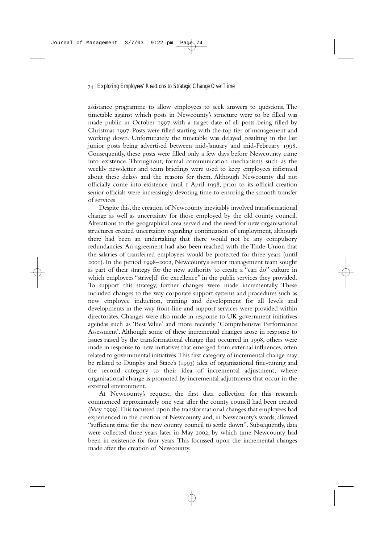assistance programme to allow employees to seek answers to questions. The timetable against which posts in Newcounty's structure were to be filled was made public in October 1997 with a target date of all posts being filled by Christmas 1997. Posts were filled starting with the top tier of management and working down. Unfortunately, the timetable was delayed, resulting in the last junior posts being advertised between mid-January and mid-February 1998. Consequently, these posts were filled only a few days before Newcounty came into existence. Throughout, formal communication mechanisms such as the weekly newsletter and team briefings were used to keep employees informed about these delays and the reasons for them. Although Newcounty did not officially come into existence until I April 1998, prior to its official creation senior officials were increasingly devoting time to ensuring the smooth transfer of services.

Despite this, the creation of Newcounty inevitably involved transformational change as well as uncertainty for those employed by the old county council. Alterations to the geographical area served and the need for new organisational structures created uncertainty regarding continuation of employment, although there had been an undertaking that there would not be any compulsory redundancies. An agreement had also been reached with the Trade Union that the salaries of transferred employees would be protected for three years (until 2001). In the period 1998–2002, Newcounty's senior management team sought as part of their strategy for the new authority to create a "can do" culture in which employees "strive<sup>[d]</sup> for excellence" in the public services they provided. To support this strategy, further changes were made incrementally. These included changes to the way corporate support systems and procedures such as new employee induction, training and development for all levels and developments in the way front-line and support services were provided within directorates. Changes were also made in response to UK government initiatives agendas such as 'Best Value' and more recently 'Comprehensive Performance Assessment'. Although some of these incremental changes arose in response to issues raised by the transformational change that occurred in 1998, others were made in response to new initiatives that emerged from external influences, often related to governmental initiatives.This first category of incremental change may be related to Dunphy and Stace's (1993) idea of organisational fine-tuning and the second category to their idea of incremental adjustment, where organisational change is promoted by incremental adjustments that occur in the external environment.

At Newcounty's request, the first data collection for this research commenced approximately one year after the county council had been created (May 1999). This focussed upon the transformational changes that employees had experienced in the creation of Newcounty and, in Newcounty's words, allowed "sufficient time for the new county council to settle down". Subsequently, data were collected three years later in May 2002, by which time Newcounty had been in existence for four years. This focussed upon the incremental changes made after the creation of Newcounty.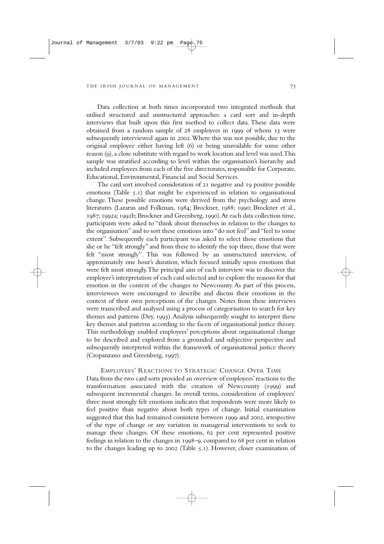Data collection at both times incorporated two integrated methods that utilised structured and unstructured approaches: a card sort and in-depth interviews that built upon this first method to collect data. These data were obtained from a random sample of 28 employees in 1999 of whom 13 were subsequently interviewed again in 2002. Where this was not possible, due to the original employee either having left (6) or being unavailable for some other reason (9), a close substitute with regard to work location and level was used. This sample was stratified according to level within the organisation's hierarchy and included employees from each of the five directorates, responsible for Corporate, Educational, Environmental, Financial and Social Services.

The card sort involved consideration of 21 negative and 19 positive possible emotions (Table  $\zeta$ .) that might be experienced in relation to organisational change. These possible emotions were derived from the psychology and stress literatures (Lazarus and Folkman, 1984; Brockner, 1988; 1990; Brockner et al., 1987; 1992a; 1992b; Brockner and Greenberg, 1990). At each data collection time, participants were asked to "think about themselves in relation to the changes to the organisation" and to sort these emotions into "do not feel" and "feel to some extent". Subsequently each participant was asked to select those emotions that she or he "felt strongly" and from these to identify the top three, those that were felt "most strongly". This was followed by an unstructured interview, of approximately one hour's duration, which focused initially upon emotions that were felt most strongly.The principal aim of each interview was to discover the employee's interpretation of each card selected and to explore the reasons for that emotion in the context of the changes to Newcounty. As part of this process, interviewees were encouraged to describe and discuss their emotions in the context of their own perceptions of the changes. Notes from these interviews were transcribed and analysed using a process of categorisation to search for key themes and patterns (Dey, 1993). Analysis subsequently sought to interpret these key themes and patterns according to the facets of organisational justice theory. This methodology enabled employees' perceptions about organisational change to be described and explored from a grounded and subjective perspective and subsequently interpreted within the framework of organisational justice theory (Cropanzano and Greenberg, 1997).

EMPLOYEES' REACTIONS TO STRATEGIC CHANGE OVER TIME Data from the two card sorts provided an overview of employees' reactions to the transformation associated with the creation of Newcounty (1999) and subsequent incremental changes. In overall terms, consideration of employees' three most strongly felt emotions indicates that respondents were more likely to feel positive than negative about both types of change. Initial examination suggested that this had remained consistent between 1999 and 2002, irrespective of the type of change or any variation in managerial interventions to seek to manage these changes. Of these emotions, 62 per cent represented positive feelings in relation to the changes in 1998–9, compared to 68 per cent in relation to the changes leading up to 2002 (Table 5.1). However, closer examination of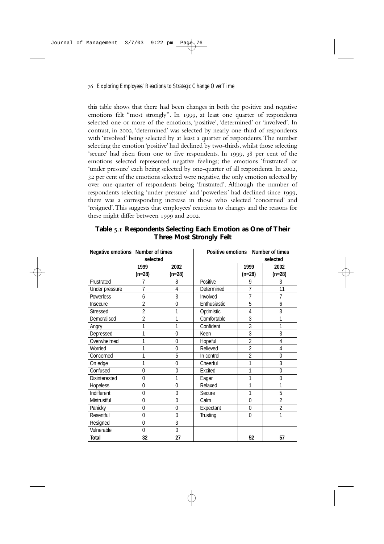this table shows that there had been changes in both the positive and negative emotions felt "most strongly". In 1999, at least one quarter of respondents selected one or more of the emotions, 'positive', 'determined' or 'involved'. In contrast, in 2002, 'determined' was selected by nearly one-third of respondents with 'involved' being selected by at least a quarter of respondents.The number selecting the emotion 'positive' had declined by two-thirds, whilst those selecting 'secure' had risen from one to five respondents. In 1999, 38 per cent of the emotions selected represented negative feelings; the emotions 'frustrated' or 'under pressure' each being selected by one-quarter of all respondents. In 2002, per cent of the emotions selected were negative, the only emotion selected by over one-quarter of respondents being 'frustrated'. Although the number of respondents selecting 'under pressure' and 'powerless' had declined since 1999, there was a corresponding increase in those who selected 'concerned' and 'resigned'.This suggests that employees' reactions to changes and the reasons for these might differ between 1999 and 2002.

| Negative emotions | Number of times |                | <b>Positive emotions</b><br>Number of times |                |                |  |
|-------------------|-----------------|----------------|---------------------------------------------|----------------|----------------|--|
|                   | selected        |                |                                             |                | selected       |  |
|                   | 1999            | 2002           |                                             | 1999           | 2002           |  |
|                   | $(n=28)$        | $(n=28)$       |                                             | (n=28)         | $(n=28)$       |  |
| Frustrated        | 7               | 8              | Positive                                    | 9              | 3              |  |
| Under pressure    | $\overline{1}$  | 4              | Determined                                  | $\overline{1}$ | 11             |  |
| <b>Powerless</b>  | 6               | $\overline{3}$ | Involved                                    | 7              | 7              |  |
| <b>Insecure</b>   | $\overline{2}$  | $\mathbf 0$    | Enthusiastic                                | 5              | 6              |  |
| <b>Stressed</b>   | $\overline{2}$  | 1              | Optimistic                                  | 4              | 3              |  |
| Demoralised       | $\overline{2}$  | 1              | Comfortable                                 | 3              |                |  |
| Angry             | 1               | 1              | Confident                                   | 3              | 1              |  |
| Depressed         | 1               | $\mathbf 0$    | Keen                                        | 3              | 3              |  |
| Overwhelmed       | 1               | $\mathbf 0$    | Hopeful                                     | $\overline{2}$ | 4              |  |
| Worried           | 1               | $\mathbf{0}$   | Relieved                                    | $\overline{2}$ | 4              |  |
| Concerned         | 1               | 5              | In control                                  | $\overline{2}$ | 0              |  |
| On edge           | 1               | $\mathbf 0$    | Cheerful                                    | 1              | 3              |  |
| Confused          | 0               | 0              | Excited                                     | 1              | $\overline{0}$ |  |
| Disinterested     | 0               | 1              | Eager                                       | 1              | 0              |  |
| Hopeless          | 0               | $\mathbf 0$    | Relaxed                                     | 1              | 1              |  |
| Indifferent       | $\mathbf{0}$    | $\mathbf{0}$   | Secure                                      | $\mathbf{1}$   | 5              |  |
| Mistrustful       | $\mathbf{0}$    | $\mathbf 0$    | Calm                                        | $\mathbf 0$    | $\overline{2}$ |  |
| Panicky           | 0               | $\mathbf 0$    | Expectant                                   | $\mathbf 0$    | $\overline{2}$ |  |
| Resentful         | 0               | $\mathbf 0$    | Trusting                                    | $\mathbf 0$    | 1              |  |
| Resigned          | 0               | 3              |                                             |                |                |  |
| Vulnerable        | 0               | $\mathbf 0$    |                                             |                |                |  |
| Total             | 32              | 27             |                                             | 52             | 57             |  |

**Table . Respondents Selecting Each Emotion as One of Their Three Most Strongly Felt**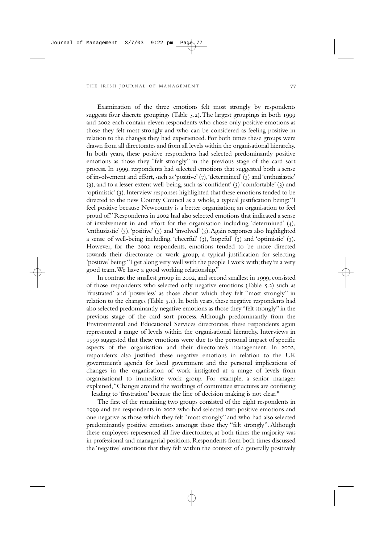Examination of the three emotions felt most strongly by respondents suggests four discrete groupings (Table  $\zeta$ , 2). The largest groupings in both 1999 and 2002 each contain eleven respondents who chose only positive emotions as those they felt most strongly and who can be considered as feeling positive in relation to the changes they had experienced. For both times these groups were drawn from all directorates and from all levels within the organisational hierarchy. In both years, these positive respondents had selected predominantly positive emotions as those they "felt strongly" in the previous stage of the card sort process. In 1999, respondents had selected emotions that suggested both a sense of involvement and effort, such as 'positive'  $(7)$ , 'determined'  $(3)$  and 'enthusiastic'  $(3)$ , and to a lesser extent well-being, such as 'confident'  $(3)$  'comfortable'  $(3)$  and 'optimistic'().Interview responses highlighted that these emotions tended to be directed to the new County Council as a whole, a typical justification being:"I feel positive because Newcounty is a better organisation; an organisation to feel proud of." Respondents in 2002 had also selected emotions that indicated a sense of involvement in and effort for the organisation including 'determined'  $(4)$ , 'enthusiastic' (3), 'positive' (3) and 'involved' (3). Again responses also highlighted a sense of well-being including, 'cheerful' (3), 'hopeful' (3) and 'optimistic' (3). However, for the 2002 respondents, emotions tended to be more directed towards their directorate or work group, a typical justification for selecting 'positive' being: "I get along very well with the people I work with; they're a very good team.We have a good working relationship."

In contrast the smallest group in 2002, and second smallest in 1999, consisted of those respondents who selected only negative emotions (Table 5.2) such as 'frustrated' and 'powerless' as those about which they felt "most strongly" in relation to the changes (Table  $\zeta$ . I). In both years, these negative respondents had also selected predominantly negative emotions as those they "felt strongly" in the previous stage of the card sort process. Although predominantly from the Environmental and Educational Services directorates, these respondents again represented a range of levels within the organisational hierarchy. Interviews in 1999 suggested that these emotions were due to the personal impact of specific aspects of the organisation and their directorate's management. In 2002, respondents also justified these negative emotions in relation to the UK government's agenda for local government and the personal implications of changes in the organisation of work instigated at a range of levels from organisational to immediate work group. For example, a senior manager explained,"Changes around the workings of committee structures are confusing – leading to 'frustration' because the line of decision making is not clear."

The first of the remaining two groups consisted of the eight respondents in 1999 and ten respondents in 2002 who had selected two positive emotions and one negative as those which they felt "most strongly" and who had also selected predominantly positive emotions amongst those they "felt strongly". Although these employees represented all five directorates, at both times the majority was in professional and managerial positions. Respondents from both times discussed the 'negative' emotions that they felt within the context of a generally positively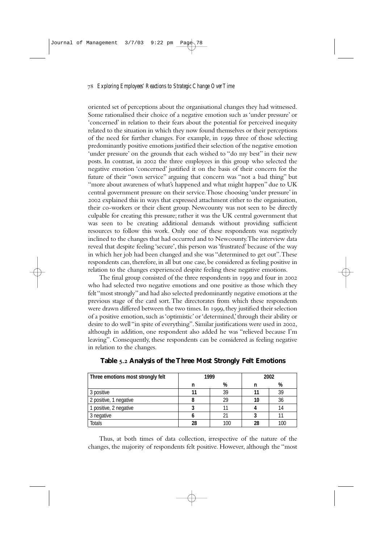oriented set of perceptions about the organisational changes they had witnessed. Some rationalised their choice of a negative emotion such as 'under pressure' or 'concerned' in relation to their fears about the potential for perceived inequity related to the situation in which they now found themselves or their perceptions of the need for further changes. For example, in 1999 three of those selecting predominantly positive emotions justified their selection of the negative emotion 'under pressure' on the grounds that each wished to "do my best" in their new posts. In contrast, in 2002 the three employees in this group who selected the negative emotion 'concerned' justified it on the basis of their concern for the future of their "own service" arguing that concern was "not a bad thing" but "more about awareness of what's happened and what might happen" due to UK central government pressure on their service.Those choosing 'under pressure' in explained this in ways that expressed attachment either to the organisation, their co-workers or their client group. Newcounty was not seen to be directly culpable for creating this pressure; rather it was the UK central government that was seen to be creating additional demands without providing sufficient resources to follow this work. Only one of these respondents was negatively inclined to the changes that had occurred and to Newcounty.The interview data reveal that despite feeling 'secure', this person was 'frustrated' because of the way in which her job had been changed and she was "determined to get out".These respondents can, therefore, in all but one case, be considered as feeling positive in relation to the changes experienced despite feeling these negative emotions.

The final group consisted of the three respondents in 1999 and four in 2002 who had selected two negative emotions and one positive as those which they felt "most strongly" and had also selected predominantly negative emotions at the previous stage of the card sort.The directorates from which these respondents were drawn differed between the two times. In 1999, they justified their selection of a positive emotion, such as 'optimistic' or 'determined,'through their ability or desire to do well "in spite of everything". Similar justifications were used in 2002, although in addition, one respondent also added he was "relieved because I'm leaving". Consequently, these respondents can be considered as feeling negative in relation to the changes.

| Three emotions most strongly felt | 1999 |     | 2002 |     |
|-----------------------------------|------|-----|------|-----|
|                                   |      | %   |      | %   |
| 3 positive                        |      | 39  | 11   | 39  |
| 2 positive, 1 negative            |      | 29  | 10   | 36  |
| 1 positive, 2 negative            |      |     |      | 14  |
| 3 negative                        |      |     |      |     |
| <b>Totals</b>                     | 28   | 100 | 28   | 100 |

**Table . Analysis of the Three Most Strongly Felt Emotions**

Thus, at both times of data collection, irrespective of the nature of the changes, the majority of respondents felt positive. However, although the "most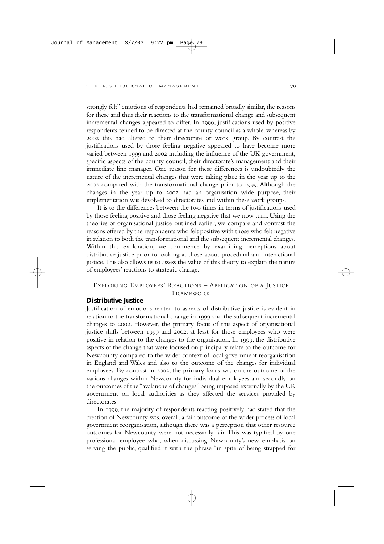strongly felt" emotions of respondents had remained broadly similar, the reasons for these and thus their reactions to the transformational change and subsequent incremental changes appeared to differ. In 1999, justifications used by positive respondents tended to be directed at the county council as a whole, whereas by 2002 this had altered to their directorate or work group. By contrast the justifications used by those feeling negative appeared to have become more varied between 1999 and 2002 including the influence of the UK government, specific aspects of the county council, their directorate's management and their immediate line manager. One reason for these differences is undoubtedly the nature of the incremental changes that were taking place in the year up to the 2002 compared with the transformational change prior to 1999. Although the changes in the year up to 2002 had an organisation wide purpose, their implementation was devolved to directorates and within these work groups.

It is to the differences between the two times in terms of justifications used by those feeling positive and those feeling negative that we now turn. Using the theories of organisational justice outlined earlier, we compare and contrast the reasons offered by the respondents who felt positive with those who felt negative in relation to both the transformational and the subsequent incremental changes. Within this exploration, we commence by examining perceptions about distributive justice prior to looking at those about procedural and interactional justice.This also allows us to assess the value of this theory to explain the nature of employees' reactions to strategic change.

## EXPLORING EMPLOYEES' REACTIONS – APPLICATION OF A JUSTICE FRAMEWORK

#### **Distributive Justice**

Justification of emotions related to aspects of distributive justice is evident in relation to the transformational change in 1999 and the subsequent incremental changes to 2002. However, the primary focus of this aspect of organisational justice shifts between 1999 and 2002, at least for those employees who were positive in relation to the changes to the organisation. In 1999, the distributive aspects of the change that were focused on principally relate to the outcome for Newcounty compared to the wider context of local government reorganisation in England and Wales and also to the outcome of the changes for individual employees. By contrast in 2002, the primary focus was on the outcome of the various changes within Newcounty for individual employees and secondly on the outcomes of the "avalanche of changes" being imposed externally by the UK government on local authorities as they affected the services provided by directorates.

In 1999, the majority of respondents reacting positively had stated that the creation of Newcounty was, overall, a fair outcome of the wider process of local government reorganisation, although there was a perception that other resource outcomes for Newcounty were not necessarily fair. This was typified by one professional employee who, when discussing Newcounty's new emphasis on serving the public, qualified it with the phrase "in spite of being strapped for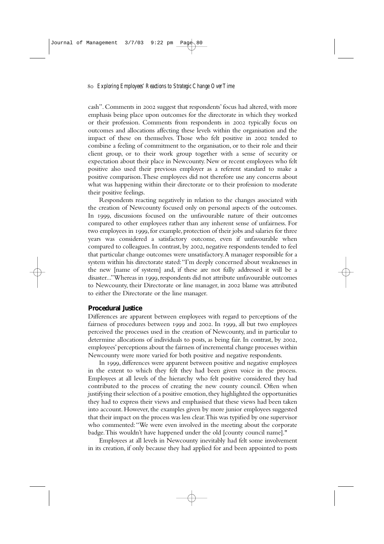cash". Comments in 2002 suggest that respondents' focus had altered, with more emphasis being place upon outcomes for the directorate in which they worked or their profession. Comments from respondents in 2002 typically focus on outcomes and allocations affecting these levels within the organisation and the impact of these on themselves. Those who felt positive in 2002 tended to combine a feeling of commitment to the organisation, or to their role and their client group, or to their work group together with a sense of security or expectation about their place in Newcounty. New or recent employees who felt positive also used their previous employer as a referent standard to make a positive comparison.These employees did not therefore use any concerns about what was happening within their directorate or to their profession to moderate their positive feelings.

Respondents reacting negatively in relation to the changes associated with the creation of Newcounty focused only on personal aspects of the outcomes. In 1999, discussions focused on the unfavourable nature of their outcomes compared to other employees rather than any inherent sense of unfairness. For two employees in 1999, for example, protection of their jobs and salaries for three years was considered a satisfactory outcome, even if unfavourable when compared to colleagues. In contrast, by 2002, negative respondents tended to feel that particular change outcomes were unsatisfactory.A manager responsible for a system within his directorate stated:"I'm deeply concerned about weaknesses in the new [name of system] and, if these are not fully addressed it will be a disaster..."Whereas in 1999, respondents did not attribute unfavourable outcomes to Newcounty, their Directorate or line manager, in 2002 blame was attributed to either the Directorate or the line manager.

## **Procedural Justice**

Differences are apparent between employees with regard to perceptions of the fairness of procedures between 1999 and 2002. In 1999, all but two employees perceived the processes used in the creation of Newcounty, and in particular to determine allocations of individuals to posts, as being fair. In contrast, by 2002, employees' perceptions about the fairness of incremental change processes within Newcounty were more varied for both positive and negative respondents.

In 1999, differences were apparent between positive and negative employees in the extent to which they felt they had been given voice in the process. Employees at all levels of the hierarchy who felt positive considered they had contributed to the process of creating the new county council. Often when justifying their selection of a positive emotion,they highlighted the opportunities they had to express their views and emphasised that these views had been taken into account. However, the examples given by more junior employees suggested that their impact on the process was less clear.This was typified by one supervisor who commented:"We were even involved in the meeting about the corporate badge.This wouldn't have happened under the old [county council name]."

Employees at all levels in Newcounty inevitably had felt some involvement in its creation, if only because they had applied for and been appointed to posts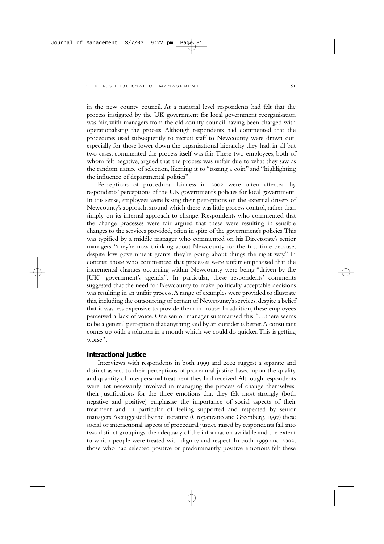in the new county council. At a national level respondents had felt that the process instigated by the UK government for local government reorganisation was fair, with managers from the old county council having been charged with operationalising the process. Although respondents had commented that the procedures used subsequently to recruit staff to Newcounty were drawn out, especially for those lower down the organisational hierarchy they had, in all but two cases, commented the process itself was fair.These two employees, both of whom felt negative, argued that the process was unfair due to what they saw as the random nature of selection, likening it to "tossing a coin" and "highlighting the influence of departmental politics".

Perceptions of procedural fairness in 2002 were often affected by respondents' perceptions of the UK government's policies for local government. In this sense, employees were basing their perceptions on the external drivers of Newcounty's approach, around which there was little process control, rather than simply on its internal approach to change. Respondents who commented that the change processes were fair argued that these were resulting in sensible changes to the services provided, often in spite of the government's policies.This was typified by a middle manager who commented on his Directorate's senior managers: "they're now thinking about Newcounty for the first time because, despite low government grants, they're going about things the right way." In contrast, those who commented that processes were unfair emphasised that the incremental changes occurring within Newcounty were being "driven by the [UK] government's agenda". In particular, these respondents' comments suggested that the need for Newcounty to make politically acceptable decisions was resulting in an unfair process.A range of examples were provided to illustrate this, including the outsourcing of certain of Newcounty's services, despite a belief that it was less expensive to provide them in-house. In addition, these employees perceived a lack of voice. One senior manager summarised this:"…there seems to be a general perception that anything said by an outsider is better.A consultant comes up with a solution in a month which we could do quicker.This is getting worse".

#### **Interactional Justice**

Interviews with respondents in both 1999 and 2002 suggest a separate and distinct aspect to their perceptions of procedural justice based upon the quality and quantity of interpersonal treatment they had received.Although respondents were not necessarily involved in managing the process of change themselves, their justifications for the three emotions that they felt most strongly (both negative and positive) emphasise the importance of social aspects of their treatment and in particular of feeling supported and respected by senior managers. As suggested by the literature (Cropanzano and Greenberg, 1997) these social or interactional aspects of procedural justice raised by respondents fall into two distinct groupings: the adequacy of the information available and the extent to which people were treated with dignity and respect. In both 1999 and 2002, those who had selected positive or predominantly positive emotions felt these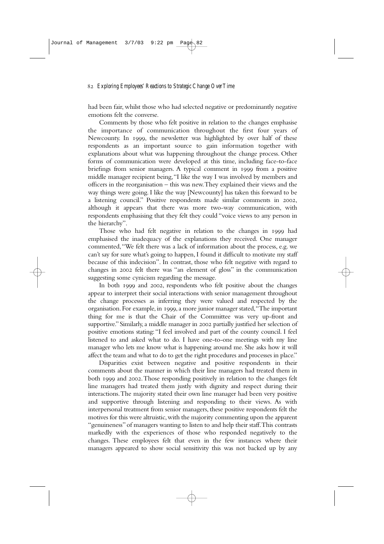had been fair, whilst those who had selected negative or predominantly negative emotions felt the converse.

Comments by those who felt positive in relation to the changes emphasise the importance of communication throughout the first four years of Newcounty. In 1999, the newsletter was highlighted by over half of these respondents as an important source to gain information together with explanations about what was happening throughout the change process. Other forms of communication were developed at this time, including face-to-face briefings from senior managers. A typical comment in 1999 from a positive middle manager recipient being,"I like the way I was involved by members and officers in the reorganisation – this was new.They explained their views and the way things were going. I like the way [Newcounty] has taken this forward to be a listening council." Positive respondents made similar comments in 2002, although it appears that there was more two-way communication, with respondents emphasising that they felt they could "voice views to any person in the hierarchy".

Those who had felt negative in relation to the changes in 1999 had emphasised the inadequacy of the explanations they received. One manager commented,"We felt there was a lack of information about the process, e.g. we can't say for sure what's going to happen, I found it difficult to motivate my staff because of this indecision". In contrast, those who felt negative with regard to changes in 2002 felt there was "an element of gloss" in the communication suggesting some cynicism regarding the message.

In both 1999 and 2002, respondents who felt positive about the changes appear to interpret their social interactions with senior management throughout the change processes as inferring they were valued and respected by the organisation. For example, in 1999, a more junior manager stated, "The important thing for me is that the Chair of the Committee was very up-front and supportive." Similarly, a middle manager in 2002 partially justified her selection of positive emotions stating: "I feel involved and part of the county council. I feel listened to and asked what to do. I have one-to-one meetings with my line manager who lets me know what is happening around me. She asks how it will affect the team and what to do to get the right procedures and processes in place."

Disparities exist between negative and positive respondents in their comments about the manner in which their line managers had treated them in both 1999 and 2002. Those responding positively in relation to the changes felt line managers had treated them justly with dignity and respect during their interactions.The majority stated their own line manager had been very positive and supportive through listening and responding to their views. As with interpersonal treatment from senior managers, these positive respondents felt the motives for this were altruistic,with the majority commenting upon the apparent "genuineness" of managers wanting to listen to and help their staff.This contrasts markedly with the experiences of those who responded negatively to the changes. These employees felt that even in the few instances where their managers appeared to show social sensitivity this was not backed up by any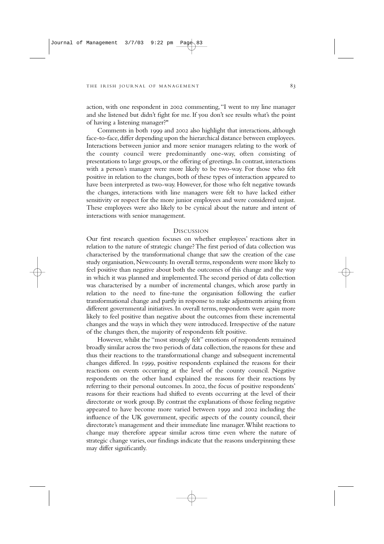action, with one respondent in 2002 commenting, "I went to my line manager and she listened but didn't fight for me. If you don't see results what's the point of having a listening manager?"

Comments in both 1999 and 2002 also highlight that interactions, although face-to-face, differ depending upon the hierarchical distance between employees. Interactions between junior and more senior managers relating to the work of the county council were predominantly one-way, often consisting of presentations to large groups, or the offering of greetings. In contrast, interactions with a person's manager were more likely to be two-way. For those who felt positive in relation to the changes, both of these types of interaction appeared to have been interpreted as two-way. However, for those who felt negative towards the changes, interactions with line managers were felt to have lacked either sensitivity or respect for the more junior employees and were considered unjust. These employees were also likely to be cynical about the nature and intent of interactions with senior management.

#### **DISCUSSION**

Our first research question focuses on whether employees' reactions alter in relation to the nature of strategic change? The first period of data collection was characterised by the transformational change that saw the creation of the case study organisation, Newcounty. In overall terms, respondents were more likely to feel positive than negative about both the outcomes of this change and the way in which it was planned and implemented.The second period of data collection was characterised by a number of incremental changes, which arose partly in relation to the need to fine-tune the organisation following the earlier transformational change and partly in response to make adjustments arising from different governmental initiatives. In overall terms, respondents were again more likely to feel positive than negative about the outcomes from these incremental changes and the ways in which they were introduced. Irrespective of the nature of the changes then, the majority of respondents felt positive.

However, whilst the "most strongly felt" emotions of respondents remained broadly similar across the two periods of data collection, the reasons for these and thus their reactions to the transformational change and subsequent incremental changes differed. In 1999, positive respondents explained the reasons for their reactions on events occurring at the level of the county council. Negative respondents on the other hand explained the reasons for their reactions by referring to their personal outcomes. In 2002, the focus of positive respondents' reasons for their reactions had shifted to events occurring at the level of their directorate or work group. By contrast the explanations of those feeling negative appeared to have become more varied between 1999 and 2002 including the influence of the UK government, specific aspects of the county council, their directorate's management and their immediate line manager.Whilst reactions to change may therefore appear similar across time even where the nature of strategic change varies, our findings indicate that the reasons underpinning these may differ significantly.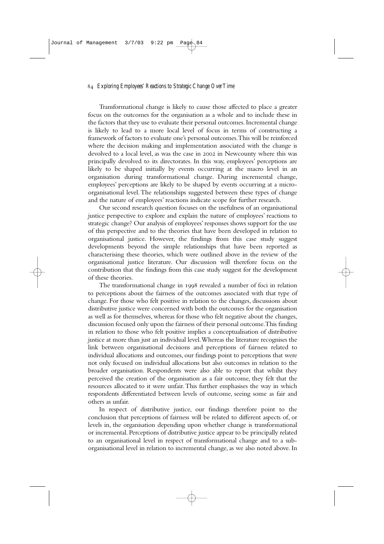Transformational change is likely to cause those affected to place a greater focus on the outcomes for the organisation as a whole and to include these in the factors that they use to evaluate their personal outcomes.Incremental change is likely to lead to a more local level of focus in terms of constructing a framework of factors to evaluate one's personal outcomes.This will be reinforced where the decision making and implementation associated with the change is devolved to a local level, as was the case in 2002 in Newcounty where this was principally devolved to its directorates. In this way, employees' perceptions are likely to be shaped initially by events occurring at the macro level in an organisation during transformational change. During incremental change, employees' perceptions are likely to be shaped by events occurring at a microorganisational level.The relationships suggested between these types of change and the nature of employees' reactions indicate scope for further research.

Our second research question focuses on the usefulness of an organisational justice perspective to explore and explain the nature of employees' reactions to strategic change? Our analysis of employees'responses shows support for the use of this perspective and to the theories that have been developed in relation to organisational justice. However, the findings from this case study suggest developments beyond the simple relationships that have been reported as characterising these theories, which were outlined above in the review of the organisational justice literature. Our discussion will therefore focus on the contribution that the findings from this case study suggest for the development of these theories.

The transformational change in 1998 revealed a number of foci in relation to perceptions about the fairness of the outcomes associated with that type of change. For those who felt positive in relation to the changes, discussions about distributive justice were concerned with both the outcomes for the organisation as well as for themselves, whereas for those who felt negative about the changes, discussion focused only upon the fairness of their personal outcome.This finding in relation to those who felt positive implies a conceptualisation of distributive justice at more than just an individual level.Whereas the literature recognises the link between organisational decisions and perceptions of fairness related to individual allocations and outcomes, our findings point to perceptions that were not only focused on individual allocations but also outcomes in relation to the broader organisation. Respondents were also able to report that whilst they perceived the creation of the organisation as a fair outcome, they felt that the resources allocated to it were unfair.This further emphasises the way in which respondents differentiated between levels of outcome, seeing some as fair and others as unfair.

In respect of distributive justice, our findings therefore point to the conclusion that perceptions of fairness will be related to different aspects of, or levels in, the organisation depending upon whether change is transformational or incremental. Perceptions of distributive justice appear to be principally related to an organisational level in respect of transformational change and to a suborganisational level in relation to incremental change, as we also noted above. In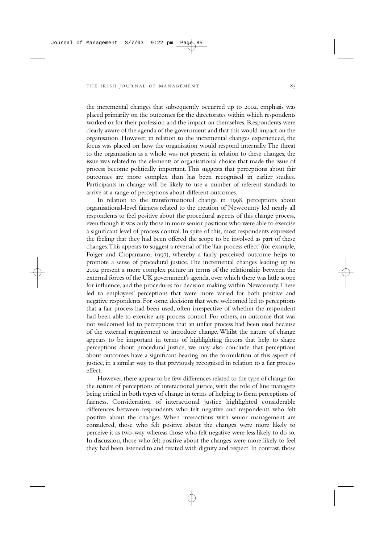the incremental changes that subsequently occurred up to 2002, emphasis was placed primarily on the outcomes for the directorates within which respondents worked or for their profession and the impact on themselves. Respondents were clearly aware of the agenda of the government and that this would impact on the organisation. However, in relation to the incremental changes experienced, the focus was placed on how the organisation would respond internally.The threat to the organisation as a whole was not present in relation to these changes; the issue was related to the elements of organisational choice that made the issue of process become politically important. This suggests that perceptions about fair outcomes are more complex than has been recognised in earlier studies. Participants in change will be likely to use a number of referent standards to arrive at a range of perceptions about different outcomes.

In relation to the transformational change in 1998, perceptions about organisational-level fairness related to the creation of Newcounty led nearly all respondents to feel positive about the procedural aspects of this change process, even though it was only those in more senior positions who were able to exercise a significant level of process control. In spite of this, most respondents expressed the feeling that they had been offered the scope to be involved as part of these changes.This appears to suggest a reversal of the 'fair process effect'(for example, Folger and Cropanzano, 1997), whereby a fairly perceived outcome helps to promote a sense of procedural justice. The incremental changes leading up to present a more complex picture in terms of the relationship between the external forces of the UK government's agenda, over which there was little scope for influence, and the procedures for decision making within Newcounty.These led to employees' perceptions that were more varied for both positive and negative respondents.For some,decisions that were welcomed led to perceptions that a fair process had been used, often irrespective of whether the respondent had been able to exercise any process control. For others, an outcome that was not welcomed led to perceptions that an unfair process had been used because of the external requirement to introduce change. Whilst the nature of change appears to be important in terms of highlighting factors that help to shape perceptions about procedural justice, we may also conclude that perceptions about outcomes have a significant bearing on the formulation of this aspect of justice, in a similar way to that previously recognised in relation to a fair process effect.

However, there appear to be few differences related to the type of change for the nature of perceptions of interactional justice, with the role of line managers being critical in both types of change in terms of helping to form perceptions of fairness. Consideration of interactional justice highlighted considerable differences between respondents who felt negative and respondents who felt positive about the changes. When interactions with senior management are considered, those who felt positive about the changes were more likely to perceive it as two-way whereas those who felt negative were less likely to do so. In discussion, those who felt positive about the changes were more likely to feel they had been listened to and treated with dignity and respect. In contrast, those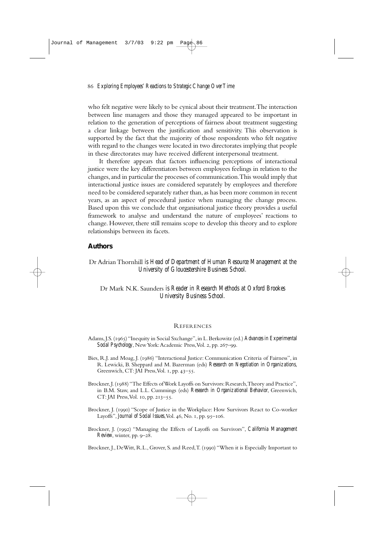who felt negative were likely to be cynical about their treatment.The interaction between line managers and those they managed appeared to be important in relation to the generation of perceptions of fairness about treatment suggesting a clear linkage between the justification and sensitivity. This observation is supported by the fact that the majority of those respondents who felt negative with regard to the changes were located in two directorates implying that people in these directorates may have received different interpersonal treatment.

It therefore appears that factors influencing perceptions of interactional justice were the key differentiators between employees feelings in relation to the changes,and in particular the processes of communication.This would imply that interactional justice issues are considered separately by employees and therefore need to be considered separately rather than, as has been more common in recent years, as an aspect of procedural justice when managing the change process. Based upon this we conclude that organisational justice theory provides a useful framework to analyse and understand the nature of employees' reactions to change. However, there still remains scope to develop this theory and to explore relationships between its facets.

## **Authors**

## Dr Adrian Thornhill *is Head of Department of Human Resource Management at the University of Gloucestershire Business School.*

Dr Mark N.K. Saunders *is Reader in Research Methods at Oxford Brookes University Business School.*

#### REFERENCES

- Adams,J.S.() "Inequity in Social Sxchange",in L.Berkowitz (ed.) *Advances in Experimental Social Psychology*, New York: Academic Press, Vol. 2, pp. 267-99.
- Bies, R.J. and Moag, J. (1986) "Interactional Justice: Communication Criteria of Fairness", in R. Lewicki, B. Sheppard and M. Bazerman (eds) *Research on Negotiation in Organizations*, Greenwich, CT: JAI Press, Vol. 1, pp. 43-55.
- Brockner, J. (1988) "The Effects of Work Layoffs on Survivors: Research, Theory and Practice", in B.M. Staw, and L.L. Cummings (eds) *Research in Organizational Behavior*, Greenwich, CT: JAI Press, Vol. 10, pp. 213-55.
- Brockner, J. (1990) "Scope of Justice in the Workplace: How Survivors React to Co-worker Layoffs", *Journal of Social Issues*, Vol. 46, No. 1, pp. 95-106.
- Brockner, J. () "Managing the Effects of Layoffs on Survivors", *California Management Review*, winter, pp. 9–28.

Brockner, J., DeWitt, R.L., Grover, S. and Reed, T. (1990) "When it is Especially Important to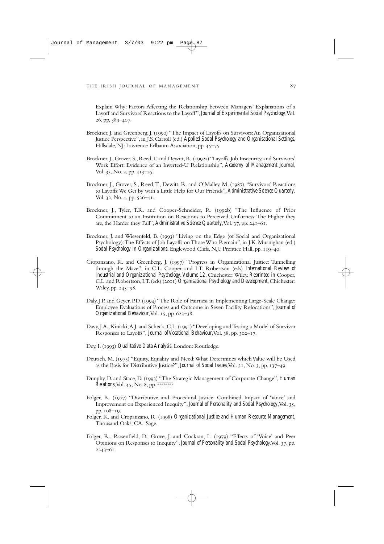Explain Why: Factors Affecting the Relationship between Managers' Explanations of a Layoff and Survivors'Reactions to the Layoff",*Journal of Experimental Social Psychology*,Vol.  $26$ , pp,  $389 - 407$ .

- Brockner, J. and Greenberg, J. (1990) "The Impact of Layoffs on Survivors: An Organizational Justice Perspective", in J.S. Carroll (ed.) *Applied Social Psychology and Organisational Settings*, Hillsdale, NJ: Lawrence Erlbaum Association, pp. 45-75.
- Brockner, J., Grover, S., Reed, T. and Dewitt, R. (1992a) "Layoffs, Job Insecurity, and Survivors' Work Effort: Evidence of an Inverted-U Relationship", *Academy of Management Journal*, Vol. 35, No. 2, pp.  $413-25$ .
- Brockner, J., Grover, S., Reed, T., Dewitt, R. and O'Malley, M. (1987), "Survivors' Reactions to Layoffs:We Get by with a Little Help for Our Friends",*Administrative Science Quarterly*, Vol. 32, No. 4, pp. 526-41.
- Brockner, J., Tyler, T.R. and Cooper-Schneider, R. (1992b) "The Influence of Prior Commitment to an Institution on Reactions to Perceived Unfairness:The Higher they are, the Harder they Fall", *Administrative Science Quarterly*, Vol. 37, pp. 241-61.
- Brockner, J. and Wiesenfeld, B. (1993) "Living on the Edge (of Social and Organizational Psychology):The Effects of Job Layoffs on Those Who Remain", in J.K. Murnighan (ed.) Social Psychology in Organizations, Englewood Cliffs, N.J.: Prentice Hall, pp. 119-40.
- Cropanzano, R. and Greenberg, J. (1997) "Progress in Organizational Justice: Tunnelling through the Maze", in C.L. Cooper and I.T. Robertson (eds) *International Review of Industrial and Organizational Psychology*,*Volume 12*, Chichester:Wiley. *Reprinted in* Cooper, C.L. and Robertson, I.T. (eds) (2001) *Organisational Psychology and Development*, Chichester: Wiley, pp. 243-98.
- Daly, J.P. and Geyer, P.D. (1994) "The Role of Fairness in Implementing Large-Scale Change: Employee Evaluations of Process and Outcome in Seven Facility Relocations", *Journal of Organizational Behaviour*, Vol. 15, pp. 623-38.
- Davy, J.A., Kinicki, A.J. and Scheck, C.L. (1991) "Developing and Testing a Model of Survivor Responses to Layoffs", *Journal of Vocational Behaviour*, Vol. 38, pp. 302-17.
- Dey, I. (1993) *Qualitative Data Analysis*, London: Routledge.
- Deutsch, M. (1975) "Equity, Equality and Need: What Determines which Value will be Used as the Basis for Distributive Justice?", *Journal of Social Issues*, Vol. 31, No. 3, pp. 137–49.
- Dunphy, D. and Stace, D. (1993) "The Strategic Management of Corporate Change", *Human Relations*, *Vol. 45*, *No. 8*, *pp. ?????????*
- Folger, R. (1977) "Distributive and Procedural Justice: Combined Impact of 'Voice' and Improvement on Experienced Inequity", *Journal of Personality and Social Psychology*,Vol. , pp.  $108 - 19$ .
- Folger, R. and Cropanzano, R. (1998) *Organizational Justice and Human Resource Management*, Thousand Oaks, CA.: Sage.
- Folger, R., Rosenfield, D., Grove, J. and Cockran, L. (1979) "Effects of 'Voice' and Peer Opinions on Responses to Inequity", *Journal of Personality and Social Psychology*, Vol. 37, pp.  $2243 - 61.$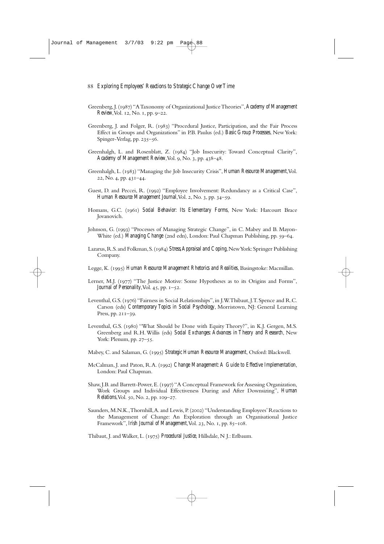- Greenberg,J.() "A Taxonomy of Organizational Justice Theories",*Academy of Management Review*, Vol. 12, No. 1, pp. 9-22.
- Greenberg, J. and Folger, R. (1983) "Procedural Justice, Participation, and the Fair Process Effect in Groups and Organizations" in P.B. Paulus (ed.) *Basic Group Processes*, New York: Spinger-Verlag, pp.  $235 - 56$ .
- Greenhalgh, L. and Rosenblatt, Z. (1984) "Job Insecurity: Toward Conceptual Clarity", *Academy of Management Review*, Vol. 9, No. 3, pp. 438-48.
- Greenhalgh, L. (1983) "Managing the Job Insecurity Crisis", *Human Resource Management*, Vol. 22, No. 4, pp. 431-44.
- Guest, D. and Peccei, R. (1992) "Employee Involvement: Redundancy as a Critical Case", *Human Resource Management Journal*, Vol. 2, No. 3, pp. 34-59.
- Homans, G.C. () *Social Behavior: Its Elementary Forms*, New York: Harcourt Brace Jovanovich.
- Johnson, G. (1993) "Processes of Managing Strategic Change", in C. Mabey and B. Mayon-White (ed.) *Managing Change* (2nd edn), London: Paul Chapman Publishing, pp. 59-64.
- Lazarus, R.S. and Folkman, S. (1984) *Stress Appraisal and Coping*, New York: Springer Publishing Company.
- Legge, K. (1995) *Human Resource Management Rhetorics and Realities*, Basingstoke: Macmillan.
- Lerner, M.J. (1977) "The Justice Motive: Some Hypotheses as to its Origins and Forms", *Journal of Personality*, Vol.  $45$ , pp.  $1 - 52$ .
- Leventhal, G.S. (1976) "Fairness in Social Relationships", in J.W.Thibaut, J.T. Spence and R.C. Carson (eds) *Contemporary Topics in Social Psychology*, Morristown, NJ: General Learning Press, pp. 211-39.
- Leventhal, G.S. (1980) "What Should be Done with Equity Theory?", in K.J. Gergen, M.S. Greenberg and R.H. Willis (eds) *Social Exchanges: Advances in Theory and Research*, New York: Plenum, pp.  $27 - 55$ .
- Mabey, C. and Salaman, G. (1995) *Strategic Human Resource Management*, Oxford: Blackwell.
- McCalman, J. and Paton, R.A. (1992) *Change Management: A Guide to Effective Implementation*, London: Paul Chapman.
- Shaw, J.B. and Barrett-Power, E. (1997) "A Conceptual Framework for Assessing Organization, Work Groups and Individual Effectiveness During and After Downsizing", *Human Relations*, Vol. 50, No. 2, pp. 109–27.
- Saunders, M.N.K., Thornhill, A. and Lewis, P. (2002) "Understanding Employees' Reactions to the Management of Change: An Exploration through an Organisational Justice Framework", *Irish Journal of Management*, Vol. 23, No. 1, pp. 85-108.

Thibaut, J. and Walker, L. (1975) *Procedural Justice*, Hillsdale, N J.: Erlbaum.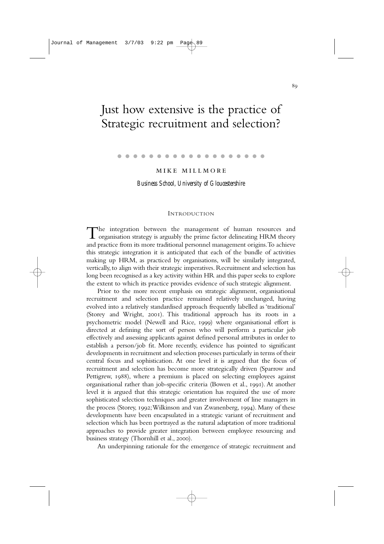# Just how extensive is the practice of Strategic recruitment and selection?

 $\sim$ *<u><u>AAAAAAAA</u>***</u>** 

#### MIKE MILLMORE

*Business School, University of Gloucestershire*

#### INTRODUCTION

The integration between the management of human resources and organisation strategy is arguably the prime factor delineating HRM theory and practice from its more traditional personnel management origins.To achieve this strategic integration it is anticipated that each of the bundle of activities making up HRM, as practiced by organisations, will be similarly integrated, vertically, to align with their strategic imperatives. Recruitment and selection has long been recognised as a key activity within HR and this paper seeks to explore the extent to which its practice provides evidence of such strategic alignment.

Prior to the more recent emphasis on strategic alignment, organisational recruitment and selection practice remained relatively unchanged, having evolved into a relatively standardised approach frequently labelled as 'traditional' (Storey and Wright, 2001). This traditional approach has its roots in a psychometric model (Newell and Rice, 1999) where organisational effort is directed at defining the sort of person who will perform a particular job effectively and assessing applicants against defined personal attributes in order to establish a person/job fit. More recently, evidence has pointed to significant developments in recruitment and selection processes particularly in terms of their central focus and sophistication. At one level it is argued that the focus of recruitment and selection has become more strategically driven (Sparrow and Pettigrew, 1988), where a premium is placed on selecting employees against organisational rather than job-specific criteria (Bowen et al., 1991). At another level it is argued that this strategic orientation has required the use of more sophisticated selection techniques and greater involvement of line managers in the process (Storey, 1992; Wilkinson and van Zwanenberg, 1994). Many of these developments have been encapsulated in a strategic variant of recruitment and selection which has been portrayed as the natural adaptation of more traditional approaches to provide greater integration between employee resourcing and business strategy (Thornhill et al., 2000).

An underpinning rationale for the emergence of strategic recruitment and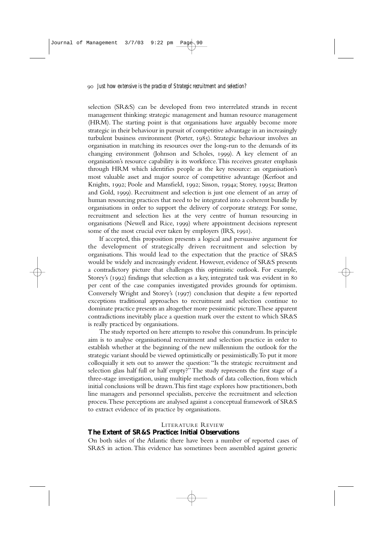selection (SR&S) can be developed from two interrelated strands in recent management thinking: strategic management and human resource management (HRM). The starting point is that organisations have arguably become more strategic in their behaviour in pursuit of competitive advantage in an increasingly turbulent business environment (Porter, 1985). Strategic behaviour involves an organisation in matching its resources over the long-run to the demands of its changing environment (Johnson and Scholes, 1999). A key element of an organisation's resource capability is its workforce.This receives greater emphasis through HRM which identifies people as the key resource: an organisation's most valuable asset and major source of competitive advantage (Kerfoot and Knights, 1992; Poole and Mansfield, 1992; Sisson, 1994a; Storey, 1995a; Bratton and Gold, 1999). Recruitment and selection is just one element of an array of human resourcing practices that need to be integrated into a coherent bundle by organisations in order to support the delivery of corporate strategy. For some, recruitment and selection lies at the very centre of human resourcing in organisations (Newell and Rice, 1999) where appointment decisions represent some of the most crucial ever taken by employers  $(IRS, 1991)$ .

If accepted, this proposition presents a logical and persuasive argument for the development of strategically driven recruitment and selection by organisations. This would lead to the expectation that the practice of SR&S would be widely and increasingly evident. However, evidence of SR&S presents a contradictory picture that challenges this optimistic outlook. For example, Storey's (1992) findings that selection as a key, integrated task was evident in 80 per cent of the case companies investigated provides grounds for optimism. Conversely Wright and Storey's (1997) conclusion that despite a few reported exceptions traditional approaches to recruitment and selection continue to dominate practice presents an altogether more pessimistic picture.These apparent contradictions inevitably place a question mark over the extent to which SR&S is really practiced by organisations.

The study reported on here attempts to resolve this conundrum.Its principle aim is to analyse organisational recruitment and selection practice in order to establish whether at the beginning of the new millennium the outlook for the strategic variant should be viewed optimistically or pessimistically.To put it more colloquially it sets out to answer the question:"Is the strategic recruitment and selection glass half full or half empty?"The study represents the first stage of a three-stage investigation, using multiple methods of data collection, from which initial conclusions will be drawn.This first stage explores how practitioners, both line managers and personnel specialists, perceive the recruitment and selection process.These perceptions are analysed against a conceptual framework of SR&S to extract evidence of its practice by organisations.

#### LITERATURE REVIEW

## **The Extent of SR&S Practice: Initial Observations**

On both sides of the Atlantic there have been a number of reported cases of SR&S in action. This evidence has sometimes been assembled against generic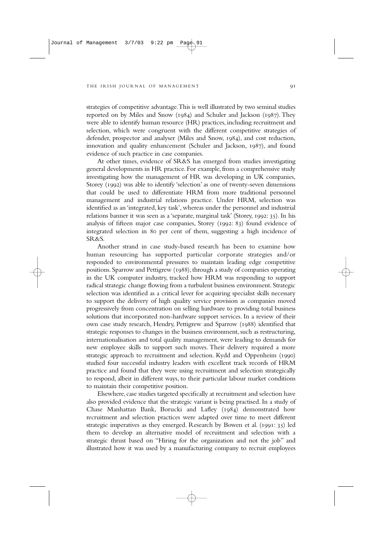strategies of competitive advantage.This is well illustrated by two seminal studies reported on by Miles and Snow  $(1084)$  and Schuler and Jackson  $(1087)$ . They were able to identify human resource (HR) practices, including recruitment and selection, which were congruent with the different competitive strategies of defender, prospector and analyser (Miles and Snow,  $1984$ ), and cost reduction, innovation and quality enhancement (Schuler and Jackson, 1987), and found evidence of such practice in case companies.

At other times, evidence of SR&S has emerged from studies investigating general developments in HR practice. For example, from a comprehensive study investigating how the management of HR was developing in UK companies, Storey (1992) was able to identify 'selection' as one of twenty-seven dimensions that could be used to differentiate HRM from more traditional personnel management and industrial relations practice. Under HRM, selection was identified as an 'integrated, key task', whereas under the personnel and industrial relations banner it was seen as a 'separate, marginal task' (Storey, 1992:  $35$ ). In his analysis of fifteen major case companies, Storey  $(1992: 83)$  found evidence of integrated selection in 80 per cent of them, suggesting a high incidence of SR&S.

Another strand in case study-based research has been to examine how human resourcing has supported particular corporate strategies and/or responded to environmental pressures to maintain leading edge competitive positions. Sparrow and Pettigrew (1988), through a study of companies operating in the UK computer industry, tracked how HRM was responding to support radical strategic change flowing from a turbulent business environment. Strategic selection was identified as a critical lever for acquiring specialist skills necessary to support the delivery of high quality service provision as companies moved progressively from concentration on selling hardware to providing total business solutions that incorporated non-hardware support services. In a review of their own case study research, Hendry, Pettigrew and Sparrow (1988) identified that strategic responses to changes in the business environment, such as restructuring, internationalisation and total quality management, were leading to demands for new employee skills to support such moves. Their delivery required a more strategic approach to recruitment and selection. Kydd and Oppenheim (1990) studied four successful industry leaders with excellent track records of HRM practice and found that they were using recruitment and selection strategically to respond, albeit in different ways, to their particular labour market conditions to maintain their competitive position.

Elsewhere, case studies targeted specifically at recruitment and selection have also provided evidence that the strategic variant is being practised. In a study of Chase Manhattan Bank, Borucki and Lafley (1984) demonstrated how recruitment and selection practices were adapted over time to meet different strategic imperatives as they emerged. Research by Bowen et al. ( $1991: 35$ ) led them to develop an alternative model of recruitment and selection with a strategic thrust based on "Hiring for the organization and not the job" and illustrated how it was used by a manufacturing company to recruit employees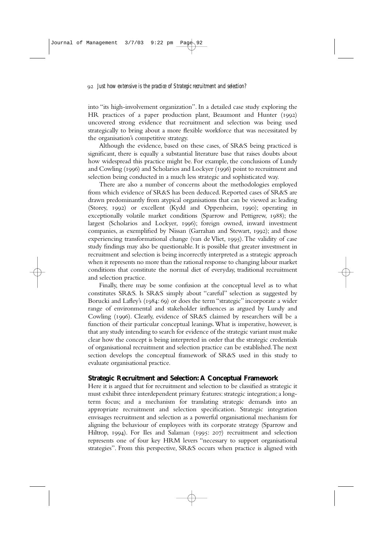into "its high-involvement organization". In a detailed case study exploring the HR practices of a paper production plant, Beaumont and Hunter (1992) uncovered strong evidence that recruitment and selection was being used strategically to bring about a more flexible workforce that was necessitated by the organisation's competitive strategy.

Although the evidence, based on these cases, of SR&S being practiced is significant, there is equally a substantial literature base that raises doubts about how widespread this practice might be. For example, the conclusions of Lundy and Cowling (1996) and Scholarios and Lockyer (1996) point to recruitment and selection being conducted in a much less strategic and sophisticated way.

There are also a number of concerns about the methodologies employed from which evidence of SR&S has been deduced. Reported cases of SR&S are drawn predominantly from atypical organisations that can be viewed as: leading (Storey,  $1992$ ) or excellent (Kydd and Oppenheim,  $1990$ ); operating in exceptionally volatile market conditions (Sparrow and Pettigrew, 1988); the largest (Scholarios and Lockyer, 1996); foreign owned, inward investment companies, as exemplified by Nissan (Garrahan and Stewart, 1992); and those experiencing transformational change (van de Vliet,  $1995$ ). The validity of case study findings may also be questionable. It is possible that greater investment in recruitment and selection is being incorrectly interpreted as a strategic approach when it represents no more than the rational response to changing labour market conditions that constitute the normal diet of everyday, traditional recruitment and selection practice.

Finally, there may be some confusion at the conceptual level as to what constitutes SR&S. Is SR&S simply about "careful" selection as suggested by Borucki and Lafley's (1984: 69) or does the term "strategic" incorporate a wider range of environmental and stakeholder influences as argued by Lundy and Cowling (1996). Clearly, evidence of SR&S claimed by researchers will be a function of their particular conceptual leanings.What is imperative, however, is that any study intending to search for evidence of the strategic variant must make clear how the concept is being interpreted in order that the strategic credentials of organisational recruitment and selection practice can be established.The next section develops the conceptual framework of SR&S used in this study to evaluate organisational practice.

## **Strategic Recruitment and Selection:A Conceptual Framework**

Here it is argued that for recruitment and selection to be classified as strategic it must exhibit three interdependent primary features: strategic integration; a longterm focus; and a mechanism for translating strategic demands into an appropriate recruitment and selection specification. Strategic integration envisages recruitment and selection as a powerful organisational mechanism for aligning the behaviour of employees with its corporate strategy (Sparrow and Hiltrop, 1994). For Iles and Salaman (1995: 207) recruitment and selection represents one of four key HRM levers "necessary to support organisational strategies". From this perspective, SR&S occurs when practice is aligned with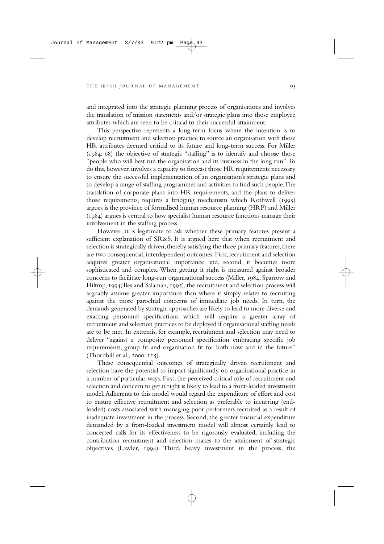and integrated into the strategic planning process of organisations and involves the translation of mission statements and/or strategic plans into those employee attributes which are seen to be critical to their successful attainment.

This perspective represents a long-term focus where the intention is to develop recruitment and selection practice to source an organisation with those HR attributes deemed critical to its future and long-term success. For Miller  $(1984: 68)$  the objective of strategic "staffing" is to identify and choose those "people who will best run the organisation and its business in the long run".To do this,however,involves a capacity to forecast those HR requirements necessary to ensure the successful implementation of an organisation's strategic plans and to develop a range of staffing programmes and activities to find such people.The translation of corporate plans into HR requirements, and the plans to deliver those requirements, requires a bridging mechanism which Rothwell (1995) argues is the province of formalised human resource planning (HRP) and Miller  $(1984)$  argues is central to how specialist human resource functions manage their involvement in the staffing process.

However, it is legitimate to ask whether these primary features present a sufficient explanation of SR&S. It is argued here that when recruitment and selection is strategically driven, thereby satisfying the three primary features, there are two consequential, interdependent outcomes. First, recruitment and selection acquires greater organisational importance and, second, it becomes more sophisticated and complex. When getting it right is measured against broader concerns to facilitate long-run organisational success (Miller, 1984; Sparrow and Hiltrop, 1994; Iles and Salaman, 1995), the recruitment and selection process will arguably assume greater importance than where it simply relates to recruiting against the more parochial concerns of immediate job needs. In turn. the demands generated by strategic approaches are likely to lead to more diverse and exacting personnel specifications which will require a greater array of recruitment and selection practices to be deployed if organisational staffing needs are to be met. In extremis, for example, recruitment and selection may need to deliver "against a composite personnel specification embracing specific job requirements, group fit and organisation fit for both now and in the future" (Thornhill et al., 2000:  $115$ ).

These consequential outcomes of strategically driven recruitment and selection have the potential to impact significantly on organisational practice in a number of particular ways. First, the perceived critical role of recruitment and selection and concern to get it right is likely to lead to a front-loaded investment model.Adherents to this model would regard the expenditure of effort and cost to ensure effective recruitment and selection as preferable to incurring (endloaded) costs associated with managing poor performers recruited as a result of inadequate investment in the process. Second, the greater financial expenditure demanded by a front-loaded investment model will almost certainly lead to concerted calls for its effectiveness to be rigorously evaluated, including the contribution recruitment and selection makes to the attainment of strategic objectives (Lawler, 1994). Third, heavy investment in the process, the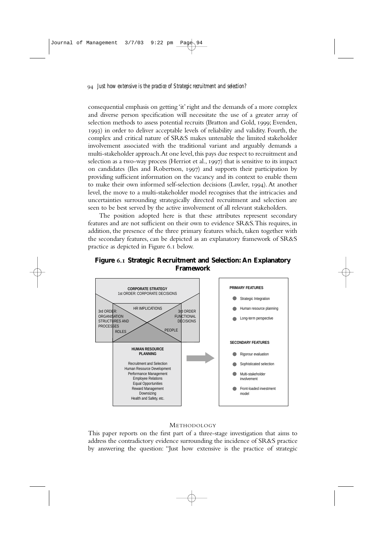consequential emphasis on getting 'it'right and the demands of a more complex and diverse person specification will necessitate the use of a greater array of selection methods to assess potential recruits (Bratton and Gold, 1999; Evenden, ) in order to deliver acceptable levels of reliability and validity. Fourth, the complex and critical nature of SR&S makes untenable the limited stakeholder involvement associated with the traditional variant and arguably demands a multi-stakeholder approach. At one level, this pays due respect to recruitment and selection as a two-way process (Herriot et al.,  $1997$ ) that is sensitive to its impact on candidates (Iles and Robertson, 1997) and supports their participation by providing sufficient information on the vacancy and its context to enable them to make their own informed self-selection decisions (Lawler, 1994). At another level, the move to a multi-stakeholder model recognises that the intricacies and uncertainties surrounding strategically directed recruitment and selection are seen to be best served by the active involvement of all relevant stakeholders.

The position adopted here is that these attributes represent secondary features and are not sufficient on their own to evidence SR&S.This requires, in addition, the presence of the three primary features which, taken together with the secondary features, can be depicted as an explanatory framework of SR&S practice as depicted in Figure 6.1 below.





### **METHODOLOGY**

This paper reports on the first part of a three-stage investigation that aims to address the contradictory evidence surrounding the incidence of SR&S practice by answering the question: "Just how extensive is the practice of strategic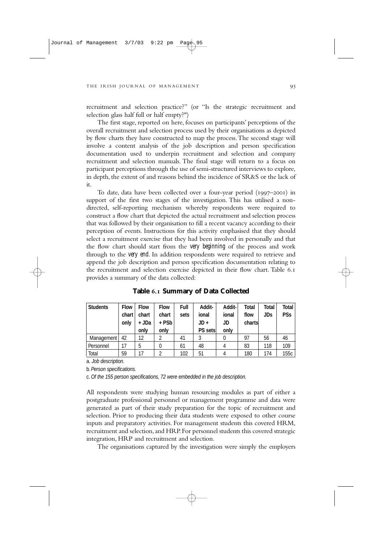recruitment and selection practice?" (or "Is the strategic recruitment and selection glass half full or half empty?")

The first stage, reported on here, focuses on participants' perceptions of the overall recruitment and selection process used by their organisations as depicted by flow charts they have constructed to map the process.The second stage will involve a content analysis of the job description and person specification documentation used to underpin recruitment and selection and company recruitment and selection manuals. The final stage will return to a focus on participant perceptions through the use of semi-structured interviews to explore, in depth, the extent of and reasons behind the incidence of SR&S or the lack of it.

To date, data have been collected over a four-year period  $(1997-2001)$  in support of the first two stages of the investigation. This has utilised a nondirected, self-reporting mechanism whereby respondents were required to construct a flow chart that depicted the actual recruitment and selection process that was followed by their organisation to fill a recent vacancy according to their perception of events. Instructions for this activity emphasised that they should select a recruitment exercise that they had been involved in personally and that the flow chart should start from the *very beginning* of the process and work through to the *very end*. In addition respondents were required to retrieve and append the job description and person specification documentation relating to the recruitment and selection exercise depicted in their flow chart. Table 6.1 provides a summary of the data collected:

| <b>Students</b> | <b>Flow</b><br>chart<br>only | <b>Flow</b><br>chart<br>+ JDa | <b>Flow</b><br>chart<br>+ PSb | Full<br>sets | Addit-<br>ional<br>JD + | Addit-<br>ional<br>JD | Total<br>flow<br>charts | Total<br><b>JDs</b> | Total I<br><b>PSs</b> |
|-----------------|------------------------------|-------------------------------|-------------------------------|--------------|-------------------------|-----------------------|-------------------------|---------------------|-----------------------|
|                 |                              | only                          | only                          |              | PS sets                 | only                  |                         |                     |                       |
| Management      | 42                           | 12                            | 2                             | 41           | 3                       |                       | 97                      | 56                  | 46                    |
| Personnel       | 17                           | 5                             | 0                             | 61           | 48                      |                       | 83                      | 118                 | 109                   |
| Total           | 59                           | 17                            | າ                             | 102          | 51                      |                       | 180                     | 174                 | 155c                  |

**Table . Summary of Data Collected**

a. *Job description.*

b. *Person specifications.*

c. *Of the 155 person specifications, 72 were embedded in the job description.*

All respondents were studying human resourcing modules as part of either a postgraduate professional personnel or management programme and data were generated as part of their study preparation for the topic of recruitment and selection. Prior to producing their data students were exposed to other course inputs and preparatory activities. For management students this covered HRM, recruitment and selection,and HRP.For personnel students this covered strategic integration, HRP and recruitment and selection.

The organisations captured by the investigation were simply the employers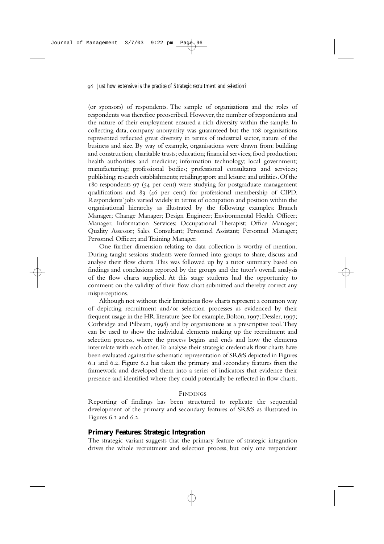(or sponsors) of respondents. The sample of organisations and the roles of respondents was therefore preoscribed. However, the number of respondents and the nature of their employment ensured a rich diversity within the sample. In collecting data, company anonymity was guaranteed but the 108 organisations represented reflected great diversity in terms of industrial sector, nature of the business and size. By way of example, organisations were drawn from: building and construction; charitable trusts; education; financial services; food production; health authorities and medicine; information technology; local government; manufacturing; professional bodies; professional consultants and services; publishing;research establishments;retailing;sport and leisure;and utilities.Of the  $\overline{180}$  respondents  $\overline{97}$  (54 per cent) were studying for postgraduate management qualifications and  $83$  (46 per cent) for professional membership of CIPD. Respondents' jobs varied widely in terms of occupation and position within the organisational hierarchy as illustrated by the following examples: Branch Manager; Change Manager; Design Engineer; Environmental Health Officer; Manager, Information Services; Occupational Therapist; Office Manager; Quality Assessor; Sales Consultant; Personnel Assistant; Personnel Manager; Personnel Officer; and Training Manager.

One further dimension relating to data collection is worthy of mention. During taught sessions students were formed into groups to share, discuss and analyse their flow charts. This was followed up by a tutor summary based on findings and conclusions reported by the groups and the tutor's overall analysis of the flow charts supplied. At this stage students had the opportunity to comment on the validity of their flow chart submitted and thereby correct any misperceptions.

Although not without their limitations flow charts represent a common way of depicting recruitment and/or selection processes as evidenced by their frequent usage in the HR literature (see for example, Bolton, 1997; Dessler, 1997; Corbridge and Pilbeam, 1998) and by organisations as a prescriptive tool. They can be used to show the individual elements making up the recruitment and selection process, where the process begins and ends and how the elements interrelate with each other.To analyse their strategic credentials flow charts have been evaluated against the schematic representation of SR&S depicted in Figures  $6.1$  and  $6.2$ . Figure  $6.2$  has taken the primary and secondary features from the framework and developed them into a series of indicators that evidence their presence and identified where they could potentially be reflected in flow charts.

#### FINDINGS

Reporting of findings has been structured to replicate the sequential development of the primary and secondary features of SR&S as illustrated in Figures 6.1 and 6.2.

#### **Primary Features: Strategic Integration**

The strategic variant suggests that the primary feature of strategic integration drives the whole recruitment and selection process, but only one respondent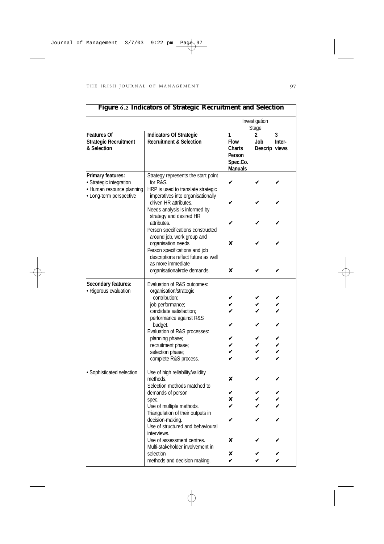| Figure 6.2 Indicators of Strategic Recruitment and Selection                                         |                                                                                                                                                  |                                                                    |                            |                      |  |
|------------------------------------------------------------------------------------------------------|--------------------------------------------------------------------------------------------------------------------------------------------------|--------------------------------------------------------------------|----------------------------|----------------------|--|
|                                                                                                      |                                                                                                                                                  |                                                                    | Investigation<br>Stage     |                      |  |
| <b>Features Of</b><br><b>Strategic Recruitment</b><br>& Selection                                    | <b>Indicators Of Strategic</b><br><b>Recruitment &amp; Selection</b>                                                                             | 1<br><b>Flow</b><br>Charts<br>Person<br>Spec.Co.<br><b>Manuals</b> | 2<br>Job<br><b>Descrip</b> | 3<br>Inter-<br>views |  |
| Primary features:<br>· Strategic integration<br>• Human resource planning<br>• Long-term perspective | Strategy represents the start point<br>for R&S.<br>HRP is used to translate strategic<br>imperatives into organisationally                       | V                                                                  |                            |                      |  |
|                                                                                                      | driven HR attributes.<br>Needs analysis is informed by<br>strategy and desired HR                                                                |                                                                    |                            |                      |  |
|                                                                                                      | attributes.<br>Person specifications constructed<br>around job, work group and                                                                   |                                                                    |                            |                      |  |
|                                                                                                      | organisation needs.<br>Person specifications and job<br>descriptions reflect future as well<br>as more immediate<br>organisational/role demands. | x<br>x                                                             | ✔                          | V                    |  |
|                                                                                                      |                                                                                                                                                  |                                                                    |                            |                      |  |
| Secondary features:<br>· Rigorous evaluation                                                         | Evaluation of R&S outcomes:<br>organisation/strategic                                                                                            |                                                                    |                            |                      |  |
|                                                                                                      | contribution;                                                                                                                                    |                                                                    |                            | V                    |  |
|                                                                                                      | job performance;                                                                                                                                 | V                                                                  |                            | V                    |  |
|                                                                                                      | candidate satisfaction;<br>performance against R&S                                                                                               | V                                                                  |                            |                      |  |
|                                                                                                      | budget.<br>Evaluation of R&S processes:                                                                                                          | V                                                                  |                            | V                    |  |
|                                                                                                      | planning phase;                                                                                                                                  | V                                                                  | V                          | V                    |  |
|                                                                                                      | recruitment phase;                                                                                                                               | V                                                                  | V                          | V                    |  |
|                                                                                                      | selection phase;<br>complete R&S process.                                                                                                        | V<br>✓                                                             | V                          | V<br>V               |  |
|                                                                                                      |                                                                                                                                                  |                                                                    |                            |                      |  |
| · Sophisticated selection                                                                            | Use of high reliability/validity<br>methods.<br>Selection methods matched to                                                                     | ×                                                                  |                            |                      |  |
|                                                                                                      | demands of person                                                                                                                                |                                                                    |                            |                      |  |
|                                                                                                      | spec.                                                                                                                                            | x                                                                  |                            | V                    |  |
|                                                                                                      | Use of multiple methods.                                                                                                                         |                                                                    |                            |                      |  |
|                                                                                                      | Triangulation of their outputs in                                                                                                                |                                                                    |                            |                      |  |
|                                                                                                      | decision-making.<br>Use of structured and behavioural                                                                                            |                                                                    |                            | V                    |  |
|                                                                                                      | interviews.<br>Use of assessment centres.<br>Multi-stakeholder involvement in                                                                    | x                                                                  |                            |                      |  |
|                                                                                                      | selection                                                                                                                                        | x                                                                  |                            | V                    |  |
|                                                                                                      | methods and decision making.                                                                                                                     | V                                                                  |                            |                      |  |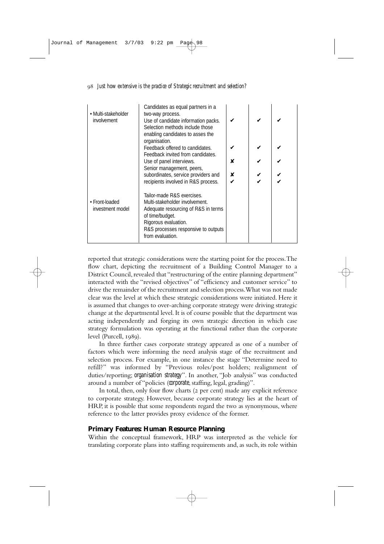| · Multi-stakeholder<br>involvement | Candidates as equal partners in a<br>two-way process.<br>Use of candidate information packs.<br>Selection methods include those<br>enabling candidates to asses the<br>organisation.                      |   |  |
|------------------------------------|-----------------------------------------------------------------------------------------------------------------------------------------------------------------------------------------------------------|---|--|
|                                    | Feedback offered to candidates.<br>Feedback invited from candidates.                                                                                                                                      |   |  |
|                                    | Use of panel interviews.<br>Senior management, peers,                                                                                                                                                     | x |  |
|                                    | subordinates, service providers and<br>recipients involved in R&S process.                                                                                                                                | × |  |
| • Front-loaded<br>investment model | Tailor-made R&S exercises.<br>Multi-stakeholder involvement.<br>Adequate resourcing of R&S in terms<br>of time/budget.<br>Rigorous evaluation.<br>R&S processes responsive to outputs<br>from evaluation. |   |  |

reported that strategic considerations were the starting point for the process.The flow chart, depicting the recruitment of a Building Control Manager to a District Council, revealed that "restructuring of the entire planning department" interacted with the "revised objectives" of "efficiency and customer service" to drive the remainder of the recruitment and selection process.What was not made clear was the level at which these strategic considerations were initiated. Here it is assumed that changes to over-arching corporate strategy were driving strategic change at the departmental level. It is of course possible that the department was acting independently and forging its own strategic direction in which case strategy formulation was operating at the functional rather than the corporate level (Purcell,  $1989$ ).

In three further cases corporate strategy appeared as one of a number of factors which were informing the need analysis stage of the recruitment and selection process. For example, in one instance the stage "Determine need to refill?" was informed by "Previous roles/post holders; realignment of duties/reporting; *organisation strategy*". In another, "Job analysis" was conducted around a number of "policies (*corporate*, staffing, legal, grading)".

In total, then, only four flow charts (2 per cent) made any explicit reference to corporate strategy. However, because corporate strategy lies at the heart of HRP, it is possible that some respondents regard the two as synonymous, where reference to the latter provides proxy evidence of the former.

## **Primary Features: Human Resource Planning**

Within the conceptual framework, HRP was interpreted as the vehicle for translating corporate plans into staffing requirements and, as such, its role within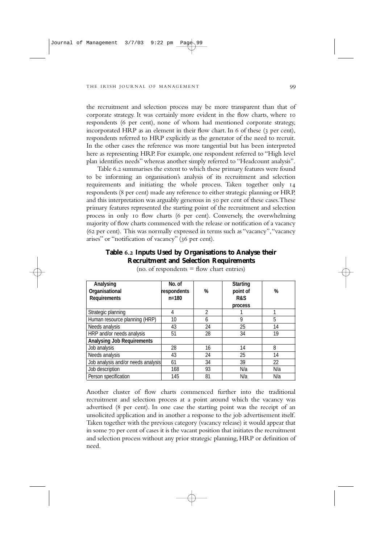the recruitment and selection process may be more transparent than that of corporate strategy. It was certainly more evident in the flow charts, where respondents (6 per cent), none of whom had mentioned corporate strategy, incorporated HRP as an element in their flow chart. In  $6$  of these ( $3$  per cent), respondents referred to HRP explicitly as the generator of the need to recruit. In the other cases the reference was more tangential but has been interpreted here as representing HRP. For example, one respondent referred to "High level plan identifies needs" whereas another simply referred to "Headcount analysis".

Table 6.2 summarises the extent to which these primary features were found to be informing an organisation's analysis of its recruitment and selection requirements and initiating the whole process. Taken together only respondents (8 per cent) made any reference to either strategic planning or HRP, and this interpretation was arguably generous in 50 per cent of these cases. These primary features represented the starting point of the recruitment and selection process in only 10 flow charts (6 per cent). Conversely, the overwhelming majority of flow charts commenced with the release or notification of a vacancy ( $62$  per cent). This was normally expressed in terms such as "vacancy", "vacancy" arises" or "notification of vacancy" (36 per cent).

## **Table . Inputs Used by Organisations to Analyse their Recruitment and Selection Requirements**

| Analysing<br>Organisational        | No. of<br>respondents | %             | <b>Starting</b><br>point of | %   |
|------------------------------------|-----------------------|---------------|-----------------------------|-----|
| <b>Requirements</b>                | $n = 180$             |               | <b>R&amp;S</b><br>process   |     |
| Strategic planning                 | 4                     | $\mathfrak z$ |                             |     |
| Human resource planning (HRP)      | 10                    | 6             | 9                           | 5   |
| Needs analysis                     | 43                    | 24            | 25                          | 14  |
| HRP and/or needs analysis          | 51                    | 28            | 34                          | 19  |
| <b>Analysing Job Requirements</b>  |                       |               |                             |     |
| Job analysis                       | 28                    | 16            | 14                          | 8   |
| Needs analysis                     | 43                    | 24            | 25                          | 14  |
| Job analysis and/or needs analysis | 61                    | 34            | 39                          | 22  |
| Job description                    | 168                   | 93            | N/a                         | N/a |
| Person specification               | 145                   | 81            | N/a                         | N/a |

 $(no. of$  respondents  $=$  flow chart entries)

Another cluster of flow charts commenced further into the traditional recruitment and selection process at a point around which the vacancy was advertised (8 per cent). In one case the starting point was the receipt of an unsolicited application and in another a response to the job advertisement itself. Taken together with the previous category (vacancy release) it would appear that in some 70 per cent of cases it is the vacant position that initiates the recruitment and selection process without any prior strategic planning, HRP or definition of need.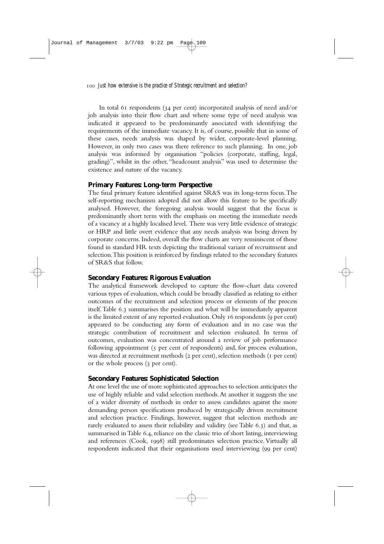In total  $6I$  respondents ( $34$  per cent) incorporated analysis of need and/or job analysis into their flow chart and where some type of need analysis was indicated it appeared to be predominantly associated with identifying the requirements of the immediate vacancy. It is, of course, possible that in some of these cases, needs analysis was shaped by wider, corporate-level planning. However, in only two cases was there reference to such planning. In one, job analysis was informed by organisation "policies (corporate, staffing, legal, grading)", whilst in the other, "headcount analysis" was used to determine the existence and nature of the vacancy.

## **Primary Features: Long-term Perspective**

The final primary feature identified against SR&S was its long-term focus.The self-reporting mechanism adopted did not allow this feature to be specifically analysed. However, the foregoing analysis would suggest that the focus is predominantly short term with the emphasis on meeting the immediate needs of a vacancy at a highly localised level. There was very little evidence of strategic or HRP and little overt evidence that any needs analysis was being driven by corporate concerns. Indeed, overall the flow charts are very reminiscent of those found in standard HR texts depicting the traditional variant of recruitment and selection.This position is reinforced by findings related to the secondary features of SR&S that follow.

## **Secondary Features: Rigorous Evaluation**

The analytical framework developed to capture the flow-chart data covered various types of evaluation, which could be broadly classified as relating to either outcomes of the recruitment and selection process or elements of the process itself. Table 6.3 summarises the position and what will be immediately apparent is the limited extent of any reported evaluation. Only 16 respondents (9 per cent) appeared to be conducting any form of evaluation and in no case was the strategic contribution of recruitment and selection evaluated. In terms of outcomes, evaluation was concentrated around a review of job performance following appointment  $(5$  per cent of respondents) and, for process evaluation, was directed at recruitment methods (2 per cent), selection methods (1 per cent) or the whole process (3 per cent).

## **Secondary Features: Sophisticated Selection**

At one level the use of more sophisticated approaches to selection anticipates the use of highly reliable and valid selection methods.At another it suggests the use of a wider diversity of methods in order to assess candidates against the more demanding person specifications produced by strategically driven recruitment and selection practice. Findings, however, suggest that selection methods are rarely evaluated to assess their reliability and validity (see Table 6.3) and that, as summarised in Table 6.4, reliance on the classic trio of short listing, interviewing and references (Cook, 1998) still predominates selection practice. Virtually all respondents indicated that their organisations used interviewing (99 per cent)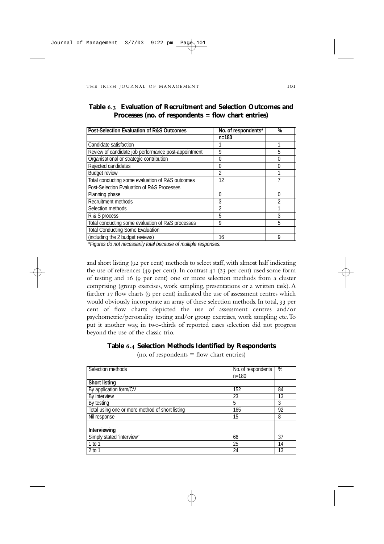| <b>Post-Selection Evaluation of R&amp;S Outcomes</b> | No. of respondents* | %            |
|------------------------------------------------------|---------------------|--------------|
|                                                      | $n = 180$           |              |
| Candidate satisfaction                               |                     |              |
| Review of candidate job performance post-appointment | 9                   | 5            |
| Organisational or strategic contribution             | 0                   | 0            |
| Rejected candidates                                  | 0                   | 0            |
| <b>Budget review</b>                                 | $\mathfrak{p}$      |              |
| Total conducting some evaluation of R&S outcomes     | 12                  |              |
| Post-Selection Evaluation of R&S Processes           |                     |              |
| Planning phase                                       | 0                   | <sup>0</sup> |
| Recruitment methods                                  | 3                   | 2            |
| Selection methods                                    | 2                   |              |
| R & S process                                        | 5                   | 3            |
| Total conducting some evaluation of R&S processes    | 9                   | 5            |
| <b>Total Conducting Some Evaluation</b>              |                     |              |
| (including the 2 budget reviews)                     | 16                  | 9            |

## **Table . Evaluation of Recruitment and Selection Outcomes and Processes (no. of respondents = flow chart entries)**

\**Figures do not necessarily total because of multiple responses.*

and short listing (92 per cent) methods to select staff, with almost half indicating the use of references (49 per cent). In contrast  $4I$  (23 per cent) used some form of testing and 16 (9 per cent) one or more selection methods from a cluster comprising (group exercises, work sampling, presentations or a written task). A further  $17$  flow charts (9 per cent) indicated the use of assessment centres which would obviously incorporate an array of these selection methods. In total, 33 per cent of flow charts depicted the use of assessment centres and/or psychometric/personality testing and/or group exercises, work sampling etc.To put it another way, in two-thirds of reported cases selection did not progress beyond the use of the classic trio.

## **Table . Selection Methods Identified by Respondents**

 $(no. of respondents = flow chart entries)$ 

| Selection methods                               | No. of respondents | %  |
|-------------------------------------------------|--------------------|----|
|                                                 | $n = 180$          |    |
| <b>Short listing</b>                            |                    |    |
| By application form/CV                          | 152                | 84 |
| By interview                                    | 23                 | 13 |
| By testing                                      | 5                  | 3  |
| Total using one or more method of short listing | 165                | 92 |
| Nil response                                    | 15                 | 8  |
|                                                 |                    |    |
| Interviewing                                    |                    |    |
| Simply stated "interview"                       | 66                 | 37 |
| $1$ to $1$                                      | 25                 | 14 |
| $2$ to 1                                        | 24                 | 13 |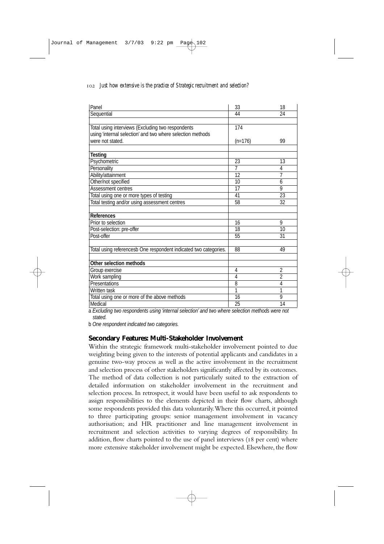| Panel                                                            | 33             | 18             |
|------------------------------------------------------------------|----------------|----------------|
| Sequential                                                       | 44             | 24             |
|                                                                  |                |                |
| Total using interviews (Excluding two respondents                | 174            |                |
| using 'internal selection' and two where selection methods       |                |                |
| were not stated.                                                 | $(n=176)$      | 99             |
|                                                                  |                |                |
| <b>Testing</b>                                                   |                |                |
| Psychometric                                                     | 23             | 13             |
| Personality                                                      | $\overline{7}$ | 4              |
| Ability/attainment                                               | 12             | 7              |
| Other/not specified                                              | 10             | 6              |
| <b>Assessment centres</b>                                        | 17             | 9              |
| Total using one or more types of testing                         | 41             | 23             |
| Total testing and/or using assessment centres                    | 58             | 32             |
|                                                                  |                |                |
| <b>References</b>                                                |                |                |
| Prior to selection                                               | 16             | 9              |
| Post-selection: pre-offer                                        | 18             | 10             |
| Post-offer                                                       | 55             | 31             |
|                                                                  |                |                |
| Total using referencesb One respondent indicated two categories. | 88             | 49             |
|                                                                  |                |                |
| Other selection methods                                          |                |                |
| Group exercise                                                   | 4              | 2              |
| Work sampling                                                    | 4              | $\overline{2}$ |
| <b>Presentations</b>                                             | 8              | 4              |
| Written task                                                     | 1              | 1              |
| Total using one or more of the above methods                     | 16             | 9              |
| Medical                                                          | 25             | 14             |

a *Excluding two respondents using 'internal selection' and two where selection methods were not stated.*

b *One respondent indicated two categories.*

## **Secondary Features: Multi-Stakeholder Involvement**

Within the strategic framework multi-stakeholder involvement pointed to due weighting being given to the interests of potential applicants and candidates in a genuine two-way process as well as the active involvement in the recruitment and selection process of other stakeholders significantly affected by its outcomes. The method of data collection is not particularly suited to the extraction of detailed information on stakeholder involvement in the recruitment and selection process. In retrospect, it would have been useful to ask respondents to assign responsibilities to the elements depicted in their flow charts, although some respondents provided this data voluntarily.Where this occurred, it pointed to three participating groups: senior management involvement in vacancy authorisation; and HR practitioner and line management involvement in recruitment and selection activities to varying degrees of responsibility. In addition, flow charts pointed to the use of panel interviews  $(18$  per cent) where more extensive stakeholder involvement might be expected. Elsewhere, the flow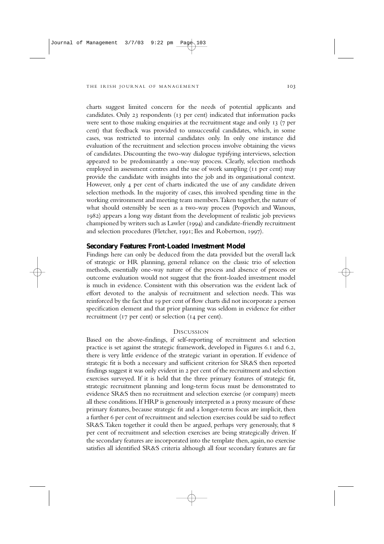charts suggest limited concern for the needs of potential applicants and candidates. Only 23 respondents (13 per cent) indicated that information packs were sent to those making enquiries at the recruitment stage and only  $13$  ( $7$  per cent) that feedback was provided to unsuccessful candidates, which, in some cases, was restricted to internal candidates only. In only one instance did evaluation of the recruitment and selection process involve obtaining the views of candidates. Discounting the two-way dialogue typifying interviews, selection appeared to be predominantly a one-way process. Clearly, selection methods employed in assessment centres and the use of work sampling  $(11$  per cent) may provide the candidate with insights into the job and its organisational context. However, only 4 per cent of charts indicated the use of any candidate driven selection methods. In the majority of cases, this involved spending time in the working environment and meeting team members.Taken together, the nature of what should ostensibly be seen as a two-way process (Popovich and Wanous, ) appears a long way distant from the development of realistic job previews championed by writers such as Lawler (1994) and candidate-friendly recruitment and selection procedures (Fletcher, 1991; Iles and Robertson, 1997).

#### **Secondary Features: Front-Loaded Investment Model**

Findings here can only be deduced from the data provided but the overall lack of strategic or HR planning, general reliance on the classic trio of selection methods, essentially one-way nature of the process and absence of process or outcome evaluation would not suggest that the front-loaded investment model is much in evidence. Consistent with this observation was the evident lack of effort devoted to the analysis of recruitment and selection needs. This was reinforced by the fact that 19 per cent of flow charts did not incorporate a person specification element and that prior planning was seldom in evidence for either recruitment ( $17$  per cent) or selection ( $14$  per cent).

#### **DISCUSSION**

Based on the above-findings, if self-reporting of recruitment and selection practice is set against the strategic framework, developed in Figures 6.1 and 6.2, there is very little evidence of the strategic variant in operation. If evidence of strategic fit is both a necessary and sufficient criterion for SR&S then reported findings suggest it was only evident in 2 per cent of the recruitment and selection exercises surveyed. If it is held that the three primary features of strategic fit, strategic recruitment planning and long-term focus must be demonstrated to evidence SR&S then no recruitment and selection exercise (or company) meets all these conditions.If HRP is generously interpreted as a proxy measure of these primary features, because strategic fit and a longer-term focus are implicit, then a further 6 per cent of recruitment and selection exercises could be said to reflect SR&S.Taken together it could then be argued, perhaps very generously, that per cent of recruitment and selection exercises are being strategically driven. If the secondary features are incorporated into the template then, again, no exercise satisfies all identified SR&S criteria although all four secondary features are far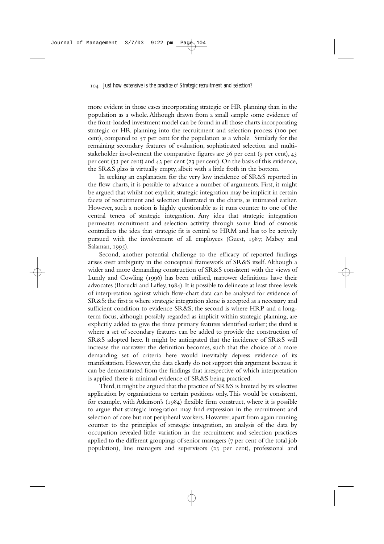more evident in those cases incorporating strategic or HR planning than in the population as a whole. Although drawn from a small sample some evidence of the front-loaded investment model can be found in all those charts incorporating strategic or HR planning into the recruitment and selection process (100 per cent), compared to 57 per cent for the population as a whole. Similarly for the remaining secondary features of evaluation, sophisticated selection and multistakeholder involvement the comparative figures are  $36$  per cent ( $9$  per cent),  $43$ per cent ( $33$  per cent) and  $43$  per cent ( $23$  per cent). On the basis of this evidence, the SR&S glass is virtually empty, albeit with a little froth in the bottom.

In seeking an explanation for the very low incidence of SR&S reported in the flow charts, it is possible to advance a number of arguments. First, it might be argued that whilst not explicit, strategic integration may be implicit in certain facets of recruitment and selection illustrated in the charts, as intimated earlier. However, such a notion is highly questionable as it runs counter to one of the central tenets of strategic integration. Any idea that strategic integration permeates recruitment and selection activity through some kind of osmosis contradicts the idea that strategic fit is central to HRM and has to be actively pursued with the involvement of all employees (Guest, 1987; Mabey and Salaman, 1995).

Second, another potential challenge to the efficacy of reported findings arises over ambiguity in the conceptual framework of SR&S itself. Although a wider and more demanding construction of SR&S consistent with the views of Lundy and Cowling (1996) has been utilised, narrower definitions have their advocates (Borucki and Lafley, 1984). It is possible to delineate at least three levels of interpretation against which flow-chart data can be analysed for evidence of SR&S: the first is where strategic integration alone is accepted as a necessary and sufficient condition to evidence SR&S; the second is where HRP and a longterm focus, although possibly regarded as implicit within strategic planning, are explicitly added to give the three primary features identified earlier; the third is where a set of secondary features can be added to provide the construction of SR&S adopted here. It might be anticipated that the incidence of SR&S will increase the narrower the definition becomes, such that the choice of a more demanding set of criteria here would inevitably depress evidence of its manifestation. However, the data clearly do not support this argument because it can be demonstrated from the findings that irrespective of which interpretation is applied there is minimal evidence of SR&S being practiced.

Third, it might be argued that the practice of SR&S is limited by its selective application by organisations to certain positions only.This would be consistent, for example, with Atkinson's  $(1984)$  flexible firm construct, where it is possible to argue that strategic integration may find expression in the recruitment and selection of core but not peripheral workers. However, apart from again running counter to the principles of strategic integration, an analysis of the data by occupation revealed little variation in the recruitment and selection practices applied to the different groupings of senior managers (7 per cent of the total job population), line managers and supervisors (23 per cent), professional and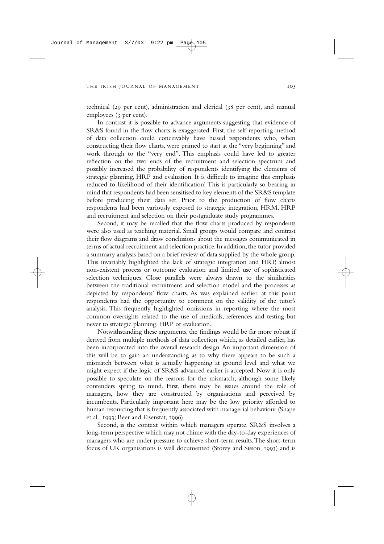technical (29 per cent), administration and clerical (38 per cent), and manual employees (3 per cent).

In contrast it is possible to advance arguments suggesting that evidence of SR&S found in the flow charts is exaggerated. First, the self-reporting method of data collection could conceivably have biased respondents who, when constructing their flow charts, were primed to start at the "very beginning" and work through to the "very end". This emphasis could have led to greater reflection on the two ends of the recruitment and selection spectrum and possibly increased the probability of respondents identifying the elements of strategic planning, HRP and evaluation. It is difficult to imagine this emphasis reduced to likelihood of their identification! This is particularly so bearing in mind that respondents had been sensitised to key elements of the SR&S template before producing their data set. Prior to the production of flow charts respondents had been variously exposed to strategic integration, HRM, HRP and recruitment and selection on their postgraduate study programmes.

Second, it may be recalled that the flow charts produced by respondents were also used as teaching material. Small groups would compare and contrast their flow diagrams and draw conclusions about the messages communicated in terms of actual recruitment and selection practice. In addition, the tutor provided a summary analysis based on a brief review of data supplied by the whole group. This invariably highlighted the lack of strategic integration and HRP, almost non-existent process or outcome evaluation and limited use of sophisticated selection techniques. Close parallels were always drawn to the similarities between the traditional recruitment and selection model and the processes as depicted by respondents' flow charts. As was explained earlier, at this point respondents had the opportunity to comment on the validity of the tutor's analysis. This frequently highlighted omissions in reporting where the most common oversights related to the use of medicals, references and testing but never to strategic planning, HRP or evaluation.

Notwithstanding these arguments, the findings would be far more robust if derived from multiple methods of data collection which, as detailed earlier, has been incorporated into the overall research design. An important dimension of this will be to gain an understanding as to why there appears to be such a mismatch between what is actually happening at ground level and what we might expect if the logic of SR&S advanced earlier is accepted. Now it is only possible to speculate on the reasons for the mismatch, although some likely contenders spring to mind. First, there may be issues around the role of managers, how they are constructed by organisations and perceived by incumbents. Particularly important here may be the low priority afforded to human resourcing that is frequently associated with managerial behaviour (Snape et al., 1993; Beer and Eisenstat, 1996).

Second, is the context within which managers operate. SR&S involves a long-term perspective which may not chime with the day-to-day experiences of managers who are under pressure to achieve short-term results.The short-term focus of UK organisations is well documented (Storey and Sisson, 1993) and is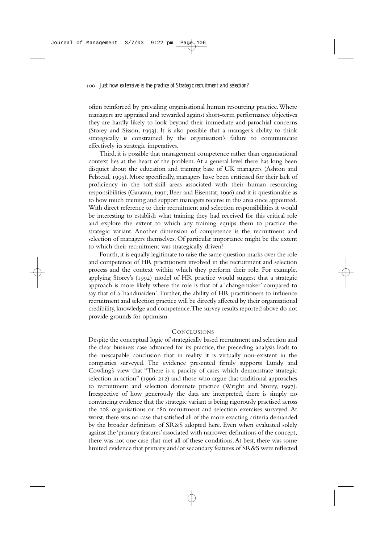often reinforced by prevailing organisational human resourcing practice.Where managers are appraised and rewarded against short-term performance objectives they are hardly likely to look beyond their immediate and parochial concerns (Storey and Sisson, 1993). It is also possible that a manager's ability to think strategically is constrained by the organisation's failure to communicate effectively its strategic imperatives.

Third, it is possible that management competence rather than organisational context lies at the heart of the problem. At a general level there has long been disquiet about the education and training base of UK managers (Ashton and Felstead, 1995). More specifically, managers have been criticised for their lack of proficiency in the soft-skill areas associated with their human resourcing responsibilities (Garavan, 1991; Beer and Eisenstat, 1996) and it is questionable as to how much training and support managers receive in this area once appointed. With direct reference to their recruitment and selection responsibilities it would be interesting to establish what training they had received for this critical role and explore the extent to which any training equips them to practice the strategic variant. Another dimension of competence is the recruitment and selection of managers themselves. Of particular importance might be the extent to which their recruitment was strategically driven!

Fourth, it is equally legitimate to raise the same question marks over the role and competence of HR practitioners involved in the recruitment and selection process and the context within which they perform their role. For example, applying Storey's (1992) model of HR practice would suggest that a strategic approach is more likely where the role is that of a 'changemaker' compared to say that of a 'handmaiden'. Further, the ability of HR practitioners to influence recruitment and selection practice will be directly affected by their organisational credibility,knowledge and competence.The survey results reported above do not provide grounds for optimism.

#### **CONCLUSIONS**

Despite the conceptual logic of strategically based recruitment and selection and the clear business case advanced for its practice, the preceding analysis leads to the inescapable conclusion that in reality it is virtually non-existent in the companies surveyed. The evidence presented firmly supports Lundy and Cowling's view that "There is a paucity of cases which demonstrate strategic selection in action" ( $1996:212$ ) and those who argue that traditional approaches to recruitment and selection dominate practice (Wright and Storey, 1997). Irrespective of how generously the data are interpreted, there is simply no convincing evidence that the strategic variant is being rigorously practised across the 108 organisations or 180 recruitment and selection exercises surveyed. At worst, there was no case that satisfied all of the more exacting criteria demanded by the broader definition of SR&S adopted here. Even when evaluated solely against the 'primary features'associated with narrower definitions of the concept, there was not one case that met all of these conditions.At best, there was some limited evidence that primary and/or secondary features of SR&S were reflected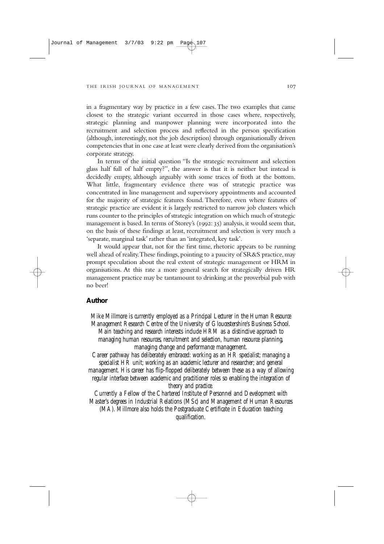in a fragmentary way by practice in a few cases.The two examples that came closest to the strategic variant occurred in those cases where, respectively, strategic planning and manpower planning were incorporated into the recruitment and selection process and reflected in the person specification (although, interestingly, not the job description) through organisationally driven competencies that in one case at least were clearly derived from the organisation's corporate strategy.

In terms of the initial question "Is the strategic recruitment and selection glass half full of half empty?", the answer is that it is neither but instead is decidedly empty, although arguably with some traces of froth at the bottom. What little, fragmentary evidence there was of strategic practice was concentrated in line management and supervisory appointments and accounted for the majority of strategic features found. Therefore, even where features of strategic practice are evident it is largely restricted to narrow job clusters which runs counter to the principles of strategic integration on which much of strategic management is based. In terms of Storey's  $(1992: 35)$  analysis, it would seem that, on the basis of these findings at least, recruitment and selection is very much a 'separate, marginal task' rather than an 'integrated, key task'.

It would appear that, not for the first time, rhetoric appears to be running well ahead of reality.These findings, pointing to a paucity of SR&S practice, may prompt speculation about the real extent of strategic management or HRM in organisations. At this rate a more general search for strategically driven HR management practice may be tantamount to drinking at the proverbial pub with no beer!

## **Author**

*Mike Millmore is currently employed as a Principal Lecturer in the Human Resource Management Research Centre of the University of Gloucestershire's Business School. Main teaching and research interests include HRM as a distinctive approach to managing human resources, recruitment and selection, human resource planning, managing change and performance management.*

*Career pathway has deliberately embraced: working as an HR specialist; managing a specialist HR unit; working as an academic lecturer and researcher; and general management. His career has flip-flopped deliberately between these as a way of allowing regular interface between academic and practitioner roles so enabling the integration of theory and practice.*

*Currently a Fellow of the Chartered Institute of Personnel and Development with Master's degrees in Industrial Relations (MSc) and Management of Human Resources (MA). Millmore also holds the Postgraduate Certificate in Education teaching qualification.*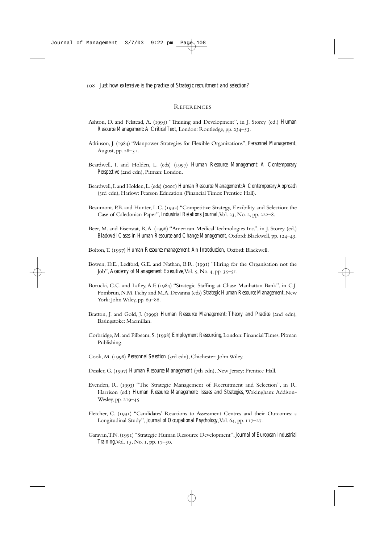## REFERENCES

- Ashton, D. and Felstead, A. (1995) "Training and Development", in J. Storey (ed.) *Human Resource Management: A Critical Text*, London: Routledge, pp. 234-53.
- Atkinson, J. (1984) "Manpower Strategies for Flexible Organizations", *Personnel Management*, August, pp. 28-31.
- Beardwell, I. and Holden, L. (eds) (1997) *Human Resource Management: A Contemporary Perspective* (2nd edn), Pitman: London.
- Beardwell, I. and Holden, L. (eds) (2001) *Human Resource Management: A Contemporary Approach* (3rd edn), Harlow: Pearson Education (Financial Times: Prentice Hall).
- Beaumont, P.B. and Hunter, L.C. (1992) "Competitive Strategy, Flexibility and Selection: the Case of Caledonian Paper", *Industrial Relations Journal*, Vol. 23, No. 2, pp. 222-8.
- Beer, M. and Eisenstat, R.A. (1996) "American Medical Technologies Inc.", in J. Storey (ed.) *Blackwell Cases in Human Resource and Change Management*, Oxford: Blackwell, pp. 124-43.
- Bolton, T. (1997) *Human Resource management: An Introduction*, Oxford: Blackwell.
- Bowen, D.E., Ledford, G.E. and Nathan, B.R. (1991) "Hiring for the Organisation not the Job", *Academy of Management Executive*, Vol. 5, No. 4, pp. 35-51.
- Borucki, C.C. and Lafley, A.F. (1984) "Strategic Staffing at Chase Manhattan Bank", in C.J. Fombrun, N.M.Tichy and M.A.Devanna (eds) Strategic Human Resource Management, New York: John Wiley, pp. 69-86.
- Bratton, J. and Gold, J. (1999) *Human Resource Management: Theory and Practice* (2nd edn), Basingstoke: Macmillan.
- Corbridge, M. and Pilbeam, S. (1998) *Employment Resourcing*, London: Financial Times, Pitman Publishing.
- Cook, M. (1998) Personnel Selection (3rd edn), Chichester: John Wiley.
- Dessler, G. (1997) *Human Resource Management* (7th edn), New Jersey: Prentice Hall.
- Evenden, R. (1993) "The Strategic Management of Recruitment and Selection", in R. Harrison (ed.) *Human Resource Management: Issues and Strategies*, Wokingham: Addison-Wesley, pp. 219-45.
- Fletcher, C. (1991) "Candidates' Reactions to Assessment Centres and their Outcomes: a Longitudinal Study", *Journal of Occupational Psychology*, Vol. 64, pp. 117-27.
- Garavan,T.N. () "Strategic Human Resource Development",*Journal of European Industrial Training*, Vol. 15, No. 1, pp. 17-30.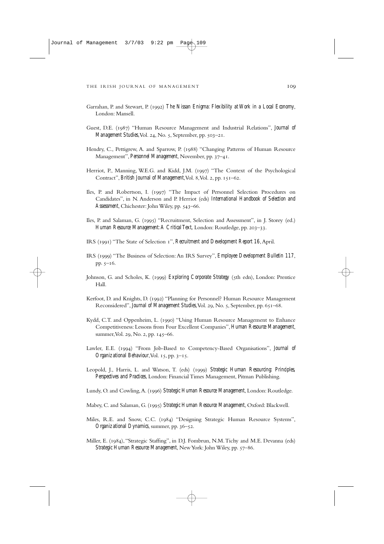- Garrahan, P. and Stewart, P. (1992) *The Nissan Enigma: Flexibility at Work in a Local Economy*, London: Mansell.
- Guest, D.E. (1987) "Human Resource Management and Industrial Relations", *Journal of Management Studies*, Vol. 24, No. 5, September, pp. 503-21.
- Hendry, C., Pettigrew, A. and Sparrow, P. (1988) "Changing Patterns of Human Resource Management", *Personnel Management*, November, pp. 37–41.
- Herriot, P., Manning, W.E.G. and Kidd, J.M. (1997) "The Context of the Psychological Contract", *British Journal of Management*, Vol. 8, Vol. 2, pp. 151–62.
- Iles, P. and Robertson, I. (1997) "The Impact of Personnel Selection Procedures on Candidates", in N. Anderson and P. Herriot (eds) *International Handbook of Selection and Assessment*, Chichester: John Wiley, pp. 543–66.
- Iles, P. and Salaman, G. (1995) "Recruitment, Selection and Assessment", in J. Storey (ed.) *Human Resource Management: A Critical Text, London: Routledge, pp. 203-33.*
- IRS (1991) "The State of Selection 1", *Recruitment and Development Report 16*, April.
- IRS () "The Business of Selection: An IRS Survey", *Employee Development Bulletin 117*, pp. 5-16.
- Johnson, G. and Scholes, K. (1999) *Exploring Corporate Strategy* (5th edn), London: Prentice Hall.
- Kerfoot, D. and Knights, D. (1992) "Planning for Personnel? Human Resource Management Reconsidered", *Journal of Management Studies*, Vol. 29, No. 5, September, pp. 651-68.
- Kydd, C.T. and Oppenheim, L. (1990) "Using Human Resource Management to Enhance Competitiveness: Lessons from Four Excellent Companies", *Human Resource Management*, summer, Vol. 29, No. 2, pp. 145-66.
- Lawler, E.E. (1994) "From Job-Based to Competency-Based Organisations", *Journal of Organizational Behaviour*, Vol. 15, pp. 3-15.
- Leopold, J., Harris, L. and Watson, T. (eds) (1999) Strategic Human Resourcing: Principles, *Perspectives and Practices*, London: Financial Times Management, Pitman Publishing.

Lundy, O. and Cowling, A. (1996) Strategic Human Resource Management, London: Routledge.

Mabey, C. and Salaman, G. (1995) Strategic Human Resource Management, Oxford: Blackwell.

- Miles, R.E. and Snow, C.C. (1984) "Designing Strategic Human Resource Systems", *Organizational Dynamics*, summer, pp. 36-52.
- Miller, E. (1984), "Strategic Staffing", in D.J. Fombrun, N.M. Tichy and M.E. Devanna (eds) *Strategic Human Resource Management*, New York: John Wiley, pp. 57–86.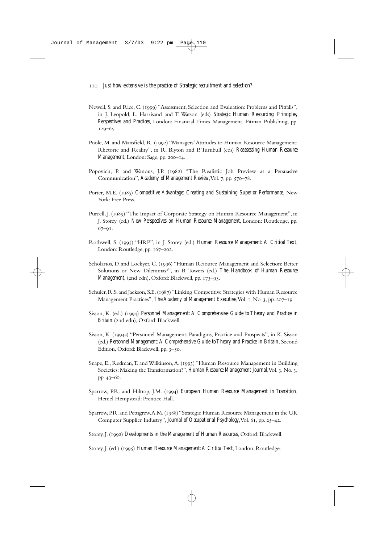- Newell, S. and Rice, C. (1999) "Assessment, Selection and Evaluation: Problems and Pitfalls", in J. Leopold, L. Harrisand and T. Watson (eds) *Strategic Human Resourcing: Principles, Perspectives and Practices*, London: Financial Times Management, Pitman Publishing, pp.  $129 - 65$ .
- Poole, M. and Mansfield, R. (1992) "Managers' Attitudes to Human Resource Management: Rhetoric and Reality", in R. Blyton and P. Turnbull (eds) *Reassessing Human Resource Management*, London: Sage, pp. 200-14.
- Popovich, P. and Wanous, J.P. (1982) "The Realistic Job Preview as a Persuasive Communication", *Academy of Management Review*, Vol. 7, pp. 570–78.
- Porter, M.E. (1985) Competitive Advantage: Creating and Sustaining Superior Performance, New York: Free Press.
- Purcell, J. (1989) "The Impact of Corporate Strategy on Human Resource Management", in J. Storey (ed.) *New Perspectives on Human Resource Management*, London: Routledge, pp.  $67 - 91.$
- Rothwell, S. () "HRP", in J. Storey (ed.) *Human Resource Management: A Critical Text*, London: Routledge, pp. 167-202.
- Scholarios, D. and Lockyer, C. (1996) "Human Resource Management and Selection: Better Solutions or New Dilemmas?", in B. Towers (ed.) *The Handbook of Human Resource Management*, (2nd edn), Oxford: Blackwell, pp. 173-95.
- Schuler, R.S. and Jackson, S.E. (1987) "Linking Competitive Strategies with Human Resource Management Practices", *The Academy of Management Executive*, Vol. 1, No. 3, pp. 207–19.
- Sisson, K. (ed.) (1994) *Personnel Management: A Comprehensive Guide to Theory and Practice in Britain* (2nd edn), Oxford: Blackwell.
- Sisson, K. (1994a) "Personnel Management: Paradigms, Practice and Prospects", in K. Sisson (ed.) *Personnel Management:A Comprehensive Guide to Theory and Practice in Britain*, Second Edition, Oxford: Blackwell, pp. 3-50.
- Snape, E., Redman, T. and Wilkinson, A. (1993) "Human Resource Management in Building Societies: Making the Transformation?", *Human Resource Management Journal*, Vol. 3, No. 3, pp. 43-60.
- Sparrow, P.R. and Hiltrop, J.M. (1994) *European Human Resource Management in Transition*, Hemel Hempstead: Prentice Hall.
- Sparrow, P.R. and Pettigrew, A.M. (1988) "Strategic Human Resource Management in the UK Computer Supplier Industry", *Journal of Occupational Psychology*, Vol. 61, pp. 25-42.
- Storey, J. (1992) *Developments in the Management of Human Resources*, Oxford: Blackwell.
- Storey, J. (ed.) (1995) *Human Resource Management: A Critical Text*, London: Routledge.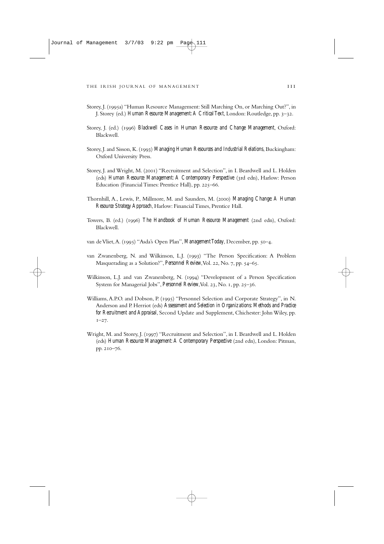- Storey, J. (1995a) "Human Resource Management: Still Marching On, or Marching Out?", in J. Storey (ed.) *Human Resource Management: A Critical Text*, London: Routledge, pp. 3-32.
- Storey, J. (ed.) (1996) *Blackwell Cases in Human Resource and Change Management*, Oxford: Blackwell.
- Storey, J. and Sisson, K. (1993) Managing Human Resources and Industrial Relations, Buckingham: Oxford University Press.
- Storey, J. and Wright, M. (2001) "Recruitment and Selection", in I. Beardwell and L. Holden (eds) *Human Resource Management: A Contemporary Perspective* (3rd edn), Harlow: Person Education (Financial Times: Prentice Hall), pp. 225-66.
- Thornhill, A., Lewis, P., Millmore, M. and Saunders, M. () *Managing Change: A Human Resource Strategy Approach*, Harlow: Financial Times, Prentice Hall.
- Towers, B. (ed.) (1996) *The Handbook of Human Resource Management* (2nd edn), Oxford: Blackwell.
- van de Vliet, A. (1995) "Asda's Open Plan", *Management Today*, December, pp. 50–4.
- van Zwanenberg, N. and Wilkinson, L.J. (1993) "The Person Specification: A Problem Masquerading as a Solution?", *Personnel Review*, Vol. 22, No. 7, pp. 54-65.
- Wilkinson, L.J. and van Zwanenberg, N. (1994) "Development of a Person Specification System for Managerial Jobs", *Personnel Review*, Vol. 23, No. 1, pp. 25-36.
- Williams, A.P.O. and Dobson, P. (1995) "Personnel Selection and Corporate Strategy", in N. Anderson and P. Herriot (eds) *Assessment and Selection in Organizations: Methods and Practice for Recruitment and Appraisal*, Second Update and Supplement, Chichester: John Wiley, pp.  $1 - 27$ .
- Wright, M. and Storey, J. (1997) "Recruitment and Selection", in I. Beardwell and L. Holden (eds) *Human Resource Management: A Contemporary Perspective* (2nd edn), London: Pitman, pp. 210-76.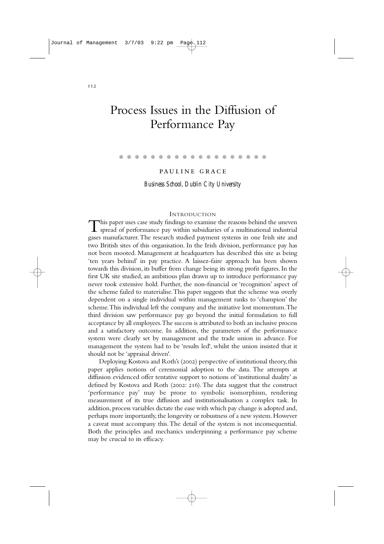# Process Issues in the Diffusion of Performance Pay

. . . . . . . . . . .

#### PAULINE GRACE

*Business School, Dublin City University*

#### INTRODUCTION

This paper uses case study findings to examine the reasons behind the uneven<br>spread of performance pay within subsidiaries of a multinational industrial<br>industrial gases manufacturer.The research studied payment systems in one Irish site and two British sites of this organisation. In the Irish division, performance pay has not been mooted. Management at headquarters has described this site as being 'ten years behind' in pay practice. A laissez-faire approach has been shown towards this division, its buffer from change being its strong profit figures. In the first UK site studied, an ambitious plan drawn up to introduce performance pay never took extensive hold. Further, the non-financial or 'recognition' aspect of the scheme failed to materialise.This paper suggests that the scheme was overly dependent on a single individual within management ranks to 'champion' the scheme.This individual left the company and the initiative lost momentum.The third division saw performance pay go beyond the initial formulation to full acceptance by all employees.The success is attributed to both an inclusive process and a satisfactory outcome. In addition, the parameters of the performance system were clearly set by management and the trade union in advance. For management the system had to be 'results led', whilst the union insisted that it should not be 'appraisal driven'.

Deploying Kostova and Roth's (2002) perspective of institutional theory, this paper applies notions of ceremonial adoption to the data. The attempts at diffusion evidenced offer tentative support to notions of 'institutional duality'as defined by Kostova and Roth (2002: 216). The data suggest that the construct 'performance pay' may be prone to symbolic isomorphism, rendering measurement of its true diffusion and institutionalisation a complex task. In addition, process variables dictate the ease with which pay change is adopted and, perhaps more importantly, the longevity or robustness of a new system. However a caveat must accompany this.The detail of the system is not inconsequential. Both the principles and mechanics underpinning a performance pay scheme may be crucial to its efficacy.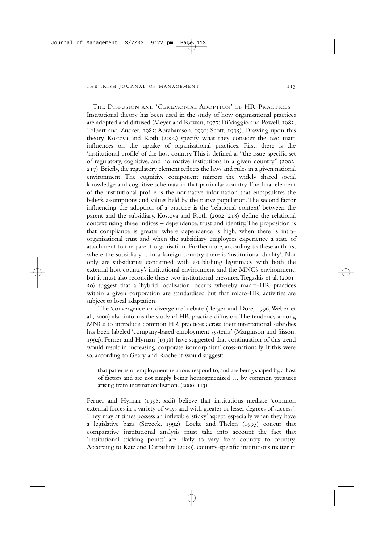THE DIFFUSION AND 'CEREMONIAL ADOPTION' OF HR PRACTICES Institutional theory has been used in the study of how organisational practices are adopted and diffused (Meyer and Rowan, 1977; DiMaggio and Powell, 1983; Tolbert and Zucker, 1983; Abrahamson, 1991; Scott, 1995). Drawing upon this theory, Kostova and Roth (2002) specify what they consider the two main influences on the uptake of organisational practices. First, there is the 'institutional profile' of the host country.This is defined as "the issue-specific set of regulatory, cognitive, and normative institutions in a given country" (2002: ).Briefly,the regulatory element reflects the laws and rules in a given national environment. The cognitive component mirrors the widely shared social knowledge and cognitive schemata in that particular country.The final element of the institutional profile is the normative information that encapsulates the beliefs, assumptions and values held by the native population.The second factor influencing the adoption of a practice is the 'relational context' between the parent and the subsidiary. Kostova and Roth (2002: 218) define the relational context using three indices – dependence, trust and identity.The proposition is that compliance is greater where dependence is high, when there is intraorganisational trust and when the subsidiary employees experience a state of attachment to the parent organisation. Furthermore, according to these authors, where the subsidiary is in a foreign country there is 'institutional duality'. Not only are subsidiaries concerned with establishing legitimacy with both the external host country's institutional environment and the MNC's environment, but it must also reconcile these two institutional pressures. Tregaskis et al. (2001: ) suggest that a 'hybrid localisation' occurs whereby macro-HR practices within a given corporation are standardised but that micro-HR activities are subject to local adaptation.

The 'convergence or divergence' debate (Berger and Dore, 1996; Weber et al., 2000) also informs the study of HR practice diffusion. The tendency among MNCs to introduce common HR practices across their international subsidies has been labeled 'company-based employment systems' (Marginson and Sisson, 1994). Ferner and Hyman (1998) have suggested that continuation of this trend would result in increasing 'corporate isomorphism' cross-nationally. If this were so, according to Geary and Roche it would suggest:

that patterns of employment relations respond to, and are being shaped by, a host of factors and are not simply being homogenenized … by common pressures arising from internationalisation.  $(2000: 113)$ 

Ferner and Hyman (1998: xxii) believe that institutions mediate 'common external forces in a variety of ways and with greater or lesser degrees of success'. They may at times possess an inflexible 'sticky'aspect, especially when they have a legislative basis (Streeck, 1992). Locke and Thelen (1995) concur that comparative institutional analysis must take into account the fact that 'institutional sticking points' are likely to vary from country to country. According to Katz and Darbishire (2000), country-specific institutions matter in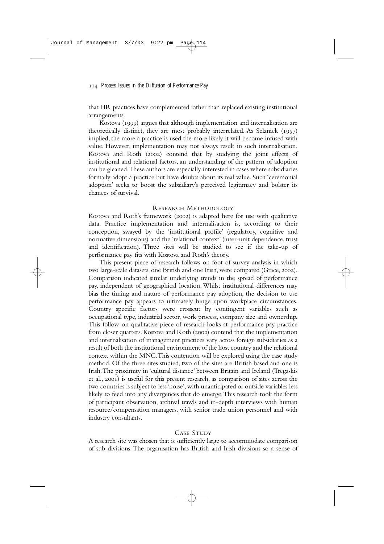that HR practices have complemented rather than replaced existing institutional arrangements.

Kostova (1999) argues that although implementation and internalisation are theoretically distinct, they are most probably interrelated. As Selznick  $(1957)$ implied, the more a practice is used the more likely it will become infused with value. However, implementation may not always result in such internalisation. Kostova and Roth (2002) contend that by studying the joint effects of institutional and relational factors, an understanding of the pattern of adoption can be gleaned.These authors are especially interested in cases where subsidiaries formally adopt a practice but have doubts about its real value. Such 'ceremonial adoption' seeks to boost the subsidiary's perceived legitimacy and bolster its chances of survival.

#### RESEARCH METHODOLOGY

Kostova and Roth's framework (2002) is adapted here for use with qualitative data. Practice implementation and internalisation is, according to their conception, swayed by the 'institutional profile' (regulatory, cognitive and normative dimensions) and the 'relational context' (inter-unit dependence, trust and identification). Three sites will be studied to see if the take-up of performance pay fits with Kostova and Roth's theory.

This present piece of research follows on foot of survey analysis in which two large-scale datasets, one British and one Irish, were compared (Grace, 2002). Comparison indicated similar underlying trends in the spread of performance pay, independent of geographical location. Whilst institutional differences may bias the timing and nature of performance pay adoption, the decision to use performance pay appears to ultimately hinge upon workplace circumstances. Country specific factors were crosscut by contingent variables such as occupational type, industrial sector, work process, company size and ownership. This follow-on qualitative piece of research looks at performance pay practice from closer quarters. Kostova and Roth (2002) contend that the implementation and internalisation of management practices vary across foreign subsidiaries as a result of both the institutional environment of the host country and the relational context within the MNC.This contention will be explored using the case study method. Of the three sites studied, two of the sites are British based and one is Irish.The proximity in 'cultural distance' between Britain and Ireland (Tregaskis et al., ) is useful for this present research, as comparison of sites across the two countries is subject to less 'noise',with unanticipated or outside variables less likely to feed into any divergences that do emerge.This research took the form of participant observation, archival trawls and in-depth interviews with human resource/compensation managers, with senior trade union personnel and with industry consultants.

## CASE STUDY

A research site was chosen that is sufficiently large to accommodate comparison of sub-divisions. The organisation has British and Irish divisions so a sense of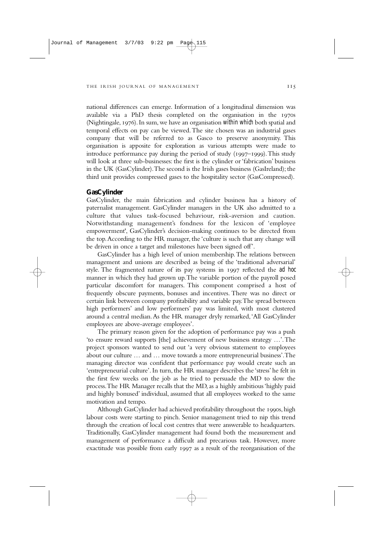national differences can emerge. Information of a longitudinal dimension was available via a PhD thesis completed on the organisation in the 1970s (Nightingale, 1976). In sum, we have an organisation *within which* both spatial and temporal effects on pay can be viewed.The site chosen was an industrial gases company that will be referred to as Gasco to preserve anonymity. This organisation is apposite for exploration as various attempts were made to introduce performance pay during the period of study  $(1997-1999)$ . This study will look at three sub-businesses: the first is the cylinder or 'fabrication' business in the UK (GasCylinder).The second is the Irish gases business (GasIreland); the third unit provides compressed gases to the hospitality sector (GasCompressed).

#### **GasCylinder**

GasCylinder, the main fabrication and cylinder business has a history of paternalist management. GasCylinder managers in the UK also admitted to a culture that values task-focused behaviour, risk-aversion and caution. Notwithstanding management's fondness for the lexicon of 'employee empowerment', GasCylinder's decision-making continues to be directed from the top.According to the HR manager, the 'culture is such that any change will be driven in once a target and milestones have been signed off'.

GasCylinder has a high level of union membership.The relations between management and unions are described as being of the 'traditional adversarial' style. The fragmented nature of its pay systems in reflected the *ad hoc* manner in which they had grown up.The variable portion of the payroll posed particular discomfort for managers. This component comprised a host of frequently obscure payments, bonuses and incentives. There was no direct or certain link between company profitability and variable pay.The spread between high performers' and low performers' pay was limited, with most clustered around a central median.As the HR manager dryly remarked,'All GasCylinder employees are above-average employees'.

The primary reason given for the adoption of performance pay was a push 'to ensure reward supports [the] achievement of new business strategy …'.The project sponsors wanted to send out 'a very obvious statement to employees about our culture … and … move towards a more entrepreneurial business'.The managing director was confident that performance pay would create such an 'entrepreneurial culture'. In turn, the HR manager describes the 'stress' he felt in the first few weeks on the job as he tried to persuade the MD to slow the process.The HR Manager recalls that the MD, as a highly ambitious 'highly paid and highly bonused' individual, assumed that all employees worked to the same motivation and tempo.

Although GasCylinder had achieved profitability throughout the 1990s, high labour costs were starting to pinch. Senior management tried to nip this trend through the creation of local cost centres that were answerable to headquarters. Traditionally, GasCylinder management had found both the measurement and management of performance a difficult and precarious task. However, more exactitude was possible from early 1997 as a result of the reorganisation of the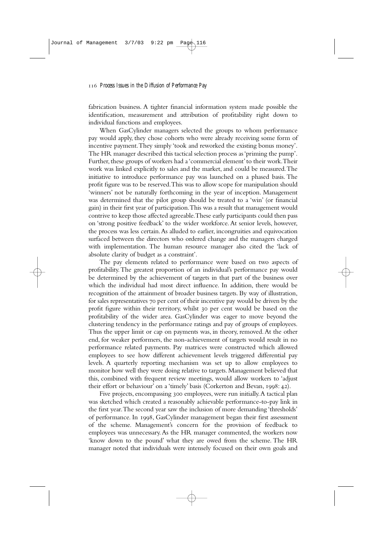fabrication business. A tighter financial information system made possible the identification, measurement and attribution of profitability right down to individual functions and employees.

When GasCylinder managers selected the groups to whom performance pay would apply, they chose cohorts who were already receiving some form of incentive payment.They simply 'took and reworked the existing bonus money'. The HR manager described this tactical selection process as 'priming the pump'. Further, these groups of workers had a 'commercial element' to their work. Their work was linked explicitly to sales and the market, and could be measured.The initiative to introduce performance pay was launched on a phased basis. The profit figure was to be reserved.This was to allow scope for manipulation should 'winners' not be naturally forthcoming in the year of inception. Management was determined that the pilot group should be treated to a 'win' (or financial gain) in their first year of participation.This was a result that management would contrive to keep those affected agreeable.These early participants could then pass on 'strong positive feedback' to the wider workforce. At senior levels, however, the process was less certain.As alluded to earlier, incongruities and equivocation surfaced between the directors who ordered change and the managers charged with implementation. The human resource manager also cited the 'lack of absolute clarity of budget as a constraint'.

The pay elements related to performance were based on two aspects of profitability.The greatest proportion of an individual's performance pay would be determined by the achievement of targets in that part of the business over which the individual had most direct influence. In addition, there would be recognition of the attainment of broader business targets. By way of illustration, for sales representatives 70 per cent of their incentive pay would be driven by the profit figure within their territory, whilst 30 per cent would be based on the profitability of the wider area. GasCylinder was eager to move beyond the clustering tendency in the performance ratings and pay of groups of employees. Thus the upper limit or cap on payments was, in theory, removed.At the other end, for weaker performers, the non-achievement of targets would result in no performance related payments. Pay matrices were constructed which allowed employees to see how different achievement levels triggered differential pay levels. A quarterly reporting mechanism was set up to allow employees to monitor how well they were doing relative to targets. Management believed that this, combined with frequent review meetings, would allow workers to 'adjust their effort or behaviour' on a 'timely' basis (Corkerton and Bevan, 1998: 42).

Five projects, encompassing 300 employees, were run initially. A tactical plan was sketched which created a reasonably achievable performance-to-pay link in the first year.The second year saw the inclusion of more demanding 'thresholds' of performance. In 1998, GasCylinder management began their first assessment of the scheme. Management's concern for the provision of feedback to employees was unnecessary.As the HR manager commented, the workers now 'know down to the pound' what they are owed from the scheme. The HR manager noted that individuals were intensely focused on their own goals and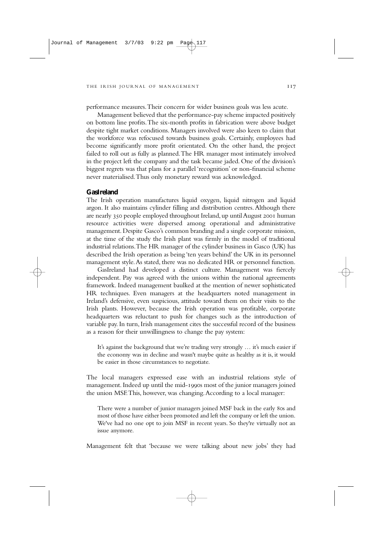performance measures.Their concern for wider business goals was less acute.

Management believed that the performance-pay scheme impacted positively on bottom line profits.The six-month profits in fabrication were above budget despite tight market conditions. Managers involved were also keen to claim that the workforce was refocused towards business goals. Certainly, employees had become significantly more profit orientated. On the other hand, the project failed to roll out as fully as planned.The HR manager most intimately involved in the project left the company and the task became jaded. One of the division's biggest regrets was that plans for a parallel 'recognition' or non-financial scheme never materialised.Thus only monetary reward was acknowledged.

#### **GasIreland**

The Irish operation manufactures liquid oxygen, liquid nitrogen and liquid argon. It also maintains cylinder filling and distribution centres.Although there are nearly 350 people employed throughout Ireland, up until August 2001 human resource activities were dispersed among operational and administrative management. Despite Gasco's common branding and a single corporate mission, at the time of the study the Irish plant was firmly in the model of traditional industrial relations.The HR manager of the cylinder business in Gasco (UK) has described the Irish operation as being 'ten years behind' the UK in its personnel management style.As stated, there was no dedicated HR or personnel function.

GasIreland had developed a distinct culture. Management was fiercely independent. Pay was agreed with the unions within the national agreements framework. Indeed management baulked at the mention of newer sophisticated HR techniques. Even managers at the headquarters noted management in Ireland's defensive, even suspicious, attitude toward them on their visits to the Irish plants. However, because the Irish operation was profitable, corporate headquarters was reluctant to push for changes such as the introduction of variable pay. In turn, Irish management cites the successful record of the business as a reason for their unwillingness to change the pay system:

It's against the background that we're trading very strongly … it's much easier if the economy was in decline and wasn't maybe quite as healthy as it is, it would be easier in those circumstances to negotiate.

The local managers expressed ease with an industrial relations style of management. Indeed up until the mid-1990s most of the junior managers joined the union MSF.This, however, was changing.According to a local manager:

There were a number of junior managers joined MSF back in the early 80s and most of those have either been promoted and left the company or left the union. We've had no one opt to join MSF in recent years. So they're virtually not an issue anymore.

Management felt that 'because we were talking about new jobs' they had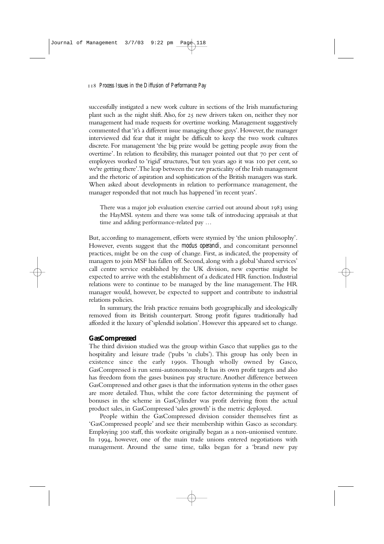successfully instigated a new work culture in sections of the Irish manufacturing plant such as the night shift. Also, for  $25$  new drivers taken on, neither they nor management had made requests for overtime working. Management suggestively commented that 'it's a different issue managing those guys'. However, the manager interviewed did fear that it might be difficult to keep the two work cultures discrete. For management 'the big prize would be getting people away from the overtime'. In relation to flexibility, this manager pointed out that 70 per cent of employees worked to 'rigid' structures, 'but ten years ago it was 100 per cent, so we're getting there'.The leap between the raw practicality of the Irish management and the rhetoric of aspiration and sophistication of the British managers was stark. When asked about developments in relation to performance management, the manager responded that not much has happened 'in recent years'.

There was a major job evaluation exercise carried out around about 1983 using the HayMSL system and there was some talk of introducing appraisals at that time and adding performance-related pay …

But, according to management, efforts were stymied by 'the union philosophy'. However, events suggest that the *modus operandi*, and concomitant personnel practices, might be on the cusp of change. First, as indicated, the propensity of managers to join MSF has fallen off. Second, along with a global 'shared services' call centre service established by the UK division, new expertise might be expected to arrive with the establishment of a dedicated HR function. Industrial relations were to continue to be managed by the line management. The HR manager would, however, be expected to support and contribute to industrial relations policies.

In summary, the Irish practice remains both geographically and ideologically removed from its British counterpart. Strong profit figures traditionally had afforded it the luxury of 'splendid isolation'. However this appeared set to change.

## **GasCompressed**

The third division studied was the group within Gasco that supplies gas to the hospitality and leisure trade ('pubs 'n clubs'). This group has only been in existence since the early 1990s. Though wholly owned by Gasco, GasCompressed is run semi-autonomously. It has its own profit targets and also has freedom from the gases business pay structure. Another difference between GasCompressed and other gases is that the information systems in the other gases are more detailed. Thus, whilst the core factor determining the payment of bonuses in the scheme in GasCylinder was profit deriving from the actual product sales, in GasCompressed 'sales growth' is the metric deployed.

People within the GasCompressed division consider themselves first as 'GasCompressed people' and see their membership within Gasco as secondary. Employing 300 staff, this worksite originally began as a non-unionised venture. In 1994, however, one of the main trade unions entered negotiations with management. Around the same time, talks began for a 'brand new pay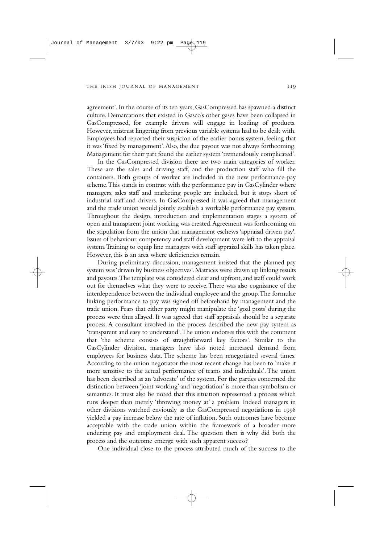agreement'. In the course of its ten years, GasCompressed has spawned a distinct culture. Demarcations that existed in Gasco's other gases have been collapsed in GasCompressed, for example drivers will engage in loading of products. However, mistrust lingering from previous variable systems had to be dealt with. Employees had reported their suspicion of the earlier bonus system, feeling that it was 'fixed by management'.Also, the due payout was not always forthcoming. Management for their part found the earlier system 'tremendously complicated'.

In the GasCompressed division there are two main categories of worker. These are the sales and driving staff, and the production staff who fill the containers. Both groups of worker are included in the new performance-pay scheme.This stands in contrast with the performance pay in GasCylinder where managers, sales staff and marketing people are included, but it stops short of industrial staff and drivers. In GasCompressed it was agreed that management and the trade union would jointly establish a workable performance pay system. Throughout the design, introduction and implementation stages a system of open and transparent joint working was created.Agreement was forthcoming on the stipulation from the union that management eschews 'appraisal driven pay'. Issues of behaviour, competency and staff development were left to the appraisal system.Training to equip line managers with staff appraisal skills has taken place. However, this is an area where deficiencies remain.

During preliminary discussion, management insisted that the planned pay system was 'driven by business objectives'. Matrices were drawn up linking results and payouts.The template was considered clear and upfront,and staff could work out for themselves what they were to receive.There was also cognisance of the interdependence between the individual employee and the group.The formulae linking performance to pay was signed off beforehand by management and the trade union. Fears that either party might manipulate the 'goal posts' during the process were thus allayed. It was agreed that staff appraisals should be a separate process. A consultant involved in the process described the new pay system as 'transparent and easy to understand'.The union endorses this with the comment that 'the scheme consists of straightforward key factors'. Similar to the GasCylinder division, managers have also noted increased demand from employees for business data. The scheme has been renegotiated several times. According to the union negotiator the most recent change has been to 'make it more sensitive to the actual performance of teams and individuals'.The union has been described as an 'advocate' of the system. For the parties concerned the distinction between 'joint working'and 'negotiation' is more than symbolism or semantics. It must also be noted that this situation represented a process which runs deeper than merely 'throwing money at' a problem. Indeed managers in other divisions watched enviously as the GasCompressed negotiations in yielded a pay increase below the rate of inflation. Such outcomes have become acceptable with the trade union within the framework of a broader more enduring pay and employment deal. The question then is why did both the process and the outcome emerge with such apparent success?

One individual close to the process attributed much of the success to the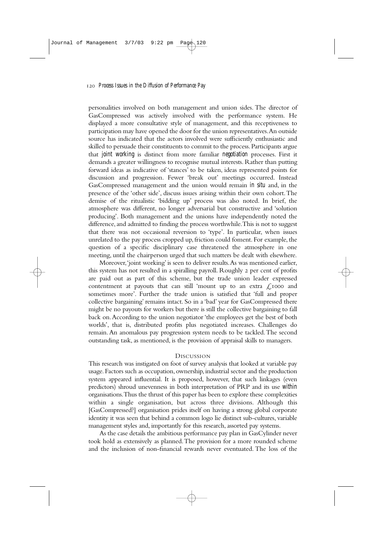personalities involved on both management and union sides. The director of GasCompressed was actively involved with the performance system. He displayed a more consultative style of management, and this receptiveness to participation may have opened the door for the union representatives.An outside source has indicated that the actors involved were sufficiently enthusiastic and skilled to persuade their constituents to commit to the process. Participants argue that *joint working* is distinct from more familiar *negotiation* processes. First it demands a greater willingness to recognise mutual interests. Rather than putting forward ideas as indicative of 'stances' to be taken, ideas represented points for discussion and progression. Fewer 'break out' meetings occurred. Instead GasCompressed management and the union would remain *in situ* and, in the presence of the 'other side', discuss issues arising within their own cohort.The demise of the ritualistic 'bidding up' process was also noted. In brief, the atmosphere was different, no longer adversarial but constructive and 'solution producing'. Both management and the unions have independently noted the difference, and admitted to finding the process worthwhile.This is not to suggest that there was not occasional reversion to 'type'. In particular, when issues unrelated to the pay process cropped up, friction could foment. For example, the question of a specific disciplinary case threatened the atmosphere in one meeting, until the chairperson urged that such matters be dealt with elsewhere.

Moreover,'joint working' is seen to deliver results.As was mentioned earlier, this system has not resulted in a spiralling payroll. Roughly 2 per cent of profits are paid out as part of this scheme, but the trade union leader expressed contentment at payouts that can still 'mount up to an extra  $\ell$  1000 and sometimes more'. Further the trade union is satisfied that 'full and proper collective bargaining' remains intact. So in a 'bad' year for GasCompressed there might be no payouts for workers but there is still the collective bargaining to fall back on.According to the union negotiator 'the employees get the best of both worlds', that is, distributed profits plus negotiated increases. Challenges do remain. An anomalous pay progression system needs to be tackled.The second outstanding task, as mentioned, is the provision of appraisal skills to managers.

#### DISCUSSION

This research was instigated on foot of survey analysis that looked at variable pay usage.Factors such as occupation,ownership,industrial sector and the production system appeared influential. It is proposed, however, that such linkages (even predictors) shroud unevenness in both interpretation of PRP and its use *within* organisations.Thus the thrust of this paper has been to explore these complexities within a single organisation, but across three divisions. Although this [GasCompressed?] organisation prides itself on having a strong global corporate identity it was seen that behind a common logo lie distinct sub-cultures, variable management styles and, importantly for this research, assorted pay systems.

As the case details the ambitious performance pay plan in GasCylinder never took hold as extensively as planned.The provision for a more rounded scheme and the inclusion of non-financial rewards never eventuated. The loss of the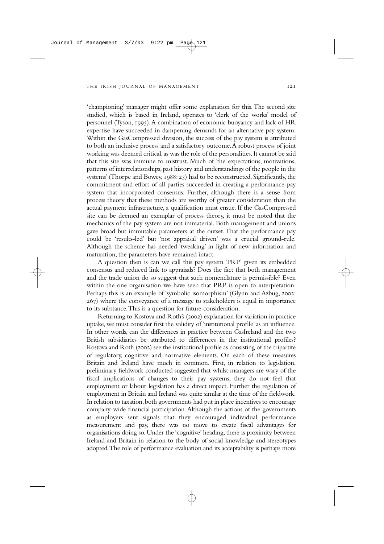'championing' manager might offer some explanation for this.The second site studied, which is based in Ireland, operates to 'clerk of the works' model of personnel (Tyson, 1995). A combination of economic buoyancy and lack of HR expertise have succeeded in dampening demands for an alternative pay system. Within the GasCompressed division, the success of the pay system is attributed to both an inclusive process and a satisfactory outcome.A robust process of joint working was deemed critical,as was the role of the personalities.It cannot be said that this site was immune to mistrust. Much of 'the expectations, motivations, patterns of interrelationships, past history and understandings of the people in the systems' (Thorpe and Bowey,  $1988: 23$ ) had to be reconstructed. Significantly, the commitment and effort of all parties succeeded in creating a performance-pay system that incorporated consensus. Further, although there is a sense from process theory that these methods are worthy of greater consideration than the actual payment infrastructure, a qualification must ensue. If the GasCompressed site can be deemed an exemplar of process theory, it must be noted that the mechanics of the pay system are not immaterial. Both management and unions gave broad but immutable parameters at the outset.That the performance pay could be 'results-led' but 'not appraisal driven' was a crucial ground-rule. Although the scheme has needed 'tweaking' in light of new information and maturation, the parameters have remained intact.

A question then is can we call this pay system 'PRP' given its embedded consensus and reduced link to appraisals? Does the fact that both management and the trade union do so suggest that such nomenclature is permissible? Even within the one organisation we have seen that PRP is open to interpretation. Perhaps this is an example of 'symbolic isomorphism' (Glynn and Azbug, 2002: ) where the conveyance of a message to stakeholders is equal in importance to its substance.This is a question for future consideration.

Returning to Kostova and Roth's (2002) explanation for variation in practice uptake, we must consider first the validity of 'institutional profile'as an influence. In other words, can the differences in practice between GasIreland and the two British subsidiaries be attributed to differences in the institutional profiles? Kostova and Roth (2002) see the institutional profile as consisting of the tripartite of regulatory, cognitive and normative elements. On each of these measures Britain and Ireland have much in common. First, in relation to legislation, preliminary fieldwork conducted suggested that whilst managers are wary of the fiscal implications of changes to their pay systems, they do not feel that employment or labour legislation has a direct impact. Further the regulation of employment in Britain and Ireland was quite similar at the time of the fieldwork. In relation to taxation, both governments had put in place incentives to encourage company-wide financial participation. Although the actions of the governments as employers sent signals that they encouraged individual performance measurement and pay, there was no move to create fiscal advantages for organisations doing so. Under the 'cognitive' heading, there is proximity between Ireland and Britain in relation to the body of social knowledge and stereotypes adopted.The role of performance evaluation and its acceptability is perhaps more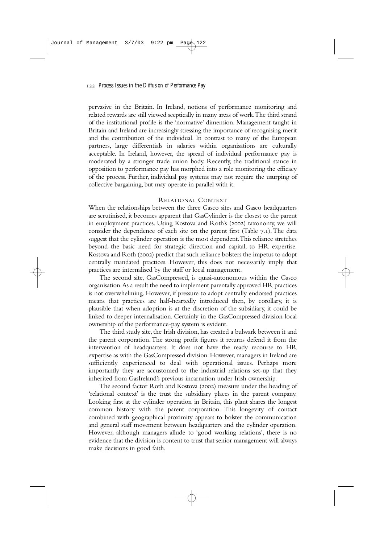pervasive in the Britain. In Ireland, notions of performance monitoring and related rewards are still viewed sceptically in many areas of work.The third strand of the institutional profile is the 'normative' dimension. Management taught in Britain and Ireland are increasingly stressing the importance of recognising merit and the contribution of the individual. In contrast to many of the European partners, large differentials in salaries within organisations are culturally acceptable. In Ireland, however, the spread of individual performance pay is moderated by a stronger trade union body. Recently, the traditional stance in opposition to performance pay has morphed into a role monitoring the efficacy of the process. Further, individual pay systems may not require the usurping of collective bargaining, but may operate in parallel with it.

## RELATIONAL CONTEXT

When the relationships between the three Gasco sites and Gasco headquarters are scrutinised, it becomes apparent that GasCylinder is the closest to the parent in employment practices. Using Kostova and Roth's (2002) taxonomy, we will consider the dependence of each site on the parent first (Table  $7.1$ ). The data suggest that the cylinder operation is the most dependent.This reliance stretches beyond the basic need for strategic direction and capital, to HR expertise. Kostova and Roth (2002) predict that such reliance bolsters the impetus to adopt centrally mandated practices. However, this does not necessarily imply that practices are internalised by the staff or local management.

The second site, GasCompressed, is quasi-autonomous within the Gasco organisation.As a result the need to implement parentally approved HR practices is not overwhelming. However, if pressure to adopt centrally endorsed practices means that practices are half-heartedly introduced then, by corollary, it is plausible that when adoption is at the discretion of the subsidiary, it could be linked to deeper internalisation. Certainly in the GasCompressed division local ownership of the performance-pay system is evident.

The third study site, the Irish division, has created a bulwark between it and the parent corporation. The strong profit figures it returns defend it from the intervention of headquarters. It does not have the ready recourse to HR expertise as with the GasCompressed division. However, managers in Ireland are sufficiently experienced to deal with operational issues. Perhaps more importantly they are accustomed to the industrial relations set-up that they inherited from GasIreland's previous incarnation under Irish ownership.

The second factor Roth and Kostova (2002) measure under the heading of 'relational context' is the trust the subsidiary places in the parent company. Looking first at the cylinder operation in Britain, this plant shares the longest common history with the parent corporation. This longevity of contact combined with geographical proximity appears to bolster the communication and general staff movement between headquarters and the cylinder operation. However, although managers allude to 'good working relations', there is no evidence that the division is content to trust that senior management will always make decisions in good faith.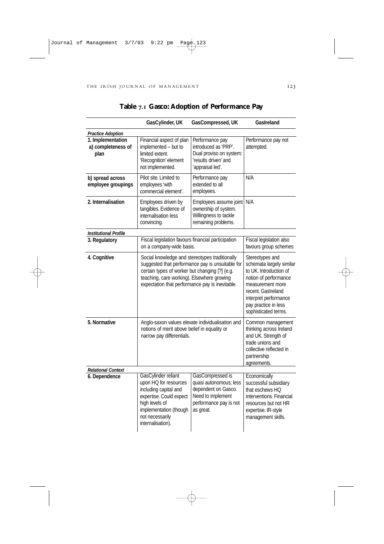|                                                 | GasCylinder, UK                                                                                                                                                                                                                                       | GasCompressed, UK                                                                                              | <b>GasIreland</b>                                                                                                                                                                                                 |
|-------------------------------------------------|-------------------------------------------------------------------------------------------------------------------------------------------------------------------------------------------------------------------------------------------------------|----------------------------------------------------------------------------------------------------------------|-------------------------------------------------------------------------------------------------------------------------------------------------------------------------------------------------------------------|
| <b>Practice Adoption</b>                        |                                                                                                                                                                                                                                                       |                                                                                                                |                                                                                                                                                                                                                   |
| 1. Implementation<br>a) completeness of<br>plan | Financial aspect of plan<br>implemented - but to<br>limited extent.<br>'Recognition' element<br>not implemented.                                                                                                                                      | Performance pay<br>introduced as 'PRP'.<br>Dual proviso on system:<br>'results driven' and<br>'appraisal led'. | Performance pay not<br>attempted.                                                                                                                                                                                 |
| b) spread across<br>employee groupings          | Pilot site. Limited to<br>employees 'with<br>commercial element'.                                                                                                                                                                                     | Performance pay<br>extended to all<br>employees.                                                               | N/A                                                                                                                                                                                                               |
| 2. Internalisation                              | Employees driven by<br>tangibles. Evidence of<br>internalisation less<br>convincing.                                                                                                                                                                  | Employees assume joint<br>ownership of system.<br>Willingness to tackle<br>remaining problems.                 | N/A                                                                                                                                                                                                               |
| <b>Institutional Profile</b>                    |                                                                                                                                                                                                                                                       |                                                                                                                |                                                                                                                                                                                                                   |
| 3. Regulatory                                   | Fiscal legislation favours financial participation<br>on a company-wide basis.                                                                                                                                                                        |                                                                                                                | Fiscal legislation also<br>favours group schemes                                                                                                                                                                  |
| 4. Cognitive                                    | Social knowledge and stereotypes traditionally<br>suggested that performance pay is unsuitable for<br>certain types of worker but changing [?] (e.g.<br>teaching, care working). Elsewhere growing<br>expectation that performance pay is inevitable. |                                                                                                                | Stereotypes and<br>schemata largely similar<br>to UK. Introduction of<br>notion of performance<br>measurement more<br>recent. GasIreland<br>interpret performance<br>pay practice in less<br>sophisticated terms. |
| 5. Normative<br><b>Relational Context</b>       | Anglo-saxon values elevate individualisation and<br>notions of merit above belief in equality or<br>narrow pay differentials.                                                                                                                         |                                                                                                                | Common management<br>thinking across Ireland<br>and UK. Strength of<br>trade unions and<br>collective reflected in<br>partnership<br>agreements.                                                                  |
|                                                 | GasCylinder reliant                                                                                                                                                                                                                                   | GasCompressed is                                                                                               |                                                                                                                                                                                                                   |
| 6. Dependence                                   | upon HQ for resources<br>including capital and<br>expertise. Could expect<br>high levels of<br>implementation (though<br>not necessarily<br>internalisation).                                                                                         | quasi autonomous; less<br>dependent on Gasco.<br>Need to implement<br>performance pay is not<br>as great.      | Economically<br>successful subsidiary<br>that eschews HQ<br>interventions. Financial<br>resources but not HR<br>expertise. IR-style<br>management skills.                                                         |

**Table . Gasco: Adoption of Performance Pay**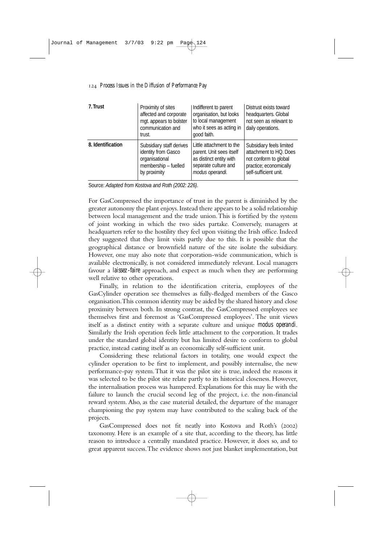| 7. Trust          | Proximity of sites<br>affected and corporate<br>mgt. appears to bolster<br>communication and<br>trust. | Indifferent to parent<br>organisation, but looks<br>to local management<br>who it sees as acting in<br>good faith. | Distrust exists toward<br>headquarters. Global<br>not seen as relevant to<br>daily operations. |
|-------------------|--------------------------------------------------------------------------------------------------------|--------------------------------------------------------------------------------------------------------------------|------------------------------------------------------------------------------------------------|
| 8. Identification | Subsidiary staff derives                                                                               | Little attachment to the                                                                                           | Subsidiary feels limited                                                                       |
|                   | identity from Gasco                                                                                    | parent. Unit sees itself                                                                                           | attachment to HQ. Does                                                                         |
|                   | organisational                                                                                         | as distinct entity with                                                                                            | not conform to global                                                                          |
|                   | membership - fuelled                                                                                   | separate culture and                                                                                               | practice; economically                                                                         |
|                   | by proximity                                                                                           | modus operandi.                                                                                                    | self-sufficient unit.                                                                          |

Source: *Adapted from Kostova and Roth (2002: 226)*.

For GasCompressed the importance of trust in the parent is diminished by the greater autonomy the plant enjoys.Instead there appears to be a solid relationship between local management and the trade union.This is fortified by the system of joint working in which the two sides partake. Conversely, managers at headquarters refer to the hostility they feel upon visiting the Irish office. Indeed they suggested that they limit visits partly due to this. It is possible that the geographical distance or brownfield nature of the site isolate the subsidiary. However, one may also note that corporation-wide communication, which is available electronically, is not considered immediately relevant. Local managers favour a *laissez-faire* approach, and expect as much when they are performing well relative to other operations.

Finally, in relation to the identification criteria, employees of the GasCylinder operation see themselves as fully-fledged members of the Gasco organisation.This common identity may be aided by the shared history and close proximity between both. In strong contrast, the GasCompressed employees see themselves first and foremost as 'GasCompressed employees'. The unit views itself as a distinct entity with a separate culture and unique *modus operandi*. Similarly the Irish operation feels little attachment to the corporation. It trades under the standard global identity but has limited desire to conform to global practice, instead casting itself as an economically self-sufficient unit.

Considering these relational factors in totality, one would expect the cylinder operation to be first to implement, and possibly internalise, the new performance-pay system.That it was the pilot site is true, indeed the reasons it was selected to be the pilot site relate partly to its historical closeness. However, the internalisation process was hampered. Explanations for this may lie with the failure to launch the crucial second leg of the project, i.e. the non-financial reward system. Also, as the case material detailed, the departure of the manager championing the pay system may have contributed to the scaling back of the projects.

GasCompressed does not fit neatly into Kostova and Roth's (2002) taxonomy. Here is an example of a site that, according to the theory, has little reason to introduce a centrally mandated practice. However, it does so, and to great apparent success.The evidence shows not just blanket implementation, but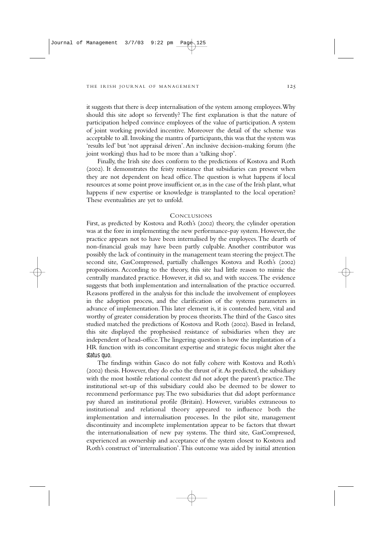it suggests that there is deep internalisation of the system among employees.Why should this site adopt so fervently? The first explanation is that the nature of participation helped convince employees of the value of participation.A system of joint working provided incentive. Moreover the detail of the scheme was acceptable to all. Invoking the mantra of participants, this was that the system was 'results led' but 'not appraisal driven'. An inclusive decision-making forum (the joint working) thus had to be more than a 'talking shop'.

Finally, the Irish site does conform to the predictions of Kostova and Roth (2002). It demonstrates the feisty resistance that subsidiaries can present when they are not dependent on head office. The question is what happens if local resources at some point prove insufficient or,as in the case of the Irish plant,what happens if new expertise or knowledge is transplanted to the local operation? These eventualities are yet to unfold.

#### **CONCLUSIONS**

First, as predicted by Kostova and Roth's (2002) theory, the cylinder operation was at the fore in implementing the new performance-pay system. However, the practice appears not to have been internalised by the employees.The dearth of non-financial goals may have been partly culpable. Another contributor was possibly the lack of continuity in the management team steering the project.The second site, GasCompressed, partially challenges Kostova and Roth's (2002) propositions. According to the theory, this site had little reason to mimic the centrally mandated practice. However, it did so, and with success.The evidence suggests that both implementation and internalisation of the practice occurred. Reasons proffered in the analysis for this include the involvement of employees in the adoption process, and the clarification of the systems parameters in advance of implementation.This later element is, it is contended here, vital and worthy of greater consideration by process theorists.The third of the Gasco sites studied matched the predictions of Kostova and Roth (2002). Based in Ireland, this site displayed the prophesised resistance of subsidiaries when they are independent of head-office.The lingering question is how the implantation of a HR function with its concomitant expertise and strategic focus might alter the *status quo*.

The findings within Gasco do not fully cohere with Kostova and Roth's  $(2002)$  thesis. However, they do echo the thrust of it. As predicted, the subsidiary with the most hostile relational context did not adopt the parent's practice.The institutional set-up of this subsidiary could also be deemed to be slower to recommend performance pay.The two subsidiaries that did adopt performance pay shared an institutional profile (Britain). However, variables extraneous to institutional and relational theory appeared to influence both the implementation and internalisation processes. In the pilot site, management discontinuity and incomplete implementation appear to be factors that thwart the internationalisation of new pay systems. The third site, GasCompressed, experienced an ownership and acceptance of the system closest to Kostova and Roth's construct of 'internalisation'.This outcome was aided by initial attention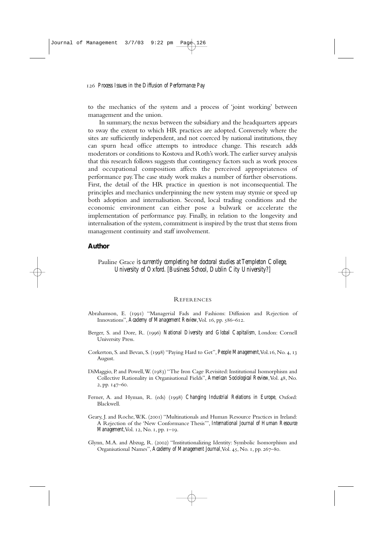to the mechanics of the system and a process of 'joint working' between management and the union.

In summary, the nexus between the subsidiary and the headquarters appears to sway the extent to which HR practices are adopted. Conversely where the sites are sufficiently independent, and not coerced by national institutions, they can spurn head office attempts to introduce change. This research adds moderators or conditions to Kostova and Roth's work.The earlier survey analysis that this research follows suggests that contingency factors such as work process and occupational composition affects the perceived appropriateness of performance pay.The case study work makes a number of further observations. First, the detail of the HR practice in question is not inconsequential. The principles and mechanics underpinning the new system may stymie or speed up both adoption and internalisation. Second, local trading conditions and the economic environment can either pose a bulwark or accelerate the implementation of performance pay. Finally, in relation to the longevity and internalisation of the system, commitment is inspired by the trust that stems from management continuity and staff involvement.

## **Author**

## Pauline Grace *is currently completing her doctoral studies at Templeton College, University of Oxford. [Business School, Dublin City University?]*

#### REFERENCES

- Abrahamson, E. (1991) "Managerial Fads and Fashions: Diffusion and Rejection of Innovations", *Academy of Management Review*, Vol. 16, pp. 586–612.
- Berger, S. and Dore, R. (1996) *National Diversity and Global Capitalism*, London: Cornell University Press.
- Corkerton, S. and Bevan, S. (1998) "Paying Hard to Get", *People Management*, Vol.16, No. 4, 13 August.
- DiMaggio, P. and Powell, W. (1983) "The Iron Cage Revisited: Institutional Isomorphism and Collective Rationality in Organisational Fields", *American Sociological Review*, Vol. 48, No.  $2$ , pp.  $147 - 60$ .
- Ferner, A. and Hyman, R. (eds) (1998) *Changing Industrial Relations in Europe*, Oxford: Blackwell.
- Geary, J. and Roche, W.K. (2001) "Multinationals and Human Resource Practices in Ireland: A Rejection of the 'New Conformance Thesis'", *International Journal of Human Resource Management*, Vol. 12, No. 1, pp. 1-19.
- Glynn, M.A. and Abzug, R. (2002) "Institutionalizing Identity: Symbolic Isomorphism and Organisational Names", *Academy of Management Journal*, Vol. 45, No. 1, pp. 267-80.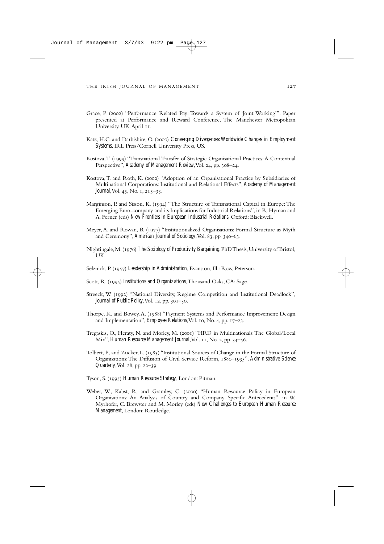- Grace, P. () "Performance Related Pay: Towards a System of 'Joint Working'". Paper presented at Performance and Reward Conference, The Manchester Metropolitan University. UK: April 11.
- Katz, H.C. and Darbishire, O. (2000) *Converging Divergences: Worldwide Changes in Employment Systems*, IRL Press/Cornell University Press, US.
- Kostova, T. (1999) "Transnational Transfer of Strategic Organisational Practices: A Contextual Perspective", *Academy of Management Review*, Vol. 24, pp. 308–24.
- Kostova, T. and Roth, K. (2002) "Adoption of an Organisational Practice by Subsidiaries of Multinational Corporations: Institutional and Relational Effects", *Academy of Management Journal*, Vol. 45, No. 1, 215-33.
- Marginson, P. and Sisson, K. (1994) "The Structure of Transnational Capital in Europe: The Emerging Euro-company and its Implications for Industrial Relations", in R. Hyman and A. Ferner (eds) *New Frontiers in European Industrial Relations*, Oxford: Blackwell.
- Meyer, A. and Rowan, B. (1977) "Institutionalized Organisations: Formal Structure as Myth and Ceremony", *American Journal of Sociology*, Vol. 83, pp. 340–63.
- Nightingale,M.() *The Sociology of Productivity Bargaining*.PhD Thesis,University of Bristol, UK.
- Selznick, P. (1957) Leadership in Administration, Evanston, Ill.: Row, Peterson.
- Scott, R. (1995) *Institutions and Organizations*, Thousand Oaks, CA: Sage.
- Streeck, W. (1992) "National Diversity, Regime Competition and Institutional Deadlock", *Journal of Public Policy*, Vol. 12, pp. 301-30.
- Thorpe, R. and Bowey, A. (1988) "Payment Systems and Performance Improvement: Design and Implementation", *Employee Relations*, Vol. 10, No. 4, pp. 17-23.
- Tregaskis, O., Heraty, N. and Morley, M. (2001) "HRD in Multinationals: The Global/Local Mix", *Human Resource Management Journal*, Vol. 11, No. 2, pp. 34-56.
- Tolbert, P., and Zucker, L. (1983) "Institutional Sources of Change in the Formal Structure of Organisations: The Diffusion of Civil Service Reform, 1880-1935", *Administrative Science Quarterly*, Vol. 28, pp. 22-39.
- Tyson, S. (1995) *Human Resource Strategy*, London: Pitman.
- Weber, W., Kabst, R. and Gramley, C. (2000) "Human Resource Policy in European Organisations: An Analysis of Country and Company Specific Antecedents", in W. Myrhofer, C. Brewster and M. Morley (eds) *New Challenges to European Human Resource Management*, London: Routledge.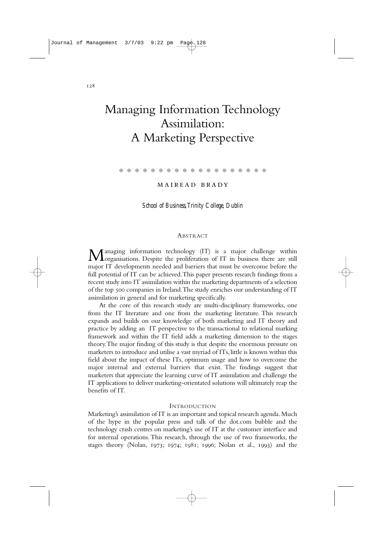# Managing Information Technology Assimilation: A Marketing Perspective

#### MAIREAD BRADY

*School of Business,Trinity College, Dublin*

#### ABSTRACT

Managing information technology (IT) is a major challenge within<br>organisations. Despite the proliferation of IT in business there are still<br> $\sum_{n=1}^{\infty}$ major IT developments needed and barriers that must be overcome before the full potential of IT can be achieved.This paper presents research findings from a recent study into IT assimilation within the marketing departments of a selection of the top companies in Ireland.The study enriches our understanding of IT assimilation in general and for marketing specifically.

At the core of this research study are multi-disciplinary frameworks, one from the IT literature and one from the marketing literature. This research expands and builds on our knowledge of both marketing and IT theory and practice by adding an IT perspective to the transactional to relational marking framework and within the IT field adds a marketing dimension to the stages theory.The major finding of this study is that despite the enormous pressure on marketers to introduce and utilise a vast myriad of ITs,little is known within this field about the impact of these ITs, optimum usage and how to overcome the major internal and external barriers that exist. The findings suggest that marketers that appreciate the learning curve of IT assimilation and challenge the IT applications to deliver marketing-orientated solutions will ultimately reap the benefits of IT.

#### INTRODUCTION

Marketing's assimilation of IT is an important and topical research agenda. Much of the hype in the popular press and talk of the dot.com bubble and the technology crash centres on marketing's use of IT at the customer interface and for internal operations. This research, through the use of two frameworks, the stages theory (Nolan, 1973; 1974; 1981; 1996; Nolan et al., 1993) and the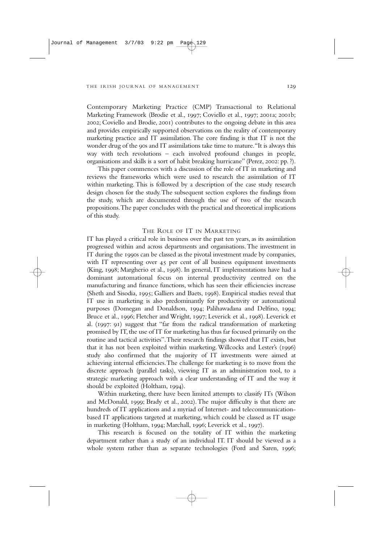Contemporary Marketing Practice (CMP) Transactional to Relational Marketing Framework (Brodie et al., 1997; Coviello et al., 1997; 2001a; 2001b; 2002; Coviello and Brodie, 2001) contributes to the ongoing debate in this area and provides empirically supported observations on the reality of contemporary marketing practice and IT assimilation. The core finding is that IT is not the wonder drug of the 90s and IT assimilations take time to mature. "It is always this way with tech revolutions – each involved profound changes in people, organisations and skills is a sort of habit breaking hurricane" (Perez, 2002: pp. ?).

This paper commences with a discussion of the role of IT in marketing and reviews the frameworks which were used to research the assimilation of IT within marketing. This is followed by a description of the case study research design chosen for the study.The subsequent section explores the findings from the study, which are documented through the use of two of the research propositions.The paper concludes with the practical and theoretical implications of this study.

#### THE ROLE OF IT IN MARKETING

IT has played a critical role in business over the past ten years, as its assimilation progressed within and across departments and organisations.The investment in IT during the 1990s can be classed as the pivotal investment made by companies, with IT representing over  $45$  per cent of all business equipment investments (King,  $1998$ ; Margherio et al.,  $1998$ ). In general, IT implementations have had a dominant automational focus on internal productivity centred on the manufacturing and finance functions, which has seen their efficiencies increase (Sheth and Sisodia, 1995; Galliers and Baets, 1998). Empirical studies reveal that IT use in marketing is also predominantly for productivity or automational purposes (Domegan and Donaldson, 1994; Palihawadana and Delfino, 1994; Bruce et al., 1996; Fletcher and Wright, 1997; Leverick et al., 1998). Leverick et al. (1997: 91) suggest that "far from the radical transformation of marketing promised by IT, the use of IT for marketing has thus far focused primarily on the routine and tactical activities".Their research findings showed that IT exists, but that it has not been exploited within marketing. Willcocks and Lester's (1996) study also confirmed that the majority of IT investments were aimed at achieving internal efficiencies.The challenge for marketing is to move from the discrete approach (parallel tasks), viewing IT as an administration tool, to a strategic marketing approach with a clear understanding of IT and the way it should be exploited (Holtham, 1994).

Within marketing, there have been limited attempts to classify ITs (Wilson and McDonald, 1999; Brady et al., 2002). The major difficulty is that there are hundreds of IT applications and a myriad of Internet- and telecommunicationbased IT applications targeted at marketing, which could be classed as IT usage in marketing (Holtham,  $1994$ ; Marchall,  $1996$ ; Leverick et al.,  $1997$ ).

This research is focused on the totality of IT within the marketing department rather than a study of an individual IT. IT should be viewed as a whole system rather than as separate technologies (Ford and Saren, 1996;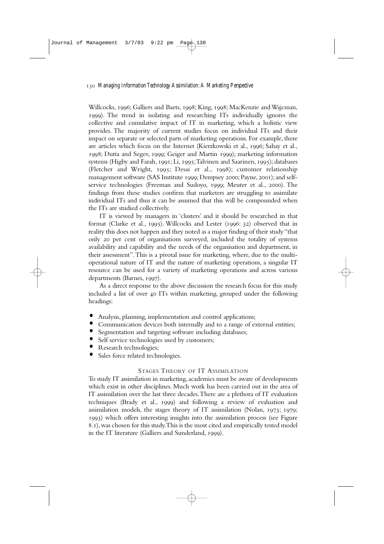Willcocks, 1996; Galliers and Baets, 1998; King, 1998; MacKenzie and Wajcman, ). The trend in isolating and researching ITs individually ignores the collective and cumulative impact of IT in marketing, which a holistic view provides. The majority of current studies focus on individual ITs and their impact on separate or selected parts of marketing operations. For example, there are articles which focus on the Internet (Kierzkowski et al., 1996; Sahay et al., 1998; Dutta and Segev, 1999; Geiger and Martin 1999); marketing information systems (Higby and Farah,  $1991; Li$ ,  $1995; Talvinen$  and Saarinen,  $1995$ ); databases (Fletcher and Wright, 1995; Desai et al., 1998); customer relationship management software (SAS Institute 1999; Dempsey 2000; Payne, 2001); and selfservice technologies (Freeman and Sudoyo, 1999; Meuter et al., 2000). The findings from these studies confirm that marketers are struggling to assimilate individual ITs and thus it can be assumed that this will be compounded when the ITs are studied collectively.

IT is viewed by managers in 'clusters' and it should be researched in that format (Clarke et al.,  $1995$ ). Willcocks and Lester ( $1996: 32$ ) observed that in reality this does not happen and they noted as a major finding of their study "that only 20 per cent of organisations surveyed, included the totality of systems availability and capability and the needs of the organisation and department, in their assessment".This is a pivotal issue for marketing, where, due to the multioperational nature of IT and the nature of marketing operations, a singular IT resource can be used for a variety of marketing operations and across various departments (Barnes, 1997).

As a direct response to the above discussion the research focus for this study included a list of over 40 ITs within marketing, grouped under the following headings:

- **•** Analysis, planning, implementation and control applications;
- **•** Communication devices both internally and to a range of external entities;
- **•** Segmentation and targeting software including databases;
- Self service technologies used by customers;
- **•** Research technologies;
- Sales force related technologies.

## STAGES THEORY OF IT ASSIMILATION

To study IT assimilation in marketing, academics must be aware of developments which exist in other disciplines. Much work has been carried out in the area of IT assimilation over the last three decades.There are a plethora of IT evaluation techniques (Brady et al., 1999) and following a review of evaluation and assimilation models, the stages theory of IT assimilation (Nolan,  $1973$ ;  $1979$ ; ) which offers interesting insights into the assimilation process (see Figure .),was chosen for this study.This is the most cited and empirically tested model in the IT literature (Galliers and Sunderland, 1999).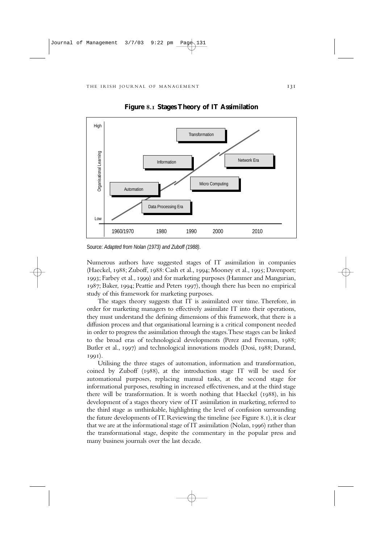

**Figure . Stages Theory of IT Assimilation** 

Source: *Adapted from Nolan (1973) and Zuboff (1988)*.

Numerous authors have suggested stages of IT assimilation in companies (Haeckel, 1988; Zuboff, 1988: Cash et al., 1994; Mooney et al., 1995; Davenport; 1993; Farbey et al., 1999) and for marketing purposes (Hammer and Mangurian, 1987; Baker, 1994; Peattie and Peters 1997), though there has been no empirical study of this framework for marketing purposes.

The stages theory suggests that IT is assimilated over time. Therefore, in order for marketing managers to effectively assimilate IT into their operations, they must understand the defining dimensions of this framework, that there is a diffusion process and that organisational learning is a critical component needed in order to progress the assimilation through the stages.These stages can be linked to the broad eras of technological developments (Perez and Freeman, 1988; Butler et al., 1997) and technological innovations models (Dosi, 1988; Durand, 1991).

Utilising the three stages of automation, information and transformation, coined by Zuboff (1988), at the introduction stage IT will be used for automational purposes, replacing manual tasks, at the second stage for informational purposes, resulting in increased effectiveness, and at the third stage there will be transformation. It is worth nothing that Haeckel (1988), in his development of a stages theory view of IT assimilation in marketing, referred to the third stage as unthinkable, highlighting the level of confusion surrounding the future developments of IT. Reviewing the timeline (see Figure  $8.1$ ), it is clear that we are at the informational stage of  $IT$  assimilation (Nolan, 1996) rather than the transformational stage, despite the commentary in the popular press and many business journals over the last decade.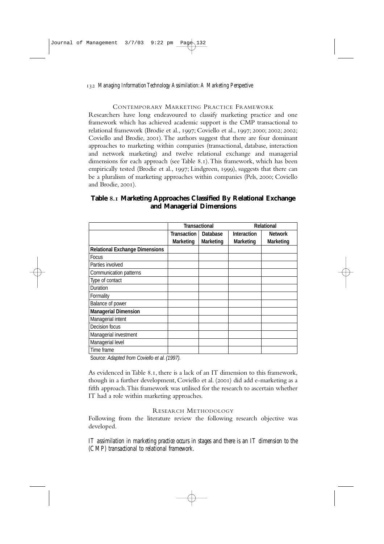CONTEMPORARY MARKETING PRACTICE FRAMEWORK

Researchers have long endeavoured to classify marketing practice and one framework which has achieved academic support is the CMP transactional to relational framework (Brodie et al., 1997: Coviello et al., 1997: 2000: 2002: 2002: Coviello and Brodie, 2001). The authors suggest that there are four dominant approaches to marketing within companies (transactional, database, interaction and network marketing) and twelve relational exchange and managerial dimensions for each approach (see Table  $8.1$ ). This framework, which has been empirically tested (Brodie et al., 1997; Lindgreen, 1999), suggests that there can be a pluralism of marketing approaches within companies (Pels, 2000; Coviello and Brodie, 2001).

**Table . Marketing Approaches Classified By Relational Exchange and Managerial Dimensions**

|                                       | <b>Transactional</b> |                  | <b>Relational</b> |                  |
|---------------------------------------|----------------------|------------------|-------------------|------------------|
|                                       | <b>Transaction</b>   | <b>Database</b>  | Interaction       | <b>Network</b>   |
|                                       | <b>Marketing</b>     | <b>Marketing</b> | <b>Marketing</b>  | <b>Marketing</b> |
| <b>Relational Exchange Dimensions</b> |                      |                  |                   |                  |
| Focus                                 |                      |                  |                   |                  |
| Parties involved                      |                      |                  |                   |                  |
| Communication patterns                |                      |                  |                   |                  |
| Type of contact                       |                      |                  |                   |                  |
| Duration                              |                      |                  |                   |                  |
| Formality                             |                      |                  |                   |                  |
| Balance of power                      |                      |                  |                   |                  |
| <b>Managerial Dimension</b>           |                      |                  |                   |                  |
| Managerial intent                     |                      |                  |                   |                  |
| Decision focus                        |                      |                  |                   |                  |
| Managerial investment                 |                      |                  |                   |                  |
| Managerial level                      |                      |                  |                   |                  |
| Time frame                            |                      |                  |                   |                  |

Source: *Adapted from Coviello et al. (1997).*

As evidenced in Table 8.1, there is a lack of an IT dimension to this framework, though in a further development, Coviello et al. (2001) did add e-marketing as a fifth approach.This framework was utilised for the research to ascertain whether IT had a role within marketing approaches.

## RESEARCH METHODOLOGY

Following from the literature review the following research objective was developed.

*IT assimilation in marketing practice occurs in stages and there is an IT dimension to the (CMP) transactional to relational framework.*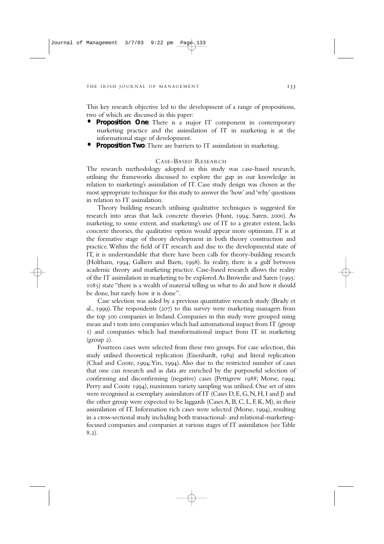This key research objective led to the development of a range of propositions, two of which are discussed in this paper:

- **• Proposition One**: There is a major IT component in contemporary marketing practice and the assimilation of IT in marketing is at the informational stage of development.
- **• Proposition Two**:There are barriers to IT assimilation in marketing.

#### CASE-BASED RESEARCH

The research methodology adopted in this study was case-based research, utilising the frameworks discussed to explore the gap in our knowledge in relation to marketing's assimilation of IT. Case study design was chosen as the most appropriate technique for this study to answer the 'how'and 'why'questions in relation to IT assimilation.

Theory building research utilising qualitative techniques is suggested for research into areas that lack concrete theories (Hunt, 1994; Saren, 2000). As marketing, to some extent, and marketing's use of IT to a greater extent, lacks concrete theories, the qualitative option would appear more optimum. IT is at the formative stage of theory development in both theory construction and practice.Within the field of IT research and due to the developmental state of IT, it is understandable that there have been calls for theory-building research (Holtham, 1994; Galliers and Baets, 1998). In reality, there is a gulf between academic theory and marketing practice. Case-based research allows the reality of the IT assimilation in marketing to be explored. As Brownlie and Saren (1995: ) state "there is a wealth of material telling us what to do and how it should be done, but rarely how it is done".

Case selection was aided by a previous quantitative research study (Brady et al., 1999). The respondents (207) to this survey were marketing managers from the top companies in Ireland. Companies in this study were grouped using mean and t tests into companies which had automational impact from IT (group ) and companies which had transformational impact from IT in marketing  $(group 2).$ 

Fourteen cases were selected from these two groups. For case selection, this study utilised theoretical replication (Eisenhardt, 1989) and literal replication (Chad and Coote,  $1994$ ; Yin,  $1994$ ). Also due to the restricted number of cases that one can research and as data are enriched by the purposeful selection of confirming and disconfirming (negative) cases (Pettigrew 1988; Morse, 1994; Perry and Coote 1994), maximum variety sampling was utilised. One set of sites were recognised as exemplary assimilators of IT (Cases D, E, G, N, H, I and J) and the other group were expected to be laggards (Cases A, B, C, L, F, K, M), in their assimilation of IT. Information rich cases were selected (Morse, 1994), resulting in a cross-sectional study including both transactional- and relational-marketingfocused companies and companies at various stages of IT assimilation (see Table  $8.2$ ).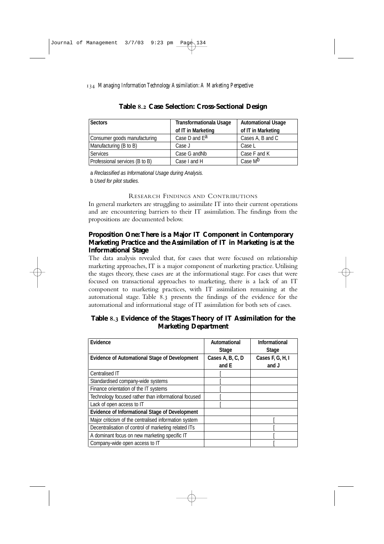| <b>Sectors</b>                 | <b>Transformationala Usage</b> | <b>Automational Usage</b> |  |
|--------------------------------|--------------------------------|---------------------------|--|
|                                | of IT in Marketing             | of IT in Marketing        |  |
| Consumer goods manufacturing   | Case D and E <sup>a</sup>      | Cases A, B and C          |  |
| Manufacturing (B to B)         | Case J                         | Case L                    |  |
| <b>Services</b>                | Case G and Nb                  | Case F and K              |  |
| Professional services (B to B) | Case I and H                   | Case M <sup>b</sup>       |  |

# **Table . Case Selection: Cross-Sectional Design**

a *Reclassified as Informational Usage during Analysis.* b *Used for pilot studies*.

## RESEARCH FINDINGS AND CONTRIBUTIONS

In general marketers are struggling to assimilate IT into their current operations and are encountering barriers to their IT assimilation. The findings from the propositions are documented below.

# **Proposition One:There is a Major IT Component in Contemporary Marketing Practice and the Assimilation of IT in Marketing is at the Informational Stage**

The data analysis revealed that, for cases that were focused on relationship marketing approaches, IT is a major component of marketing practice. Utilising the stages theory, these cases are at the informational stage. For cases that were focused on transactional approaches to marketing, there is a lack of an IT component to marketing practices, with IT assimilation remaining at the automational stage. Table 8.3 presents the findings of the evidence for the automational and informational stage of IT assimilation for both sets of cases.

| Evidence                                              | Automational     | <b>Informational</b> |
|-------------------------------------------------------|------------------|----------------------|
|                                                       | <b>Stage</b>     | <b>Stage</b>         |
| <b>Evidence of Automational Stage of Development</b>  | Cases A, B, C, D | Cases F, G, H, I     |
|                                                       | and E            | and J                |
| <b>Centralised IT</b>                                 |                  |                      |
| Standardised company-wide systems                     |                  |                      |
| Finance orientation of the IT systems                 |                  |                      |
| Technology focused rather than informational focused  |                  |                      |
| Lack of open access to IT                             |                  |                      |
| <b>Evidence of Informational Stage of Development</b> |                  |                      |
| Major criticism of the centralised information system |                  |                      |
| Decentralisation of control of marketing related ITs  |                  |                      |
| A dominant focus on new marketing specific IT         |                  |                      |
| Company-wide open access to IT                        |                  |                      |

# **Table . Evidence of the Stages Theory of IT Assimilation for the Marketing Department**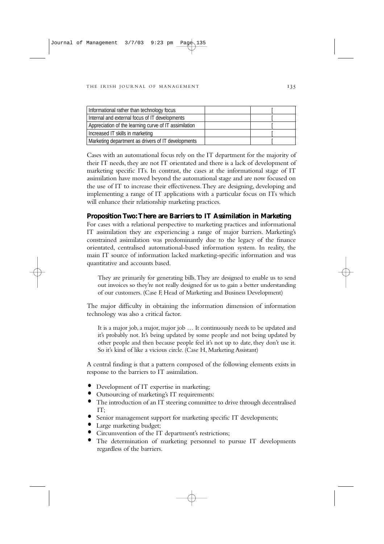| Informational rather than technology focus            |  |
|-------------------------------------------------------|--|
| Internal and external focus of IT developments        |  |
| Appreciation of the learning curve of IT assimilation |  |
| Increased IT skills in marketing                      |  |
| Marketing department as drivers of IT developments    |  |

Cases with an automational focus rely on the IT department for the majority of their IT needs, they are not IT orientated and there is a lack of development of marketing specific ITs. In contrast, the cases at the informational stage of IT assimilation have moved beyond the automational stage and are now focused on the use of IT to increase their effectiveness.They are designing, developing and implementing a range of IT applications with a particular focus on ITs which will enhance their relationship marketing practices.

## **Proposition Two:There are Barriers to IT Assimilation in Marketing**

For cases with a relational perspective to marketing practices and informational IT assimilation they are experiencing a range of major barriers. Marketing's constrained assimilation was predominantly due to the legacy of the finance orientated, centralised automational-based information system. In reality, the main IT source of information lacked marketing-specific information and was quantitative and accounts based.

They are primarily for generating bills.They are designed to enable us to send out invoices so they're not really designed for us to gain a better understanding of our customers. (Case F, Head of Marketing and Business Development)

The major difficulty in obtaining the information dimension of information technology was also a critical factor.

It is a major job, a major, major job … It continuously needs to be updated and it's probably not. It's being updated by some people and not being updated by other people and then because people feel it's not up to date, they don't use it. So it's kind of like a vicious circle. (Case H, Marketing Assistant)

A central finding is that a pattern composed of the following elements exists in response to the barriers to IT assimilation.

- **•** Development of IT expertise in marketing;
- Outsourcing of marketing's IT requirements:<br>• The introduction of an IT steering committee
- The introduction of an IT steering committee to drive through decentralised IT;
- **•** Senior management support for marketing specific IT developments;
- **•** Large marketing budget;
- **•** Circumvention of the IT department's restrictions;
- **•** The determination of marketing personnel to pursue IT developments regardless of the barriers.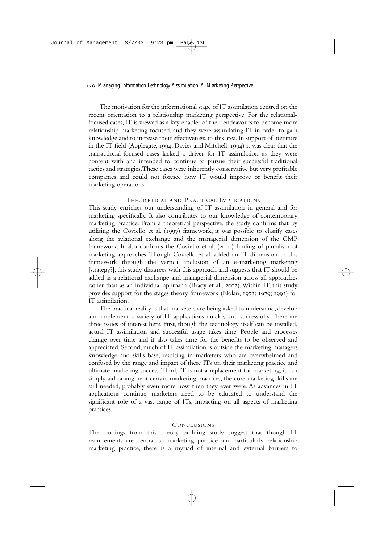#### *Managing Information Technology Assimilation:A Marketing Perspective*

The motivation for the informational stage of IT assimilation centred on the recent orientation to a relationship marketing perspective. For the relationalfocused cases, IT is viewed as a key enabler of their endeavours to become more relationship-marketing focused, and they were assimilating IT in order to gain knowledge and to increase their effectiveness, in this area. In support of literature in the IT field (Applegate, 1994; Davies and Mitchell, 1994) it was clear that the transactional-focused cases lacked a driver for IT assimilation as they were content with and intended to continue to pursue their successful traditional tactics and strategies.These cases were inherently conservative but very profitable companies and could not foresee how IT would improve or benefit their marketing operations.

#### THEORETICAL AND PRACTICAL IMPLICATIONS

This study enriches our understanding of IT assimilation in general and for marketing specifically. It also contributes to our knowledge of contemporary marketing practice. From a theoretical perspective, the study confirms that by utilising the Coviello et al.  $(1997)$  framework, it was possible to classify cases along the relational exchange and the managerial dimension of the CMP framework. It also confirms the Coviello et al. (2001) finding of pluralism of marketing approaches. Though Coviello et al. added an IT dimension to this framework through the vertical inclusion of an e-marketing marketing [strategy?], this study disagrees with this approach and suggests that IT should be added as a relational exchange and managerial dimension across all approaches rather than as an individual approach (Brady et al., 2002). Within IT, this study provides support for the stages theory framework (Nolan,  $1973$ ;  $1979$ ;  $1993$ ) for IT assimilation.

The practical reality is that marketers are being asked to understand, develop and implement a variety of IT applications quickly and successfully.There are three issues of interest here. First, though the technology itself can be installed, actual IT assimilation and successful usage takes time. People and processes change over time and it also takes time for the benefits to be observed and appreciated. Second, much of IT assimilation is outside the marketing managers knowledge and skills base, resulting in marketers who are overwhelmed and confused by the range and impact of these ITs on their marketing practice and ultimate marketing success.Third, IT is not a replacement for marketing, it can simply aid or augment certain marketing practices; the core marketing skills are still needed, probably even more now then they ever were. As advances in IT applications continue, marketers need to be educated to understand the significant role of a vast range of ITs, impacting on all aspects of marketing practices.

#### **CONCLUSIONS**

The findings from this theory building study suggest that though IT requirements are central to marketing practice and particularly relationship marketing practice, there is a myriad of internal and external barriers to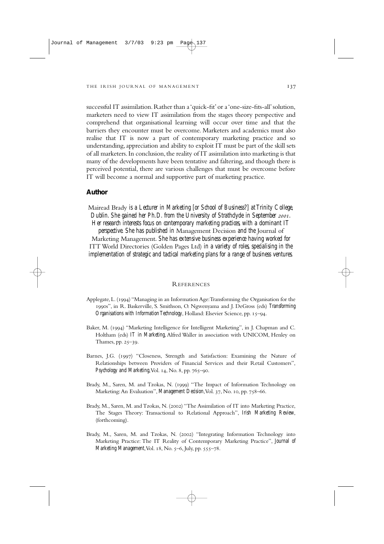successful IT assimilation.Rather than a 'quick-fit'or a 'one-size-fits-all'solution, marketers need to view IT assimilation from the stages theory perspective and comprehend that organisational learning will occur over time and that the barriers they encounter must be overcome. Marketers and academics must also realise that IT is now a part of contemporary marketing practice and so understanding, appreciation and ability to exploit IT must be part of the skill sets of all marketers.In conclusion,the reality of IT assimilation into marketing is that many of the developments have been tentative and faltering, and though there is perceived potential, there are various challenges that must be overcome before IT will become a normal and supportive part of marketing practice.

## **Author**

Mairead Brady *is a Lecturer in Marketing [or School of Business?] at Trinity College, Dublin. She gained her Ph.D. from the University of Strathclyde in September 2001. Her research interests focus on contemporary marketing practices, with a dominant IT perspective. She has published in* Management Decision *and the* Journal of Marketing Management*. She has extensive business experience having worked for* ITT World Directories (Golden Pages Ltd) *in a variety of roles, specialising in the implementation of strategic and tactical marketing plans for a range of business ventures.*

#### REFERENCES

- Applegate, L. (1994) "Managing in an Information Age: Transforming the Organisation for the s", in R. Baskerville, S. Smithson, O. Ngwenyama and J. DeGross (eds) *Transforming Organisations with Information Technology*, Holland: Elsevier Science, pp. 15-94.
- Baker, M. (1994) "Marketing Intelligence for Intelligent Marketing", in J. Chapman and C. Holtham (eds) *IT in Marketing*, Alfred Waller in association with UNICOM, Henley on Thames, pp. 25-39.
- Barnes, J.G. (1997) "Closeness, Strength and Satisfaction: Examining the Nature of Relationships between Providers of Financial Services and their Retail Customers", *Psychology and Marketing*, Vol. 14, No. 8, pp. 765-90.
- Brady, M., Saren, M. and Tzokas, N. (1999) "The Impact of Information Technology on Marketing: An Evaluation", *Management Decision*, Vol. 37, No. 10, pp. 758-66.
- Brady, M., Saren, M. and Tzokas, N. (2002) "The Assimilation of IT into Marketing Practice, The Stages Theory: Transactional to Relational Approach", *Irish Marketing Review*, (forthcoming).
- Brady, M., Saren, M. and Tzokas, N. (2002) "Integrating Information Technology into Marketing Practice: The IT Reality of Contemporary Marketing Practice", *Journal of Marketing Management*, Vol. 18, No. 5-6, July, pp. 555-78.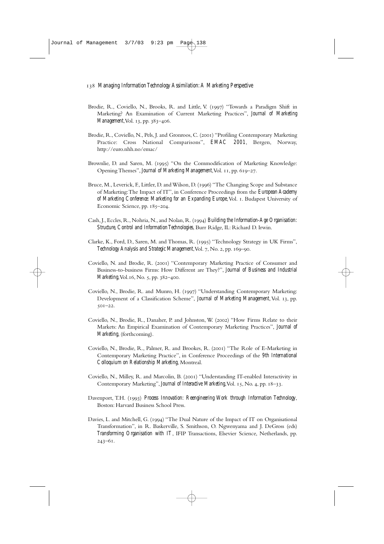- Brodie, R., Coviello, N., Brooks, R. and Little, V. (1997) "Towards a Paradigm Shift in Marketing? An Examination of Current Marketing Practices", *Journal of Marketing Management*, Vol. 13, pp. 383-406.
- Brodie, R., Coviello, N., Pels, J. and Gronroos, C. (2001) "Profiling Contemporary Marketing Practice: Cross National Comparisons", *EMAC 2001*, Bergen, Norway, http://euro.nhh.no/emac/
- Brownlie, D. and Saren, M. (1995) "On the Commodification of Marketing Knowledge: Opening Themes", *Journal of Marketing Management*, Vol. 11, pp. 619-27.
- Bruce, M., Leverick, F., Littler, D. and Wilson, D. (1996) "The Changing Scope and Substance of Marketing:The Impact of IT", in Conference Proceedings from the *European Academy of Marketing Conference: Marketing for an Expanding Europe*, Vol. 1. Budapest University of Economic Science, pp.  $185-204$ .
- Cash, J., Eccles, R., Nohria, N., and Nolan, R. (1994) *Building the Information-Age Organisation: Structure, Control and Information Technologies*, Burr Ridge, IL: Richard D. Irwin.
- Clarke, K., Ford, D., Saren, M. and Thomas, R. (1995) "Technology Strategy in UK Firms", *Technology Analysis and Strategic Management*, Vol. 7, No. 2, pp. 169-90.
- Coviello, N. and Brodie, R. (2001) "Contemporary Marketing Practice of Consumer and Business-to-business Firms: How Different are They?", *Journal of Business and Industrial Marketing*, Vol. 16, No. 5, pp. 382-400.
- Coviello, N., Brodie, R. and Munro, H. (1997) "Understanding Contemporary Marketing: Development of a Classification Scheme", *Journal of Marketing Management*, Vol. 13, pp.  $50I-22.$
- Coviello, N., Brodie, R., Danaher, P. and Johnston, W. (2002) "How Firms Relate to their Markets: An Empirical Examination of Contemporary Marketing Practices", *Journal of Marketing*, (forthcoming).
- Coviello, N., Brodie, R., Palmer, R. and Brookes, R. (2001) "The Role of E-Marketing in Contemporary Marketing Practice", in Conference Proceedings of the *9th International Colloquium on Relationship Marketing*, Montreal.
- Coviello, N., Milley, R. and Marcolin, B. (2001) "Understanding IT-enabled Interactivity in Contemporary Marketing", *Journal of Interactive Marketing*, Vol. 15, No. 4, pp. 18-33.
- Davenport, T.H. (1993) *Process Innovation: Reengineering Work through Information Technology*, Boston: Harvard Business School Press.
- Davies, L. and Mitchell, G. (1994) "The Dual Nature of the Impact of IT on Organisational Transformation", in R. Baskerville, S. Smithson, O. Ngwenyama and J. DeGross (eds) *Transforming Organisation with IT*, IFIP Transactions, Elsevier Science, Netherlands, pp.  $243 - 61.$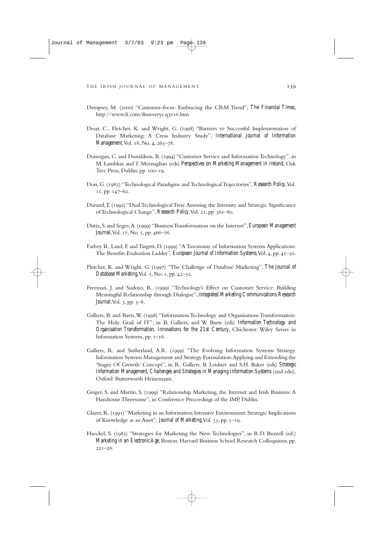- Dempsey, M. (2000) "Customer-focus: Embracing the CRM Trend", *The Financial Times*, http://www.ft.com/ftsurverys.q3e16.htm
- Desai, C., Fletcher, K. and Wright, G. (1998) "Barriers to Successful Implementation of Database Marketing: A Cross Industry Study", *International Journal of Information Management*, Vol. 18, No. 4, 265-78.
- Domegan, C. and Donaldson, B. (1994) "Customer Service and Information Technology", in M. Lambkin and T. Meenaghan (eds) *Perspectives on Marketing Management in Ireland*, Oak Tree Press, Dublin, pp.  $100 - 19$ .
- Dosi, G. (1982) "Technological Paradigms and Technological Trajectories", *Research Policy*, Vol. 11, pp. 147-62.
- Durand, T. (1992) "Dual Technological Tress: Assessing the Intensity and Strategic Significance of Technological Change", *Research Policy*, Vol. 21, pp. 361-80.
- Dutta,S.and Segev,A.() "Business Transformation on the Internet",*European Management Journal*, Vol. 17, No. 5, pp. 466-76.
- Farbey B., Land, F. and Targett, D. (1999) "A Taxonomy of Information Systems Applications: The Benefits Evaluation Ladder", *European Journal of Information Systems*, Vol. 4, pp. 41-50.
- Fletcher, K. and Wright, G. (1997) "The Challenge of Database Marketing", *The Journal of Database Marketing*, Vol. 5, No. 1, pp. 42-52.
- Freeman, J. and Sudoyo, R. (1999) "Technology's Effect on Customer Service: Building Meaningful Relationship through Dialogue", I*ntegrated Marketing Communications Research Journal*, Vol. 5, pp. 3-8.
- Galliers, B. and Baets, W. (1998) "Information Technology and Organisations Transformation: The Holy Grail of IT", in B. Galliers, and W. Baets (eds) *Information Technology and Organisation Transformation, Innovations for the 21st Century*, Chichester: Wiley Series in Information Systems, pp.  $I-I6$ .
- Galliers, R. and Sutherland, A.R. (1999) "The Evolving Information Systems Strategy. Information Systems Management and Strategy Formulation:Applying and Extending the 'Stages Of Growth' Concept", in R. Galliers, B. Leidner and S.H. Baker (eds) *Strategic Information Management, Challenges and Strategies in Managing Information Systems* (2nd edn), Oxford: Butterworth Heinemann.
- Geiger, S. and Martin, S. (1999) "Relationship Marketing, the Internet and Irish Business: A Handsome Threesome", in Conference Proceedings of the IMP, Dublin.
- Glazer, R. (1991) "Marketing in an Information Intensive Environment: Strategic Implications of Knowledge as an Asset", *Journal of Marketing*, Vol. 55, pp. 1-19.
- Haeckel, S. (1985) "Strategies for Marketing the New Technologies", in R.D. Buzzell (ed.) *Marketing in an Electronic Age*, Boston: Harvard Business School Research Colloquium, pp.  $231 - 26.$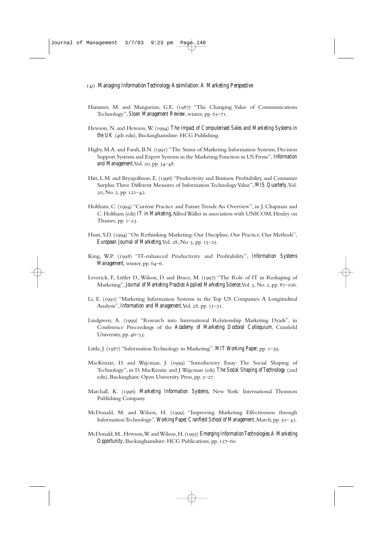- Hammer, M. and Mangurian, G.E. (1987) "The Changing Value of Communications Technology", *Sloan Management Review*, winter, pp. 65-71.
- Hewson, N. and Hewson, W. (1994) *The Impact of Computerised Sales and Marketing Systems in the UK* (4th edn), Buckinghamshire: HCG Publishing.
- Higby, M.A. and Farah, B.N. (1991) "The Status of Marketing Information Systems, Decision Support Systems and Expert Systems in the Marketing Function in US Firms", *Information* and Management, Vol. 20, pp.  $34-48$ .
- Hitt, L.M. and Brynjolfsson, E. (1996) "Productivity and Business Profitability, and Consumer Surplus:Three Different Measures of Information Technology Value", *MIS Quarterly*,Vol. 20, No. 2, pp. 121-42.
- Holtham, C. (1994) "Current Practice and Future Trends: An Overview", in J. Chapman and C. Holtham (eds) *IT in Marketing*,Alfred Waller in association with UNICOM, Henley on Thames, pp.  $I=23$ .
- Hunt, S.D. (1994) "On Rethinking Marketing: Our Discipline, Our Practice, Our Methods", *European Journal of Marketing*, Vol. 28, No. 3, pp. 13-25.
- King, W.P. () "IT-enhanced Productivity and Profitability", *Information Systems Management*, winter, pp. 64-6.
- Leverick, F., Littler D., Wilson, D. and Bruce, M. (1997) "The Role of IT in Reshaping of Marketing", *Journal of Marketing Practice: Applied Marketing Science*, Vol. 3, No. 2, pp. 87-106.
- Li, E. (1995) "Marketing Information Systems in the Top US Companies: A Longitudinal Analysis", *Information and Management*, Vol. 28, pp. 13-31.
- Lindgreen, A. (1999) "Research into International Relationship Marketing Dyads", in Conference Proceedings of the *Academy of Marketing Doctoral Colloquium*, Cranfield University, pp. 46-53.
- Little, J. (1987) "Information Technology in Marketing". *MIT Working Paper*, pp. 1-39.
- MacKenzie, D. and Wajcman, J. (1999) "Introductory Essay: The Social Shaping of Technology", in D. MacKenzie and J. Wajcman (eds) The Social Shaping of Technology (2nd edn), Buckingham: Open University Press, pp. 3-27.
- Marchall, K. (1996) Marketing Information Systems, New York: International Thomson Publishing Company.
- McDonald, M. and Wilson, H. (1999) "Improving Marketing Effectiveness through Information Technology". Working Paper, Cranfield School of Management, March, pp. 30–45.
- McDonald,M.,Hewson,W.and Wilson,H.() *Emerging Information Technologies:A Marketing Opportunity*, Buckinghamshire: HCG Publications, pp. 157–60.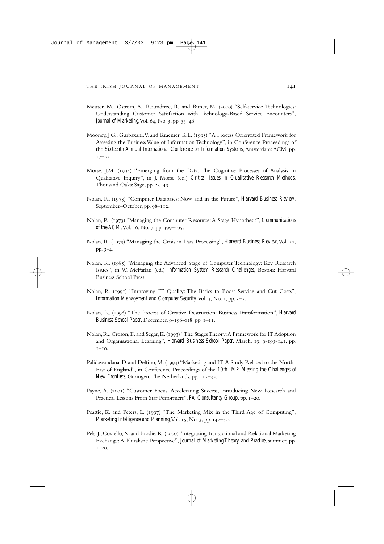- Meuter, M., Ostrom, A., Roundtree, R. and Bitner, M. (2000) "Self-service Technologies: Understanding Customer Satisfaction with Technology-Based Service Encounters", *Journal of Marketing*, Vol. 64, No. 3, pp. 35-46.
- Mooney, J.G., Gurbaxani, V. and Kraemer, K.L. (1995) "A Process Orientated Framework for Assessing the Business Value of Information Technology", in Conference Proceedings of the *Sixteenth Annual International Conference on Information Systems*, Amsterdam: ACM, pp.  $17 - 27$ .
- Morse, J.M. (1994) "Emerging from the Data: The Cognitive Processes of Analysis in Qualitative Inquiry", in J. Morse (ed.) *Critical Issues in Qualitative Research Methods*, Thousand Oaks: Sage, pp.  $23-43$ .
- Nolan, R. (1973) "Computer Databases: Now and in the Future", *Harvard Business Review*, September–October, pp. 98–112.
- Nolan, R. () "Managing the Computer Resource:A Stage Hypothesis", *Communications of the ACM*, Vol. 16, No. 7, pp. 399–405.
- Nolan, R. (1979) "Managing the Crisis in Data Processing", *Harvard Business Review*, Vol. 57, pp.  $3-4$ .
- Nolan, R. (1985) "Managing the Advanced Stage of Computer Technology: Key Research Issues", in W. McFarlan (ed.) *Information System Research Challenges*, Boston: Harvard Business School Press.
- Nolan, R. (1991) "Improving IT Quality: The Basics to Boost Service and Cut Costs", *Information Management and Computer Security*, Vol. 3, No. 5, pp. 3–7.
- Nolan, R. () "The Process of Creative Destruction: Business Transformation", *Harvard* Business School Paper, December, 9-196-018, pp. 1-11.
- Nolan, R., Croson, D. and Segar, K. (1993) "The Stages Theory: A Framework for IT Adoption and Organisational Learning", *Harvard Business School Paper*, March, 19, 9-193-141, pp.  $I-IO.$
- Palidawandana, D. and Delfino, M. (1994) "Marketing and IT: A Study Related to the North-East of England", in Conference Proceedings of the *10th IMP Meeting the Challenges of New Frontiers*, Groingen, The Netherlands, pp.  $117-32$ .
- Payne, A. (2001) "Customer Focus: Accelerating Success, Introducing New Research and Practical Lessons From Star Performers", *PA Consultancy Group*, pp. 1-20.
- Peattie, K. and Peters, L. (1997) "The Marketing Mix in the Third Age of Computing", *Marketing Intelligence and Planning*, Vol. 15, No. 3, pp. 142-50.
- Pels, J., Coviello, N. and Brodie, R. (2000) "Integrating Transactional and Relational Marketing Exchange: A Pluralistic Perspective", *Journal of Marketing Theory and Practice*, summer, pp.  $I = 20.$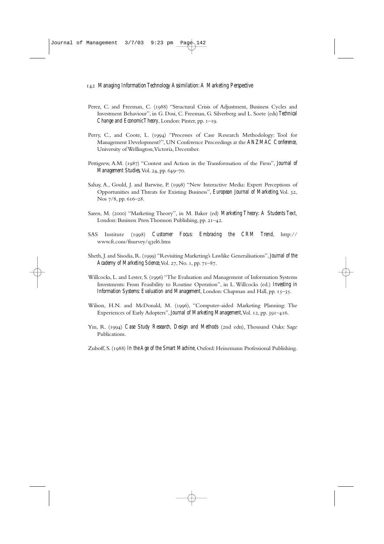- Perez, C. and Freeman, C. (1988) "Structural Crisis of Adjustment, Business Cycles and Investment Behaviour", in G. Dosi, C. Freeman, G. Silverberg and L. Soete (eds)*Technical Change and Economic Theory*, London: Pinter, pp. 1-19.
- Perry, C., and Coote, L. (1994) "Processes of Case Research Methodology: Tool for Management Development?", UN Conference Proceedings at the *ANZMAC Conference*, University of Wellington,Victoria, December.
- Pettigrew, A.M. (1987) "Contest and Action in the Transformation of the Firm", *Journal of Management Studies, Vol. 24, pp. 649-70.*
- Sahay, A., Gould, J. and Barwise, P. (1998) "New Interactive Media: Expert Perceptions of Opportunities and Threats for Existing Business", *European Journal of Marketing*, Vol. 32, Nos 7/8, pp. 616-28.
- Saren, M. (2000) "Marketing Theory", in M. Baker (ed) *Marketing Theory: A Students Text*, London: Business Press Thomson Publishing, pp.  $21-42$ .
- SAS Institute (1998) Customer Focus: Embracing the CRM Trend, http:// www.ft.com/ftsurvey/q3el6.htm
- Sheth, J. and Sisodia, R. (1999) "Revisiting Marketing's Lawlike Generalisations", *Journal of the Academy of Marketing Science*, Vol. 27, No. 1, pp. 71-87.
- Willcocks, L. and Lester, S. (1996) "The Evaluation and Management of Information Systems Investments: From Feasibility to Routine Operation", in L. Willcocks (ed.) *Investing in Information Systems: Evaluation and Management*, London: Chapman and Hall, pp. 15-35.
- Wilson, H.N. and McDonald, M. (1996), "Computer-aided Marketing Planning: The Experiences of Early Adopters", *Journal of Marketing Management*, Vol. 12, pp. 391-416.
- Yin, R. (1994) *Case Study Research, Design and Methods* (2nd edn), Thousand Oaks: Sage Publications.
- Zuboff, S. () *In the Age of the Smart Machine*, Oxford: Heinemann Professional Publishing.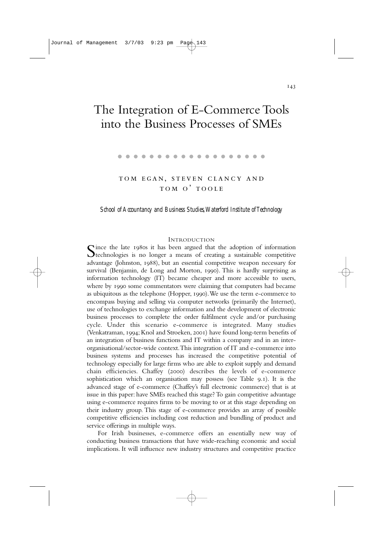# The Integration of E-Commerce Tools into the Business Processes of SMEs

. . . . . . . . . . . . . . . . . . .

# TOM EGAN, STEVEN CLANCY AND TOM O' TOOLE

*School of Accountancy and Business Studies,Waterford Institute of Technology*

#### **INTRODUCTION**

Since the late 1980s it has been argued that the adoption of information<br>technologies is no longer a means of creating a sustainable competitive advantage (Johnston, 1988), but an essential competitive weapon necessary for survival (Benjamin, de Long and Morton, 1990). This is hardly surprising as information technology (IT) became cheaper and more accessible to users, where by 1990 some commentators were claiming that computers had became as ubiquitous as the telephone (Hopper, 1990). We use the term e-commerce to encompass buying and selling via computer networks (primarily the Internet), use of technologies to exchange information and the development of electronic business processes to complete the order fulfilment cycle and/or purchasing cycle. Under this scenario e-commerce is integrated. Many studies (Venkatraman, 1994; Knol and Stroeken, 2001) have found long-term benefits of an integration of business functions and IT within a company and in an interorganisational/sector-wide context.This integration of IT and e-commerce into business systems and processes has increased the competitive potential of technology especially for large firms who are able to exploit supply and demand chain efficiencies. Chaffey (2000) describes the levels of e-commerce sophistication which an organisation may possess (see Table 9.1). It is the advanced stage of e-commerce (Chaffey's full electronic commerce) that is at issue in this paper: have SMEs reached this stage? To gain competitive advantage using e-commerce requires firms to be moving to or at this stage depending on their industry group. This stage of e-commerce provides an array of possible competitive efficiencies including cost reduction and bundling of product and service offerings in multiple ways.

For Irish businesses, e-commerce offers an essentially new way of conducting business transactions that have wide-reaching economic and social implications. It will influence new industry structures and competitive practice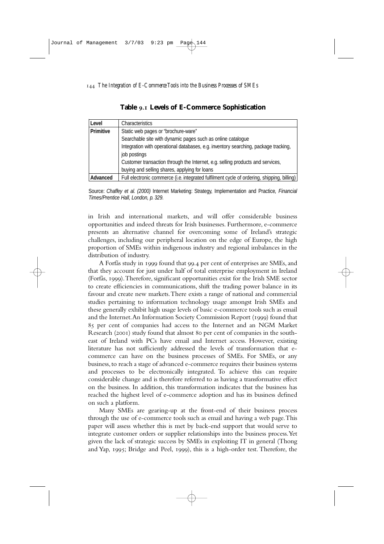| Level            | Characteristics                                                                            |
|------------------|--------------------------------------------------------------------------------------------|
| <b>Primitive</b> | Static web pages or "brochure-ware"                                                        |
|                  | Searchable site with dynamic pages such as online catalogue                                |
|                  | Integration with operational databases, e.g. inventory searching, package tracking,        |
|                  | job postings                                                                               |
|                  | Customer transaction through the Internet, e.g. selling products and services,             |
|                  | buying and selling shares, applying for loans                                              |
| Advanced         | Full electronic commerce (i.e. integrated fulfilment cycle of ordering, shipping, billing) |

**Table . Levels of E-Commerce Sophistication**

Source: *Chaffey et al. (2000)* Internet Marketing: Strategy, Implementation and Practice*, Financial Times/Prentice Hall, London, p. 329.*

in Irish and international markets, and will offer considerable business opportunities and indeed threats for Irish businesses. Furthermore, e-commerce presents an alternative channel for overcoming some of Ireland's strategic challenges, including our peripheral location on the edge of Europe, the high proportion of SMEs within indigenous industry and regional imbalances in the distribution of industry.

A Forfás study in 1999 found that 99.4 per cent of enterprises are SMEs, and that they account for just under half of total enterprise employment in Ireland (Forfás, ).Therefore, significant opportunities exist for the Irish SME sector to create efficiencies in communications, shift the trading power balance in its favour and create new markets.There exists a range of national and commercial studies pertaining to information technology usage amongst Irish SMEs and these generally exhibit high usage levels of basic e-commerce tools such as email and the Internet. An Information Society Commission Report (1999) found that per cent of companies had access to the Internet and an NGM Market Research (2001) study found that almost 80 per cent of companies in the southeast of Ireland with PCs have email and Internet access. However, existing literature has not sufficiently addressed the levels of transformation that ecommerce can have on the business processes of SMEs. For SMEs, or any business,to reach a stage of advanced e-commerce requires their business systems and processes to be electronically integrated. To achieve this can require considerable change and is therefore referred to as having a transformative effect on the business. In addition, this transformation indicates that the business has reached the highest level of e-commerce adoption and has its business defined on such a platform.

Many SMEs are gearing-up at the front-end of their business process through the use of e-commerce tools such as email and having a web page.This paper will assess whether this is met by back-end support that would serve to integrate customer orders or supplier relationships into the business process.Yet given the lack of strategic success by SMEs in exploiting IT in general (Thong and Yap, 1995; Bridge and Peel, 1999), this is a high-order test. Therefore, the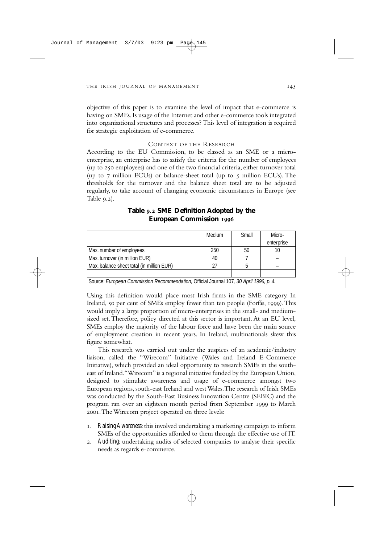objective of this paper is to examine the level of impact that e-commerce is having on SMEs. Is usage of the Internet and other e-commerce tools integrated into organisational structures and processes? This level of integration is required for strategic exploitation of e-commerce.

#### CONTEXT OF THE RESEARCH

According to the EU Commission, to be classed as an SME or a microenterprise, an enterprise has to satisfy the criteria for the number of employees (up to employees) and one of the two financial criteria, either turnover total (up to  $\tau$  million ECUs) or balance-sheet total (up to  $\zeta$  million ECUs). The thresholds for the turnover and the balance sheet total are to be adjusted regularly, to take account of changing economic circumstances in Europe (see Table  $9.2$ ).

|                                           | Medium | Small | Micro-     |
|-------------------------------------------|--------|-------|------------|
|                                           |        |       | enterprise |
| Max. number of employees                  | 250    | 50    |            |
| Max. turnover (in million EUR)            | 40     |       |            |
| Max. balance sheet total (in million EUR) |        |       |            |
|                                           |        |       |            |

# **Table . SME Definition Adopted by the European Commission**

Source: *European Commission Recommendation,* Official Journal 107*, 30 April 1996, p. 4.*

Using this definition would place most Irish firms in the SME category. In Ireland, 50 per cent of SMEs employ fewer than ten people (Forfás, 1999). This would imply a large proportion of micro-enterprises in the small- and mediumsized set.Therefore, policy directed at this sector is important. At an EU level, SMEs employ the majority of the labour force and have been the main source of employment creation in recent years. In Ireland, multinationals skew this figure somewhat.

This research was carried out under the auspices of an academic/industry liaison, called the "Wirecom" Initiative (Wales and Ireland E-Commerce Initiative), which provided an ideal opportunity to research SMEs in the southeast of Ireland. "Wirecom" is a regional initiative funded by the European Union, designed to stimulate awareness and usage of e-commerce amongst two European regions, south-east Ireland and west Wales.The research of Irish SMEs was conducted by the South-East Business Innovation Centre (SEBIC) and the program ran over an eighteen month period from September 1999 to March .The Wirecom project operated on three levels:

- . *Raising Awareness*:this involved undertaking a marketing campaign to inform SMEs of the opportunities afforded to them through the effective use of IT.
- . *Auditing*: undertaking audits of selected companies to analyse their specific needs as regards e-commerce.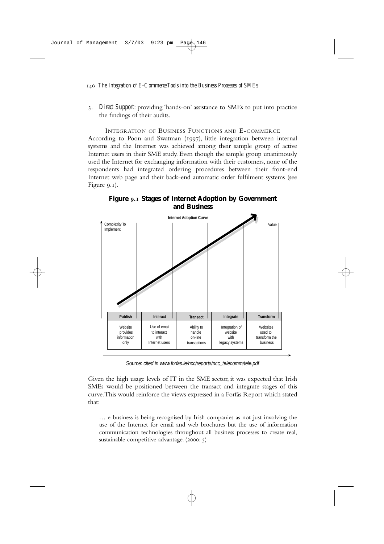. *Direct Support*: providing 'hands-on' assistance to SMEs to put into practice the findings of their audits.

INTEGRATION OF BUSINESS FUNCTIONS AND E-COMMERCE According to Poon and Swatman (1997), little integration between internal systems and the Internet was achieved among their sample group of active Internet users in their SME study. Even though the sample group unanimously used the Internet for exchanging information with their customers, none of the respondents had integrated ordering procedures between their front-end Internet web page and their back-end automatic order fulfilment systems (see Figure  $9.1$ ).



**Figure . Stages of Internet Adoption by Government and Business**

Source: *cited in www.forfas.ie/ncc/reports/ncc\_telecomm/tele.pdf*

Given the high usage levels of IT in the SME sector, it was expected that Irish SMEs would be positioned between the transact and integrate stages of this curve.This would reinforce the views expressed in a Forfás Report which stated that:

… e-business is being recognised by Irish companies as not just involving the use of the Internet for email and web brochures but the use of information communication technologies throughout all business processes to create real, sustainable competitive advantage.  $(2000; \zeta)$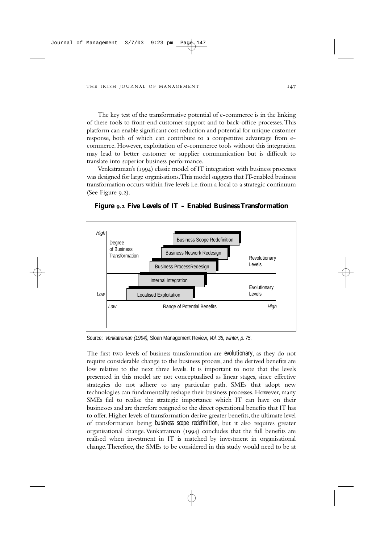The key test of the transformative potential of e-commerce is in the linking of these tools to front-end customer support and to back-office processes.This platform can enable significant cost reduction and potential for unique customer response, both of which can contribute to a competitive advantage from ecommerce. However, exploitation of e-commerce tools without this integration may lead to better customer or supplier communication but is difficult to translate into superior business performance.

Venkatraman's (1994) classic model of IT integration with business processes was designed for large organisations.This model suggests that IT-enabled business transformation occurs within five levels i.e. from a local to a strategic continuum (See Figure  $9.2$ ).



**Figure . Five Levels of IT – Enabled Business Transformation**

Source: *Venkatraman (1994),* Sloan Management Review*, Vol. 35, winter, p. 75.*

The first two levels of business transformation are *evolutionary*, as they do not require considerable change to the business process, and the derived benefits are low relative to the next three levels. It is important to note that the levels presented in this model are not conceptualised as linear stages, since effective strategies do not adhere to any particular path. SMEs that adopt new technologies can fundamentally reshape their business processes. However, many SMEs fail to realise the strategic importance which IT can have on their businesses and are therefore resigned to the direct operational benefits that IT has to offer. Higher levels of transformation derive greater benefits, the ultimate level of transformation being *business scope redefinition*, but it also requires greater organisational change. Venkatraman (1994) concludes that the full benefits are realised when investment in IT is matched by investment in organisational change.Therefore, the SMEs to be considered in this study would need to be at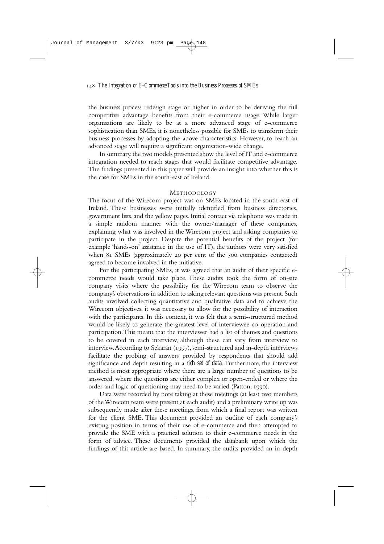the business process redesign stage or higher in order to be deriving the full competitive advantage benefits from their e-commerce usage. While larger organisations are likely to be at a more advanced stage of e-commerce sophistication than SMEs, it is nonetheless possible for SMEs to transform their business processes by adopting the above characteristics. However, to reach an advanced stage will require a significant organisation-wide change.

In summary,the two models presented show the level of IT and e-commerce integration needed to reach stages that would facilitate competitive advantage. The findings presented in this paper will provide an insight into whether this is the case for SMEs in the south-east of Ireland.

#### METHODOLOGY

The focus of the Wirecom project was on SMEs located in the south-east of Ireland. These businesses were initially identified from business directories, government lists, and the yellow pages. Initial contact via telephone was made in a simple random manner with the owner/manager of these companies, explaining what was involved in the Wirecom project and asking companies to participate in the project. Despite the potential benefits of the project (for example 'hands-on' assistance in the use of IT), the authors were very satisfied when 81 SMEs (approximately 20 per cent of the 500 companies contacted) agreed to become involved in the initiative.

For the participating SMEs, it was agreed that an audit of their specific ecommerce needs would take place. These audits took the form of on-site company visits where the possibility for the Wirecom team to observe the company's observations in addition to asking relevant questions was present.Such audits involved collecting quantitative and qualitative data and to achieve the Wirecom objectives, it was necessary to allow for the possibility of interaction with the participants. In this context, it was felt that a semi-structured method would be likely to generate the greatest level of interviewee co-operation and participation.This meant that the interviewer had a list of themes and questions to be covered in each interview, although these can vary from interview to interview. According to Sekaran (1997), semi-structured and in-depth interviews facilitate the probing of answers provided by respondents that should add significance and depth resulting in a *rich set of data*. Furthermore, the interview method is most appropriate where there are a large number of questions to be answered, where the questions are either complex or open-ended or where the order and logic of questioning may need to be varied (Patton, 1990).

Data were recorded by note taking at these meetings (at least two members of the Wirecom team were present at each audit) and a preliminary write up was subsequently made after these meetings, from which a final report was written for the client SME. This document provided an outline of each company's existing position in terms of their use of e-commerce and then attempted to provide the SME with a practical solution to their e-commerce needs in the form of advice. These documents provided the databank upon which the findings of this article are based. In summary, the audits provided an in-depth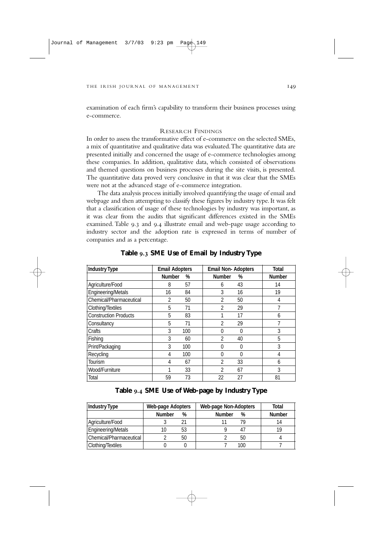examination of each firm's capability to transform their business processes using e-commerce.

#### RESEARCH FINDINGS

In order to assess the transformative effect of e-commerce on the selected SMEs, a mix of quantitative and qualitative data was evaluated.The quantitative data are presented initially and concerned the usage of e-commerce technologies among these companies. In addition, qualitative data, which consisted of observations and themed questions on business processes during the site visits, is presented. The quantitative data proved very conclusive in that it was clear that the SMEs were not at the advanced stage of e-commerce integration.

The data analysis process initially involved quantifying the usage of email and webpage and then attempting to classify these figures by industry type. It was felt that a classification of usage of these technologies by industry was important, as it was clear from the audits that significant differences existed in the SMEs examined. Table  $9.3$  and  $9.4$  illustrate email and web-page usage according to industry sector and the adoption rate is expressed in terms of number of companies and as a percentage.

| <b>Industry Type</b>         | <b>Email Adopters</b> |     | <b>Email Non-Adopters</b> |          | <b>Total</b>  |
|------------------------------|-----------------------|-----|---------------------------|----------|---------------|
|                              | <b>Number</b>         | %   | <b>Number</b>             | %        | <b>Number</b> |
| Agriculture/Food             | 8                     | 57  | 6                         | 43       | 14            |
| Engineering/Metals           | 16                    | 84  | 3                         | 16       | 19            |
| Chemical/Pharmaceutical      | $\overline{2}$        | 50  | $\mathfrak{p}$            | 50       | 4             |
| Clothing/Textiles            | 5                     | 71  | 2                         | 29       |               |
| <b>Construction Products</b> | 5                     | 83  | 1                         | 17       | 6             |
| Consultancy                  | 5                     | 71  | 2                         | 29       |               |
| Crafts                       | 3                     | 100 | $\Omega$                  | $\Omega$ | 3             |
| Fishing                      | 3                     | 60  | 2                         | 40       | 5             |
| Print/Packaging              | 3                     | 100 | $\Omega$                  | 0        | 3             |
| Recycling                    | 4                     | 100 | 0                         | 0        | 4             |
| Tourism                      | 4                     | 67  | $\mathfrak{p}$            | 33       | 6             |
| Wood/Furniture               | 1                     | 33  | $\mathfrak{p}$            | 67       | 3             |
| Total                        | 59                    | 73  | 22                        | 27       | 81            |

**Table . SME Use of Email by Industry Type**

## **Table . SME Use of Web-page by Industry Type**

| <b>Industry Type</b>      | <b>Web-page Adopters</b> |    | <b>Web-page Non-Adopters</b> | Total         |
|---------------------------|--------------------------|----|------------------------------|---------------|
|                           | <b>Number</b>            | %  | <b>Number</b><br>%           | <b>Number</b> |
| Agriculture/Food          |                          |    | 79                           | 14            |
| <b>Engineering/Metals</b> | 10                       | 53 | 47                           | 19            |
| Chemical/Pharmaceutical   |                          | 50 | 50                           |               |
| Clothing/Textiles         |                          |    | 100                          |               |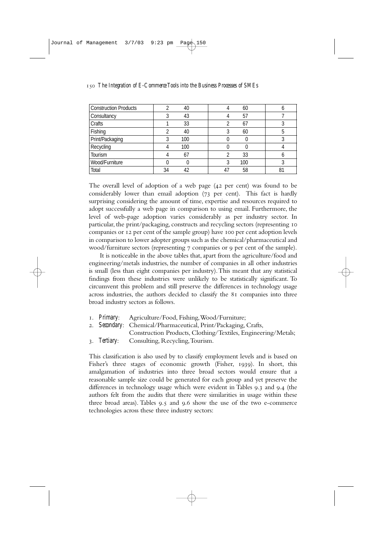| <b>Construction Products</b> |    | 40  | 60             |
|------------------------------|----|-----|----------------|
| Consultancy                  |    | 43  | 57             |
| Crafts                       |    | 33  | 67             |
| Fishing                      |    | 40  | 5<br>3<br>60   |
| Print/Packaging              |    | 100 |                |
| Recycling                    |    | 100 |                |
| Tourism                      |    | 67  | 33<br>2        |
| Wood/Furniture               |    |     | 100<br>3<br>3  |
| Total                        | 34 |     | 58<br>47<br>81 |

The overall level of adoption of a web page (42 per cent) was found to be considerably lower than email adoption (73 per cent). This fact is hardly surprising considering the amount of time, expertise and resources required to adopt successfully a web page in comparison to using email. Furthermore, the level of web-page adoption varies considerably as per industry sector. In particular, the print/packaging, constructs and recycling sectors (representing 10 companies or 12 per cent of the sample group) have 100 per cent adoption levels in comparison to lower adopter groups such as the chemical/pharmaceutical and wood/furniture sectors (representing 7 companies or 9 per cent of the sample).

It is noticeable in the above tables that, apart from the agriculture/food and engineering/metals industries, the number of companies in all other industries is small (less than eight companies per industry).This meant that any statistical findings from these industries were unlikely to be statistically significant. To circumvent this problem and still preserve the differences in technology usage across industries, the authors decided to classify the 81 companies into three broad industry sectors as follows.

- . *Primary*: Agriculture/Food, Fishing,Wood/Furniture;
- . *Secondary*: Chemical/Pharmaceutical, Print/Packaging, Crafts,
- Construction Products, Clothing/Textiles, Engineering/Metals;
- . *Tertiary*: Consulting, Recycling,Tourism.

This classification is also used by to classify employment levels and is based on Fisher's three stages of economic growth (Fisher, 1939). In short, this amalgamation of industries into three broad sectors would ensure that a reasonable sample size could be generated for each group and yet preserve the differences in technology usage which were evident in Tables 9.3 and 9.4 (the authors felt from the audits that there were similarities in usage within these three broad areas). Tables  $9.5$  and  $9.6$  show the use of the two e-commerce technologies across these three industry sectors: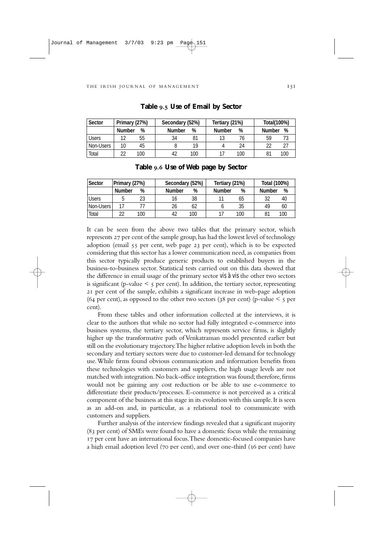| <b>Sector</b> | Primary (27%) |     | Secondary (52%) |     | Tertiary (21%) |     | Total(100%)   |     |
|---------------|---------------|-----|-----------------|-----|----------------|-----|---------------|-----|
|               | <b>Number</b> | %   | <b>Number</b>   | %   | <b>Number</b>  | %   | <b>Number</b> | %   |
| <b>Users</b>  |               | 55  | 34              |     |                | 76  | 59            |     |
| Non-Users     | 10            | 45  |                 | 10  |                | 24  | າາ            |     |
| Total         |               | 100 | 42              | 100 |                | 100 |               | 100 |

#### **Table . Use of Email by Sector**

| <b>Sector</b> | Primary (27%) |     | Secondary (52%) |     | Tertiary (21%) |     | Total (100%)  |     |
|---------------|---------------|-----|-----------------|-----|----------------|-----|---------------|-----|
|               | <b>Number</b> | %   | <b>Number</b>   | %   | <b>Number</b>  | %   | <b>Number</b> | %   |
| <b>Users</b>  |               | 23  | 16              | 38  |                | ხ5  |               | 40  |
| Non-Users     |               |     | 26              | 62  |                | 35  | 49            | 60  |
| Total         | 22            | 100 |                 | 100 |                | 100 | 81            | 100 |

#### **Table . Use of Web page by Sector**

It can be seen from the above two tables that the primary sector, which represents 27 per cent of the sample group, has had the lowest level of technology adoption (email  $55$  per cent, web page 23 per cent), which is to be expected considering that this sector has a lower communication need, as companies from this sector typically produce generic products to established buyers in the business-to-business sector. Statistical tests carried out on this data showed that the difference in email usage of the primary sector *vis à vis* the other two sectors is significant (p-value  $\leq \zeta$  per cent). In addition, the tertiary sector, representing per cent of the sample, exhibits a significant increase in web-page adoption (64 per cent), as opposed to the other two sectors (38 per cent) (p-value  $\leq$  5 per cent).

From these tables and other information collected at the interviews, it is clear to the authors that while no sector had fully integrated e-commerce into business systems, the tertiary sector, which represents service firms, is slightly higher up the transformative path of Venkatraman model presented earlier but still on the evolutionary trajectory.The higher relative adoption levels in both the secondary and tertiary sectors were due to customer-led demand for technology use.While firms found obvious communication and information benefits from these technologies with customers and suppliers, the high usage levels are not matched with integration. No back-office integration was found; therefore, firms would not be gaining any cost reduction or be able to use e-commerce to differentiate their products/processes. E-commerce is not perceived as a critical component of the business at this stage in its evolution with this sample.It is seen as an add-on and, in particular, as a relational tool to communicate with customers and suppliers.

Further analysis of the interview findings revealed that a significant majority  $(83$  per cent) of SMEs were found to have a domestic focus while the remaining 17 per cent have an international focus. These domestic-focused companies have a high email adoption level (70 per cent), and over one-third (36 per cent) have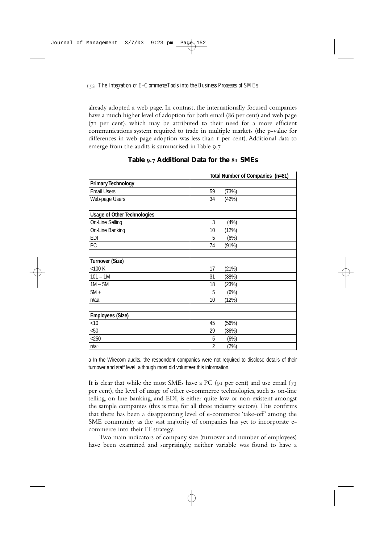already adopted a web page. In contrast, the internationally focused companies have a much higher level of adoption for both email (86 per cent) and web page  $(7I)$  per cent), which may be attributed to their need for a more efficient communications system required to trade in multiple markets (the p-value for differences in web-page adoption was less than I per cent). Additional data to emerge from the audits is summarised in Table 9.7

|                                    | Total Number of Companies (n=81) |
|------------------------------------|----------------------------------|
| <b>Primary Technology</b>          |                                  |
| <b>Email Users</b>                 | 59<br>(73%)                      |
| Web-page Users                     | (42%)<br>34                      |
|                                    |                                  |
| <b>Usage of Other Technologies</b> |                                  |
| On-Line Selling                    | 3<br>(4%)                        |
| On-Line Banking                    | 10<br>(12%)                      |
| EDI                                | (6%)<br>5                        |
| РC                                 | 74<br>(91%)                      |
|                                    |                                  |
| <b>Turnover (Size)</b>             |                                  |
| $<$ 100 $K$                        | 17<br>(21%)                      |
| $101 - 1M$                         | (38%)<br>31                      |
| $1M - 5M$                          | 18<br>(23%)                      |
| $5M +$                             | 5<br>(6%)                        |
| n/aa                               | (12%)<br>10                      |
|                                    |                                  |
| <b>Employees (Size)</b>            |                                  |
| <10                                | (56%)<br>45                      |
| < 50                               | 29<br>(36%)                      |
| $<$ 250                            | (6%)<br>5                        |
| n/a <sup>a</sup>                   | $\overline{2}$<br>(2%)           |

**Table . Additional Data for the SMEs**

a In the Wirecom audits, the respondent companies were not required to disclose details of their turnover and staff level, although most did volunteer this information.

It is clear that while the most SMEs have a PC ( $9I$  per cent) and use email ( $73$ per cent), the level of usage of other e-commerce technologies, such as on-line selling, on-line banking, and EDI, is either quite low or non-existent amongst the sample companies (this is true for all three industry sectors).This confirms that there has been a disappointing level of e-commerce 'take-off' among the SME community as the vast majority of companies has yet to incorporate ecommerce into their IT strategy.

Two main indicators of company size (turnover and number of employees) have been examined and surprisingly, neither variable was found to have a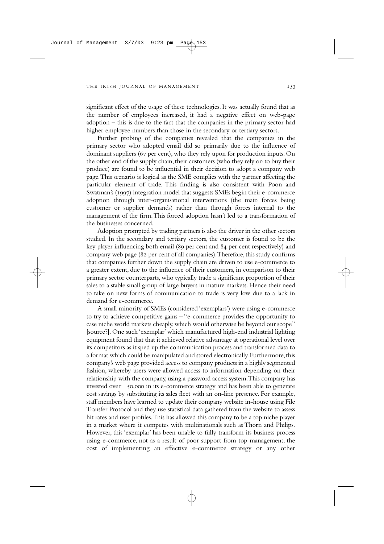significant effect of the usage of these technologies. It was actually found that as the number of employees increased, it had a negative effect on web-page adoption – this is due to the fact that the companies in the primary sector had higher employee numbers than those in the secondary or tertiary sectors.

Further probing of the companies revealed that the companies in the primary sector who adopted email did so primarily due to the influence of dominant suppliers (67 per cent), who they rely upon for production inputs. On the other end of the supply chain, their customers (who they rely on to buy their produce) are found to be influential in their decision to adopt a company web page.This scenario is logical as the SME complies with the partner affecting the particular element of trade. This finding is also consistent with Poon and Swatman's (1997) integration model that suggests SMEs begin their e-commerce adoption through inter-organisational interventions (the main forces being customer or supplier demands) rather than through forces internal to the management of the firm.This forced adoption hasn't led to a transformation of the businesses concerned.

Adoption prompted by trading partners is also the driver in the other sectors studied. In the secondary and tertiary sectors, the customer is found to be the key player influencing both email ( $89$  per cent and  $84$  per cent respectively) and company web page  $(82 \text{ per cent of all companies})$ . Therefore, this study confirms that companies further down the supply chain are driven to use e-commerce to a greater extent, due to the influence of their customers, in comparison to their primary sector counterparts, who typically trade a significant proportion of their sales to a stable small group of large buyers in mature markets. Hence their need to take on new forms of communication to trade is very low due to a lack in demand for e-commerce.

A small minority of SMEs (considered 'exemplars') were using e-commerce to try to achieve competitive gains – "e-commerce provides the opportunity to case niche world markets cheaply,which would otherwise be beyond our scope" [source?]. One such 'exemplar' which manufactured high-end industrial lighting equipment found that that it achieved relative advantage at operational level over its competitors as it sped up the communication process and transformed data to a format which could be manipulated and stored electronically. Furthermore, this company's web page provided access to company products in a highly segmented fashion, whereby users were allowed access to information depending on their relationship with the company,using a password access system.This company has invested over 50,000 in its e-commerce strategy and has been able to generate cost savings by substituting its sales fleet with an on-line presence. For example, staff members have learned to update their company website in-house using File Transfer Protocol and they use statistical data gathered from the website to assess hit rates and user profiles.This has allowed this company to be a top niche player in a market where it competes with multinationals such as Thorn and Philips. However, this 'exemplar' has been unable to fully transform its business process using e-commerce, not as a result of poor support from top management, the cost of implementing an effective e-commerce strategy or any other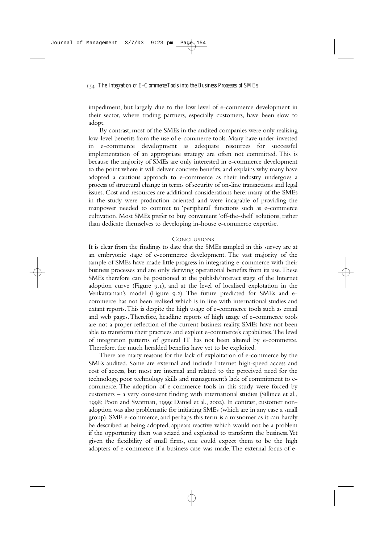impediment, but largely due to the low level of e-commerce development in their sector, where trading partners, especially customers, have been slow to adopt.

By contrast, most of the SMEs in the audited companies were only realising low-level benefits from the use of e-commerce tools. Many have under-invested in e-commerce development as adequate resources for successful implementation of an appropriate strategy are often not committed. This is because the majority of SMEs are only interested in e-commerce development to the point where it will deliver concrete benefits, and explains why many have adopted a cautious approach to e-commerce as their industry undergoes a process of structural change in terms of security of on-line transactions and legal issues. Cost and resources are additional considerations here: many of the SMEs in the study were production oriented and were incapable of providing the manpower needed to commit to 'peripheral' functions such as e-commerce cultivation. Most SMEs prefer to buy convenient 'off-the-shelf' solutions, rather than dedicate themselves to developing in-house e-commerce expertise.

#### **CONCLUSIONS**

It is clear from the findings to date that the SMEs sampled in this survey are at an embryonic stage of e-commerce development. The vast majority of the sample of SMEs have made little progress in integrating e-commerce with their business processes and are only deriving operational benefits from its use.These SMEs therefore can be positioned at the publish/interact stage of the Internet adoption curve (Figure  $9.1$ ), and at the level of localised explotation in the Venkatraman's model (Figure 9.2). The future predicted for SMEs and ecommerce has not been realised which is in line with international studies and extant reports.This is despite the high usage of e-commerce tools such as email and web pages.Therefore, headline reports of high usage of e-commerce tools are not a proper reflection of the current business reality. SMEs have not been able to transform their practices and exploit e-commerce's capabilities.The level of integration patterns of general IT has not been altered by e-commerce. Therefore, the much heralded benefits have yet to be exploited.

There are many reasons for the lack of exploitation of e-commerce by the SMEs audited. Some are external and include Internet high-speed access and cost of access, but most are internal and related to the perceived need for the technology, poor technology skills and management's lack of commitment to ecommerce. The adoption of e-commerce tools in this study were forced by customers – a very consistent finding with international studies (Sillince et al., 1998; Poon and Swatman, 1999; Daniel et al., 2002). In contrast, customer nonadoption was also problematic for initiating SMEs (which are in any case a small group). SME e-commerce, and perhaps this term is a misnomer as it can hardly be described as being adopted, appears reactive which would not be a problem if the opportunity then was seized and exploited to transform the business.Yet given the flexibility of small firms, one could expect them to be the high adopters of e-commerce if a business case was made.The external focus of e-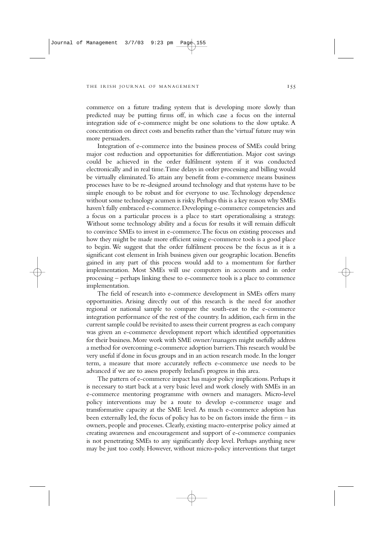commerce on a future trading system that is developing more slowly than predicted may be putting firms off, in which case a focus on the internal integration side of e-commerce might be one solutions to the slow uptake. A concentration on direct costs and benefits rather than the 'virtual'future may win more persuaders.

Integration of e-commerce into the business process of SMEs could bring major cost reduction and opportunities for differentiation. Major cost savings could be achieved in the order fulfilment system if it was conducted electronically and in real time.Time delays in order processing and billing would be virtually eliminated.To attain any benefit from e-commerce means business processes have to be re-designed around technology and that systems have to be simple enough to be robust and for everyone to use. Technology dependence without some technology acumen is risky.Perhaps this is a key reason why SMEs haven't fully embraced e-commerce.Developing e-commerce competencies and a focus on a particular process is a place to start operationalising a strategy. Without some technology ability and a focus for results it will remain difficult to convince SMEs to invest in e-commerce.The focus on existing processes and how they might be made more efficient using e-commerce tools is a good place to begin. We suggest that the order fulfilment process be the focus as it is a significant cost element in Irish business given our geographic location. Benefits gained in any part of this process would add to a momentum for further implementation. Most SMEs will use computers in accounts and in order processing – perhaps linking these to e-commerce tools is a place to commence implementation.

The field of research into e-commerce development in SMEs offers many opportunities. Arising directly out of this research is the need for another regional or national sample to compare the south-east to the e-commerce integration performance of the rest of the country. In addition, each firm in the current sample could be revisited to assess their current progress as each company was given an e-commerce development report which identified opportunities for their business.More work with SME owner/managers might usefully address a method for overcoming e-commerce adoption barriers.This research would be very useful if done in focus groups and in an action research mode. In the longer term, a measure that more accurately reflects e-commerce use needs to be advanced if we are to assess properly Ireland's progress in this area.

The pattern of e-commerce impact has major policy implications. Perhaps it is necessary to start back at a very basic level and work closely with SMEs in an e-commerce mentoring programme with owners and managers. Micro-level policy interventions may be a route to develop e-commerce usage and transformative capacity at the SME level. As much e-commerce adoption has been externally led, the focus of policy has to be on factors inside the firm – its owners, people and processes. Clearly, existing macro-enterprise policy aimed at creating awareness and encouragement and support of e-commerce companies is not penetrating SMEs to any significantly deep level. Perhaps anything new may be just too costly. However, without micro-policy interventions that target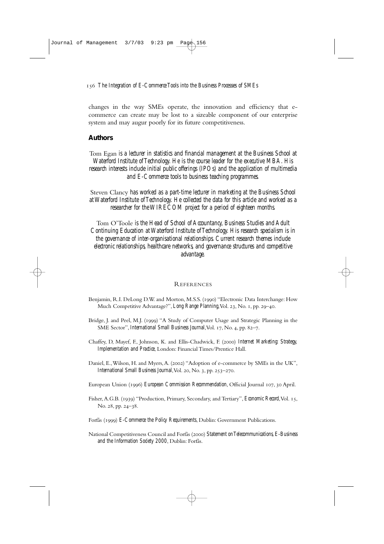changes in the way SMEs operate, the innovation and efficiency that ecommerce can create may be lost to a sizeable component of our enterprise system and may augur poorly for its future competitiveness.

## **Authors**

Tom Egan *is a lecturer in statistics and financial management at the Business School at Waterford Institute of Technology. He is the course leader for the executive MBA. His research interests include initial public offerings (IPOs) and the application of multimedia and E-Commerce tools to business teaching programmes.*

Steven Clancy *has worked as a part-time lecturer in marketing at the Business School at Waterford Institute of Technology. He collected the data for this article and worked as a researcher for the WIRECOM project for a period of eighteen months.*

Tom O'Toole *is the Head of School of Accountancy, Business Studies and Adult Continuing Education at Waterford Institute of Technology. His research specialism is in the governance of inter-organisational relationships. Current research themes include electronic relationships, healthcare networks, and governance structures and competitive advantage.*

#### REFERENCES

- Benjamin, R.I. DeLong D.W. and Morton, M.S.S. (1990) "Electronic Data Interchange: How Much Competitive Advantage?", *Long Range Planning*, Vol. 23, No. 1, pp. 29-40.
- Bridge, J. and Peel, M.J. (1999) "A Study of Computer Usage and Strategic Planning in the SME Sector", *International Small Business Journal*, Vol. 17, No. 4, pp. 82-7.
- Chaffey, D, Mayef, F., Johnson, K. and Ellis-Chadwick, F. (2000) Internet Marketing: Strategy, *Implementation and Practice*, London: Financial Times/Prentice Hall.
- Daniel, E., Wilson, H. and Myers, A. (2002) "Adoption of e-commerce by SMEs in the UK", *International Small Business Journal*, Vol. 20, No. 3, pp. 253-270.

European Union (1996) *European Commission Recommendation*, Official Journal 107, 30 April.

Fisher, A.G.B. (1939) "Production, Primary, Secondary, and Tertiary", *Economic Record*, Vol. 15, No. 28, pp. 24-38.

Forfás (1999) *E-Commerce the Policy Requirements*, Dublin: Government Publications.

National Competitiveness Council and Forfás () *Statement on Telecommunications,E-Business and the Information Society 2000*, Dublin: Forfás.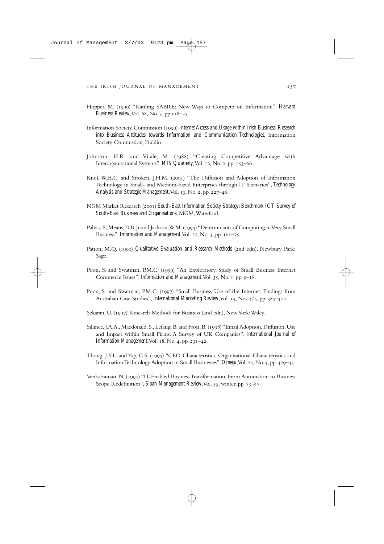- Hopper, M. (1990) "Rattling SABRE: New Ways to Compete on Information", *Harvard Business Review*, Vol. 68, No. 3, pp. 118-25.
- Information Society Commission (1999) Internet Access and Usage within Irish Business: Research *into Business Attitudes towards Information and Communication Technologies*, Information Society Commission, Dublin.
- Johnston, H.R. and Vitale, M. (1988) "Creating Competitive Advantage with Interorganisational Systems", *MIS Quarterly*, Vol. 12, No. 2, pp. 153-66.
- Knol, W.H.C. and Stroken, J.H.M. (2001) "The Diffusion and Adoption of Information Technology in Small- and Medium-Sized Enterprises through IT Scenarios", *Technology* Analysis and Strategic Management, Vol. 13, No. 2, pp. 227-46.
- NGM Market Research (2001) South-East Information Society Strategy: Benchmark ICT Survey of *South-East Business and Organisations*, MGM,Waterford.
- Palvia, P., Means, D.B. Jr and Jackson, W.M. (1994) "Determinants of Computing in Very Small Business", *Information and Management*, Vol. 27, No. 3, pp.  $161–75$ .
- Patton, M.O. (1990) *Qualitative Evaluation and Research Methods* (2nd edn), Newbury Park: Sage.
- Poon, S. and Swatman, P.M.C. (1999) "An Exploratory Study of Small Business Internet Commerce Issues", *Information and Management*, Vol. 35, No. 1, pp. 9-18.
- Poon, S. and Swatman, P.M.C. (1997) "Small Business Use of the Internet: Findings from Australian Case Studies", *International Marketing Review*, Vol. 14, Nos 4/5, pp. 385-402.
- Sekaran, U. (1997) Research Methods for Business (2nd edn), New York: Wiley.
- Sillince, J.A.A., Macdonald, S., Lefang, B. and Frost, B. (1998) "Email Adoption, Diffusion, Use and Impact within Small Firms: A Survey of UK Companies", *International Journal of Information Management*, Vol.  $18$ , No. 4, pp.  $231-42$ .
- Thong, J.Y.L. and Yap, C.S. (1995) "CEO Characteristics, Organisational Characteristics and Information Technology Adoption in Small Businesses", *Omega*, Vol. 23, No. 4, pp. 429-43.
- Venkatraman, N. () "IT-Enabled Business Transformation: From Automation to Business Scope Redefinition", *Sloan Management Review*, Vol. 35, winter, pp. 73-87.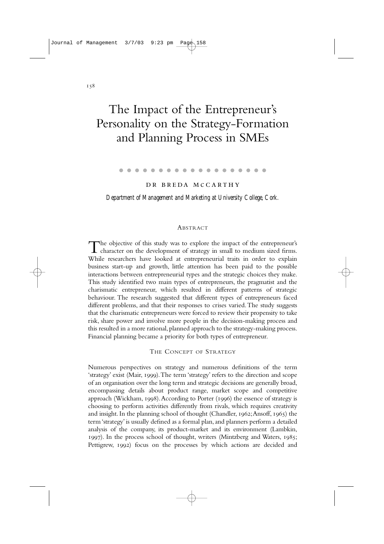# The Impact of the Entrepreneur' s Personality on the Strategy-Formation and Planning Process in SMEs

. . . . . . . . . . . . . . .

#### DR BREDA MCCARTHY

*Department of Management and Marketing at University College, Cork.*

#### **ABSTRACT**

The objective of this study was to explore the impact of the entrepreneur's  $\perp$  character on the development of strategy in small to medium sized firms. While researchers have looked at entrepreneurial traits in order to explain business start-up and growth, little attention has been paid to the possible interactions between entrepreneurial types and the strategic choices they make. This study identified two main types of entrepreneurs, the pragmatist and the charismatic entrepreneur, which resulted in different patterns of strategic behaviour. The research suggested that different types of entrepreneurs faced different problems, and that their responses to crises varied.The study suggests that the charismatic entrepreneurs were forced to review their propensity to take risk, share power and involve more people in the decision-making process and this resulted in a more rational, planned approach to the strategy-making process. Financial planning became a priority for both types of entrepreneur.

THE CONCEPT OF STRATEGY

Numerous perspectives on strategy and numerous definitions of the term 'strategy' exist (Mair, 1999). The term 'strategy' refers to the direction and scope of an organisation over the long term and strategic decisions are generally broad, encompassing details about product range, market scope and competitive approach (Wickham, 1998). According to Porter  $(1996)$  the essence of strategy is choosing to perform activities differently from rivals, which requires creativity and insight. In the planning school of thought (Chandler, 1962; Ansoff, 1965) the term 'strategy' is usually defined as a formal plan, and planners perform a detailed analysis of the company, its product-market and its environment (Lambkin, 1997). In the process school of thought, writers (Mintzberg and Waters, 1985; Pettigrew, 1992) focus on the processes by which actions are decided and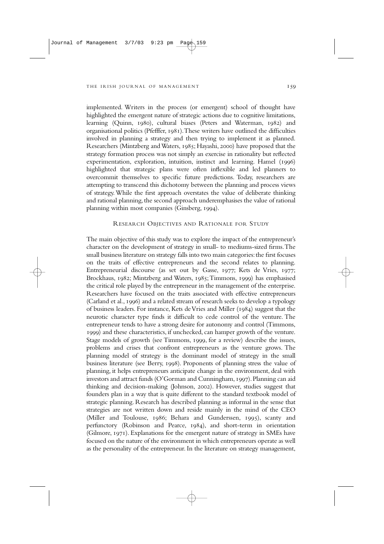implemented. Writers in the process (or emergent) school of thought have highlighted the emergent nature of strategic actions due to cognitive limitations, learning (Quinn, 1980), cultural biases (Peters and Waterman, 1982) and organisational politics (Pfefffer, 1981). These writers have outlined the difficulties involved in planning a strategy and then trying to implement it as planned. Researchers (Mintzberg and Waters, 1985; Hayashi, 2000) have proposed that the strategy formation process was not simply an exercise in rationality but reflected experimentation, exploration, intuition, instinct and learning. Hamel (1996) highlighted that strategic plans were often inflexible and led planners to overcommit themselves to specific future predictions. Today, researchers are attempting to transcend this dichotomy between the planning and process views of strategy.While the first approach overstates the value of deliberate thinking and rational planning, the second approach underemphasises the value of rational planning within most companies (Ginsberg, 1994).

#### RESEARCH OBJECTIVES AND RATIONALE FOR STUDY

The main objective of this study was to explore the impact of the entrepreneur's character on the development of strategy in small- to mediums-sized firms.The small business literature on strategy falls into two main categories: the first focuses on the traits of effective entrepreneurs and the second relates to planning. Entrepreneurial discourse (as set out by Gasse, 1977; Kets de Vries, 1977; Brockhaus, 1982; Mintzberg and Waters, 1985; Timmons, 1999) has emphasised the critical role played by the entrepreneur in the management of the enterprise. Researchers have focused on the traits associated with effective entrepreneurs (Carland et al., 1996) and a related stream of research seeks to develop a typology of business leaders. For instance, Kets de Vries and Miller (1984) suggest that the neurotic character type finds it difficult to cede control of the venture. The entrepreneur tends to have a strong desire for autonomy and control (Timmons, ) and these characteristics, if unchecked, can hamper growth of the venture. Stage models of growth (see Timmons, 1999, for a review) describe the issues, problems and crises that confront entrepreneurs as the venture grows. The planning model of strategy is the dominant model of strategy in the small business literature (see Berry, 1998). Proponents of planning stress the value of planning, it helps entrepreneurs anticipate change in the environment, deal with investors and attract funds (O'Gorman and Cunningham, 1997). Planning can aid thinking and decision-making (Johnson, 2002). However, studies suggest that founders plan in a way that is quite different to the standard textbook model of strategic planning. Research has described planning as informal in the sense that strategies are not written down and reside mainly in the mind of the CEO (Miller and Toulouse, 1986; Behara and Gunderssen, 1995), scanty and perfunctory (Robinson and Pearce, 1984), and short-term in orientation  $(Gilmore, 1971)$ . Explanations for the emergent nature of strategy in SMEs have focused on the nature of the environment in which entrepreneurs operate as well as the personality of the entrepreneur. In the literature on strategy management,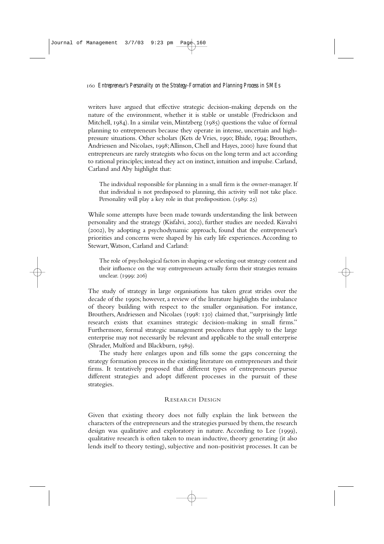writers have argued that effective strategic decision-making depends on the nature of the environment, whether it is stable or unstable (Fredrickson and Mitchell,  $1984$ ). In a similar vein, Mintzberg ( $1985$ ) questions the value of formal planning to entrepreneurs because they operate in intense, uncertain and highpressure situations. Other scholars (Kets de Vries, 1990; Bhide, 1994; Brouthers, Andriessen and Nicolaes, 1998; Allinson, Chell and Hayes, 2000) have found that entrepreneurs are rarely strategists who focus on the long term and act according to rational principles; instead they act on instinct, intuition and impulse. Carland, Carland and Aby highlight that:

The individual responsible for planning in a small firm is the owner-manager. If that individual is not predisposed to planning, this activity will not take place. Personality will play a key role in that predisposition.  $(1989: 25)$ 

While some attempts have been made towards understanding the link between personality and the strategy (Kisfalvi, 2002), further studies are needed. Kisvalvi (2002), by adopting a psychodynamic approach, found that the entrepreneur's priorities and concerns were shaped by his early life experiences. According to Stewart,Watson, Carland and Carland:

The role of psychological factors in shaping or selecting out strategy content and their influence on the way entrepreneurs actually form their strategies remains unclear. (1999: 206)

The study of strategy in large organisations has taken great strides over the decade of the 1990s; however, a review of the literature highlights the imbalance of theory building with respect to the smaller organisation. For instance, Brouthers, Andriessen and Nicolaes (1998: 130) claimed that, "surprisingly little research exists that examines strategic decision-making in small firms." Furthermore, formal strategic management procedures that apply to the large enterprise may not necessarily be relevant and applicable to the small enterprise (Shrader, Mulford and Blackburn, 1989).

The study here enlarges upon and fills some the gaps concerning the strategy formation process in the existing literature on entrepreneurs and their firms. It tentatively proposed that different types of entrepreneurs pursue different strategies and adopt different processes in the pursuit of these strategies.

## RESEARCH DESIGN

Given that existing theory does not fully explain the link between the characters of the entrepreneurs and the strategies pursued by them, the research design was qualitative and exploratory in nature. According to Lee (1999), qualitative research is often taken to mean inductive, theory generating (it also lends itself to theory testing), subjective and non-positivist processes. It can be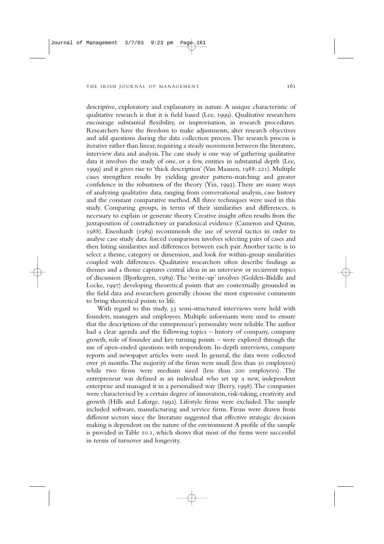descriptive, exploratory and explanatory in nature. A unique characteristic of qualitative research is that it is field based (Lee, 1999). Qualitative researchers encourage substantial flexibility, or improvisation, in research procedures. Researchers have the freedom to make adjustments, alter research objectives and add questions during the data collection process. The research process is iterative rather than linear, requiring a steady movement between the literature, interview data and analysis.The case study is one way of gathering qualitative data it involves the study of one, or a few, entities in substantial depth (Lee, 1999) and it gives rise to 'thick description' (Van Maanen, 1988; 221). Multiple cases strengthen results by yielding greater pattern-matching and greater confidence in the robustness of the theory (Yin, 1993). There are many ways of analyzing qualitative data, ranging from conversational analysis, case history and the constant comparative method. All three techniques were used in this study. Comparing groups, in terms of their similarities and differences, is necessary to explain or generate theory. Creative insight often results from the juxtaposition of contradictory or paradoxical evidence (Cameron and Quinn, 1988). Eisenhardt (1989) recommends the use of several tactics in order to analyse case study data: forced comparison involves selecting pairs of cases and then listing similarities and differences between each pair. Another tactic is to select a theme, category or dimension, and look for within-group similarities coupled with differences. Qualitative researchers often describe findings as themes and a theme captures central ideas in an interview or recurrent topics of discussion (Bjorkegren, 1989). The 'write-up' involves (Golden-Biddle and Locke, 1997) developing theoretical points that are contextually grounded in the field data and researchers generally choose the most expressive comments to bring theoretical points to life.

With regard to this study, 33 semi-structured interviews were held with founders, managers and employees. Multiple informants were used to ensure that the descriptions of the entrepreneur's personality were reliable.The author had a clear agenda and the following topics – history of company, company growth, role of founder and key turning points – were explored through the use of open-ended questions with respondents. In-depth interviews, company reports and newspaper articles were used. In general, the data were collected over 36 months. The majority of the firms were small (less than 50 employees) while two firms were medium sized (less than 200 employees). The entrepreneur was defined as an individual who set up a new, independent enterprise and managed it in a personalised way (Berry, 1998). The companies were characterised by a certain degree of innovation, risk-taking, creativity and growth (Hills and Laforge, 1992). Lifestyle firms were excluded. The sample included software, manufacturing and service firms. Firms were drawn from different sectors since the literature suggested that effective strategic decision making is dependent on the nature of the environment.A profile of the sample is provided in Table 10.1, which shows that most of the firms were successful in terms of turnover and longevity.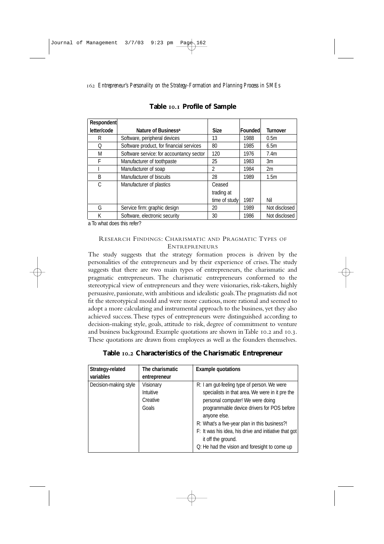| <b>Respondent</b> |                                          |               |         |                  |
|-------------------|------------------------------------------|---------------|---------|------------------|
| letter/code       | Nature of Business <sup>a</sup>          | <b>Size</b>   | Founded | <b>Turnover</b>  |
| R                 | Software, peripheral devices             | 13            | 1988    | 0.5 <sub>m</sub> |
| 0                 | Software product, for financial services | 80            | 1985    | 6.5m             |
| M                 | Software service: for accountancy sector | 120           | 1976    | 7.4 <sub>m</sub> |
| F                 | Manufacturer of toothpaste               | 25            | 1983    | 3m               |
|                   | Manufacturer of soap                     | $\mathfrak z$ | 1984    | 2m               |
| R.                | Manufacturer of biscuits                 | 28            | 1989    | 1.5 <sub>m</sub> |
| C                 | Manufacturer of plastics                 | Ceased        |         |                  |
|                   |                                          | trading at    |         |                  |
|                   |                                          | time of study | 1987    | Nil              |
| G                 | Service firm: graphic design             | 20            | 1989    | Not disclosed    |
| К                 | Software, electronic security            | 30            | 1986    | Not disclosed    |

# **Table . Profile of Sample**

a To what does this refer?

## RESEARCH FINDINGS: CHARISMATIC AND PRAGMATIC TYPES OF ENTREPRENEURS

The study suggests that the strategy formation process is driven by the personalities of the entrepreneurs and by their experience of crises.The study suggests that there are two main types of entrepreneurs, the charismatic and pragmatic entrepreneurs. The charismatic entrepreneurs conformed to the stereotypical view of entrepreneurs and they were visionaries, risk-takers, highly persuasive, passionate, with ambitious and idealistic goals. The pragmatists did not fit the stereotypical mould and were more cautious, more rational and seemed to adopt a more calculating and instrumental approach to the business, yet they also achieved success.These types of entrepreneurs were distinguished according to decision-making style, goals, attitude to risk, degree of commitment to venture and business background. Example quotations are shown in Table 10.2 and 10.3. These quotations are drawn from employees as well as the founders themselves.

**Table . Characteristics of the Charismatic Entrepreneur**

| Strategy-related<br>variables | The charismatic<br>entrepreneur | <b>Example quotations</b>                                                   |
|-------------------------------|---------------------------------|-----------------------------------------------------------------------------|
| Decision-making style         | Visionary                       | R: I am gut-feeling type of person. We were                                 |
|                               | Intuitive                       | specialists in that area. We were in it pre the                             |
|                               | Creative                        | personal computer! We were doing                                            |
|                               | Goals                           | programmable device drivers for POS before<br>anyone else.                  |
|                               |                                 | R: What's a five-year plan in this business?!                               |
|                               |                                 | F: It was his idea, his drive and initiative that got<br>it off the ground. |
|                               |                                 | Q: He had the vision and foresight to come up                               |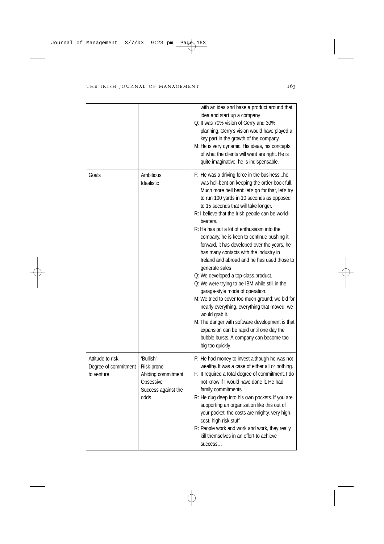|                                                         |                                                                                                  | with an idea and base a product around that<br>idea and start up a company<br>Q: It was 70% vision of Gerry and 30%<br>planning. Gerry's vision would have played a<br>key part in the growth of the company.<br>M: He is very dynamic. His ideas, his concepts<br>of what the clients will want are right. He is<br>quite imaginative, he is indispensable.                                                                                                                                                                                                                                                                                                                                                                                                                                                                                                                                                                                                                   |
|---------------------------------------------------------|--------------------------------------------------------------------------------------------------|--------------------------------------------------------------------------------------------------------------------------------------------------------------------------------------------------------------------------------------------------------------------------------------------------------------------------------------------------------------------------------------------------------------------------------------------------------------------------------------------------------------------------------------------------------------------------------------------------------------------------------------------------------------------------------------------------------------------------------------------------------------------------------------------------------------------------------------------------------------------------------------------------------------------------------------------------------------------------------|
| Goals                                                   | <b>Ambitious</b><br><b>Idealistic</b>                                                            | F: He was a driving force in the businesshe<br>was hell-bent on keeping the order book full.<br>Much more hell bent: let's go for that, let's try<br>to run 100 yards in 10 seconds as opposed<br>to 15 seconds that will take longer.<br>R: I believe that the Irish people can be world-<br>beaters.<br>R: He has put a lot of enthusiasm into the<br>company, he is keen to continue pushing it<br>forward, it has developed over the years, he<br>has many contacts with the industry in<br>Ireland and abroad and he has used those to<br>generate sales<br>Q: We developed a top-class product.<br>Q: We were trying to be IBM while still in the<br>garage-style mode of operation.<br>M: We tried to cover too much ground; we bid for<br>nearly everything, everything that moved, we<br>would grab it.<br>M: The danger with software development is that<br>expansion can be rapid until one day the<br>bubble bursts. A company can become too<br>big too quickly. |
| Attitude to risk.<br>Degree of commitment<br>to venture | 'Bullish'<br>Risk-prone<br>Abiding commitment<br><b>Obsessive</b><br>Success against the<br>odds | F: He had money to invest although he was not<br>wealthy. It was a case of either all or nothing.<br>F: It required a total degree of commitment. I do<br>not know if I would have done it. He had<br>family commitments.<br>R: He dug deep into his own pockets. If you are<br>supporting an organization like this out of<br>your pocket, the costs are mighty, very high-<br>cost, high-risk stuff.<br>R: People work and work and work, they really<br>kill themselves in an effort to achieve<br>SUCCESS                                                                                                                                                                                                                                                                                                                                                                                                                                                                  |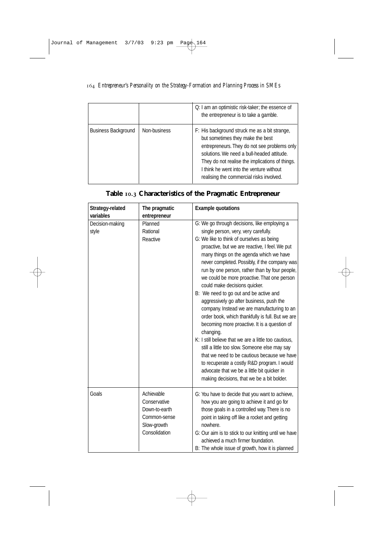|                            |              | Q: I am an optimistic risk-taker; the essence of<br>the entrepreneur is to take a gamble.                                                                                                                                                                                                                                  |
|----------------------------|--------------|----------------------------------------------------------------------------------------------------------------------------------------------------------------------------------------------------------------------------------------------------------------------------------------------------------------------------|
| <b>Business Background</b> | Non-business | F: His background struck me as a bit strange,<br>but sometimes they make the best<br>entrepreneurs. They do not see problems only<br>solutions. We need a bull-headed attitude.<br>They do not realise the implications of things.<br>I think he went into the venture without<br>realising the commercial risks involved. |
|                            |              |                                                                                                                                                                                                                                                                                                                            |

# **Table . Characteristics of the Pragmatic Entrepreneur**

| Strategy-related<br>variables | The pragmatic<br>entrepreneur                                                               | <b>Example quotations</b>                                                                                                                                                                                                                                                                                                                                                                                                                                                                                                                                                                                                                                                                                                                                                                                                                                                                                                                                                    |
|-------------------------------|---------------------------------------------------------------------------------------------|------------------------------------------------------------------------------------------------------------------------------------------------------------------------------------------------------------------------------------------------------------------------------------------------------------------------------------------------------------------------------------------------------------------------------------------------------------------------------------------------------------------------------------------------------------------------------------------------------------------------------------------------------------------------------------------------------------------------------------------------------------------------------------------------------------------------------------------------------------------------------------------------------------------------------------------------------------------------------|
| Decision-making<br>style      | Planned<br>Rational<br>Reactive                                                             | G: We go through decisions, like employing a<br>single person, very, very carefully.<br>G: We like to think of ourselves as being<br>proactive, but we are reactive, I feel. We put<br>many things on the agenda which we have<br>never completed. Possibly, if the company was<br>run by one person, rather than by four people,<br>we could be more proactive. That one person<br>could make decisions quicker.<br>B: We need to go out and be active and<br>aggressively go after business, push the<br>company. Instead we are manufacturing to an<br>order book, which thankfully is full. But we are<br>becoming more proactive. It is a question of<br>changing.<br>K: I still believe that we are a little too cautious,<br>still a little too slow. Someone else may say<br>that we need to be cautious because we have<br>to recuperate a costly R&D program. I would<br>advocate that we be a little bit quicker in<br>making decisions, that we be a bit bolder. |
| Goals                         | Achievable<br>Conservative<br>Down-to-earth<br>Common-sense<br>Slow-growth<br>Consolidation | G: You have to decide that you want to achieve,<br>how you are going to achieve it and go for<br>those goals in a controlled way. There is no<br>point in taking off like a rocket and getting<br>nowhere.<br>G: Our aim is to stick to our knitting until we have<br>achieved a much firmer foundation.<br>B: The whole issue of growth, how it is planned                                                                                                                                                                                                                                                                                                                                                                                                                                                                                                                                                                                                                  |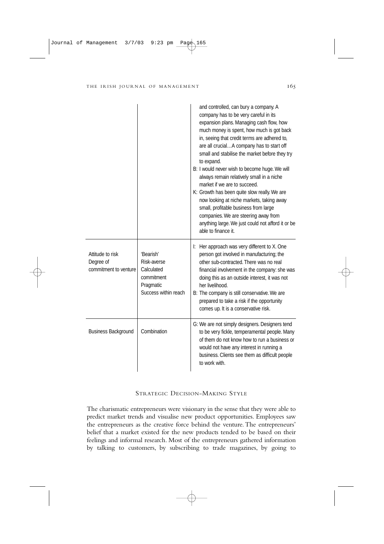|                                                        |                                                                                           | and controlled, can bury a company. A<br>company has to be very careful in its<br>expansion plans. Managing cash flow, how<br>much money is spent, how much is got back<br>in, seeing that credit terms are adhered to,<br>are all crucialA company has to start off<br>small and stabilise the market before they try<br>to expand.<br>B: I would never wish to become huge. We will<br>always remain relatively small in a niche<br>market if we are to succeed.<br>K: Growth has been quite slow really. We are<br>now looking at niche markets, taking away<br>small, profitable business from large<br>companies. We are steering away from<br>anything large. We just could not afford it or be<br>able to finance it. |
|--------------------------------------------------------|-------------------------------------------------------------------------------------------|------------------------------------------------------------------------------------------------------------------------------------------------------------------------------------------------------------------------------------------------------------------------------------------------------------------------------------------------------------------------------------------------------------------------------------------------------------------------------------------------------------------------------------------------------------------------------------------------------------------------------------------------------------------------------------------------------------------------------|
| Attitude to risk<br>Degree of<br>commitment to venture | 'Bearish'<br>Risk-averse<br>Calculated<br>commitment<br>Pragmatic<br>Success within reach | I: Her approach was very different to X. One<br>person got involved in manufacturing; the<br>other sub-contracted. There was no real<br>financial involvement in the company: she was<br>doing this as an outside interest, it was not<br>her livelihood.<br>B: The company is still conservative. We are<br>prepared to take a risk if the opportunity<br>comes up. It is a conservative risk.                                                                                                                                                                                                                                                                                                                              |
| <b>Business Background</b>                             | Combination                                                                               | G: We are not simply designers. Designers tend<br>to be very fickle, temperamental people. Many<br>of them do not know how to run a business or<br>would not have any interest in running a<br>business. Clients see them as difficult people<br>to work with.                                                                                                                                                                                                                                                                                                                                                                                                                                                               |

#### STRATEGIC DECISION-MAKING STYLE

The charismatic entrepreneurs were visionary in the sense that they were able to predict market trends and visualise new product opportunities. Employees saw the entrepreneurs as the creative force behind the venture.The entrepreneurs' belief that a market existed for the new products tended to be based on their feelings and informal research. Most of the entrepreneurs gathered information by talking to customers, by subscribing to trade magazines, by going to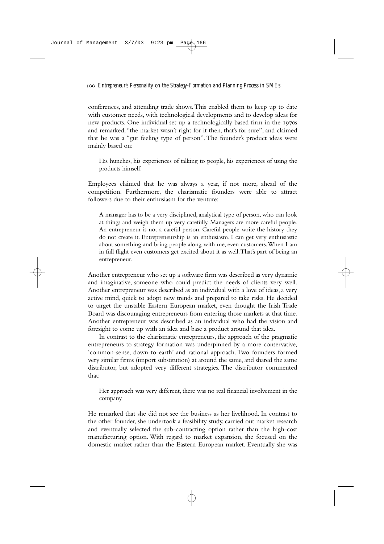conferences, and attending trade shows.This enabled them to keep up to date with customer needs, with technological developments and to develop ideas for new products. One individual set up a technologically based firm in the 1970s and remarked,"the market wasn't right for it then, that's for sure", and claimed that he was a "gut feeling type of person". The founder's product ideas were mainly based on:

His hunches, his experiences of talking to people, his experiences of using the products himself.

Employees claimed that he was always a year, if not more, ahead of the competition. Furthermore, the charismatic founders were able to attract followers due to their enthusiasm for the venture:

A manager has to be a very disciplined, analytical type of person, who can look at things and weigh them up very carefully. Managers are more careful people. An entrepreneur is not a careful person. Careful people write the history they do not create it. Entrepreneurship is an enthusiasm. I can get very enthusiastic about something and bring people along with me, even customers.When I am in full flight even customers get excited about it as well.That's part of being an entrepreneur.

Another entrepreneur who set up a software firm was described as very dynamic and imaginative, someone who could predict the needs of clients very well. Another entrepreneur was described as an individual with a love of ideas, a very active mind, quick to adopt new trends and prepared to take risks. He decided to target the unstable Eastern European market, even thought the Irish Trade Board was discouraging entrepreneurs from entering those markets at that time. Another entrepreneur was described as an individual who had the vision and foresight to come up with an idea and base a product around that idea.

In contrast to the charismatic entrepreneurs, the approach of the pragmatic entrepreneurs to strategy formation was underpinned by a more conservative, 'common-sense, down-to-earth' and rational approach. Two founders formed very similar firms (import substitution) at around the same, and shared the same distributor, but adopted very different strategies. The distributor commented that:

Her approach was very different, there was no real financial involvement in the company.

He remarked that she did not see the business as her livelihood. In contrast to the other founder, she undertook a feasibility study, carried out market research and eventually selected the sub-contracting option rather than the high-cost manufacturing option. With regard to market expansion, she focused on the domestic market rather than the Eastern European market. Eventually she was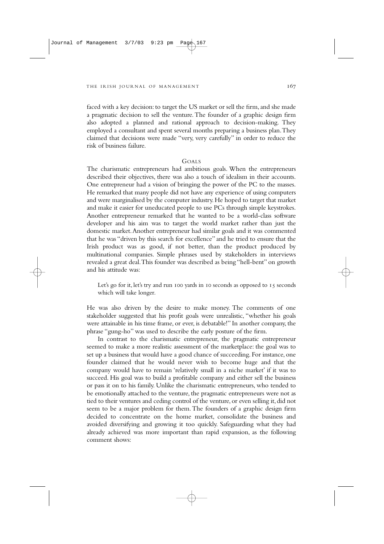faced with a key decision: to target the US market or sell the firm, and she made a pragmatic decision to sell the venture.The founder of a graphic design firm also adopted a planned and rational approach to decision-making. They employed a consultant and spent several months preparing a business plan.They claimed that decisions were made "very, very carefully" in order to reduce the risk of business failure.

#### **GOALS**

The charismatic entrepreneurs had ambitious goals. When the entrepreneurs described their objectives, there was also a touch of idealism in their accounts. One entrepreneur had a vision of bringing the power of the PC to the masses. He remarked that many people did not have any experience of using computers and were marginalised by the computer industry. He hoped to target that market and make it easier for uneducated people to use PCs through simple keystrokes. Another entrepreneur remarked that he wanted to be a world-class software developer and his aim was to target the world market rather than just the domestic market.Another entrepreneur had similar goals and it was commented that he was "driven by this search for excellence" and he tried to ensure that the Irish product was as good, if not better, than the product produced by multinational companies. Simple phrases used by stakeholders in interviews revealed a great deal.This founder was described as being "hell-bent" on growth and his attitude was:

Let's go for it, let's try and run 100 yards in 10 seconds as opposed to 15 seconds which will take longer.

He was also driven by the desire to make money. The comments of one stakeholder suggested that his profit goals were unrealistic, "whether his goals were attainable in his time frame, or ever, is debatable!" In another company, the phrase "gung-ho" was used to describe the early posture of the firm.

In contrast to the charismatic entrepreneur, the pragmatic entrepreneur seemed to make a more realistic assessment of the marketplace: the goal was to set up a business that would have a good chance of succeeding. For instance, one founder claimed that he would never wish to become huge and that the company would have to remain 'relatively small in a niche market' if it was to succeed. His goal was to build a profitable company and either sell the business or pass it on to his family. Unlike the charismatic entrepreneurs, who tended to be emotionally attached to the venture, the pragmatic entrepreneurs were not as tied to their ventures and ceding control of the venture, or even selling it, did not seem to be a major problem for them.The founders of a graphic design firm decided to concentrate on the home market, consolidate the business and avoided diversifying and growing it too quickly. Safeguarding what they had already achieved was more important than rapid expansion, as the following comment shows: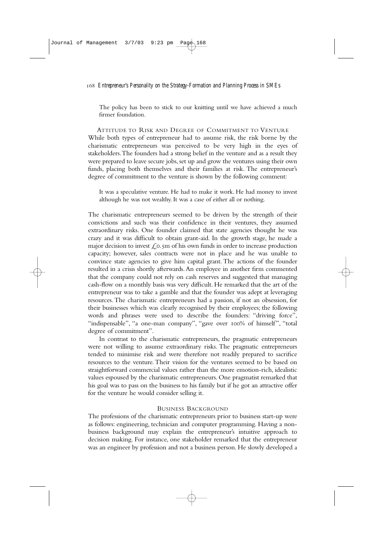The policy has been to stick to our knitting until we have achieved a much firmer foundation.

ATTITUDE TO RISK AND DEGREE OF COMMITMENT TO VENTURE While both types of entrepreneur had to assume risk, the risk borne by the charismatic entrepreneurs was perceived to be very high in the eyes of stakeholders.The founders had a strong belief in the venture and as a result they were prepared to leave secure jobs, set up and grow the ventures using their own funds, placing both themselves and their families at risk. The entrepreneur's degree of commitment to the venture is shown by the following comment:

It was a speculative venture. He had to make it work. He had money to invest although he was not wealthy. It was a case of either all or nothing.

The charismatic entrepreneurs seemed to be driven by the strength of their convictions and such was their confidence in their ventures, they assumed extraordinary risks. One founder claimed that state agencies thought he was crazy and it was difficult to obtain grant-aid. In the growth stage, he made a major decision to invest  $\zeta$ , 0.5m of his own funds in order to increase production capacity; however, sales contracts were not in place and he was unable to convince state agencies to give him capital grant. The actions of the founder resulted in a crisis shortly afterwards.An employee in another firm commented that the company could not rely on cash reserves and suggested that managing cash-flow on a monthly basis was very difficult. He remarked that the art of the entrepreneur was to take a gamble and that the founder was adept at leveraging resources.The charismatic entrepreneurs had a passion, if not an obsession, for their businesses which was clearly recognised by their employees; the following words and phrases were used to describe the founders: "driving force", "indispensable", "a one-man company", "gave over 100% of himself", "total degree of commitment".

In contrast to the charismatic entrepreneurs, the pragmatic entrepreneurs were not willing to assume extraordinary risks. The pragmatic entrepreneurs tended to minimise risk and were therefore not readily prepared to sacrifice resources to the venture.Their vision for the ventures seemed to be based on straightforward commercial values rather than the more emotion-rich, idealistic values espoused by the charismatic entrepreneurs. One pragmatist remarked that his goal was to pass on the business to his family but if he got an attractive offer for the venture he would consider selling it.

#### BUSINESS BACKGROUND

The professions of the charismatic entrepreneurs prior to business start-up were as follows: engineering, technician and computer programming. Having a nonbusiness background may explain the entrepreneur's intuitive approach to decision making. For instance, one stakeholder remarked that the entrepreneur was an engineer by profession and not a business person. He slowly developed a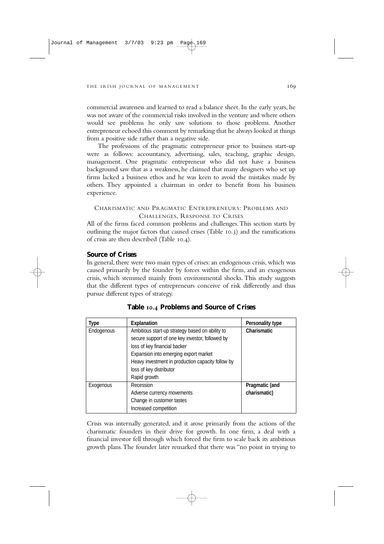commercial awareness and learned to read a balance sheet. In the early years, he was not aware of the commercial risks involved in the venture and where others would see problems he only saw solutions to those problems. Another entrepreneur echoed this comment by remarking that he always looked at things from a positive side rather than a negative side.

The professions of the pragmatic entrepreneur prior to business start-up were as follows: accountancy, advertising, sales, teaching, graphic design, management. One pragmatic entrepreneur who did not have a business background saw that as a weakness, he claimed that many designers who set up firms lacked a business ethos and he was keen to avoid the mistakes made by others. They appointed a chairman in order to benefit from his business experience.

CHARISMATIC AND PRAGMATIC ENTREPRENEURS: PROBLEMS AND CHALLENGES, RESPONSE TO CRISES

All of the firms faced common problems and challenges.This section starts by outlining the major factors that caused crises (Table 10.3) and the ramifications of crisis are then described (Table 10.4).

# **Source of Crises**

In general, there were two main types of crises: an endogenous crisis, which was caused primarily by the founder by forces within the firm, and an exogenous crisis, which stemmed mainly from environmental shocks. This study suggests that the different types of entrepreneurs conceive of risk differently and thus pursue different types of strategy.

| Type       | <b>Explanation</b>                                | Personality type   |
|------------|---------------------------------------------------|--------------------|
| Endogenous | Ambitious start-up strategy based on ability to   | <b>Charismatic</b> |
|            | secure support of one key investor, followed by   |                    |
|            | loss of key financial backer                      |                    |
|            | Expansion into emerging export market             |                    |
|            | Heavy investment in production capacity follow by |                    |
|            | loss of key distributor                           |                    |
|            | Rapid growth                                      |                    |
| Exogenous  | Recession                                         | Pragmatic (and     |
|            | Adverse currency movements                        | charismatic)       |
|            | Change in customer tastes                         |                    |
|            | Increased competition                             |                    |

# **Table . Problems and Source of Crises**

Crisis was internally generated, and it arose primarily from the actions of the charismatic founders in their drive for growth. In one firm, a deal with a financial investor fell through which forced the firm to scale back its ambitious growth plans.The founder later remarked that there was "no point in trying to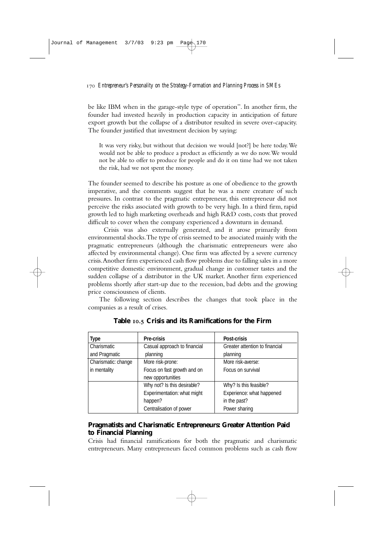be like IBM when in the garage-style type of operation". In another firm, the founder had invested heavily in production capacity in anticipation of future export growth but the collapse of a distributor resulted in severe over-capacity. The founder justified that investment decision by saying:

It was very risky, but without that decision we would [not?] be here today.We would not be able to produce a product as efficiently as we do now.We would not be able to offer to produce for people and do it on time had we not taken the risk, had we not spent the money.

The founder seemed to describe his posture as one of obedience to the growth imperative, and the comments suggest that he was a mere creature of such pressures. In contrast to the pragmatic entrepreneur, this entrepreneur did not perceive the risks associated with growth to be very high. In a third firm, rapid growth led to high marketing overheads and high R&D costs, costs that proved difficult to cover when the company experienced a downturn in demand.

Crisis was also externally generated, and it arose primarily from environmental shocks.The type of crisis seemed to be associated mainly with the pragmatic entrepreneurs (although the charismatic entrepreneurs were also affected by environmental change). One firm was affected by a severe currency crisis.Another firm experienced cash flow problems due to falling sales in a more competitive domestic environment, gradual change in customer tastes and the sudden collapse of a distributor in the UK market. Another firm experienced problems shortly after start-up due to the recession, bad debts and the growing price consciousness of clients.

The following section describes the changes that took place in the companies as a result of crises.

| <b>Type</b>         | Pre-crisis                   | Post-crisis                    |
|---------------------|------------------------------|--------------------------------|
| Charismatic         | Casual approach to financial | Greater attention to financial |
| and Pragmatic       | planning                     | planning                       |
| Charismatic: change | More risk-prone:             | More risk-averse:              |
| in mentality        | Focus on fast growth and on  | Focus on survival              |
|                     | new opportunities            |                                |
|                     | Why not? Is this desirable?  | Why? Is this feasible?         |
|                     | Experimentation: what might  | Experience: what happened      |
|                     | happen?                      | in the past?                   |
|                     | Centralisation of power      | Power sharing                  |

**Table . Crisis and its Ramifications for the Firm**

# **Pragmatists and Charismatic Entrepreneurs: Greater Attention Paid to Financial Planning**

Crisis had financial ramifications for both the pragmatic and charismatic entrepreneurs. Many entrepreneurs faced common problems such as cash flow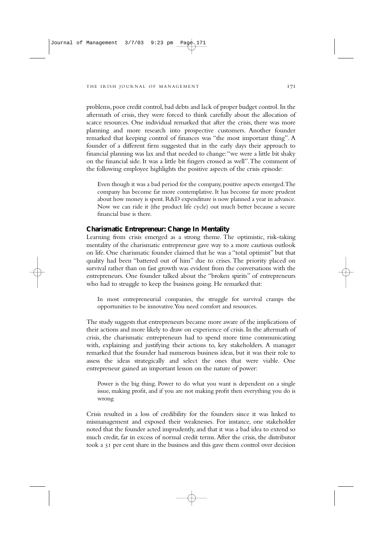problems,poor credit control,bad debts and lack of proper budget control.In the aftermath of crisis, they were forced to think carefully about the allocation of scarce resources. One individual remarked that after the crisis, there was more planning and more research into prospective customers. Another founder remarked that keeping control of finances was "the most important thing". A founder of a different firm suggested that in the early days their approach to financial planning was lax and that needed to change:"we were a little bit shaky on the financial side. It was a little bit fingers crossed as well".The comment of the following employee highlights the positive aspects of the crisis episode:

Even though it was a bad period for the company, positive aspects emerged.The company has become far more contemplative. It has become far more prudent about how money is spent. R&D expenditure is now planned a year in advance. Now we can ride it (the product life cycle) out much better because a secure financial base is there.

#### **Charismatic Entrepreneur: Change In Mentality**

Learning from crisis emerged as a strong theme. The optimistic, risk-taking mentality of the charismatic entrepreneur gave way to a more cautious outlook on life. One charismatic founder claimed that he was a "total optimist" but that quality had been "battered out of him" due to crises. The priority placed on survival rather than on fast growth was evident from the conversations with the entrepreneurs. One founder talked about the "broken spirits" of entrepreneurs who had to struggle to keep the business going. He remarked that:

In most entrepreneurial companies, the struggle for survival cramps the opportunities to be innovative.You need comfort and resources.

The study suggests that entrepreneurs became more aware of the implications of their actions and more likely to draw on experience of crisis. In the aftermath of crisis, the charismatic entrepreneurs had to spend more time communicating with, explaining and justifying their actions to, key stakeholders. A manager remarked that the founder had numerous business ideas, but it was their role to assess the ideas strategically and select the ones that were viable. One entrepreneur gained an important lesson on the nature of power:

Power is the big thing. Power to do what you want is dependent on a single issue, making profit, and if you are not making profit then everything you do is wrong

Crisis resulted in a loss of credibility for the founders since it was linked to mismanagement and exposed their weaknesses. For instance, one stakeholder noted that the founder acted imprudently, and that it was a bad idea to extend so much credit, far in excess of normal credit terms.After the crisis, the distributor took a 51 per cent share in the business and this gave them control over decision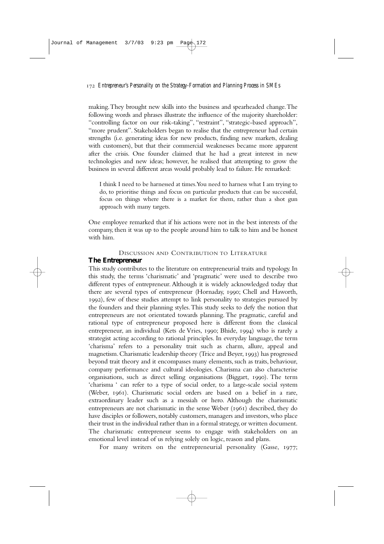making.They brought new skills into the business and spearheaded change.The following words and phrases illustrate the influence of the majority shareholder: "controlling factor on our risk-taking", "restraint", "strategic-based approach", "more prudent". Stakeholders began to realise that the entrepreneur had certain strengths (i.e. generating ideas for new products, finding new markets, dealing with customers), but that their commercial weaknesses became more apparent after the crisis. One founder claimed that he had a great interest in new technologies and new ideas; however, he realised that attempting to grow the business in several different areas would probably lead to failure. He remarked:

I think I need to be harnessed at times.You need to harness what I am trying to do, to prioritise things and focus on particular products that can be successful, focus on things where there is a market for them, rather than a shot gun approach with many targets.

One employee remarked that if his actions were not in the best interests of the company, then it was up to the people around him to talk to him and be honest with him.

DISCUSSION AND CONTRIBUTION TO LITERATURE

## **The Entrepreneur**

This study contributes to the literature on entrepreneurial traits and typology. In this study, the terms 'charismatic' and 'pragmatic' were used to describe two different types of entrepreneur. Although it is widely acknowledged today that there are several types of entrepreneur (Hornaday, 1990; Chell and Haworth, ), few of these studies attempt to link personality to strategies pursued by the founders and their planning styles.This study seeks to defy the notion that entrepreneurs are not orientated towards planning. The pragmatic, careful and rational type of entrepreneur proposed here is different from the classical entrepreneur, an individual (Kets de Vries, 1990; Bhide, 1994) who is rarely a strategist acting according to rational principles. In everyday language, the term 'charisma' refers to a personality trait such as charm, allure, appeal and magnetism. Charismatic leadership theory (Trice and Beyer, 1993) has progressed beyond trait theory and it encompasses many elements, such as traits, behaviour, company performance and cultural ideologies. Charisma can also characterise organisations, such as direct selling organisations (Biggart, 1990). The term 'charisma ' can refer to a type of social order, to a large-scale social system (Weber, 1961). Charismatic social orders are based on a belief in a rare, extraordinary leader such as a messiah or hero. Although the charismatic entrepreneurs are not charismatic in the sense Weber (1961) described, they do have disciples or followers, notably customers, managers and investors, who place their trust in the individual rather than in a formal strategy or written document. The charismatic entrepreneur seems to engage with stakeholders on an emotional level instead of us relying solely on logic, reason and plans.

For many writers on the entrepreneurial personality (Gasse, 1977;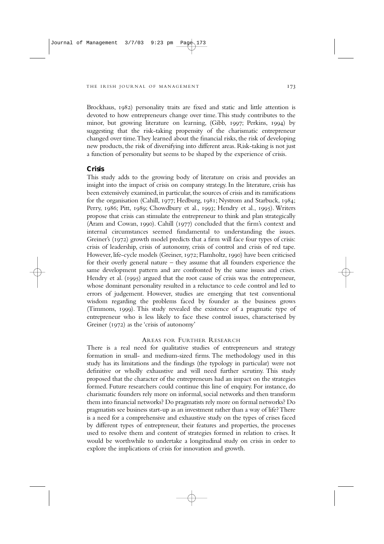Brockhaus, 1982) personality traits are fixed and static and little attention is devoted to how entrepreneurs change over time.This study contributes to the minor, but growing literature on learning, (Gibb, 1997; Perkins, 1994) by suggesting that the risk-taking propensity of the charismatic entrepreneur changed over time.They learned about the financial risks, the risk of developing new products, the risk of diversifying into different areas. Risk-taking is not just a function of personality but seems to be shaped by the experience of crisis.

# **Crisis**

This study adds to the growing body of literature on crisis and provides an insight into the impact of crisis on company strategy. In the literature, crisis has been extensively examined, in particular, the sources of crisis and its ramifications for the organisation (Cahill, 1977; Hedburg, 1981; Nystrom and Starbuck, 1984; Perry, 1986; Pitt, 1989; Chowdbury et al., 1993; Hendry et al., 1995). Writers propose that crisis can stimulate the entrepreneur to think and plan strategically (Aram and Cowan, 1990). Cahill (1977) concluded that the firm's context and internal circumstances seemed fundamental to understanding the issues. Greiner's (1972) growth model predicts that a firm will face four types of crisis: crisis of leadership, crisis of autonomy, crisis of control and crisis of red tape. However, life-cycle models (Greiner, 1972; Flamholtz, 1990) have been criticised for their overly general nature – they assume that all founders experience the same development pattern and are confronted by the same issues and crises. Hendry et al.  $(1995)$  argued that the root cause of crisis was the entrepreneur, whose dominant personality resulted in a reluctance to cede control and led to errors of judgement. However, studies are emerging that test conventional wisdom regarding the problems faced by founder as the business grows (Timmons, 1999). This study revealed the existence of a pragmatic type of entrepreneur who is less likely to face these control issues, characterised by Greiner (1972) as the 'crisis of autonomy'

## AREAS FOR FURTHER RESEARCH

There is a real need for qualitative studies of entrepreneurs and strategy formation in small- and medium-sized firms. The methodology used in this study has its limitations and the findings (the typology in particular) were not definitive or wholly exhaustive and will need further scrutiny. This study proposed that the character of the entrepreneurs had an impact on the strategies formed. Future researchers could continue this line of enquiry. For instance, do charismatic founders rely more on informal, social networks and then transform them into financial networks? Do pragmatists rely more on formal networks? Do pragmatists see business start-up as an investment rather than a way of life? There is a need for a comprehensive and exhaustive study on the types of crises faced by different types of entrepreneur, their features and properties, the processes used to resolve them and content of strategies formed in relation to crises. It would be worthwhile to undertake a longitudinal study on crisis in order to explore the implications of crisis for innovation and growth.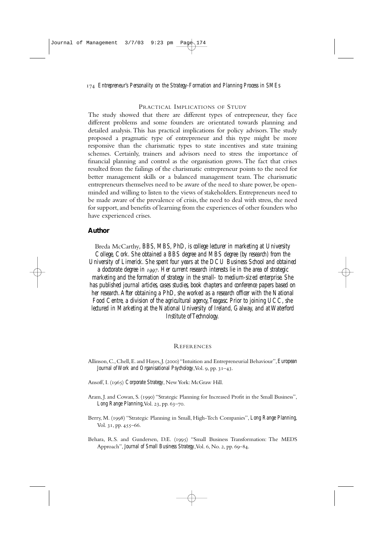## PRACTICAL IMPLICATIONS OF STUDY

The study showed that there are different types of entrepreneur, they face different problems and some founders are orientated towards planning and detailed analysis. This has practical implications for policy advisors. The study proposed a pragmatic type of entrepreneur and this type might be more responsive than the charismatic types to state incentives and state training schemes. Certainly, trainers and advisors need to stress the importance of financial planning and control as the organisation grows. The fact that crises resulted from the failings of the charismatic entrepreneur points to the need for better management skills or a balanced management team. The charismatic entrepreneurs themselves need to be aware of the need to share power, be openminded and willing to listen to the views of stakeholders. Entrepreneurs need to be made aware of the prevalence of crisis, the need to deal with stress, the need for support,and benefits of learning from the experiences of other founders who have experienced crises.

# **Author**

Breda McCarthy*, BBS, MBS, PhD, is college lecturer in marketing at University College, Cork. She obtained a BBS degree and MBS degree (by research) from the University of Limerick. She spent four years at the DCU Business School and obtained a doctorate degree in . Her current research interests lie in the area of strategic marketing and the formation of strategy in the small- to medium-sized enterprise. She has published journal articles, cases studies, book chapters and conference papers based on her research.After obtaining a PhD, she worked as a research officer with the National Food Centre, a division of the agricultural agency,Teagasc. Prior to joining UCC, she lectured in Marketing at the National University of Ireland, Galway, and at Waterford Institute of Technology.*

#### REFERENCES

- Allinson,C.,Chell,E.and Hayes,J.() "Intuition and Entrepreneurial Behaviour",*European Journal of Work and Organisational Psychology*, Vol. 9, pp. 31-43.
- Ansoff, I. (1965) Corporate Strategy, New York: McGraw Hill.
- Aram, J. and Cowan, S. (1990) "Strategic Planning for Increased Profit in the Small Business", *Long Range Planning*, Vol. 23, pp. 63-70.
- Berry, M. (1998) "Strategic Planning in Small, High-Tech Companies", *Long Range Planning*, Vol. 31, pp. 455-66.
- Behara, R.S. and Gundersen, D.E. (1995) "Small Business Transformation: The MEDS Approach", *Journal of Small Business Strategy*, Vol. 6, No. 2, pp. 69–84.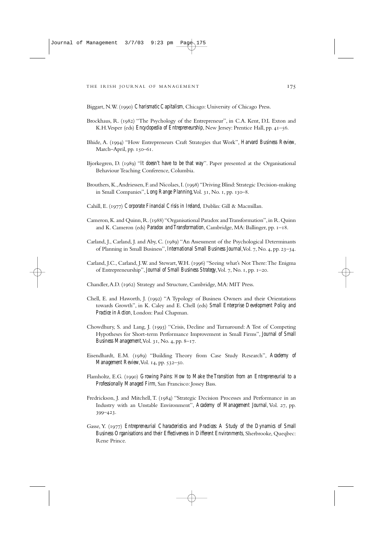Biggart, N.W. (1990) *Charismatic Capitalism*, Chicago: University of Chicago Press.

- Brockhaus, R. (1982) "The Psychology of the Entrepreneur", in C.A. Kent, D.L Exton and K.H.Vesper (eds) *Encyclopedia of Entrepreneurship*, New Jersey: Prentice Hall, pp. 41-56.
- Bhide, A. () "How Entrepreneurs Craft Strategies that Work", *Harvard Business Review*, March-April, pp. 150-61.
- Bjorkegren, D. (1989) "*It doesn't have to be that way*". Paper presented at the Organisational Behaviour Teaching Conference, Columbia.
- Brouthers, K., Andriessen, F. and Nicolaes, I. (1998) "Driving Blind: Strategic Decision-making in Small Companies", *Long Range Planning*, Vol. 31, No. 1, pp. 130-8.
- Cahill, E. (1977) *Corporate Financial Crisis in Ireland*, Dublin: Gill & Macmillan.
- Cameron, K. and Quinn, R. (1988) "Organisational Paradox and Transformation", in R. Quinn and K. Cameron (eds) *Paradox and Transformation*, Cambridge, MA: Ballinger, pp. 1-18.
- Carland, J., Carland, J. and Aby, C. (1989) "An Assessment of the Psychological Determinants of Planning in Small Business", *International Small Business Journal*, Vol. 7, No. 4, pp. 23-34.
- Carland, J.C., Carland, J.W. and Stewart, W.H. (1996) "Seeing what's Not There: The Enigma of Entrepreneurship", *Journal of Small Business Strategy*, Vol. 7, No. 1, pp. 1–20.

Chandler, A.D. (1962) Strategy and Structure, Cambridge, MA: MIT Press.

- Chell, E. and Haworth, J. (1992) "A Typology of Business Owners and their Orientations towards Growth", in K. Caley and E. Chell (eds) *Small Enterprise Development Policy and Practice in Action*, London: Paul Chapman.
- Chowdhury, S. and Lang, J. (1993) "Crisis, Decline and Turnaround: A Test of Competing Hypotheses for Short-term Performance Improvement in Small Firms", *Journal of Small Business Management*, Vol. 31, No. 4, pp. 8-17.
- Eisendhardt, E.M. (1989) "Building Theory from Case Study Research", *Academy of Management Review*, Vol. 14, pp. 532-50.
- Flamholtz, E.G. () *Growing Pains: How to Make the Transition from an Entrepreneurial to a Professionally Managed Firm*, San Francisco: Jossey Bass.
- Fredrickson, J. and Mitchell, T. (1984) "Strategic Decision Processes and Performance in an Industry with an Unstable Environment", *Academy of Management Journal*, Vol. 27, pp.  $399 - 423$ .
- Gasse, Y. (1977) Entrepreneurial Characteristics and Practices: A Study of the Dynamics of Small *Business Organisations and their Effectiveness in Different Environments*, Sherbrooke, Queqbec: Rene Prince.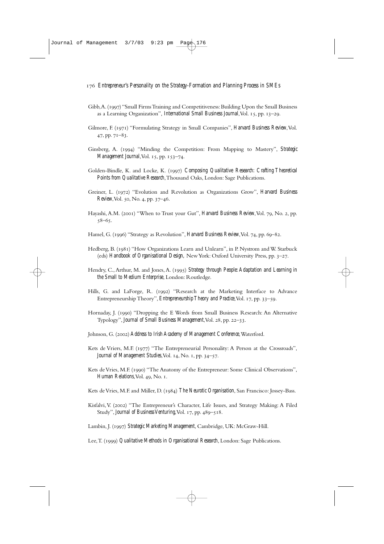- Gibb, A. (1997) "Small Firms Training and Competitiveness: Building Upon the Small Business as a Learning Organization", *International Small Business Journal*, Vol. 15, pp. 13–29.
- Gilmore, F. (1971) "Formulating Strategy in Small Companies", *Harvard Business Review*, Vol. 47, pp.  $71 - 83$ .
- Ginsberg, A. (1994) "Minding the Competition: From Mapping to Mastery", *Strategic Management Journal*, Vol. 15, pp. 153-74.
- Golden-Bindle, K. and Locke, K. (1997) Composing Qualitative Research: Crafting Theoretical *Points from Qualitative Research*,Thousand Oaks, London: Sage Publications.
- Greiner, L. (1972) "Evolution and Revolution as Organizations Grow", *Harvard Business Review*, Vol. 50, No. 4, pp. 37–46.
- Hayashi, A.M. (2001) "When to Trust your Gut", *Harvard Business Review*, Vol. 79, No. 2, pp.  $58-65$ .
- Hamel, G. (1996) "Strategy as Revolution", *Harvard Business Review*, Vol. 74, pp. 69-82.
- Hedberg, B. (1981) "How Organizations Learn and Unlearn", in P. Nystrom and W. Starbuck (eds) *Handbook of Organisational Design*, New York: Oxford University Press, pp. 3-27.
- Hendry, C., Arthur, M. and Jones, A. (1995) *Strategy through People: Adaptation and Learning in the Small to Medium Enterprise*, London: Routledge.
- Hills, G. and LaForge, R. (1992) "Research at the Marketing Interface to Advance Entrepreneurship Theory", *Entrepreneurship Theory and Practice*, Vol. 17, pp. 33–59.
- Hornaday, J. (1990) "Dropping the E Words from Small Business Research: An Alternative Typology", *Journal of Small Business Management*, Vol. 28, pp. 22–33.
- Johnson, G. (2002) *Address to Irish Academy of Management Conference*, Waterford.
- Kets de Vriers, M.F. (1977) "The Entrepreneurial Personality: A Person at the Crossroads", *Journal of Management Studies*, Vol. 14, No. 1, pp. 34-57.
- Kets de Vries, M.F. (1990) "The Anatomy of the Entrepreneur: Some Clinical Observations", *Human Relations*, Vol. 49, No. 1.

Kets de Vries, M.F. and Miller, D. (1984) The Neurotic Organisation, San Francisco: Jossey-Bass.

Kisfalvi, V. (2002) "The Entrepreneur's Character, Life Issues, and Strategy Making: A Filed Study", *Journal of Business Venturing*, Vol. 17, pp. 489-518.

Lambin, J. (1997) Strategic Marketing Management, Cambridge, UK: McGraw-Hill.

Lee, T. (1999) Qualitative Methods in Organisational Research, London: Sage Publications.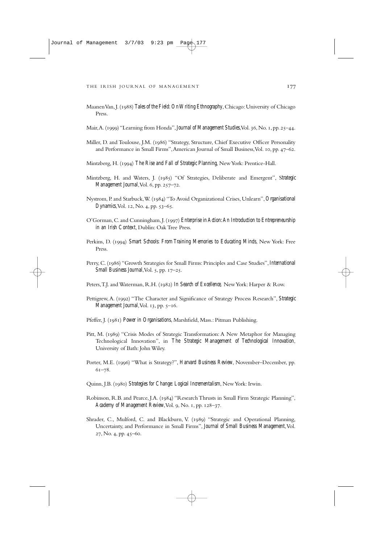- Maanen Van, J. (1988) *Tales of the Field: On Writing Ethnography*, Chicago: University of Chicago Press.
- Mair, A. (1999) "Learning from Honda", *Journal of Management Studies*, Vol. 36, No. 1, pp. 25–44.
- Miller, D. and Toulouse, J.M. (1986) "Strategy, Structure, Chief Executive Officer Personality and Performance in Small Firms", American Journal of Small Business, Vol. 10, pp. 47-62.
- Mintzberg, H. (1994) *The Rise and Fall of Strategic Planning*, New York: Prentice-Hall.
- Mintzberg, H. and Waters, J. (1985) "Of Strategies, Deliberate and Emergent", Strategic *Management Journal*, Vol. 6, pp. 257-72.
- Nystrom, P. and Starbuck, W. (1984) "To Avoid Organizational Crises, Unlearn", *Organisational Dynamics*, Vol. 12, No. 4, pp. 53–65.
- O'Gorman, C. and Cunningham, J. (1997) *Enterprise in Action: An Introduction to Entrepreneurship in an Irish Context*, Dublin: Oak Tree Press.
- Perkins, D. (1994) *Smart Schools: From Training Memories to Educating Minds*, New York: Free Press.
- Perry, C. (1986) "Growth Strategies for Small Firms: Principles and Case Studies", *International Small Business Journal*, Vol. 5, pp. 17–25.
- Peters, T.J. and Waterman, R.H. (1982) In Search of Excellence, New York: Harper & Row.
- Pettigrew, A. (1992) "The Character and Significance of Strategy Process Research", *Strategic Management Journal*, Vol. 13, pp. 5-16.
- Pfeffer, J. (1981) *Power in Organisations*, Marshfield, Mass.: Pitman Publishing.
- Pitt, M. (1989) "Crisis Modes of Strategic Transformation: A New Metaphor for Managing Technological Innovation", in *The Strategic Management of Technological Innovation*, University of Bath: John Wiley.
- Porter, M.E. (1996) "What is Strategy?", *Harvard Business Review*, November–December, pp.  $61 - 78.$
- Quinn, J.B. () *Strategies for Change: Logical Incrementalism*, New York: Irwin.
- Robinson, R.B. and Pearce, J.A. (1984) "Research Thrusts in Small Firm Strategic Planning", Academy of Management Review, Vol. 9, No. 1, pp. 128-37.
- Shrader, C., Mulford, C. and Blackburn, V. (1989) "Strategic and Operational Planning, Uncertainty, and Performance in Small Firms", *Journal of Small Business Management*,Vol. 27, No. 4, pp. 45-60.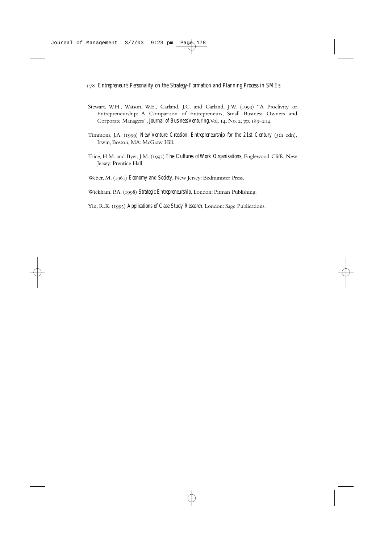- Stewart, W.H., Watson, W.E., Carland, J.C. and Carland, J.W. (1999) "A Proclivity or Entrepreneurship: A Comparison of Entrepreneurs, Small Business Owners and Corporate Managers", *Journal of Business Venturing*, Vol. 14, No. 2, pp. 189-214.
- Timmons, J.A. (1999) New Venture Creation: Entrepreneurship for the 21st Century (5th edn), Irwin, Boston, MA: McGraw Hill.
- Trice, H.M. and Byer, J.M. (1993) The Cultures of Work Organisations, Englewood Cliffs, New Jersey: Prentice Hall.
- Weber, M. (1961) *Economy and Society*, New Jersey: Bedminister Press.
- Wickham, P.A. (1998) Strategic Entrepreneurship, London: Pitman Publishing.
- Yin, R.K. (1993) *Applications of Case Study Research*, London: Sage Publications.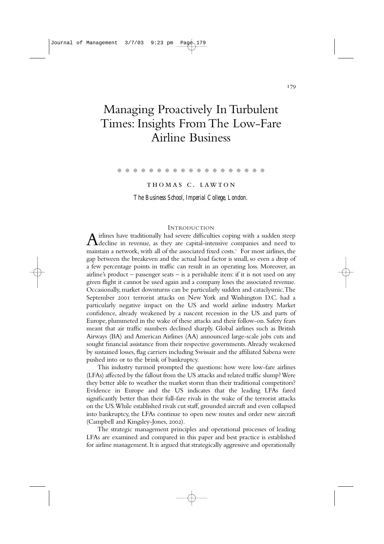# Managing Proactively In Turbulent Times: Insights From The Low-Fare Airline Business

# THOMAS C. LAWTON

*The Business School, Imperial College, London.*

#### **INTRODUCTION**

A irlines have traditionally had severe difficulties coping with a sudden steep<br>decline in revenue, as they are capital-intensive companies and need to maintain a network, with all of the associated fixed costs. For most airlines, the gap between the breakeven and the actual load factor is small, so even a drop of a few percentage points in traffic can result in an operating loss. Moreover, an airline's product – passenger seats – is a perishable item: if it is not used on any given flight it cannot be used again and a company loses the associated revenue. Occasionally, market downturns can be particularly sudden and cataclysmic.The September 2001 terrorist attacks on New York and Washington D.C. had a particularly negative impact on the US and world airline industry. Market confidence, already weakened by a nascent recession in the US and parts of Europe, plummeted in the wake of these attacks and their follow-on. Safety fears meant that air traffic numbers declined sharply. Global airlines such as British Airways (BA) and American Airlines (AA) announced large-scale jobs cuts and sought financial assistance from their respective governments.Already weakened by sustained losses, flag carriers including Swissair and the affiliated Sabena were pushed into or to the brink of bankruptcy.

This industry turmoil prompted the questions: how were low-fare airlines (LFAs) affected by the fallout from the US attacks and related traffic slump? Were they better able to weather the market storm than their traditional competitors? Evidence in Europe and the US indicates that the leading LFAs fared significantly better than their full-fare rivals in the wake of the terrorist attacks on the US.While established rivals cut staff, grounded aircraft and even collapsed into bankruptcy, the LFAs continue to open new routes and order new aircraft (Campbell and Kingsley-Jones, 2002).

The strategic management principles and operational processes of leading LFAs are examined and compared in this paper and best practice is established for airline management.It is argued that strategically aggressive and operationally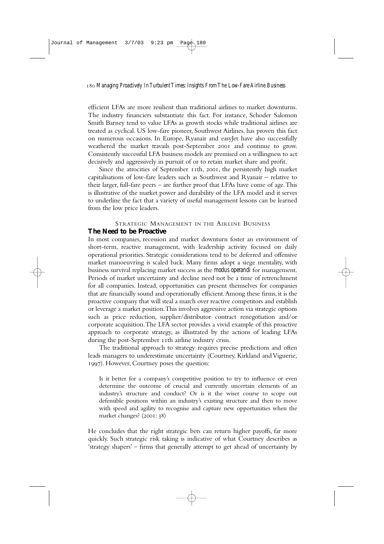efficient LFAs are more resilient than traditional airlines to market downturns. The industry financiers substantiate this fact. For instance, Schoder Salomon Smith Barney tend to value LFAs as growth stocks while traditional airlines are treated as cyclical. US low-fare pioneer, Southwest Airlines, has proven this fact on numerous occasions. In Europe, Ryanair and easyJet have also successfully weathered the market travails post-September 2001 and continue to grow. Consistently successful LFA business models are premised on a willingness to act decisively and aggressively in pursuit of or to retain market share and profit.

Since the atrocities of September 11th, 2001, the persistently high market capitalisations of low-fare leaders such as Southwest and Ryanair – relative to their larger, full-fare peers – are further proof that LFAs have come of age.This is illustrative of the market power and durability of the LFA model and it serves to underline the fact that a variety of useful management lessons can be learned from the low price leaders.

# STRATEGIC MANAGEMENT IN THE AIRLINE BUSINESS **The Need to be Proactive**

In most companies, recession and market downturn foster an environment of short-term, reactive management, with leadership activity focused on daily operational priorities. Strategic considerations tend to be deferred and offensive market manoeuvring is scaled back. Many firms adopt a siege mentality, with business survival replacing market success as the *modus operandi* for management. Periods of market uncertainty and decline need not be a time of retrenchment for all companies. Instead, opportunities can present themselves for companies that are financially sound and operationally efficient.Among these firms, it is the proactive company that will steal a march over reactive competitors and establish or leverage a market position.This involves aggressive action via strategic options such as price reduction, supplier/distributor contract renegotiation and/or corporate acquisition.The LFA sector provides a vivid example of this proactive approach to corporate strategy, as illustrated by the actions of leading LFAs during the post-September  $I$ <sup>Ith</sup> airline industry crisis.

The traditional approach to strategy requires precise predictions and often leads managers to underestimate uncertainty (Courtney, Kirkland and Viguerie, ). However, Courtney poses the question:

Is it better for a company's competitive position to try to influence or even determine the outcome of crucial and currently uncertain elements of an industry's structure and conduct? Or is it the wiser course to scope out defensible positions within an industry's existing structure and then to move with speed and agility to recognise and capture new opportunities when the market changes?  $(2001: 38)$ 

He concludes that the right strategic bets can return higher payoffs, far more quickly. Such strategic risk taking is indicative of what Courtney describes as 'strategy shapers' – firms that generally attempt to get ahead of uncertainty by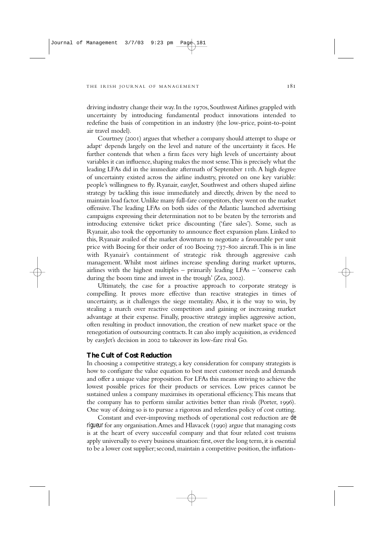driving industry change their way. In the 1970s, Southwest Airlines grappled with uncertainty by introducing fundamental product innovations intended to redefine the basis of competition in an industry (the low-price, point-to-point air travel model).

Courtney (2001) argues that whether a company should attempt to shape or adapt<sup>2</sup> depends largely on the level and nature of the uncertainty it faces. He further contends that when a firm faces very high levels of uncertainty about variables it can influence, shaping makes the most sense. This is precisely what the leading LFAs did in the immediate aftermath of September 11th. A high degree of uncertainty existed across the airline industry, pivoted on one key variable: people's willingness to fly. Ryanair, easyJet, Southwest and others shaped airline strategy by tackling this issue immediately and directly, driven by the need to maintain load factor.Unlike many full-fare competitors,they went on the market offensive.The leading LFAs on both sides of the Atlantic launched advertising campaigns expressing their determination not to be beaten by the terrorists and introducing extensive ticket price discounting ('fare sales'). Some, such as Ryanair, also took the opportunity to announce fleet expansion plans. Linked to this, Ryanair availed of the market downturn to negotiate a favourable per unit price with Boeing for their order of  $I$  too Boeing  $737-800$  aircraft. This is in line with Ryanair's containment of strategic risk through aggressive cash management. Whilst most airlines increase spending during market upturns, airlines with the highest multiples – primarily leading LFAs – 'conserve cash during the boom time and invest in the trough'  $(Zea, 2002)$ .

Ultimately, the case for a proactive approach to corporate strategy is compelling. It proves more effective than reactive strategies in times of uncertainty, as it challenges the siege mentality. Also, it is the way to win, by stealing a march over reactive competitors and gaining or increasing market advantage at their expense. Finally, proactive strategy implies aggressive action, often resulting in product innovation, the creation of new market space or the renegotiation of outsourcing contracts. It can also imply acquisition, as evidenced by easyJet's decision in 2002 to takeover its low-fare rival Go.

## **The Cult of Cost Reduction**

In choosing a competitive strategy, a key consideration for company strategists is how to configure the value equation to best meet customer needs and demands and offer a unique value proposition. For LFAs this means striving to achieve the lowest possible prices for their products or services. Low prices cannot be sustained unless a company maximises its operational efficiency.This means that the company has to perform similar activities better than rivals (Porter, 1996). One way of doing so is to pursue a rigorous and relentless policy of cost cutting.

Constant and ever-improving methods of operational cost reduction are *de rigueur* for any organisation. Ames and Hlavacek (1990) argue that managing costs is at the heart of every successful company and that four related cost truisms apply universally to every business situation: first, over the long term, it is essential to be a lower cost supplier; second, maintain a competitive position, the inflation-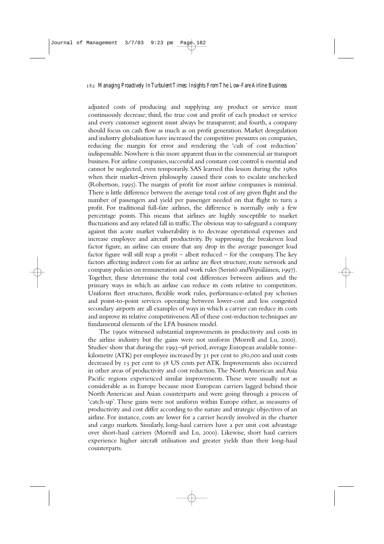adjusted costs of producing and supplying any product or service must continuously decrease; third, the true cost and profit of each product or service and every customer segment must always be transparent; and fourth, a company should focus on cash flow as much as on profit generation. Market deregulation and industry globalisation have increased the competitive pressures on companies, reducing the margin for error and rendering the 'cult of cost reduction' indispensable.Nowhere is this more apparent than in the commercial air transport business. For airline companies, successful and constant cost control is essential and cannot be neglected, even temporarily. SAS learned this lesson during the 1980s when their market-driven philosophy caused their costs to escalate unchecked  $(Robertson, 1995)$ . The margin of profit for most airline companies is minimal. There is little difference between the average total cost of any given flight and the number of passengers and yield per passenger needed on that flight to turn a profit. For traditional full-fare airlines, the difference is normally only a few percentage points. This means that airlines are highly susceptible to market fluctuations and any related fall in traffic.The obvious way to safeguard a company against this acute market vulnerability is to decrease operational expenses and increase employee and aircraft productivity. By suppressing the breakeven load factor figure, an airline can ensure that any drop in the average passenger load factor figure will still reap a profit – albeit reduced – for the company.The key factors affecting indirect costs for an airline are fleet structure, route network and company policies on remuneration and work rules (Seristö and Vepsäläinen, 1997). Together, these determine the total cost differences between airlines and the primary ways in which an airline can reduce its costs relative to competitors. Uniform fleet structures, flexible work rules, performance-related pay schemes and point-to-point services operating between lower-cost and less congested secondary airports are all examples of ways in which a carrier can reduce its costs and improve its relative competitiveness.All of these cost-reduction techniques are fundamental elements of the LFA business model.

The 1990s witnessed substantial improvements in productivity and costs in the airline industry but the gains were not uniform (Morrell and Lu, 2000). Studies<sup>3</sup> show that during the 1993-98 period, average European available tonnekilometre (ATK) per employee increased by  $3I$  per cent to  $380,000$  and unit costs decreased by 15 per cent to 58 US cents per ATK. Improvements also occurred in other areas of productivity and cost reduction.The North American and Asia Pacific regions experienced similar improvements. These were usually not as considerable as in Europe because most European carriers lagged behind their North American and Asian counterparts and were going through a process of 'catch-up'.These gains were not uniform within Europe either, as measures of productivity and cost differ according to the nature and strategic objectives of an airline. For instance, costs are lower for a carrier heavily involved in the charter and cargo markets. Similarly, long-haul carriers have a per unit cost advantage over short-haul carriers (Morrell and Lu, 2000). Likewise, short haul carriers experience higher aircraft utilisation and greater yields than their long-haul counterparts.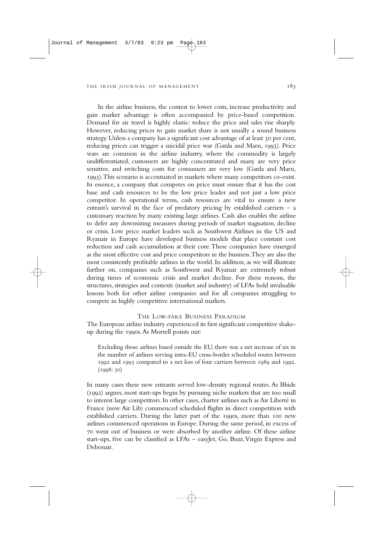In the airline business, the contest to lower costs, increase productivity and gain market advantage is often accompanied by price-based competition. Demand for air travel is highly elastic: reduce the price and sales rise sharply. However, reducing prices to gain market share is not usually a sound business strategy. Unless a company has a significant cost advantage of at least 30 per cent, reducing prices can trigger a suicidal price war (Garda and Marn, 1993). Price wars are common in the airline industry, where the commodity is largely undifferentiated, customers are highly concentrated and many are very price sensitive, and switching costs for consumers are very low (Garda and Marn, ).This scenario is accentuated in markets where many competitors co-exist. In essence, a company that competes on price must ensure that it has the cost base and cash resources to be the low price leader and not just a low price competitor. In operational terms, cash resources are vital to ensure a new entrant's survival in the face of predatory pricing by established carriers  $-$  a customary reaction by many existing large airlines. Cash also enables the airline to defer any downsizing measures during periods of market stagnation, decline or crisis. Low price market leaders such as Southwest Airlines in the US and Ryanair in Europe have developed business models that place constant cost reduction and cash accumulation at their core.These companies have emerged as the most effective cost and price competitors in the business.They are also the most consistently profitable airlines in the world. In addition, as we will illustrate further on, companies such as Southwest and Ryanair are extremely robust during times of economic crisis and market decline. For these reasons, the structures, strategies and contexts (market and industry) of LFAs hold invaluable lessons both for other airline companies and for all companies struggling to compete in highly competitive international markets.

## THE LOW-FARE BUSINESS PARADIGM

The European airline industry experienced its first significant competitive shakeup during the 1990s. As Morrell points out:

Excluding those airlines based outside the EU, there was a net increase of six in the number of airlines serving intra-EU cross-border scheduled routes between  $1992$  and  $1995$  compared to a net loss of four carriers between  $1989$  and  $1992$ .  $(1998:50)$ 

In many cases these new entrants served low-density regional routes. As Bhide (1992) argues, most start-ups begin by pursuing niche markets that are too small to interest large competitors. In other cases, charter airlines such as Air Liberté in France (now Air Lib) commenced scheduled flights in direct competition with established carriers. During the latter part of the 1990s, more than 100 new airlines commenced operations in Europe. During the same period, in excess of 70 went out of business or were absorbed by another airline. Of these airline start-ups, five can be classified as LFAs – easyJet, Go, Buzz,Virgin Express and Debonair.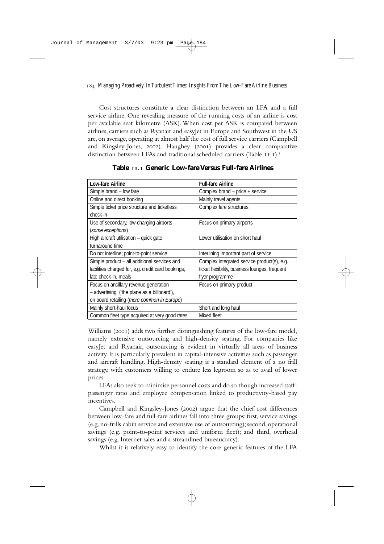Cost structures constitute a clear distinction between an LFA and a full service airline. One revealing measure of the running costs of an airline is cost per available seat kilometre (ASK). When cost per ASK is compared between airlines, carriers such as Ryanair and easyJet in Europe and Southwest in the US are,on average,operating at almost half the cost of full service carriers (Campbell and Kingsley-Jones, 2002). Haughey (2001) provides a clear comparative distinction between LFAs and traditional scheduled carriers (Table II.I).<sup>4</sup>

| <b>Low-fare Airline</b>                            | <b>Full-fare Airline</b>                       |
|----------------------------------------------------|------------------------------------------------|
| Simple brand - low fare                            | Complex brand - price + service                |
| Online and direct booking                          | Mainly travel agents                           |
| Simple ticket price structure and ticketless       | Complex fare structures                        |
| check-in                                           |                                                |
| Use of secondary, low-charging airports            | Focus on primary airports                      |
| (some exceptions)                                  |                                                |
| High aircraft utilisation - quick gate             | Lower utilisation on short haul                |
| turnaround time                                    |                                                |
| Do not interline; point-to-point service           | Interlining important part of service          |
| Simple product - all additional services and       | Complex integrated service product(s), e.g.    |
| facilities charged for, e.g. credit card bookings, | ticket flexibility, business lounges, frequent |
| late check-in, meals                               | flyer programme                                |
| Focus on ancillary revenue generation              | Focus on primary product                       |
| - advertising ('the plane as a billboard'),        |                                                |
| on board retailing (more common in Europe)         |                                                |
| Mainly short-haul focus                            | Short and long haul                            |
| Common fleet type acquired at very good rates      | Mixed fleet                                    |

**Table . Generic Low-fare Versus Full-fare Airlines**

Williams (2001) adds two further distinguishing features of the low-fare model, namely extensive outsourcing and high-density seating. For companies like easyJet and Ryanair, outsourcing is evident in virtually all areas of business activity. It is particularly prevalent in capital-intensive activities such as passenger and aircraft handling. High-density seating is a standard element of a no frill strategy, with customers willing to endure less legroom so as to avail of lower prices.

LFAs also seek to minimise personnel costs and do so though increased staffpassenger ratio and employee compensation linked to productivity-based pay incentives.

Campbell and Kingsley-Jones (2002) argue that the chief cost differences between low-fare and full-fare airlines fall into three groups: first, service savings (e.g. no-frills cabin service and extensive use of outsourcing); second, operational savings (e.g. point-to-point services and uniform fleet); and third, overhead savings (e.g. Internet sales and a streamlined bureaucracy).

Whilst it is relatively easy to identify the core generic features of the LFA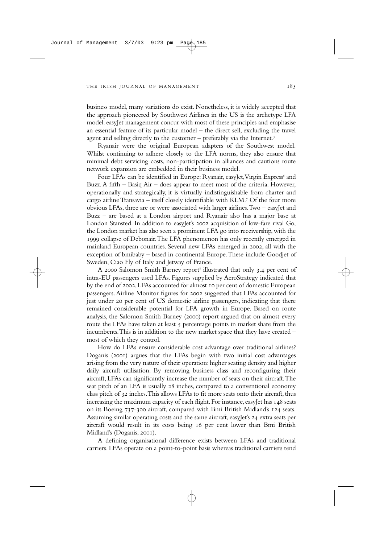business model, many variations do exist. Nonetheless, it is widely accepted that the approach pioneered by Southwest Airlines in the US is the archetype LFA model. easyJet management concur with most of these principles and emphasise an essential feature of its particular model – the direct sell, excluding the travel agent and selling directly to the customer – preferably via the Internet.<sup>5</sup>

Ryanair were the original European adapters of the Southwest model. Whilst continuing to adhere closely to the LFA norms, they also ensure that minimal debt servicing costs, non-participation in alliances and cautions route network expansion are embedded in their business model.

Four LFAs can be identified in Europe: Ryanair, easyJet, Virgin Express<sup>6</sup> and Buzz. A fifth – Basiq Air – does appear to meet most of the criteria. However, operationally and strategically, it is virtually indistinguishable from charter and cargo airline Transavia  $-$  itself closely identifiable with KLM.<sup>7</sup> Of the four more obvious LFAs, three are or were associated with larger airlines.Two – easyJet and Buzz – are based at a London airport and Ryanair also has a major base at London Stansted. In addition to easyJet's 2002 acquisition of low-fare rival Go, the London market has also seen a prominent LFA go into receivership, with the 1999 collapse of Debonair. The LFA phenomenon has only recently emerged in mainland European countries. Several new LFAs emerged in 2002, all with the exception of bmibaby – based in continental Europe.These include Goodjet of Sweden, Ciao Fly of Italy and Jetway of France.

A 2000 Salomon Smith Barney report<sup>8</sup> illustrated that only 3.4 per cent of intra-EU passengers used LFAs. Figures supplied by AeroStrategy indicated that by the end of 2002, LFAs accounted for almost 10 per cent of domestic European passengers. Airline Monitor figures for suggested that LFAs accounted for just under 20 per cent of US domestic airline passengers, indicating that there remained considerable potential for LFA growth in Europe. Based on route analysis, the Salomon Smith Barney (2000) report argued that on almost every route the LFAs have taken at least  $\varsigma$  percentage points in market share from the incumbents.This is in addition to the new market space that they have created – most of which they control.

How do LFAs ensure considerable cost advantage over traditional airlines? Doganis (2001) argues that the LFAs begin with two initial cost advantages arising from the very nature of their operation: higher seating density and higher daily aircraft utilisation. By removing business class and reconfiguring their aircraft, LFAs can significantly increase the number of seats on their aircraft.The seat pitch of an LFA is usually 28 inches, compared to a conventional economy class pitch of  $32$  inches. This allows LFAs to fit more seats onto their aircraft, thus increasing the maximum capacity of each flight. For instance, easyJet has  $148$  seats on its Boeing 737-300 aircraft, compared with Bmi British Midland's 124 seats. Assuming similar operating costs and the same aircraft, easyJet's 24 extra seats per aircraft would result in its costs being 16 per cent lower than Bmi British Midland's (Doganis, 2001).

A defining organisational difference exists between LFAs and traditional carriers. LFAs operate on a point-to-point basis whereas traditional carriers tend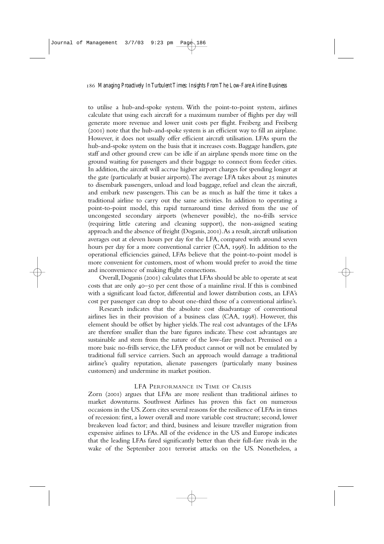to utilise a hub-and-spoke system. With the point-to-point system, airlines calculate that using each aircraft for a maximum number of flights per day will generate more revenue and lower unit costs per flight. Freiberg and Freiberg (2001) note that the hub-and-spoke system is an efficient way to fill an airplane. However, it does not usually offer efficient aircraft utilisation. LFAs spurn the hub-and-spoke system on the basis that it increases costs. Baggage handlers, gate staff and other ground crew can be idle if an airplane spends more time on the ground waiting for passengers and their baggage to connect from feeder cities. In addition, the aircraft will accrue higher airport charges for spending longer at the gate (particularly at busier airports). The average LFA takes about  $25$  minutes to disembark passengers, unload and load baggage, refuel and clean the aircraft, and embark new passengers. This can be as much as half the time it takes a traditional airline to carry out the same activities. In addition to operating a point-to-point model, this rapid turnaround time derived from the use of uncongested secondary airports (whenever possible), the no-frills service (requiring little catering and cleaning support), the non-assigned seating approach and the absence of freight (Doganis, 2001). As a result, aircraft utilisation averages out at eleven hours per day for the LFA, compared with around seven hours per day for a more conventional carrier (CAA, 1998). In addition to the operational efficiencies gained, LFAs believe that the point-to-point model is more convenient for customers, most of whom would prefer to avoid the time and inconvenience of making flight connections.

Overall, Doganis (2001) calculates that LFAs should be able to operate at seat costs that are only  $40$ -50 per cent those of a mainline rival. If this is combined with a significant load factor, differential and lower distribution costs, an LFA's cost per passenger can drop to about one-third those of a conventional airline's.

Research indicates that the absolute cost disadvantage of conventional airlines lies in their provision of a business class (CAA, 1998). However, this element should be offset by higher yields.The real cost advantages of the LFAs are therefore smaller than the bare figures indicate. These cost advantages are sustainable and stem from the nature of the low-fare product. Premised on a more basic no-frills service, the LFA product cannot or will not be emulated by traditional full service carriers. Such an approach would damage a traditional airline's quality reputation, alienate passengers (particularly many business customers) and undermine its market position.

## LFA PERFORMANCE IN TIME OF CRISIS

Zorn (2001) argues that LFAs are more resilient than traditional airlines to market downturns. Southwest Airlines has proven this fact on numerous occasions in the US. Zorn cites several reasons for the resilience of LFAs in times of recession: first, a lower overall and more variable cost structure; second, lower breakeven load factor; and third, business and leisure traveller migration from expensive airlines to LFAs. All of the evidence in the US and Europe indicates that the leading LFAs fared significantly better than their full-fare rivals in the wake of the September 2001 terrorist attacks on the US. Nonetheless, a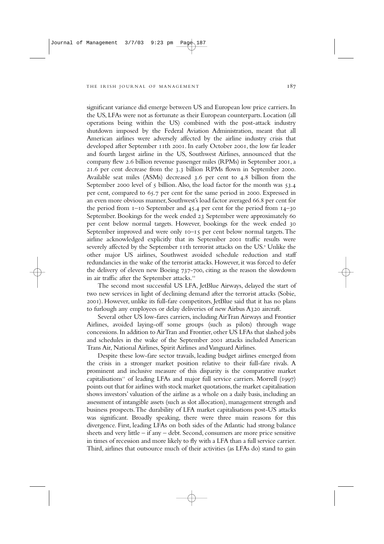significant variance did emerge between US and European low price carriers. In the US, LFAs were not as fortunate as their European counterparts. Location (all operations being within the US) combined with the post-attack industry shutdown imposed by the Federal Aviation Administration, meant that all American airlines were adversely affected by the airline industry crisis that developed after September 11th 2001. In early October 2001, the low far leader and fourth largest airline in the US, Southwest Airlines, announced that the company flew 2.6 billion revenue passenger miles (RPMs) in September 2001, a 21.6 per cent decrease from the 3.3 billion RPMs flown in September 2000. Available seat miles (ASMs) decreased  $3.6$  per cent to  $4.8$  billion from the September 2000 level of  $\zeta$  billion. Also, the load factor for the month was  $\zeta$ 3.4 per cent, compared to 65.7 per cent for the same period in 2000. Expressed in an even more obvious manner, Southwest's load factor averaged 66.8 per cent for the period from  $I$ -10 September and 45.4 per cent for the period from  $I$ 4-30 September. Bookings for the week ended 23 September were approximately 60 per cent below normal targets. However, bookings for the week ended September improved and were only  $10-15$  per cent below normal targets. The airline acknowledged explicitly that its September 2001 traffic results were severely affected by the September IIth terrorist attacks on the US.<sup>9</sup> Unlike the other major US airlines, Southwest avoided schedule reduction and staff redundancies in the wake of the terrorist attacks. However, it was forced to defer the delivery of eleven new Boeing 737-700, citing as the reason the slowdown in air traffic after the September attacks.

The second most successful US LFA, JetBlue Airways, delayed the start of two new services in light of declining demand after the terrorist attacks (Sobie, ). However, unlike its full-fare competitors, JetBlue said that it has no plans to furlough any employees or delay deliveries of new Airbus A320 aircraft.

Several other US low-fares carriers, including AirTran Airways and Frontier Airlines, avoided laying-off some groups (such as pilots) through wage concessions. In addition to AirTran and Frontier, other US LFAs that slashed jobs and schedules in the wake of the September 2001 attacks included American Trans Air, National Airlines, Spirit Airlines and Vanguard Airlines.

Despite these low-fare sector travails, leading budget airlines emerged from the crisis in a stronger market position relative to their full-fare rivals. A prominent and inclusive measure of this disparity is the comparative market capitalisations<sup> $\pi$ </sup> of leading LFAs and major full service carriers. Morrell (1997) points out that for airlines with stock market quotations,the market capitalisation shows investors' valuation of the airline as a whole on a daily basis, including an assessment of intangible assets (such as slot allocation), management strength and business prospects.The durability of LFA market capitalisations post-US attacks was significant. Broadly speaking, there were three main reasons for this divergence. First, leading LFAs on both sides of the Atlantic had strong balance sheets and very little  $-$  if any  $-$  debt. Second, consumers are more price sensitive in times of recession and more likely to fly with a LFA than a full service carrier. Third, airlines that outsource much of their activities (as LFAs do) stand to gain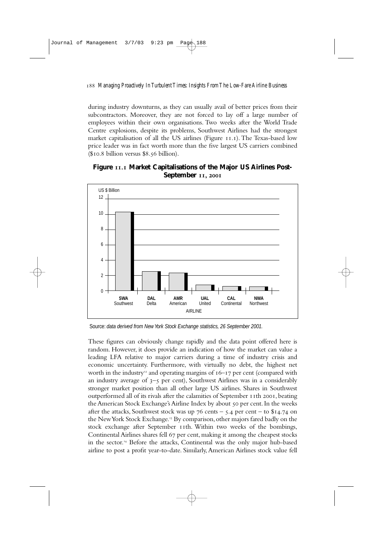during industry downturns, as they can usually avail of better prices from their subcontractors. Moreover, they are not forced to lay off a large number of employees within their own organisations. Two weeks after the World Trade Centre explosions, despite its problems, Southwest Airlines had the strongest market capitalisation of all the US airlines (Figure II.I). The Texas-based low price leader was in fact worth more than the five largest US carriers combined (\$10.8 billion versus \$8.56 billion).





Source: *data derived from New York Stock Exchange statistics, 26 September 2001.*

These figures can obviously change rapidly and the data point offered here is random. However, it does provide an indication of how the market can value a leading LFA relative to major carriers during a time of industry crisis and economic uncertainty. Furthermore, with virtually no debt, the highest net worth in the industry<sup>12</sup> and operating margins of  $16-17$  per cent (compared with an industry average of  $3-5$  per cent), Southwest Airlines was in a considerably stronger market position than all other large US airlines. Shares in Southwest outperformed all of its rivals after the calamities of September 11th 2001, beating the American Stock Exchange's Airline Index by about 50 per cent. In the weeks after the attacks, Southwest stock was up  $76$  cents –  $5.4$  per cent – to \$14.74 on the New York Stock Exchange.<sup>13</sup> By comparison, other majors fared badly on the stock exchange after September 11th. Within two weeks of the bombings, Continental Airlines shares fell 67 per cent, making it among the cheapest stocks in the sector.<sup>14</sup> Before the attacks, Continental was the only major hub-based airline to post a profit year-to-date. Similarly,American Airlines stock value fell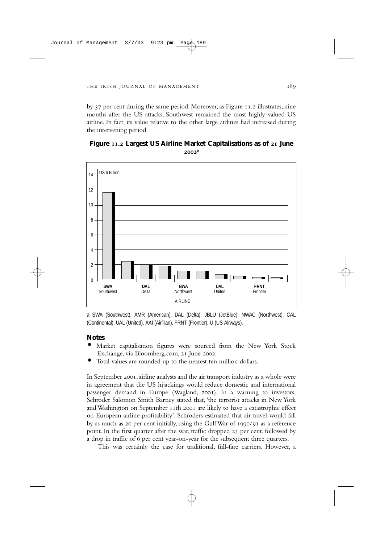by 37 per cent during the same period. Moreover, as Figure 11.2 illustrates, nine months after the US attacks, Southwest remained the most highly valued US airline. In fact, its value relative to the other large airlines had increased during the intervening period.





a SWA (Southwest), AMR (American), DAL (Delta), JBLU (JetBlue), NWAC (Northwest), CAL (Continental), UAL (United), AAI (AirTran), FRNT (Frontier), U (US Airways).

# **Notes**

- **•** Market capitalisation figures were sourced from the New York Stock Exchange, via Bloomberg.com, 21 June 2002.
- **•** Total values are rounded up to the nearest ten million dollars.

In September 2001, airline analysts and the air transport industry as a whole were in agreement that the US hijackings would reduce domestic and international passenger demand in Europe (Wagland, 2001). In a warning to investors, Schroder Salomon Smith Barney stated that, 'the terrorist attacks in New York and Washington on September 11th 2001 are likely to have a catastrophic effect on European airline profitability'. Schroders estimated that air travel would fall by as much as 20 per cent initially, using the Gulf War of 1990/91 as a reference point. In the first quarter after the war, traffic dropped 23 per cent, followed by a drop in traffic of 6 per cent year-on-year for the subsequent three quarters.

This was certainly the case for traditional, full-fare carriers. However, a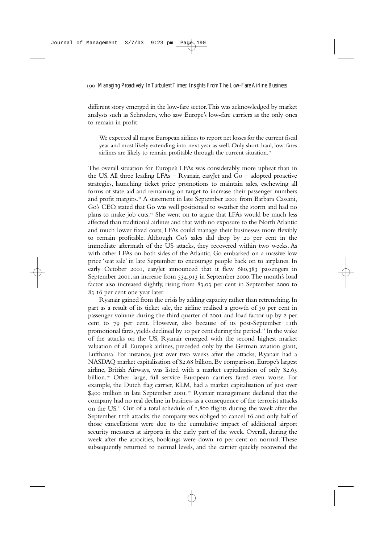different story emerged in the low-fare sector.This was acknowledged by market analysts such as Schroders, who saw Europe's low-fare carriers as the only ones to remain in profit:

We expected all major European airlines to report net losses for the current fiscal year and most likely extending into next year as well. Only short-haul, low-fares airlines are likely to remain profitable through the current situation.

The overall situation for Europe's LFAs was considerably more upbeat than in the US. All three leading LFAs – Ryanair, easylet and  $Go -$  adopted proactive strategies, launching ticket price promotions to maintain sales, eschewing all forms of state aid and remaining on target to increase their passenger numbers and profit margins.<sup>16</sup> A statement in late September 2001 from Barbara Cassani, Go's CEO, stated that Go was well positioned to weather the storm and had no plans to make job cuts.<sup> $17$ </sup> She went on to argue that LFAs would be much less affected than traditional airlines and that with no exposure to the North Atlantic and much lower fixed costs, LFAs could manage their businesses more flexibly to remain profitable. Although Go's sales did drop by 20 per cent in the immediate aftermath of the US attacks, they recovered within two weeks. As with other LFAs on both sides of the Atlantic, Go embarked on a massive low price 'seat sale' in late September to encourage people back on to airplanes. In early October 2001, easyJet announced that it flew 680,383 passengers in September 2001, an increase from 534,013 in September 2000. The month's load factor also increased slightly, rising from  $83.03$  per cent in September 2000 to 83.16 per cent one year later.

Ryanair gained from the crisis by adding capacity rather than retrenching. In part as a result of its ticket sale, the airline realised a growth of 30 per cent in passenger volume during the third quarter of 2001 and load factor up by 2 per cent to 79 per cent. However, also because of its post-September 11th promotional fares, yields declined by 10 per cent during the period.<sup>18</sup> In the wake of the attacks on the US, Ryanair emerged with the second highest market valuation of all Europe's airlines, preceded only by the German aviation giant, Lufthansa. For instance, just over two weeks after the attacks, Ryanair had a NASDAQ market capitalisation of \$2.68 billion. By comparison, Europe's largest airline, British Airways, was listed with a market capitalisation of only  $2.65$ billion.<sup>19</sup> Other large, full service European carriers fared even worse. For example, the Dutch flag carrier, KLM, had a market capitalisation of just over \$400 million in late September 2001.<sup>20</sup> Ryanair management declared that the company had no real decline in business as a consequence of the terrorist attacks on the US. $21$  Out of a total schedule of 1,800 flights during the week after the September 11th attacks, the company was obliged to cancel 16 and only half of those cancellations were due to the cumulative impact of additional airport security measures at airports in the early part of the week. Overall, during the week after the atrocities, bookings were down 10 per cent on normal. These subsequently returned to normal levels, and the carrier quickly recovered the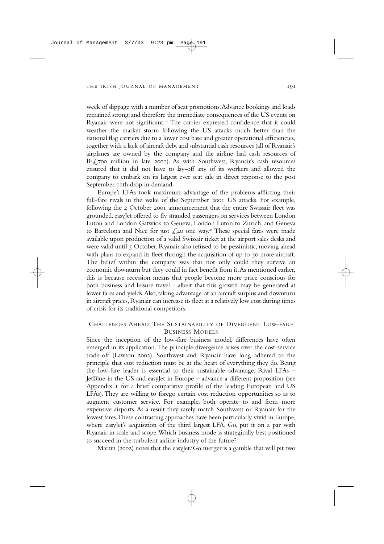week of slippage with a number of seat promotions.Advance bookings and loads remained strong, and therefore the immediate consequences of the US events on Ryanair were not significant.<sup>22</sup> The carrier expressed confidence that it could weather the market storm following the US attacks much better than the national flag carriers due to a lower cost base and greater operational efficiencies, together with a lack of aircraft debt and substantial cash resources (all of Ryanair's airplanes are owned by the company and the airline had cash resources of IE $\overline{L}$  (700 million in late 2001). As with Southwest, Ryanair's cash resources ensured that it did not have to lay-off any of its workers and allowed the company to embark on its largest ever seat sale in direct response to the post September 11th drop in demand.

Europe's LFAs took maximum advantage of the problems afflicting their full-fare rivals in the wake of the September 2001 US attacks. For example, following the 2 October 2001 announcement that the entire Swissair fleet was grounded, easyJet offered to fly stranded passengers on services between London Luton and London Gatwick to Geneva, London Luton to Zurich, and Geneva to Barcelona and Nice for just  $\ell$  20 one way.<sup>23</sup> These special fares were made available upon production of a valid Swissair ticket at the airport sales desks and were valid until 5 October. Ryanair also refused to be pessimistic, moving ahead with plans to expand its fleet through the acquisition of up to 50 more aircraft. The belief within the company was that not only could they survive an economic downturn but they could in fact benefit from it.As mentioned earlier, this is because recession means that people become more price conscious for both business and leisure travel - albeit that this growth may be generated at lower fares and yields.Also, taking advantage of an aircraft surplus and downturn in aircraft prices, Ryanair can increase its fleet at a relatively low cost during times of crisis for its traditional competitors.

## CHALLENGES AHEAD: THE SUSTAINABILITY OF DIVERGENT LOW-FARE BUSINESS MODELS

Since the inception of the low-fare business model, differences have often emerged in its application.The principle divergence arises over the cost-service trade-off (Lawton 2002). Southwest and Ryanair have long adhered to the principle that cost reduction must be at the heart of everything they do. Being the low-fare leader is essential to their sustainable advantage. Rival LFAs – JetBlue in the US and easyJet in Europe – advance a different proposition (see Appendix I for a brief comparative profile of the leading European and US LFAs).They are willing to forego certain cost reduction opportunities so as to augment customer service. For example, both operate to and from more expensive airports. As a result they rarely match Southwest or Ryanair for the lowest fares.These contrasting approaches have been particularly vivid in Europe, where easyJet's acquisition of the third largest LFA, Go, put it on a par with Ryanair in scale and scope.Which business mode is strategically best positioned to succeed in the turbulent airline industry of the future?

Martin (2002) notes that the easyJet/Go merger is a gamble that will pit two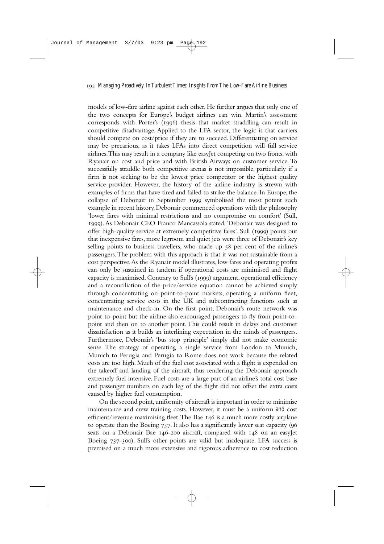models of low-fare airline against each other. He further argues that only one of the two concepts for Europe's budget airlines can win. Martin's assessment corresponds with Porter's (1996) thesis that market straddling can result in competitive disadvantage. Applied to the LFA sector, the logic is that carriers should compete on cost/price if they are to succeed. Differentiating on service may be precarious, as it takes LFAs into direct competition will full service airlines.This may result in a company like easyJet competing on two fronts: with Ryanair on cost and price and with British Airways on customer service. To successfully straddle both competitive arenas is not impossible, particularly if a firm is not seeking to be the lowest price competitor or the highest quality service provider. However, the history of the airline industry is strewn with examples of firms that have tired and failed to strike the balance. In Europe, the collapse of Debonair in September 1999 symbolised the most potent such example in recent history.Debonair commenced operations with the philosophy 'lower fares with minimal restrictions and no compromise on comfort' (Sull, ). As Debonair CEO Franco Mancassola stated,'Debonair was designed to offer high-quality service at extremely competitive fares'. Sull (1999) points out that inexpensive fares, more legroom and quiet jets were three of Debonair's key selling points to business travellers, who made up 58 per cent of the airline's passengers.The problem with this approach is that it was not sustainable from a cost perspective.As the Ryanair model illustrates, low fares and operating profits can only be sustained in tandem if operational costs are minimised and flight capacity is maximised. Contrary to Sull's (1999) argument, operational efficiency and a reconciliation of the price/service equation cannot be achieved simply through concentrating on point-to-point markets, operating a uniform fleet, concentrating service costs in the UK and subcontracting functions such as maintenance and check-in. On the first point, Debonair's route network was point-to-point but the airline also encouraged passengers to fly from point-topoint and then on to another point. This could result in delays and customer dissatisfaction as it builds an interlining expectation in the minds of passengers. Furthermore, Debonair's 'bus stop principle' simply did not make economic sense. The strategy of operating a single service from London to Munich, Munich to Perugia and Perugia to Rome does not work because the related costs are too high. Much of the fuel cost associated with a flight is expended on the takeoff and landing of the aircraft, thus rendering the Debonair approach extremely fuel intensive. Fuel costs are a large part of an airline's total cost base and passenger numbers on each leg of the flight did not offset the extra costs caused by higher fuel consumption.

On the second point,uniformity of aircraft is important in order to minimise maintenance and crew training costs. However, it must be a uniform *and* cost efficient/revenue maximising fleet.The Bae is a much more costly airplane to operate than the Boeing  $737$ . It also has a significantly lower seat capacity (96) seats on a Debonair Bae 146-200 aircraft, compared with 148 on an easyJet Boeing 737-300). Sull's other points are valid but inadequate. LFA success is premised on a much more extensive and rigorous adherence to cost reduction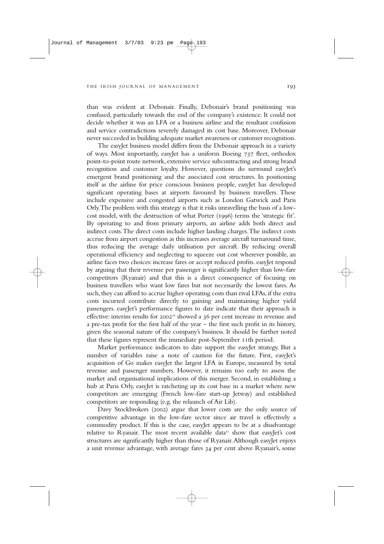than was evident at Debonair. Finally, Debonair's brand positioning was confused, particularly towards the end of the company's existence. It could not decide whether it was an LFA or a business airline and the resultant confusion and service contradictions severely damaged its cost base. Moreover, Debonair never succeeded in building adequate market awareness or customer recognition.

The easyJet business model differs from the Debonair approach in a variety of ways. Most importantly, easyJet has a uniform Boeing 737 fleet, orthodox point-to-point route network, extensive service subcontracting and strong brand recognition and customer loyalty. However, questions do surround easyJet's emergent brand positioning and the associated cost structures. In positioning itself as the airline for price conscious business people, easyJet has developed significant operating bases at airports favoured by business travellers. These include expensive and congested airports such as London Gatwick and Paris Orly.The problem with this strategy is that it risks unravelling the basis of a lowcost model, with the destruction of what Porter (1996) terms the 'strategic fit'. By operating to and from primary airports, an airline adds both direct and indirect costs.The direct costs include higher landing charges.The indirect costs accrue from airport congestion as this increases average aircraft turnaround time, thus reducing the average daily utilisation per aircraft. By reducing overall operational efficiency and neglecting to squeeze out cost wherever possible, an airline faces two choices: increase fares or accept reduced profits. easyJet respond by arguing that their revenue per passenger is significantly higher than low-fare competitors (Ryanair) and that this is a direct consequence of focusing on business travellers who want low fares but not necessarily the lowest fares. As such, they can afford to accrue higher operating costs than rival LFAs, if the extra costs incurred contribute directly to gaining and maintaining higher yield passengers. easyJet's performance figures to date indicate that their approach is effective: interim results for 2002<sup>24</sup> showed a 36 per cent increase in revenue and a pre-tax profit for the first half of the year – the first such profit in its history, given the seasonal nature of the company's business. It should be further noted that these figures represent the immediate post-September 11th period.

Market performance indicators to date support the easyJet strategy. But a number of variables raise a note of caution for the future. First, easylet's acquisition of Go makes easyJet the largest LFA in Europe, measured by total revenue and passenger numbers. However, it remains too early to assess the market and organisational implications of this merger. Second, in establishing a hub at Paris Orly, easyJet is ratcheting up its cost base in a market where new competitors are emerging (French low-fare start-up Jetway) and established competitors are responding (e.g. the relaunch of Air Lib).

Davy Stockbrokers (2002) argue that lower costs are the only source of competitive advantage in the low-fare sector since air travel is effectively a commodity product. If this is the case, easyJet appears to be at a disadvantage relative to Ryanair. The most recent available data<sup>25</sup> show that easyJet's cost structures are significantly higher than those of Ryanair.Although easyJet enjoys a unit revenue advantage, with average fares 34 per cent above Ryanair's, some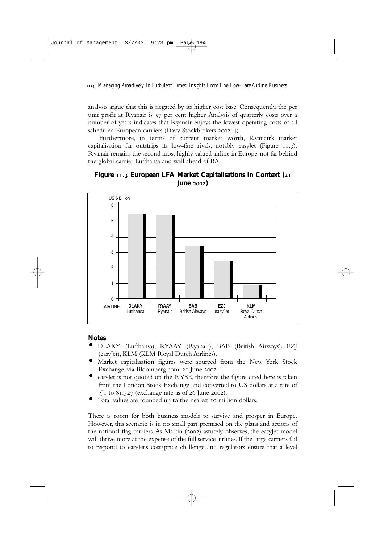analysts argue that this is negated by its higher cost base. Consequently, the per unit profit at Ryanair is 57 per cent higher. Analysis of quarterly costs over a number of years indicates that Ryanair enjoys the lowest operating costs of all scheduled European carriers (Davy Stockbrokers 2002: 4).

Furthermore, in terms of current market worth, Ryanair's market capitalisation far outstrips its low-fare rivals, notably easylet (Figure  $11.3$ ). Ryanair remains the second most highly valued airline in Europe, not far behind the global carrier Lufthansa and well ahead of BA.



# **Figure . European LFA Market Capitalisations in Context ( June 2002**

# **Notes**

- **•** DLAKY (Lufthansa), RYAAY (Ryanair), BAB (British Airways), EZJ (easyJet), KLM (KLM Royal Dutch Airlines).
- **•** Market capitalisation figures were sourced from the New York Stock Exchange, via Bloomberg.com, 21 June 2002.
- **•** easyJet is not quoted on the NYSE, therefore the figure cited here is taken from the London Stock Exchange and converted to US dollars at a rate of  $\text{\emph{1}}$ , to \$1.527 (exchange rate as of 26 June 2002).
- Total values are rounded up to the nearest 10 million dollars.

There is room for both business models to survive and prosper in Europe. However, this scenario is in no small part premised on the plans and actions of the national flag carriers. As Martin (2002) astutely observes, the easyJet model will thrive more at the expense of the full service airlines. If the large carriers fail to respond to easyJet's cost/price challenge and regulators ensure that a level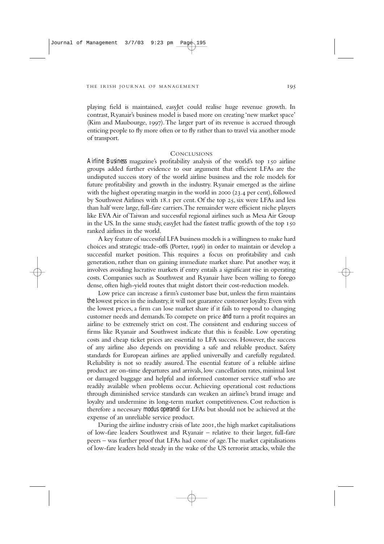playing field is maintained, easyJet could realise huge revenue growth. In contrast, Ryanair's business model is based more on creating 'new market space' (Kim and Maubourge, 1997). The larger part of its revenue is accrued through enticing people to fly more often or to fly rather than to travel via another mode of transport.

#### **CONCLUSIONS**

*Airline Business* magazine's profitability analysis of the world's top 150 airline groups added further evidence to our argument that efficient LFAs are the undisputed success story of the world airline business and the role models for future profitability and growth in the industry. Ryanair emerged as the airline with the highest operating margin in the world in  $2000$   $(23.4$  per cent), followed by Southwest Airlines with 18.1 per cent. Of the top 25, six were LFAs and less than half were large, full-fare carriers.The remainder were efficient niche players like EVA Air of Taiwan and successful regional airlines such as Mesa Air Group in the US. In the same study, easyJet had the fastest traffic growth of the top 150 ranked airlines in the world.

A key feature of successful LFA business models is a willingness to make hard choices and strategic trade-offs (Porter, 1996) in order to maintain or develop a successful market position. This requires a focus on profitability and cash generation, rather than on gaining immediate market share. Put another way, it involves avoiding lucrative markets if entry entails a significant rise in operating costs. Companies such as Southwest and Ryanair have been willing to forego dense, often high-yield routes that might distort their cost-reduction models.

Low price can increase a firm's customer base but, unless the firm maintains *the* lowest prices in the industry, it will not guarantee customer loyalty. Even with the lowest prices, a firm can lose market share if it fails to respond to changing customer needs and demands.To compete on price *and* turn a profit requires an airline to be extremely strict on cost. The consistent and enduring success of firms like Ryanair and Southwest indicate that this is feasible. Low operating costs and cheap ticket prices are essential to LFA success. However, the success of any airline also depends on providing a safe and reliable product. Safety standards for European airlines are applied universally and carefully regulated. Reliability is not so readily assured. The essential feature of a reliable airline product are on-time departures and arrivals, low cancellation rates, minimal lost or damaged baggage and helpful and informed customer service staff who are readily available when problems occur. Achieving operational cost reductions through diminished service standards can weaken an airline's brand image and loyalty and undermine its long-term market competitiveness. Cost reduction is therefore a necessary *modus operandi* for LFAs but should not be achieved at the expense of an unreliable service product.

During the airline industry crisis of late 2001, the high market capitalisations of low-fare leaders Southwest and Ryanair – relative to their larger, full-fare peers – was further proof that LFAs had come of age.The market capitalisations of low-fare leaders held steady in the wake of the US terrorist attacks, while the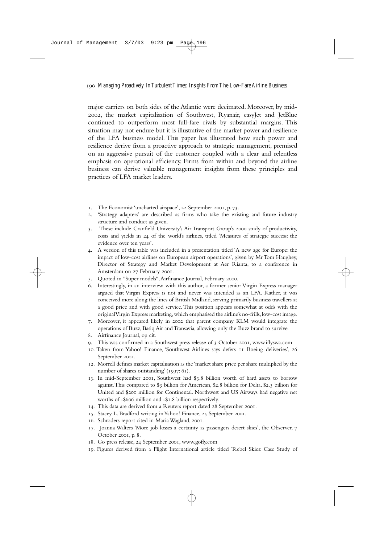major carriers on both sides of the Atlantic were decimated. Moreover, by mid- , the market capitalisation of Southwest, Ryanair, easyJet and JetBlue continued to outperform most full-fare rivals by substantial margins. This situation may not endure but it is illustrative of the market power and resilience of the LFA business model. This paper has illustrated how such power and resilience derive from a proactive approach to strategic management, premised on an aggressive pursuit of the customer coupled with a clear and relentless emphasis on operational efficiency. Firms from within and beyond the airline business can derive valuable management insights from these principles and practices of LFA market leaders.

- 1. The Economist 'uncharted airspace', 22 September 2001, p. 73.
- . 'Strategy adapters' are described as firms who take the existing and future industry structure and conduct as given.
- 3. These include Cranfield University's Air Transport Group's 2000 study of productivity, costs and yields in 24 of the world's airlines, titled 'Measures of strategic success: the evidence over ten years'.
- . A version of this table was included in a presentation titled 'A new age for Europe: the impact of low-cost airlines on European airport operations', given by Mr Tom Haughey, Director of Strategy and Market Development at Aer Rianta, to a conference in Amsterdam on 27 February 2001.
- . Quoted in "Super models",Airfinance Journal, February .
- . Interestingly, in an interview with this author, a former senior Virgin Express manager argued that Virgin Express is not and never was intended as an LFA. Rather, it was conceived more along the lines of British Midland, serving primarily business travellers at a good price and with good service. This position appears somewhat at odds with the original Virgin Express marketing,which emphasised the airline's no-frills,low-cost image.
- 7. Moreover, it appeared likely in 2002 that parent company KLM would integrate the operations of Buzz, Basiq Air and Transavia, allowing only the Buzz brand to survive.
- . Airfinance Journal, op cit.
- 9. This was confirmed in a Southwest press release of 3 October 2001, www.iflyswa.com
- 10. Taken from Yahoo! Finance, 'Southwest Airlines says defers 11 Boeing deliveries', 26 September 2001.
- . Morrell defines market capitalisation as the 'market share price per share multiplied by the number of shares outstanding' (1997: 61).
- 13. In mid-September 2001, Southwest had \$3.8 billion worth of hard assets to borrow against. This compared to  $\S$ 3 billion for American, \$2.8 billion for Delta, \$2.3 billion for United and \$200 million for Continental. Northwest and US Airways had negative net worths of -\$606 million and -\$1.8 billion respectively.
- 14. This data are derived from a Reuters report dated 28 September 2001.
- 15. Stacey L. Bradford writing in Yahoo! Finance, 25 September 2001.
- 16. Schroders report cited in Maria Wagland, 2001.
- 17. Joanna Walters 'More job losses a certainty as passengers desert skies', the Observer, 7 October 2001, p. 8.
- 18. Go press release, 24 September 2001, www.gofly.com
- . Figures derived from a Flight International article titled 'Rebel Skies: Case Study of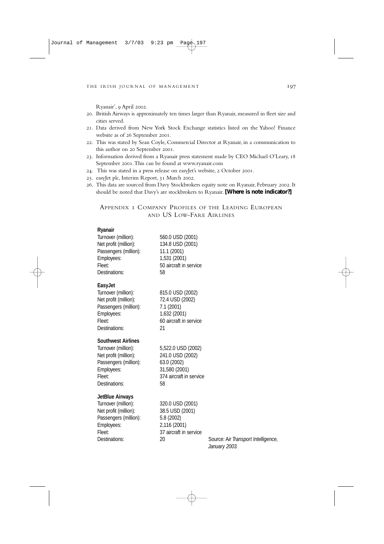Ryanair', 9 April 2002.

- . British Airways is approximately ten times larger than Ryanair, measured in fleet size and cities served.
- . Data derived from New York Stock Exchange statistics listed on the Yahoo! Finance website as of 26 September 2001.
- . This was stated by Sean Coyle, Commercial Director at Ryanair, in a communication to this author on 20 September 2001.
- 23. Information derived from a Ryanair press statement made by CEO Michael O'Leary, 18 September 2001. This can be found at www.ryanair.com
- 24. This was stated in a press release on easyJet's website, 2 October 2001.
- 25. easyJet plc, Interim Report, 31 March 2002.
- 26. This data are sourced from Davy Stockbrokers equity note on Ryanair, February 2002. It should be noted that Davy's are stockbrokers to Ryanair. **[Where is note indicator?]**

APPENDIX COMPANY PROFILES OF THE LEADING EUROPEAN AND US LOW-FARE AIRLINES

#### **Ryanair**

| Turnover (million):<br>Net profit (million):<br>Passengers (million):<br>Employees:<br>Fleet:<br>Destinations:                              | 560.0 USD (2001)<br>134.8 USD (2001)<br>11.1 (2001)<br>1,531 (2001)<br>50 aircraft in service<br>58     |
|---------------------------------------------------------------------------------------------------------------------------------------------|---------------------------------------------------------------------------------------------------------|
| <b>EasyJet</b><br>Turnover (million):<br>Net profit (million):<br>Passengers (million):<br>Employees:<br>Fleet:<br>Destinations:            | 815.0 USD (2002)<br>72.4 USD (2002)<br>7.1 (2001)<br>1,632 (2001)<br>60 aircraft in service<br>21       |
| <b>Southwest Airlines</b><br>Turnover (million):<br>Net profit (million):<br>Passengers (million):<br>Employees:<br>Fleet:<br>Destinations: | 5,522.0 USD (2002)<br>241.0 USD (2002)<br>63.0 (2002)<br>31,580 (2001)<br>374 aircraft in service<br>58 |
| <b>JetBlue Airways</b><br>Turnover (million):<br>Net profit (million):<br>Passengers (million):<br>Employees:<br>Fleet:<br>$\cdot$ .        | 320.0 USD (2001)<br>38.5 USD (2001)<br>5.8 (2002)<br>2,116 (2001)<br>37 aircraft in service             |

Destinations: 20 Source: A*ir Transport Intelligence, January 2003.*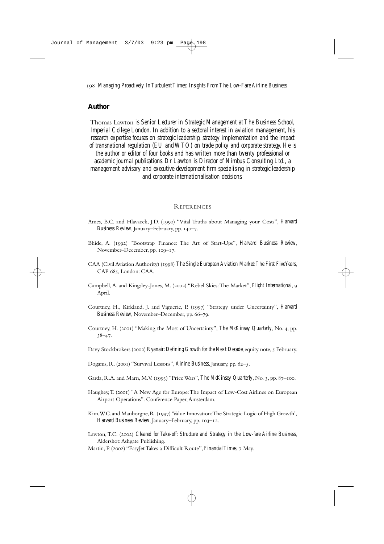# **Author**

Thomas Lawton *is Senior Lecturer in Strategic Management at The Business School, Imperial College London. In addition to a sectoral interest in aviation management, his research expertise focuses on strategic leadership, strategy implementation and the impact of transnational regulation (EU and WTO) on trade policy and corporate strategy. He is the author or editor of four books and has written more than twenty professional or academic journal publications. Dr Lawton is Director of Nimbus Consulting Ltd., a management advisory and executive development firm specialising in strategic leadership and corporate internationalisation decisions.*

#### **REFERENCES**

- Ames, B.C. and Hlavacek, I.D. (1990) "Vital Truths about Managing your Costs", *Harvard Business Review*, January–February, pp. 140-7.
- Bhide, A. () "Bootstrap Finance: The Art of Start-Ups", *Harvard Business Review*, November–December, pp. 109-17.
- CAA (Civil Aviation Authority) (1998) The Single European Aviation Market: The First Five Years, CAP 685, London: CAA.
- Campbell, A. and Kingsley-Jones, M. (2002) "Rebel Skies: The Market", *Flight International*, 9 April.
- Courtney, H., Kirkland, J. and Viguerie, P. () "Strategy under Uncertainty", *Harvard* Business Review, November–December, pp. 66–79.
- Courtney, H. (2001) "Making the Most of Uncertainty", *The McKinsey Quarterly*, No. 4, pp.  $38 - 47.$
- Davy Stockbrokers (2002) *Ryanair: Defining Growth for the Next Decade*, equity note, 5 February.
- Doganis, R. (2001) "Survival Lessons", *Airline Business*, January, pp. 62-5.
- Garda, R.A. and Marn, M.V. (1993) "Price Wars", *The McKinsey Quarterly*, No. 3, pp. 87-100.
- Haughey, T. (2001) "A New Age for Europe: The Impact of Low-Cost Airlines on European Airport Operations". Conference Paper,Amsterdam.
- Kim, W.C. and Mauborgne, R. (1997) 'Value Innovation: The Strategic Logic of High Growth', *Harvard Business Review*, January–February, pp. 103-12.
- Lawton, T.C. (2002) Cleared for Take-off: Structure and Strategy in the Low-fare Airline Business, Aldershot:Ashgate Publishing.
- Martin, P. (2002) "EasyJet Takes a Difficult Route", *Financial Times*, 7 May.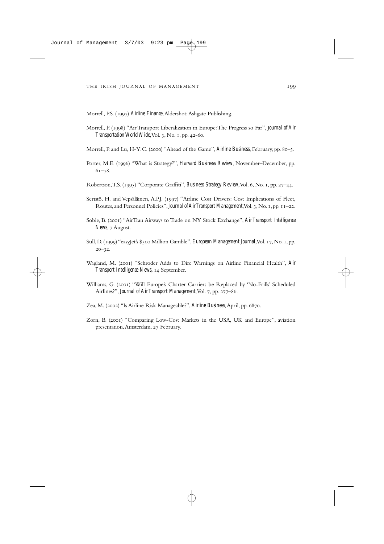Morrell, P.S. (1997) Airline Finance, Aldershot: Ashgate Publishing.

- Morrell, P. () "Air Transport Liberalization in Europe:The Progress so Far", J*ournal of Air Transportation World Wide*, Vol. 3, No. 1, pp. 42-60.
- Morrell, P. and Lu, H-Y. C. (2000) "Ahead of the Game", *Airline Business*, February, pp. 80-3.
- Porter, M.E. (1996) "What is Strategy?", *Harvard Business Review*, November–December, pp.  $61 - 78$ .
- Robertson, T.S. (1995) "Corporate Graffiti", *Business Strategy Review*, Vol. 6, No. 1, pp. 27-44.
- Seristö, H. and Vepsäläinen, A.P.J. (1997) "Airline Cost Drivers: Cost Implications of Fleet, Routes, and Personnel Policies", *Journal of Air Transport Management*, Vol. 3, No. 1, pp. 11–22.
- Sobie, B. (2001) "AirTran Airways to Trade on NY Stock Exchange", *Air Transport Intelligence News*, August.
- Sull, D. (1999) "easyJet's \$500 Million Gamble", *European Management Journal*, Vol. 17, No. 1, pp.  $20 - 32.$
- Wagland, M. (2001) "Schroder Adds to Dire Warnings on Airline Financial Health", Air **Transport Intelligence News**, 14 September.
- Williams, G. (2001) "Will Europe's Charter Carriers be Replaced by 'No-Frills' Scheduled Airlines?", *Journal of Air Transport Management*, Vol. 7, pp. 277-86.
- Zea, M. (2002) "Is Airline Risk Manageable?", *Airline Business*, April, pp. 6870.
- Zorn, B. (2001) "Comparing Low-Cost Markets in the USA, UK and Europe", aviation presentation, Amsterdam, 27 February.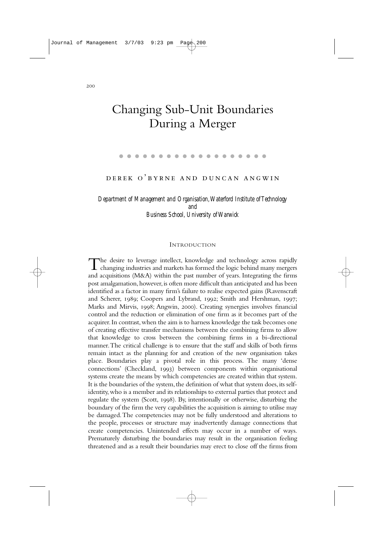# Changing Sub-Unit Boundaries During a Merger

. . . . . . . . . . . .

# DEREK O'BYRNE AND DUNCAN ANGWIN

*Department of Management and Organisation,Waterford Institute of Technology and Business School, University of Warwick*

#### INTRODUCTION

The desire to leverage intellect, knowledge and technology across rapidly changing industries and markets has formed the logic behind many mergers and acquisitions (M&A) within the past number of years. Integrating the firms post amalgamation,however,is often more difficult than anticipated and has been identified as a factor in many firm's failure to realise expected gains (Ravenscraft and Scherer, 1989; Coopers and Lybrand, 1992; Smith and Hershman, 1997; Marks and Mirvis, 1998; Angwin, 2000). Creating synergies involves financial control and the reduction or elimination of one firm as it becomes part of the acquirer.In contrast,when the aim is to harness knowledge the task becomes one of creating effective transfer mechanisms between the combining firms to allow that knowledge to cross between the combining firms in a bi-directional manner.The critical challenge is to ensure that the staff and skills of both firms remain intact as the planning for and creation of the new organisation takes place. Boundaries play a pivotal role in this process. The many 'dense connections' (Checkland, 1993) between components within organisational systems create the means by which competencies are created within that system. It is the boundaries of the system, the definition of what that system does, its selfidentity, who is a member and its relationships to external parties that protect and regulate the system (Scott, 1998). By, intentionally or otherwise, disturbing the boundary of the firm the very capabilities the acquisition is aiming to utilise may be damaged.The competencies may not be fully understood and alterations to the people, processes or structure may inadvertently damage connections that create competencies. Unintended effects may occur in a number of ways. Prematurely disturbing the boundaries may result in the organisation feeling threatened and as a result their boundaries may erect to close off the firms from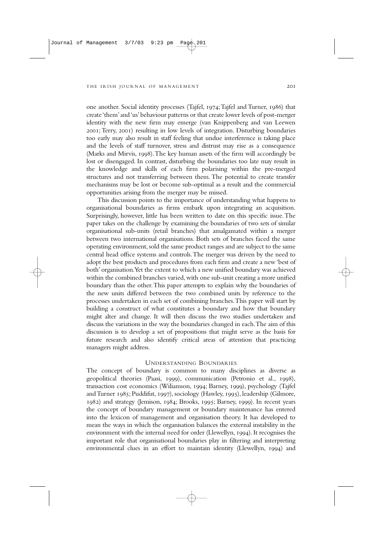one another. Social identity processes (Tajfel, 1974; Tajfel and Turner, 1986) that create 'them'and 'us'behaviour patterns or that create lower levels of post-merger identity with the new firm may emerge (van Knippenberg and van Leewen 2001; Terry, 2001) resulting in low levels of integration. Disturbing boundaries too early may also result in staff feeling that undue interference is taking place and the levels of staff turnover, stress and distrust may rise as a consequence (Marks and Mirvis, 1998). The key human assets of the firm will accordingly be lost or disengaged. In contrast, disturbing the boundaries too late may result in the knowledge and skills of each firm polarising within the pre-merged structures and not transferring between them. The potential to create transfer mechanisms may be lost or become sub-optimal as a result and the commercial opportunities arising from the merger may be missed.

This discussion points to the importance of understanding what happens to organisational boundaries as firms embark upon integrating an acquisition. Surprisingly, however, little has been written to date on this specific issue.The paper takes on the challenge by examining the boundaries of two sets of similar organisational sub-units (retail branches) that amalgamated within a merger between two international organisations. Both sets of branches faced the same operating environment, sold the same product ranges and are subject to the same central head office systems and controls.The merger was driven by the need to adopt the best products and procedures from each firm and create a new 'best of both' organisation.Yet the extent to which a new unified boundary was achieved within the combined branches varied, with one sub-unit creating a more unified boundary than the other.This paper attempts to explain why the boundaries of the new units differed between the two combined units by reference to the processes undertaken in each set of combining branches.This paper will start by building a construct of what constitutes a boundary and how that boundary might alter and change. It will then discuss the two studies undertaken and discuss the variations in the way the boundaries changed in each.The aim of this discussion is to develop a set of propositions that might serve as the basis for future research and also identify critical areas of attention that practicing managers might address.

#### UNDERSTANDING BOUNDARIES

The concept of boundary is common to many disciplines as diverse as geopolitical theories (Paasi, 1999), communication (Petronio et al., 1998), transaction cost economics (Wiliamson, 1994; Barney, 1999), psychology (Tajfel and Turner 1985; Puddifut, 1997), sociology (Hawley, 1995), leadership (Gilmore, 1982) and strategy (Jemison, 1984; Brooks, 1995; Barney, 1999). In recent years the concept of boundary management or boundary maintenance has entered into the lexicon of management and organisation theory. It has developed to mean the ways in which the organisation balances the external instability in the environment with the internal need for order (Llewellyn, 1994). It recognises the important role that organisational boundaries play in filtering and interpreting environmental clues in an effort to maintain identity (Llewellyn, 1994) and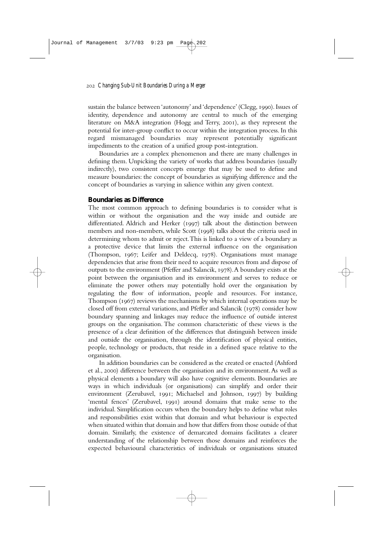sustain the balance between 'autonomy' and 'dependence' (Clegg, 1990). Issues of identity, dependence and autonomy are central to much of the emerging literature on M&A integration (Hogg and Terry, 2001), as they represent the potential for inter-group conflict to occur within the integration process. In this regard mismanaged boundaries may represent potentially significant impediments to the creation of a unified group post-integration.

Boundaries are a complex phenomenon and there are many challenges in defining them. Unpicking the variety of works that address boundaries (usually indirectly), two consistent concepts emerge that may be used to define and measure boundaries: the concept of boundaries as signifying difference and the concept of boundaries as varying in salience within any given context.

# **Boundaries as Difference**

The most common approach to defining boundaries is to consider what is within or without the organisation and the way inside and outside are differentiated. Aldrich and Herker (1997) talk about the distinction between members and non-members, while Scott (1998) talks about the criteria used in determining whom to admit or reject.This is linked to a view of a boundary as a protective device that limits the external influence on the organisation (Thompson, 1967; Leifer and Deldecq, 1978). Organisations must manage dependencies that arise from their need to acquire resources from and dispose of outputs to the environment (Pfeffer and Salancik,  $1978$ ). A boundary exists at the point between the organisation and its environment and serves to reduce or eliminate the power others may potentially hold over the organisation by regulating the flow of information, people and resources. For instance, Thompson (1967) reviews the mechanisms by which internal operations may be closed off from external variations, and Pfeffer and Salancik (1978) consider how boundary spanning and linkages may reduce the influence of outside interest groups on the organisation. The common characteristic of these views is the presence of a clear definition of the differences that distinguish between inside and outside the organisation, through the identification of physical entities, people, technology or products, that reside in a defined space relative to the organisation.

In addition boundaries can be considered as the created or enacted (Ashford et al., 2000) difference between the organisation and its environment. As well as physical elements a boundary will also have cognitive elements. Boundaries are ways in which individuals (or organisations) can simplify and order their environment (Zerubavel, 1991; Michaelsel and Johnson, 1997) by building 'mental fences' (Zerubavel, 1991) around domains that make sense to the individual. Simplification occurs when the boundary helps to define what roles and responsibilities exist within that domain and what behaviour is expected when situated within that domain and how that differs from those outside of that domain. Similarly, the existence of demarcated domains facilitates a clearer understanding of the relationship between those domains and reinforces the expected behavioural characteristics of individuals or organisations situated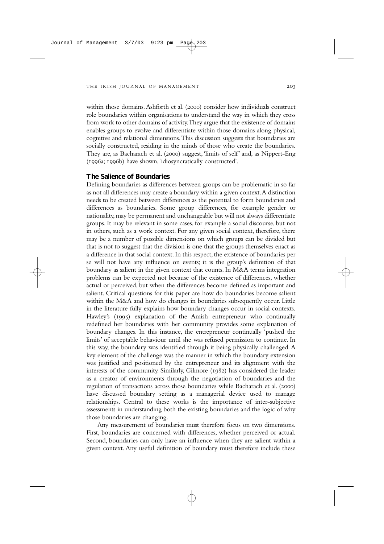within those domains. Ashforth et al. (2000) consider how individuals construct role boundaries within organisations to understand the way in which they cross from work to other domains of activity.They argue that the existence of domains enables groups to evolve and differentiate within those domains along physical, cognitive and relational dimensions.This discussion suggests that boundaries are socially constructed, residing in the minds of those who create the boundaries. They are, as Bacharach et al. (2000) suggest, 'limits of self' and, as Nippert-Eng (1996a; 1996b) have shown, 'idiosyncratically constructed'.

# **The Salience of Boundaries**

Defining boundaries as differences between groups can be problematic in so far as not all differences may create a boundary within a given context.A distinction needs to be created between differences as the potential to form boundaries and differences as boundaries. Some group differences, for example gender or nationality,may be permanent and unchangeable but will not always differentiate groups. It may be relevant in some cases, for example a social discourse, but not in others, such as a work context. For any given social context, therefore, there may be a number of possible dimensions on which groups can be divided but that is not to suggest that the division is one that the groups themselves enact as a difference in that social context. In this respect, the existence of boundaries per se will not have any influence on events; it is the group's definition of that boundary as salient in the given context that counts. In M&A terms integration problems can be expected not because of the existence of differences, whether actual or perceived, but when the differences become defined as important and salient. Critical questions for this paper are how do boundaries become salient within the M&A and how do changes in boundaries subsequently occur. Little in the literature fully explains how boundary changes occur in social contexts. Hawley's (1995) explanation of the Amish entrepreneur who continually redefined her boundaries with her community provides some explanation of boundary changes. In this instance, the entrepreneur continually 'pushed the limits' of acceptable behaviour until she was refused permission to continue. In this way, the boundary was identified through it being physically challenged. A key element of the challenge was the manner in which the boundary extension was justified and positioned by the entrepreneur and its alignment with the interests of the community. Similarly, Gilmore (1982) has considered the leader as a creator of environments through the negotiation of boundaries and the regulation of transactions across those boundaries while Bacharach et al. (2000) have discussed boundary setting as a managerial device used to manage relationships. Central to these works is the importance of inter-subjective assessments in understanding both the existing boundaries and the logic of why those boundaries are changing.

Any measurement of boundaries must therefore focus on two dimensions. First, boundaries are concerned with differences, whether perceived or actual. Second, boundaries can only have an influence when they are salient within a given context. Any useful definition of boundary must therefore include these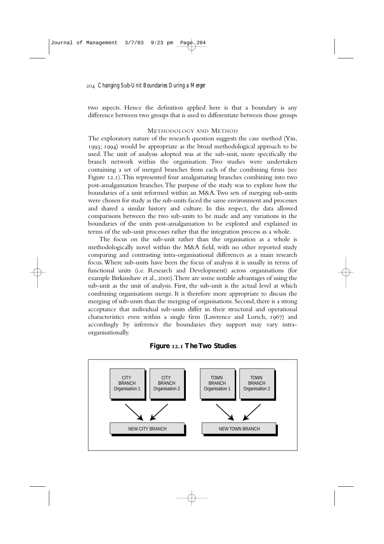two aspects. Hence the definition applied here is that a boundary is any difference between two groups that is used to differentiate between those groups

## METHODOLOGY AND METHOD

The exploratory nature of the research question suggests the case method (Yin, 1993; 1994) would be appropriate as the broad methodological approach to be used. The unit of analysis adopted was at the sub-unit, more specifically the branch network within the organisation. Two studies were undertaken containing a set of merged branches from each of the combining firms (see Figure 12.1). This represented four amalgamating branches combining into two post-amalgamation branches.The purpose of the study was to explore how the boundaries of a unit reformed within an M&A.Two sets of merging sub-units were chosen for study as the sub-units faced the same environment and processes and shared a similar history and culture. In this respect, the data allowed comparisons between the two sub-units to be made and any variations in the boundaries of the units post-amalgamation to be explored and explained in terms of the sub-unit processes rather that the integration process as a whole.

The focus on the sub-unit rather than the organisation as a whole is methodologically novel within the M&A field, with no other reported study comparing and contrasting intra-organisational differences as a main research focus.Where sub-units have been the focus of analysis it is usually in terms of functional units (i.e. Research and Development) across organisations (for example Birkinshaw et al., 2000). There are some notable advantages of using the sub-unit as the unit of analysis. First, the sub-unit is the actual level at which combining organisations merge. It is therefore more appropriate to discuss the merging of sub-units than the merging of organisations. Second, there is a strong acceptance that individual sub-units differ in their structural and operational characteristics even within a single firm (Lawrence and Lorsch, 1967) and accordingly by inference the boundaries they support may vary intraorganisationally.

**Figure . The Two Studies**

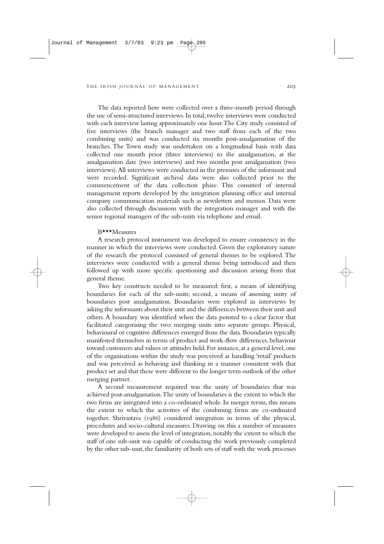The data reported here were collected over a three-month period through the use of semi-structured interviews. In total, twelve interviews were conducted with each interview lasting approximately one hour.The City study consisted of five interviews (the branch manager and two staff from each of the two combining units) and was conducted six months post-amalgamation of the branches. The Town study was undertaken on a longitudinal basis with data collected one month prior (three interviews) to the amalgamation, at the amalgamation date (two interviews) and two months post amalgamation (two interviews).All interviews were conducted in the premises of the informant and were recorded. Significant archival data were also collected prior to the commencement of the data collection phase. This consisted of internal management reports developed by the integration planning office and internal company communication materials such as newsletters and memos. Data were also collected through discussions with the integration manager and with the senior regional managers of the sub-units via telephone and email.

#### B\*\*\*Measures

A research protocol instrument was developed to ensure consistency in the manner in which the interviews were conducted. Given the exploratory nature of the research the protocol consisted of general themes to be explored. The interviews were conducted with a general theme being introduced and then followed up with more specific questioning and discussion arising from that general theme.

Two key constructs needed to be measured: first, a means of identifying boundaries for each of the sub-units; second, a means of assessing unity of boundaries post amalgamation. Boundaries were explored in interviews by asking the informants about their unit and the differences between their unit and others. A boundary was identified when the data pointed to a clear factor that facilitated categorising the two merging units into separate groups. Physical, behavioural or cognitive differences emerged from the data. Boundaries typically manifested themselves in terms of product and work-flow differences, behaviour toward customers and values or attitudes held. For instance, at a general level, one of the organisations within the study was perceived as handling 'retail' products and was perceived as behaving and thinking in a manner consistent with that product set and that these were different to the longer term outlook of the other merging partner.

A second measurement required was the unity of boundaries that was achieved post-amalgamation.The unity of boundaries is the extent to which the two firms are integrated into a co-ordinated whole. In merger terms, this means the extent to which the activities of the combining firms are co-ordinated together. Shrivastava (1986) considered integration in terms of the physical, procedures and socio-cultural measures. Drawing on this a number of measures were developed to assess the level of integration, notably the extent to which the staff of one sub-unit was capable of conducting the work previously completed by the other sub-unit, the familiarity of both sets of staff with the work processes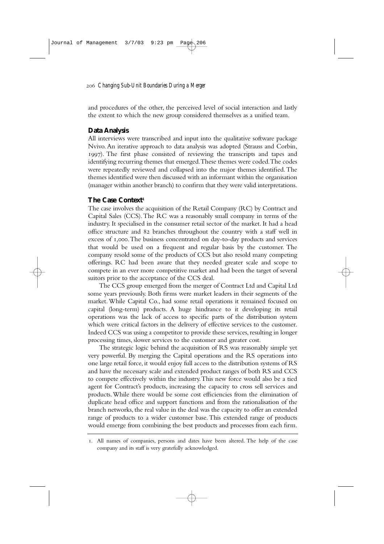and procedures of the other, the perceived level of social interaction and lastly the extent to which the new group considered themselves as a unified team.

# **Data Analysis**

All interviews were transcribed and input into the qualitative software package Nvivo. An iterative approach to data analysis was adopted (Strauss and Corbin, ). The first phase consisted of reviewing the transcripts and tapes and identifying recurring themes that emerged.These themes were coded.The codes were repeatedly reviewed and collapsed into the major themes identified.The themes identified were then discussed with an informant within the organisation (manager within another branch) to confirm that they were valid interpretations.

# **The Case Context<sup>1</sup>**

The case involves the acquisition of the Retail Company (RC) by Contract and Capital Sales (CCS).The RC was a reasonably small company in terms of the industry. It specialised in the consumer retail sector of the market. It had a head office structure and 82 branches throughout the country with a staff well in excess of 1,000. The business concentrated on day-to-day products and services that would be used on a frequent and regular basis by the customer. The company resold some of the products of CCS but also resold many competing offerings. RC had been aware that they needed greater scale and scope to compete in an ever more competitive market and had been the target of several suitors prior to the acceptance of the CCS deal.

The CCS group emerged from the merger of Contract Ltd and Capital Ltd some years previously. Both firms were market leaders in their segments of the market. While Capital Co., had some retail operations it remained focused on capital (long-term) products. A huge hindrance to it developing its retail operations was the lack of access to specific parts of the distribution system which were critical factors in the delivery of effective services to the customer. Indeed CCS was using a competitor to provide these services, resulting in longer processing times, slower services to the customer and greater cost.

The strategic logic behind the acquisition of RS was reasonably simple yet very powerful. By merging the Capital operations and the RS operations into one large retail force, it would enjoy full access to the distribution systems of RS and have the necessary scale and extended product ranges of both RS and CCS to compete effectively within the industry.This new force would also be a tied agent for Contract's products, increasing the capacity to cross sell services and products.While there would be some cost efficiencies from the elimination of duplicate head office and support functions and from the rationalisation of the branch networks, the real value in the deal was the capacity to offer an extended range of products to a wider customer base. This extended range of products would emerge from combining the best products and processes from each firm.

<sup>.</sup> All names of companies, persons and dates have been altered. The help of the case company and its staff is very gratefully acknowledged.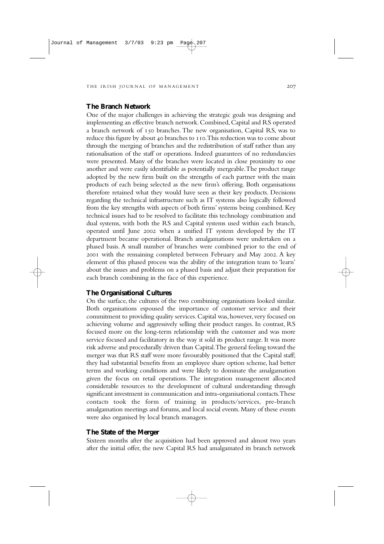# **The Branch Network**

One of the major challenges in achieving the strategic goals was designing and implementing an effective branch network. Combined, Capital and RS operated a branch network of 150 branches. The new organisation, Capital RS, was to reduce this figure by about 40 branches to 110. This reduction was to come about through the merging of branches and the redistribution of staff rather than any rationalisation of the staff or operations. Indeed guarantees of no redundancies were presented. Many of the branches were located in close proximity to one another and were easily identifiable as potentially mergeable.The product range adopted by the new firm built on the strengths of each partner with the main products of each being selected as the new firm's offering. Both organisations therefore retained what they would have seen as their key products. Decisions regarding the technical infrastructure such as IT systems also logically followed from the key strengths with aspects of both firms' systems being combined. Key technical issues had to be resolved to facilitate this technology combination and dual systems, with both the RS and Capital systems used within each branch, operated until June 2002 when a unified IT system developed by the IT department became operational. Branch amalgamations were undertaken on a phased basis. A small number of branches were combined prior to the end of 2001 with the remaining completed between February and May 2002. A key element of this phased process was the ability of the integration team to 'learn' about the issues and problems on a phased basis and adjust their preparation for each branch combining in the face of this experience.

#### **The Organisational Cultures**

On the surface, the cultures of the two combining organisations looked similar. Both organisations espoused the importance of customer service and their commitment to providing quality services. Capital was, however, very focused on achieving volume and aggressively selling their product ranges. In contrast, RS focused more on the long-term relationship with the customer and was more service focused and facilitatory in the way it sold its product range. It was more risk adverse and procedurally driven than Capital.The general feeling toward the merger was that RS staff were more favourably positioned that the Capital staff; they had substantial benefits from an employee share option scheme, had better terms and working conditions and were likely to dominate the amalgamation given the focus on retail operations. The integration management allocated considerable resources to the development of cultural understanding through significant investment in communication and intra-organisational contacts.These contacts took the form of training in products/services, pre-branch amalgamation meetings and forums, and local social events. Many of these events were also organised by local branch managers.

## **The State of the Merger**

Sixteen months after the acquisition had been approved and almost two years after the initial offer, the new Capital RS had amalgamated its branch network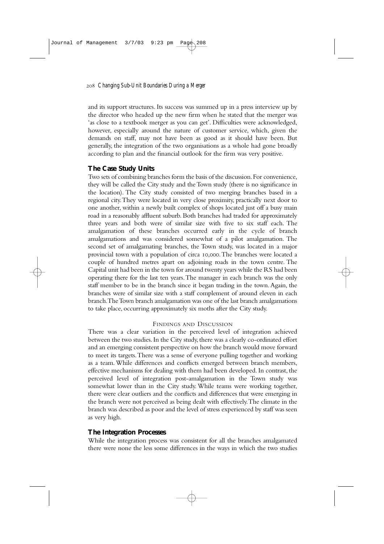and its support structures. Its success was summed up in a press interview up by the director who headed up the new firm when he stated that the merger was 'as close to a textbook merger as you can get'. Difficulties were acknowledged, however, especially around the nature of customer service, which, given the demands on staff, may not have been as good as it should have been. But generally, the integration of the two organisations as a whole had gone broadly according to plan and the financial outlook for the firm was very positive.

# **The Case Study Units**

Two sets of combining branches form the basis of the discussion.For convenience, they will be called the City study and the Town study (there is no significance in the location). The City study consisted of two merging branches based in a regional city.They were located in very close proximity, practically next door to one another, within a newly built complex of shops located just off a busy main road in a reasonably affluent suburb. Both branches had traded for approximately three years and both were of similar size with five to six staff each. The amalgamation of these branches occurred early in the cycle of branch amalgamations and was considered somewhat of a pilot amalgamation. The second set of amalgamating branches, the Town study, was located in a major provincial town with a population of circa 10,000. The branches were located a couple of hundred metres apart on adjoining roads in the town centre. The Capital unit had been in the town for around twenty years while the RS had been operating there for the last ten years.The manager in each branch was the only staff member to be in the branch since it began trading in the town. Again, the branches were of similar size with a staff complement of around eleven in each branch.The Town branch amalgamation was one of the last branch amalgamations to take place, occurring approximately six moths after the City study.

# FINDINGS AND DISCUSSION

There was a clear variation in the perceived level of integration achieved between the two studies. In the City study, there was a clearly co-ordinated effort and an emerging consistent perspective on how the branch would move forward to meet its targets.There was a sense of everyone pulling together and working as a team. While differences and conflicts emerged between branch members, effective mechanisms for dealing with them had been developed. In contrast, the perceived level of integration post-amalgamation in the Town study was somewhat lower than in the City study. While teams were working together, there were clear outliers and the conflicts and differences that were emerging in the branch were not perceived as being dealt with effectively.The climate in the branch was described as poor and the level of stress experienced by staff was seen as very high.

# **The Integration Processes**

While the integration process was consistent for all the branches amalgamated there were none the less some differences in the ways in which the two studies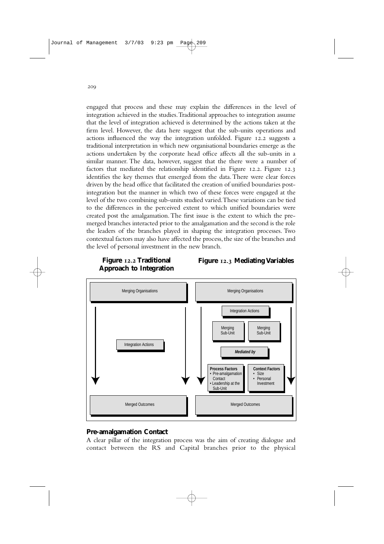engaged that process and these may explain the differences in the level of integration achieved in the studies.Traditional approaches to integration assume that the level of integration achieved is determined by the actions taken at the firm level. However, the data here suggest that the sub-units operations and actions influenced the way the integration unfolded. Figure 12.2 suggests a traditional interpretation in which new organisational boundaries emerge as the actions undertaken by the corporate head office affects all the sub-units in a similar manner. The data, however, suggest that the there were a number of factors that mediated the relationship identified in Figure  $12.2$ . Figure  $12.3$ identifies the key themes that emerged from the data.There were clear forces driven by the head office that facilitated the creation of unified boundaries postintegration but the manner in which two of these forces were engaged at the level of the two combining sub-units studied varied.These variations can be tied to the differences in the perceived extent to which unified boundaries were created post the amalgamation. The first issue is the extent to which the premerged branches interacted prior to the amalgamation and the second is the role the leaders of the branches played in shaping the integration processes. Two contextual factors may also have affected the process,the size of the branches and the level of personal investment in the new branch.

# **Figure . Traditional Approach to Integration**





# **Pre-amalgamation Contact**

A clear pillar of the integration process was the aim of creating dialogue and contact between the RS and Capital branches prior to the physical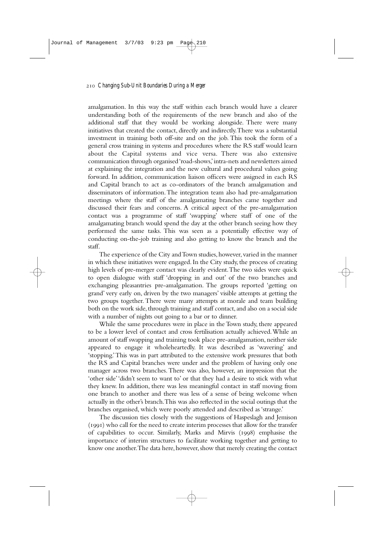amalgamation. In this way the staff within each branch would have a clearer understanding both of the requirements of the new branch and also of the additional staff that they would be working alongside. There were many initiatives that created the contact, directly and indirectly.There was a substantial investment in training both off-site and on the job. This took the form of a general cross training in systems and procedures where the RS staff would learn about the Capital systems and vice versa. There was also extensive communication through organised 'road-shows,'intra-nets and newsletters aimed at explaining the integration and the new cultural and procedural values going forward. In addition, communication liaison officers were assigned in each RS and Capital branch to act as co-ordinators of the branch amalgamation and disseminators of information.The integration team also had pre-amalgamation meetings where the staff of the amalgamating branches came together and discussed their fears and concerns. A critical aspect of the pre-amalgamation contact was a programme of staff 'swapping' where staff of one of the amalgamating branch would spend the day at the other branch seeing how they performed the same tasks. This was seen as a potentially effective way of conducting on-the-job training and also getting to know the branch and the staff.

The experience of the City and Town studies, however, varied in the manner in which these initiatives were engaged. In the City study, the process of creating high levels of pre-merger contact was clearly evident.The two sides were quick to open dialogue with staff 'dropping in and out' of the two branches and exchanging pleasantries pre-amalgamation. The groups reported 'getting on grand' very early on, driven by the two managers' visible attempts at getting the two groups together. There were many attempts at morale and team building both on the work side, through training and staff contact, and also on a social side with a number of nights out going to a bar or to dinner.

While the same procedures were in place in the Town study, there appeared to be a lower level of contact and cross fertilisation actually achieved.While an amount of staff swapping and training took place pre-amalgamation, neither side appeared to engage it wholeheartedly. It was described as 'wavering' and 'stopping.'This was in part attributed to the extensive work pressures that both the RS and Capital branches were under and the problem of having only one manager across two branches. There was also, however, an impression that the 'other side''didn't seem to want to' or that they had a desire to stick with what they knew. In addition, there was less meaningful contact in staff moving from one branch to another and there was less of a sense of being welcome when actually in the other's branch.This was also reflected in the social outings that the branches organised, which were poorly attended and described as 'strange.'

The discussion ties closely with the suggestions of Haspeslagh and Jemison  $(1991)$  who call for the need to create interim processes that allow for the transfer of capabilities to occur. Similarly, Marks and Mirvis (1998) emphasise the importance of interim structures to facilitate working together and getting to know one another. The data here, however, show that merely creating the contact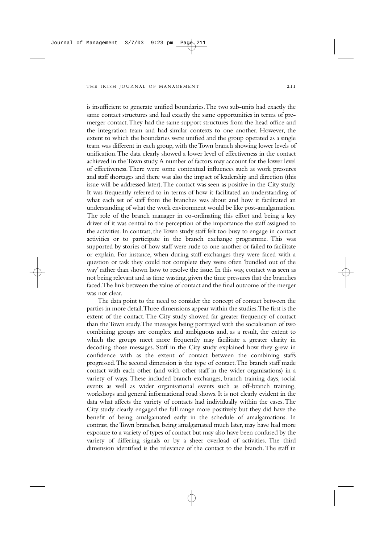is insufficient to generate unified boundaries.The two sub-units had exactly the same contact structures and had exactly the same opportunities in terms of premerger contact.They had the same support structures from the head office and the integration team and had similar contexts to one another. However, the extent to which the boundaries were unified and the group operated as a single team was different in each group, with the Town branch showing lower levels of unification.The data clearly showed a lower level of effectiveness in the contact achieved in the Town study.A number of factors may account for the lower level of effectiveness.There were some contextual influences such as work pressures and staff shortages and there was also the impact of leadership and direction (this issue will be addressed later).The contact was seen as positive in the City study. It was frequently referred to in terms of how it facilitated an understanding of what each set of staff from the branches was about and how it facilitated an understanding of what the work environment would be like post-amalgamation. The role of the branch manager in co-ordinating this effort and being a key driver of it was central to the perception of the importance the staff assigned to the activities. In contrast, the Town study staff felt too busy to engage in contact activities or to participate in the branch exchange programme. This was supported by stories of how staff were rude to one another or failed to facilitate or explain. For instance, when during staff exchanges they were faced with a question or task they could not complete they were often 'bundled out of the way' rather than shown how to resolve the issue. In this way, contact was seen as not being relevant and as time wasting,given the time pressures that the branches faced.The link between the value of contact and the final outcome of the merger was not clear.

The data point to the need to consider the concept of contact between the parties in more detail.Three dimensions appear within the studies.The first is the extent of the contact.The City study showed far greater frequency of contact than the Town study.The messages being portrayed with the socialisation of two combining groups are complex and ambiguous and, as a result, the extent to which the groups meet more frequently may facilitate a greater clarity in decoding those messages. Staff in the City study explained how they grew in confidence with as the extent of contact between the combining staffs progressed.The second dimension is the type of contact.The branch staff made contact with each other (and with other staff in the wider organisations) in a variety of ways. These included branch exchanges, branch training days, social events as well as wider organisational events such as off-branch training, workshops and general informational road shows. It is not clearly evident in the data what affects the variety of contacts had individually within the cases.The City study clearly engaged the full range more positively but they did have the benefit of being amalgamated early in the schedule of amalgamations. In contrast, the Town branches, being amalgamated much later, may have had more exposure to a variety of types of contact but may also have been confused by the variety of differing signals or by a sheer overload of activities. The third dimension identified is the relevance of the contact to the branch.The staff in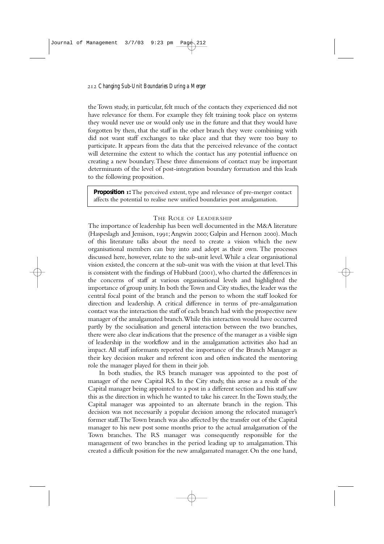the Town study, in particular, felt much of the contacts they experienced did not have relevance for them. For example they felt training took place on systems they would never use or would only use in the future and that they would have forgotten by then, that the staff in the other branch they were combining with did not want staff exchanges to take place and that they were too busy to participate. It appears from the data that the perceived relevance of the contact will determine the extent to which the contact has any potential influence on creating a new boundary.These three dimensions of contact may be important determinants of the level of post-integration boundary formation and this leads to the following proposition.

**Proposition <b>I**: The perceived extent, type and relevance of pre-merger contact affects the potential to realise new unified boundaries post amalgamation.

## THE ROLE OF LEADERSHIP

The importance of leadership has been well documented in the M&A literature (Haspeslagh and Jemison, 1991; Angwin 2000; Galpin and Hernon 2000). Much of this literature talks about the need to create a vision which the new organisational members can buy into and adopt as their own. The processes discussed here, however, relate to the sub-unit level.While a clear organisational vision existed, the concern at the sub-unit was with the vision at that level.This is consistent with the findings of Hubbard  $(2001)$ , who charted the differences in the concerns of staff at various organisational levels and highlighted the importance of group unity. In both the Town and City studies, the leader was the central focal point of the branch and the person to whom the staff looked for direction and leadership. A critical difference in terms of pre-amalgamation contact was the interaction the staff of each branch had with the prospective new manager of the amalgamated branch.While this interaction would have occurred partly by the socialisation and general interaction between the two branches, there were also clear indications that the presence of the manager as a visible sign of leadership in the workflow and in the amalgamation activities also had an impact. All staff informants reported the importance of the Branch Manager as their key decision maker and referent icon and often indicated the mentoring role the manager played for them in their job.

In both studies, the RS branch manager was appointed to the post of manager of the new Capital RS. In the City study, this arose as a result of the Capital manager being appointed to a post in a different section and his staff saw this as the direction in which he wanted to take his career. In the Town study, the Capital manager was appointed to an alternate branch in the region. This decision was not necessarily a popular decision among the relocated manager's former staff.The Town branch was also affected by the transfer out of the Capital manager to his new post some months prior to the actual amalgamation of the Town branches. The RS manager was consequently responsible for the management of two branches in the period leading up to amalgamation.This created a difficult position for the new amalgamated manager. On the one hand,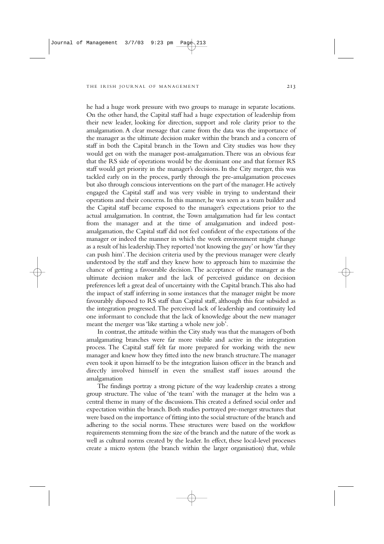he had a huge work pressure with two groups to manage in separate locations. On the other hand, the Capital staff had a huge expectation of leadership from their new leader, looking for direction, support and role clarity prior to the amalgamation. A clear message that came from the data was the importance of the manager as the ultimate decision maker within the branch and a concern of staff in both the Capital branch in the Town and City studies was how they would get on with the manager post-amalgamation.There was an obvious fear that the RS side of operations would be the dominant one and that former RS staff would get priority in the manager's decisions. In the City merger, this was tackled early on in the process, partly through the pre-amalgamation processes but also through conscious interventions on the part of the manager. He actively engaged the Capital staff and was very visible in trying to understand their operations and their concerns. In this manner, he was seen as a team builder and the Capital staff became exposed to the manager's expectations prior to the actual amalgamation. In contrast, the Town amalgamation had far less contact from the manager and at the time of amalgamation and indeed postamalgamation, the Capital staff did not feel confident of the expectations of the manager or indeed the manner in which the work environment might change as a result of his leadership.They reported 'not knowing the guy' or how 'far they can push him'.The decision criteria used by the previous manager were clearly understood by the staff and they knew how to approach him to maximise the chance of getting a favourable decision.The acceptance of the manager as the ultimate decision maker and the lack of perceived guidance on decision preferences left a great deal of uncertainty with the Capital branch.This also had the impact of staff inferring in some instances that the manager might be more favourably disposed to RS staff than Capital staff, although this fear subsided as the integration progressed.The perceived lack of leadership and continuity led one informant to conclude that the lack of knowledge about the new manager meant the merger was 'like starting a whole new job'.

In contrast, the attitude within the City study was that the managers of both amalgamating branches were far more visible and active in the integration process. The Capital staff felt far more prepared for working with the new manager and knew how they fitted into the new branch structure.The manager even took it upon himself to be the integration liaison officer in the branch and directly involved himself in even the smallest staff issues around the amalgamation

The findings portray a strong picture of the way leadership creates a strong group structure. The value of 'the team' with the manager at the helm was a central theme in many of the discussions.This created a defined social order and expectation within the branch. Both studies portrayed pre-merger structures that were based on the importance of fitting into the social structure of the branch and adhering to the social norms. These structures were based on the workflow requirements stemming from the size of the branch and the nature of the work as well as cultural norms created by the leader. In effect, these local-level processes create a micro system (the branch within the larger organisation) that, while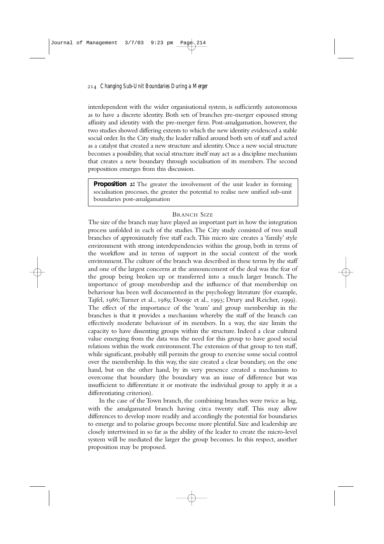interdependent with the wider organisational system, is sufficiently autonomous as to have a discrete identity. Both sets of branches pre-merger espoused strong affinity and identity with the pre-merger firm. Post-amalgamation, however, the two studies showed differing extents to which the new identity evidenced a stable social order. In the City study, the leader rallied around both sets of staff and acted as a catalyst that created a new structure and identity. Once a new social structure becomes a possibility, that social structure itself may act as a discipline mechanism that creates a new boundary through socialisation of its members. The second proposition emerges from this discussion.

**Proposition 2:** The greater the involvement of the unit leader in forming socialisation processes, the greater the potential to realise new unified sub-unit boundaries post-amalgamation

# BRANCH SIZE

The size of the branch may have played an important part in how the integration process unfolded in each of the studies.The City study consisted of two small branches of approximately five staff each.This micro size creates a 'family' style environment with strong interdependencies within the group, both in terms of the workflow and in terms of support in the social context of the work environment.The culture of the branch was described in these terms by the staff and one of the largest concerns at the announcement of the deal was the fear of the group being broken up or transferred into a much larger branch. The importance of group membership and the influence of that membership on behaviour has been well documented in the psychology literature (for example, Tajfel,  $1986$ ; Turner et al.,  $1989$ ; Doosje et al.,  $1995$ ; Drury and Reicher,  $1999$ ). The effect of the importance of the 'team' and group membership in the branches is that it provides a mechanism whereby the staff of the branch can effectively moderate behaviour of its members. In a way, the size limits the capacity to have dissenting groups within the structure. Indeed a clear cultural value emerging from the data was the need for this group to have good social relations within the work environment.The extension of that group to ten staff, while significant, probably still permits the group to exercise some social control over the membership. In this way, the size created a clear boundary, on the one hand, but on the other hand, by its very presence created a mechanism to overcome that boundary (the boundary was an issue of difference but was insufficient to differentiate it or motivate the individual group to apply it as a differentiating criterion).

In the case of the Town branch, the combining branches were twice as big, with the amalgamated branch having circa twenty staff. This may allow differences to develop more readily and accordingly the potential for boundaries to emerge and to polarise groups become more plentiful. Size and leadership are closely intertwined in so far as the ability of the leader to create the micro-level system will be mediated the larger the group becomes. In this respect, another proposition may be proposed.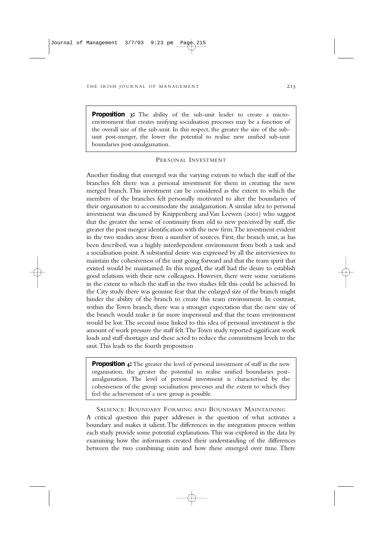**Proposition 3:** The ability of the sub-unit leader to create a microenvironment that creates unifying socialisation processes may be a function of the overall size of the sub-unit. In this respect, the greater the size of the subunit post-merger, the lower the potential to realise new unified sub-unit boundaries post-amalgamation.

## PERSONAL INVESTMENT

Another finding that emerged was the varying extents to which the staff of the branches felt there was a personal investment for them in creating the new merged branch.This investment can be considered as the extent to which the members of the branches felt personally motivated to alter the boundaries of their organisation to accommodate the amalgamation.A similar idea to personal investment was discussed by Knippenberg and Van Leewen (2001) who suggest that the greater the sense of continuity from old to new perceived by staff, the greater the post merger identification with the new firm.The investment evident in the two studies arose from a number of sources. First, the branch unit, as has been described, was a highly interdependent environment from both a task and a socialisation point.A substantial desire was expressed by all the interviewees to maintain the cohesiveness of the unit going forward and that the team spirit that existed would be maintained. In this regard, the staff had the desire to establish good relations with their new colleagues. However, there were some variations in the extent to which the staff in the two studies felt this could be achieved. In the City study there was genuine fear that the enlarged size of the branch might hinder the ability of the branch to create this team environment. In contrast, within the Town branch, there was a stronger expectation that the new size of the branch would make it far more impersonal and that the team environment would be lost.The second issue linked to this idea of personal investment is the amount of work pressure the staff felt.The Town study reported significant work loads and staff shortages and these acted to reduce the commitment levels to the unit.This leads to the fourth proposition

**Proposition 4:** The greater the level of personal investment of staff in the new organisation, the greater the potential to realise unified boundaries postamalgamation. The level of personal investment is characterised by the cohesiveness of the group socialisation processes and the extent to which they feel the achievement of a new group is possible.

SALIENCE: BOUNDARY FORMING AND BOUNDARY MAINTAINING A critical question this paper addresses is the question of what activates a boundary and makes it salient.The differences in the integration process within each study provide some potential explanations.This was explored in the data by examining how the informants created their understanding of the differences between the two combining units and how these emerged over time. There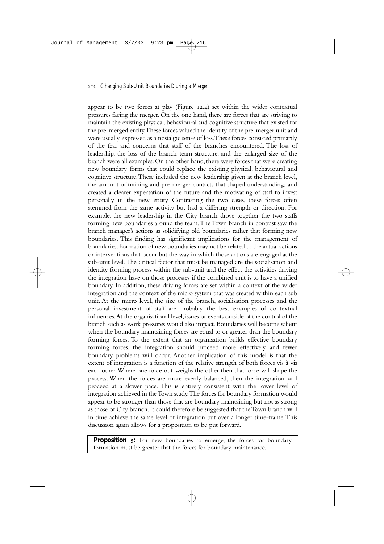appear to be two forces at play (Figure  $12.4$ ) set within the wider contextual pressures facing the merger. On the one hand, there are forces that are striving to maintain the existing physical, behavioural and cognitive structure that existed for the pre-merged entity.These forces valued the identity of the pre-merger unit and were usually expressed as a nostalgic sense of loss.These forces consisted primarily of the fear and concerns that staff of the branches encountered. The loss of leadership, the loss of the branch team structure, and the enlarged size of the branch were all examples. On the other hand, there were forces that were creating new boundary forms that could replace the existing physical, behavioural and cognitive structure.These included the new leadership given at the branch level, the amount of training and pre-merger contacts that shaped understandings and created a clearer expectation of the future and the motivating of staff to invest personally in the new entity. Contrasting the two cases, these forces often stemmed from the same activity but had a differing strength or direction. For example, the new leadership in the City branch drove together the two staffs forming new boundaries around the team.The Town branch in contrast saw the branch manager's actions as solidifying old boundaries rather that forming new boundaries. This finding has significant implications for the management of boundaries.Formation of new boundaries may not be related to the actual actions or interventions that occur but the way in which those actions are engaged at the sub-unit level.The critical factor that must be managed are the socialisation and identity forming process within the sub-unit and the effect the activities driving the integration have on those processes if the combined unit is to have a unified boundary. In addition, these driving forces are set within a context of the wider integration and the context of the micro system that was created within each sub unit. At the micro level, the size of the branch, socialisation processes and the personal investment of staff are probably the best examples of contextual influences. At the organisational level, issues or events outside of the control of the branch such as work pressures would also impact. Boundaries will become salient when the boundary maintaining forces are equal to or greater than the boundary forming forces. To the extent that an organisation builds effective boundary forming forces, the integration should proceed more effectively and fewer boundary problems will occur. Another implication of this model is that the extent of integration is a function of the relative strength of both forces vis à vis each other.Where one force out-weighs the other then that force will shape the process. When the forces are more evenly balanced, then the integration will proceed at a slower pace. This is entirely consistent with the lower level of integration achieved in the Town study.The forces for boundary formation would appear to be stronger than those that are boundary maintaining but not as strong as those of City branch.It could therefore be suggested that the Town branch will in time achieve the same level of integration but over a longer time-frame.This discussion again allows for a proposition to be put forward.

**Proposition 5:** For new boundaries to emerge, the forces for boundary formation must be greater that the forces for boundary maintenance.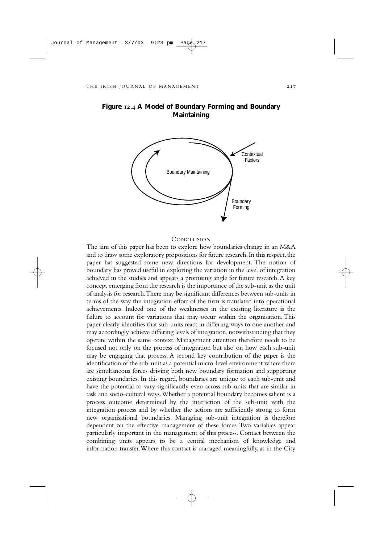

# **Figure . A Model of Boundary Forming and Boundary Maintaining**

#### **CONCLUSION**

The aim of this paper has been to explore how boundaries change in an M&A and to draw some exploratory propositions for future research. In this respect, the paper has suggested some new directions for development. The notion of boundary has proved useful in exploring the variation in the level of integration achieved in the studies and appears a promising angle for future research.A key concept emerging from the research is the importance of the sub-unit as the unit of analysis for research.There may be significant differences between sub-units in terms of the way the integration effort of the firm is translated into operational achievements. Indeed one of the weaknesses in the existing literature is the failure to account for variations that may occur within the organisation. This paper clearly identifies that sub-units react in differing ways to one another and may accordingly achieve differing levels of integration, notwithstanding that they operate within the same context. Management attention therefore needs to be focused not only on the process of integration but also on how each sub-unit may be engaging that process. A second key contribution of the paper is the identification of the sub-unit as a potential micro-level environment where there are simultaneous forces driving both new boundary formation and supporting existing boundaries. In this regard, boundaries are unique to each sub-unit and have the potential to vary significantly even across sub-units that are similar in task and socio-cultural ways.Whether a potential boundary becomes salient is a process outcome determined by the interaction of the sub-unit with the integration process and by whether the actions are sufficiently strong to form new organisational boundaries. Managing sub-unit integration is therefore dependent on the effective management of these forces. Two variables appear particularly important in the management of this process. Contact between the combining units appears to be a central mechanism of knowledge and information transfer.Where this contact is managed meaningfully, as in the City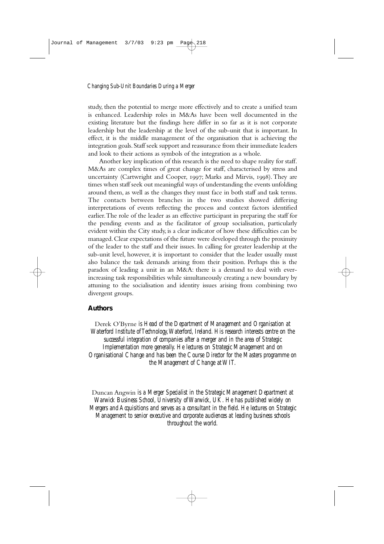study, then the potential to merge more effectively and to create a unified team is enhanced. Leadership roles in M&As have been well documented in the existing literature but the findings here differ in so far as it is not corporate leadership but the leadership at the level of the sub-unit that is important. In effect, it is the middle management of the organisation that is achieving the integration goals.Staff seek support and reassurance from their immediate leaders and look to their actions as symbols of the integration as a whole.

Another key implication of this research is the need to shape reality for staff. M&As are complex times of great change for staff, characterised by stress and uncertainty (Cartwright and Cooper, 1997; Marks and Mirvis, 1998). They are times when staff seek out meaningful ways of understanding the events unfolding around them, as well as the changes they must face in both staff and task terms. The contacts between branches in the two studies showed differing interpretations of events reflecting the process and context factors identified earlier.The role of the leader as an effective participant in preparing the staff for the pending events and as the facilitator of group socialisation, particularly evident within the City study, is a clear indicator of how these difficulties can be managed.Clear expectations of the future were developed through the proximity of the leader to the staff and their issues. In calling for greater leadership at the sub-unit level, however, it is important to consider that the leader usually must also balance the task demands arising from their position. Perhaps this is the paradox of leading a unit in an M&A: there is a demand to deal with everincreasing task responsibilities while simultaneously creating a new boundary by attuning to the socialisation and identity issues arising from combining two divergent groups.

# **Authors**

Derek O'Byrne *is Head of the Department of Management and Organisation at Waterford Institute of Technology,Waterford, Ireland. His research interests centre on the successful integration of companies after a merger and in the area of Strategic Implementation more generally. He lectures on Strategic Management and on Organisational Change and has been the Course Director for the Masters programme on the Management of Change at WIT.*

Duncan Angwin *is a Merger Specialist in the Strategic Management Department at Warwick Business School, University of Warwick, UK. He has published widely on Mergers and Acquisitions and serves as a consultant in the field. He lectures on Strategic Management to senior executive and corporate audiences at leading business schools throughout the world.*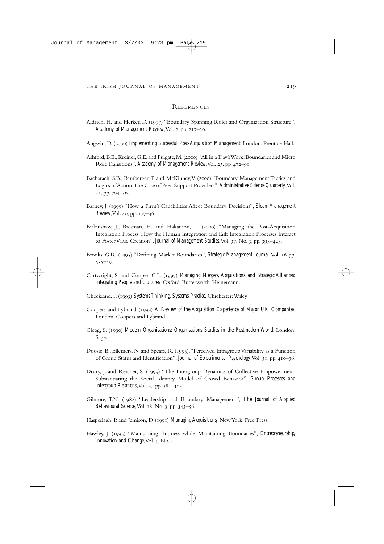#### REFERENCES

- Aldrich, H. and Herker, D. (1977) "Boundary Spanning Roles and Organization Structure", *Academy of Management Review*, Vol. 2, pp. 217-30.
- Angwin, D. (2000) *Implementing Successful Post-Acquisition Management*, London: Prentice Hall.
- Ashford, B.E., Kreiner, G.E. and Fulgate, M. (2000) "All in a Day's Work: Boundaries and Micro Role Transitions", *Academy of Management Review*, Vol. 25, pp. 472-91.
- Bacharach, S.B., Bamberger, P. and McKinney, V. (2000) "Boundary Management Tactics and Logics of Action:The Case of Peer-Support Providers",*Administrative Science Quarterly*,Vol. 45, pp. 704-36.
- Barney, J. (1999) "How a Firm's Capabilities Affect Boundary Decisions", *Sloan Management Review*, Vol. 40, pp. 137–46.
- Birkinshaw, J., Bresman, H. and Hakanson, L. (2000) "Managing the Post-Acquisition Integration Process: How the Human Integration and Task Integration Processes Interact to Foster Value Creation", *Journal of Management Studies*, Vol. 37, No. 3, pp. 395-425.
- Brooks, G.R. (1995) "Defining Market Boundaries", *Strategic Management Journal*, Vol. 16 pp.  $535 - 49.$
- Cartwright, S. and Cooper, C.L. (1997) Managing Mergers, Acquisitions and Strategic Alliances: *Integrating People and Cultures,* Oxford: Butterworth-Heinemann.
- Checkland, P. () *Systems Thinking, Systems Practice*, Chichester:Wiley.
- Coopers and Lybrand (1992) A Review of the Aquisition Experience of Major UK Companies, London: Coopers and Lybrand.
- Clegg, S. (1990) *Modern Organisations: Organisations Studies in the Postmodern World*, London: Sage.
- Doosie, B., Ellemers, N. and Spears, R. (1995). "Perceived Intragroup Variability as a Function of Group Status and Identification", *Journal of Experimental Psychology*, Vol. 31, pp. 410-36.
- Drury, J. and Reicher, S. (1999) "The Intergroup Dynamics of Collective Empowerment: Substantiating the Social Identity Model of Crowd Behavior", *Group Processes and Intergroup Relations*, Vol. 2, pp. 381-402.
- Gilmore, T.N. (1982) "Leadership and Boundary Management", *The Journal of Applied Behavioural Science*, Vol. 18, No. 3, pp. 343-56.
- Haspeslagh, P. and Jemison, D. (1991) *Managing Acquisitions*, New York: Free Press.
- Hawley, J (1995) "Maintaining Business while Maintaining Boundaries", *Entrepreneurship*, *Innovation and Change*, Vol. 4, No. 4.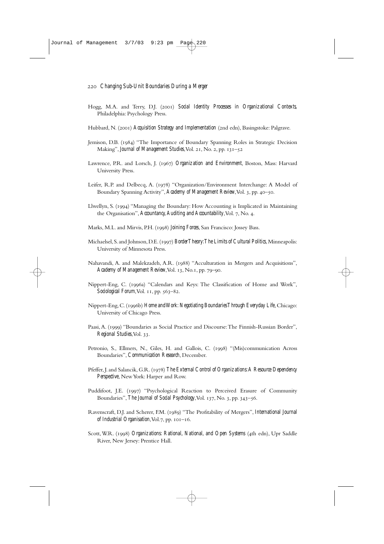- Hogg, M.A. and Terry, D.J. (2001) Social Identity Processes in Organizational Contexts, Philadelphia: Psychology Press.
- Hubbard, N. (2001) *Acquisition Strategy and Implementation* (2nd edn), Basingstoke: Palgrave.
- Jemison, D.B. (1984) "The Importance of Boundary Spanning Roles in Strategic Decision Making", *Journal of Management Studies*, Vol. 21, No. 2, pp. 131-52
- Lawrence, P.R. and Lorsch, J. (1967) *Organization and Environment*, Boston, Mass: Harvard University Press.
- Leifer, R.P. and Delbecq, A. (1978) "Organization/Environment Interchange: A Model of Boundary Spanning Activity", *Academy of Management Review*, Vol. 3, pp. 40-50.
- Llwellyn, S. (1994) "Managing the Boundary: How Accounting is Implicated in Maintaining the Organisation", *Accountancy, Auditing and Accountability*, Vol. 7, No. 4.
- Marks, M.L. and Mirvis, P.H. (1998) *Joining Forces*, San Francisco: Jossey Bass.
- Michaelsel,S.and Johnson,D.E.() *Border Theory:The Limits of Cultural Politics*,Minneapolis: University of Minnesota Press.
- Nahavandi, A. and Malekzadeh, A.R. (1988) "Acculturation in Mergers and Acquisitions", *Academy of Management Review*, Vol. 13, No.1, pp. 79-90.
- Nippert-Eng, C. (1996a) "Calendars and Keys: The Classification of Home and Work", *Sociological Forum*, Vol. 11, pp. 563-82.
- Nippert-Eng,C.(b) *Home and Work:Negotiating Boundaries Through Everyday Life*,Chicago: University of Chicago Press.
- Paasi, A. (1999) "Boundaries as Social Practice and Discourse: The Finnish-Russian Border", *Regional Studies*, Vol. 33.
- Petronio, S., Ellmers, N., Giles, H. and Gallois, C. (1998) "(Mis)communication Across Boundaries", *Communication Research*, December.
- Pfeffer, J. and Salancik, G.R. (1978) *The External Control of Organizations: A Resource Dependency Perspective*, New York: Harper and Row.
- Puddifoot, J.E. (1997) "Psychological Reaction to Perceived Erasure of Community Boundaries", *The Journal of Social Psychology*, Vol. 137, No. 3, pp. 343-56.
- Ravenscraft, D.J. and Scherer, F.M. (1989) "The Profitability of Mergers", *International Journal of Industrial Organisation*, Vol.7, pp. 101-16.
- Scott, W.R. (1998) *Organizations: Rational, National, and Open Systems* (4th edn), Upr Saddle River, New Jersey: Prentice Hall.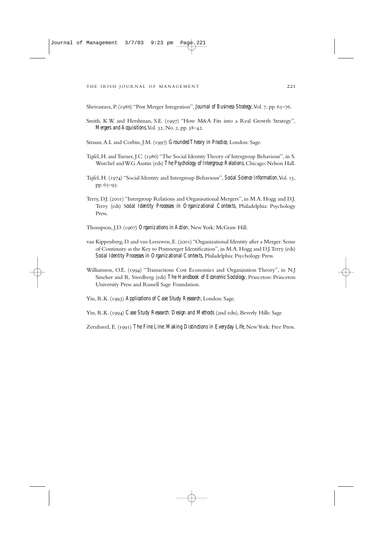Shrivastava, P. (1986) "Post Merger Integration", *Journal of Business Strategy*, Vol. 7, pp. 65–76.

Smith, K.W. and Hershman, S.E. (1997) "How M&A Fits into a Real Growth Strategy", *Mergers and Acquisitions*, Vol. 32, No. 2, pp.  $38-42$ .

Strauss, A.L and Corbin, J.M. (1997) *Grounded Theory in Practice*, London: Sage.

- Tajfel, H. and Turner, J.C. (1986) "The Social Identity Theory of Intergroup Behaviour", in S. Worchel and W.G. Austin (eds) *The Psychology of Intergroup Relations*, Chicago: Nelson Hall.
- Tajfel, H. (1974) "Social Identity and Intergroup Behaviour", *Social Science Information*, Vol. 13, pp. 65-93.
- Terry, D.J. (2001) "Intergroup Relations and Organisational Mergers", in M.A. Hogg and D.J. Terry (eds) S*ocial Identity Processes in Organizational Contexts*, Philadelphia: Psychology Press.

Thompson, J.D. (1967) *Organizations in Action*, New York: McGraw Hill.

- van Kippenberg, D. and van Leeuwen, E. (2001) "Organizational Identity after a Merger: Sense of Continuity as the Key to Postmerger Identification", in M.A. Hogg and D.J.Terry (eds) *Social Identity Processes in Organizational Contexts*, Philadelphia: Psychology Press.
- Williamson, O.E. (1994) "Transactions Cost Economics and Organization Theory", in N.J. Smelser and R. Swedberg (eds) *The Handbook of Economic Sociology*, Princeton: Princeton University Press and Russell Sage Foundation.
- Yin, R.K. (1993) *Applications of Case Study Research*, London: Sage.
- Yin, R.K. (1994) *Case Study Research: Design and Methods* (2nd edn), Beverly Hills: Sage

Zerubavel, E. (1991) The Fine Line: Making Distinctions in Everyday Life, New York: Free Press.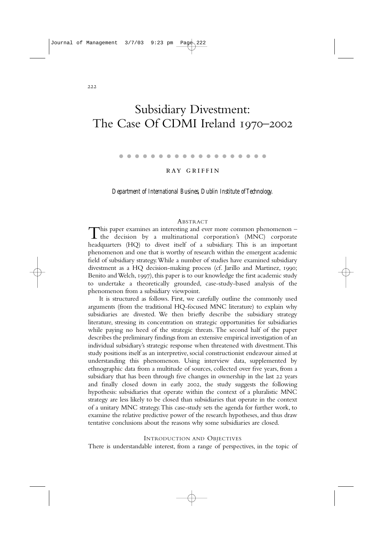# Subsidiary Divestment: The Case Of CDMI Ireland 1970-2002

. . . . . . . . . . . . . . . . . . .

#### RAY GRIFFIN

*Department of International Busines, Dublin Institute of Technology.*

## **ABSTRACT**

This paper examines an interesting and ever more common phenomenon –<br>the decision by a multinational corporation's (MNC) corporate headquarters (HQ) to divest itself of a subsidiary. This is an important phenomenon and one that is worthy of research within the emergent academic field of subsidiary strategy.While a number of studies have examined subsidiary divestment as a HQ decision-making process (cf. Jarillo and Martinez, 1990; Benito and Welch, 1997), this paper is to our knowledge the first academic study to undertake a theoretically grounded, case-study-based analysis of the phenomenon from a subsidiary viewpoint.

It is structured as follows. First, we carefully outline the commonly used arguments (from the traditional HQ-focused MNC literature) to explain why subsidiaries are divested. We then briefly describe the subsidiary strategy literature, stressing its concentration on strategic opportunities for subsidiaries while paying no heed of the strategic threats. The second half of the paper describes the preliminary findings from an extensive empirical investigation of an individual subsidiary's strategic response when threatened with divestment.This study positions itself as an interpretive, social constructionist endeavour aimed at understanding this phenomenon. Using interview data, supplemented by ethnographic data from a multitude of sources, collected over five years, from a subsidiary that has been through five changes in ownership in the last 22 years and finally closed down in early 2002, the study suggests the following hypothesis: subsidiaries that operate within the context of a pluralistic MNC strategy are less likely to be closed than subsidiaries that operate in the context of a unitary MNC strategy.This case-study sets the agenda for further work, to examine the relative predictive power of the research hypotheses, and thus draw tentative conclusions about the reasons why some subsidiaries are closed.

#### INTRODUCTION AND OBJECTIVES

There is understandable interest, from a range of perspectives, in the topic of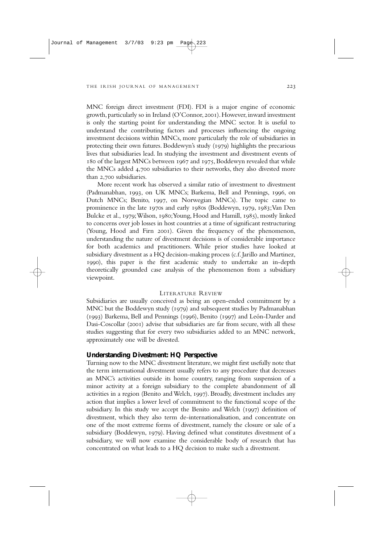MNC foreign direct investment (FDI). FDI is a major engine of economic growth, particularly so in Ireland (O'Connor, 2001). However, inward investment is only the starting point for understanding the MNC sector. It is useful to understand the contributing factors and processes influencing the ongoing investment decisions within MNCs, more particularly the role of subsidiaries in protecting their own futures. Boddewyn's study  $(1979)$  highlights the precarious lives that subsidiaries lead. In studying the investment and divestment events of 180 of the largest MNCs between 1967 and 1975, Boddewyn revealed that while the MNCs added  $\alpha$ , zoo subsidiaries to their networks, they also divested more than 2,700 subsidiaries.

More recent work has observed a similar ratio of investment to divestment (Padmanabhan, 1993, on UK MNCs; Barkema, Bell and Pennings, 1996, on Dutch MNCs; Benito, 1997, on Norwegian MNCs). The topic came to prominence in the late 1970s and early 1980s (Boddewyn, 1979, 1983; Van Den Bulcke et al., 1979; Wilson, 1980; Young, Hood and Hamill, 1985), mostly linked to concerns over job losses in host countries at a time of significant restructuring (Young, Hood and Firn 2001). Given the frequency of the phenomenon, understanding the nature of divestment decisions is of considerable importance for both academics and practitioners. While prior studies have looked at subsidiary divestment as a HQ decision-making process (c.f. Jarillo and Martinez, ), this paper is the first academic study to undertake an in-depth theoretically grounded case analysis of the phenomenon from a subsidiary viewpoint.

#### LITERATURE REVIEW

Subsidiaries are usually conceived as being an open-ended commitment by a MNC but the Boddewyn study (1979) and subsequent studies by Padmanabhan (1993) Barkema, Bell and Pennings (1996), Benito (1997) and León-Darder and Dasi-Coscollar  $(2001)$  advise that subsidiaries are far from secure, with all these studies suggesting that for every two subsidiaries added to an MNC network, approximately one will be divested.

#### **Understanding Divestment: HQ Perspective**

Turning now to the MNC divestment literature,we might first usefully note that the term international divestment usually refers to any procedure that decreases an MNC's activities outside its home country, ranging from suspension of a minor activity at a foreign subsidiary to the complete abandonment of all activities in a region (Benito and Welch, 1997). Broadly, divestment includes any action that implies a lower level of commitment to the functional scope of the subsidiary. In this study we accept the Benito and Welch (1997) definition of divestment, which they also term de-internationalisation, and concentrate on one of the most extreme forms of divestment, namely the closure or sale of a subsidiary (Boddewyn, 1979). Having defined what constitutes divestment of a subsidiary, we will now examine the considerable body of research that has concentrated on what leads to a HQ decision to make such a divestment.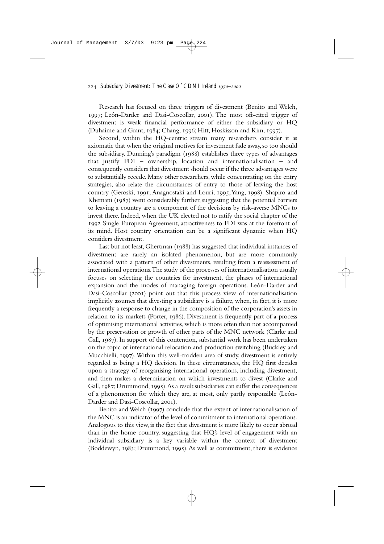Research has focused on three triggers of divestment (Benito and Welch, 1997: León-Darder and Dasi-Coscollar, 2001). The most oft-cited trigger of divestment is weak financial performance of either the subsidiary or HQ (Duhaime and Grant, 1984; Chang, 1996; Hitt, Hoskisson and Kim, 1997).

Second, within the HQ-centric stream many researchers consider it as axiomatic that when the original motives for investment fade away,so too should the subsidiary. Dunning's paradigm (1988) establishes three types of advantages that justify FDI – ownership, location and internationalisation – and consequently considers that divestment should occur if the three advantages were to substantially recede. Many other researchers, while concentrating on the entry strategies, also relate the circumstances of entry to those of leaving the host country (Geroski, 1991; Anagnostaki and Louri, 1995; Yang, 1998). Shapiro and Khemani ( $1987$ ) went considerably further, suggesting that the potential barriers to leaving a country are a component of the decisions by risk-averse MNCs to invest there. Indeed, when the UK elected not to ratify the social chapter of the 1992 Single European Agreement, attractiveness to FDI was at the forefront of its mind. Host country orientation can be a significant dynamic when HQ considers divestment.

Last but not least, Ghertman (1988) has suggested that individual instances of divestment are rarely an isolated phenomenon, but are more commonly associated with a pattern of other divestments, resulting from a reassessment of international operations.The study of the processes of internationalisation usually focuses on selecting the countries for investment, the phases of international expansion and the modes of managing foreign operations. León-Darder and Dasi-Coscollar (2001) point out that this process view of internationalisation implicitly assumes that divesting a subsidiary is a failure, when, in fact, it is more frequently a response to change in the composition of the corporation's assets in relation to its markets (Porter, 1986). Divestment is frequently part of a process of optimising international activities, which is more often than not accompanied by the preservation or growth of other parts of the MNC network (Clarke and Gall, 1987). In support of this contention, substantial work has been undertaken on the topic of international relocation and production switching (Buckley and Mucchielli, 1997). Within this well-trodden area of study, divestment is entirely regarded as being a HQ decision. In these circumstances, the HQ first decides upon a strategy of reorganising international operations, including divestment, and then makes a determination on which investments to divest (Clarke and Gall, 1987; Drummond, 1995). As a result subsidiaries can suffer the consequences of a phenomenon for which they are, at most, only partly responsible (León-Darder and Dasi-Coscollar, 2001).

Benito and Welch (1997) conclude that the extent of internationalisation of the MNC is an indicator of the level of commitment to international operations. Analogous to this view, is the fact that divestment is more likely to occur abroad than in the home country, suggesting that HQ's level of engagement with an individual subsidiary is a key variable within the context of divestment (Boddewyn, 1983; Drummond, 1995). As well as commitment, there is evidence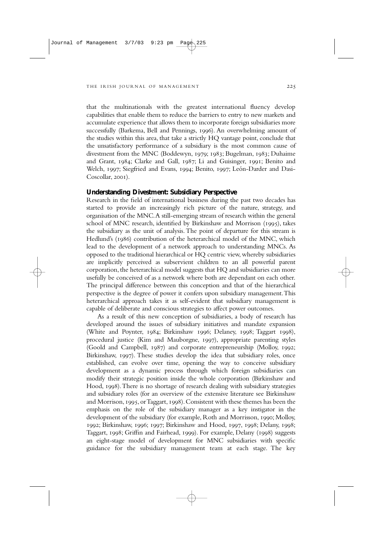that the multinationals with the greatest international fluency develop capabilities that enable them to reduce the barriers to entry to new markets and accumulate experience that allows them to incorporate foreign subsidiaries more successfully (Barkema, Bell and Pennings, 1996). An overwhelming amount of the studies within this area, that take a strictly HQ vantage point, conclude that the unsatisfactory performance of a subsidiary is the most common cause of divestment from the MNC (Boddewyn, 1979; 1983; Bugelman, 1983; Duhaime and Grant, 1984; Clarke and Gall, 1987; Li and Guisinger, 1991; Benito and Welch, 1997; Siegfried and Evans, 1994; Benito, 1997; León-Darder and Dasi-Coscollar, 2001).

## **Understanding Divestment: Subsidiary Perspective**

Research in the field of international business during the past two decades has started to provide an increasingly rich picture of the nature, strategy, and organisation of the MNC.A still-emerging stream of research within the general school of MNC research, identified by Birkinshaw and Morrison (1995), takes the subsidiary as the unit of analysis. The point of departure for this stream is Hedlund's (1986) contribution of the heterarchical model of the MNC, which lead to the development of a network approach to understanding MNCs. As opposed to the traditional hierarchical or HQ centric view, whereby subsidiaries are implicitly perceived as subservient children to an all powerful parent corporation, the heterarchical model suggests that HQ and subsidiaries can more usefully be conceived of as a network where both are dependant on each other. The principal difference between this conception and that of the hierarchical perspective is the degree of power it confers upon subsidiary management.This heterarchical approach takes it as self-evident that subsidiary management is capable of deliberate and conscious strategies to affect power outcomes.

As a result of this new conception of subsidiaries, a body of research has developed around the issues of subsidiary initiatives and mandate expansion (White and Poynter, 1984; Birkinshaw 1996; Delaney, 1998; Taggart 1998), procedural justice (Kim and Mauborgne, 1997), appropriate parenting styles (Goold and Campbell, 1987) and corporate entrepreneurship (Molloy, 1992; Birkinshaw, 1997). These studies develop the idea that subsidiary roles, once established, can evolve over time, opening the way to conceive subsidiary development as a dynamic process through which foreign subsidiaries can modify their strategic position inside the whole corporation (Birkinshaw and Hood, 1998). There is no shortage of research dealing with subsidiary strategies and subsidiary roles (for an overview of the extensive literature see Birkinshaw and Morrison,  $1995$ , or Taggart,  $1998$ ). Consistent with these themes has been the emphasis on the role of the subsidiary manager as a key instigator in the development of the subsidiary (for example, Roth and Morrisson, 1990; Molloy, 1992; Birkinshaw, 1996; 1997; Birkinshaw and Hood, 1997, 1998; Delany, 1998; Taggart, 1998; Griffin and Fairhead, 1999). For example, Delany (1998) suggests an eight-stage model of development for MNC subsidiaries with specific guidance for the subsidiary management team at each stage. The key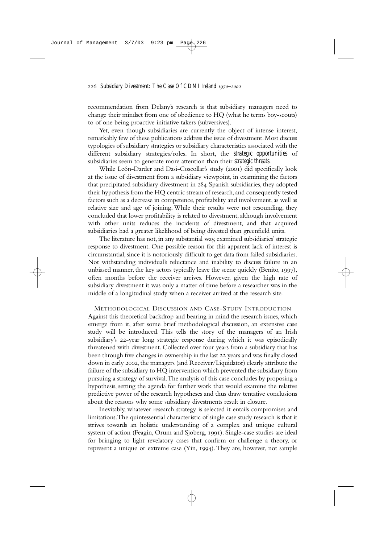recommendation from Delany's research is that subsidiary managers need to change their mindset from one of obedience to HQ (what he terms boy-scouts) to of one being proactive initiative takers (subversives).

Yet, even though subsidiaries are currently the object of intense interest, remarkably few of these publications address the issue of divestment.Most discuss typologies of subsidiary strategies or subsidiary characteristics associated with the different subsidiary strategies/roles. In short, the *strategic opportunities* of subsidiaries seem to generate more attention than their *strategic threats*.

While León-Darder and Dasi-Coscollar's study (2001) did specifically look at the issue of divestment from a subsidiary viewpoint, in examining the factors that precipitated subsidiary divestment in  $284$  Spanish subsidiaries, they adopted their hypothesis from the HQ centric stream of research,and consequently tested factors such as a decrease in competence, profitability and involvement, as well as relative size and age of joining. While their results were not resounding, they concluded that lower profitability is related to divestment, although involvement with other units reduces the incidents of divestment, and that acquired subsidiaries had a greater likelihood of being divested than greenfield units.

The literature has not, in any substantial way, examined subsidiaries' strategic response to divestment. One possible reason for this apparent lack of interest is circumstantial, since it is notoriously difficult to get data from failed subsidiaries. Not withstanding individual's reluctance and inability to discuss failure in an unbiased manner, the key actors typically leave the scene quickly (Benito, 1997), often months before the receiver arrives. However, given the high rate of subsidiary divestment it was only a matter of time before a researcher was in the middle of a longitudinal study when a receiver arrived at the research site.

METHODOLOGICAL DISCUSSION AND CASE-STUDY INTRODUCTION Against this theoretical backdrop and bearing in mind the research issues, which emerge from it, after some brief methodological discussion, an extensive case study will be introduced. This tells the story of the managers of an Irish subsidiary's 22-year long strategic response during which it was episodically threatened with divestment. Collected over four years from a subsidiary that has been through five changes in ownership in the last 22 years and was finally closed down in early 2002, the managers (and Receiver/Liquidator) clearly attribute the failure of the subsidiary to HQ intervention which prevented the subsidiary from pursuing a strategy of survival.The analysis of this case concludes by proposing a hypothesis, setting the agenda for further work that would examine the relative predictive power of the research hypotheses and thus draw tentative conclusions about the reasons why some subsidiary divestments result in closure.

Inevitably, whatever research strategy is selected it entails compromises and limitations.The quintessential characteristic of single case study research is that it strives towards an holistic understanding of a complex and unique cultural system of action (Feagin, Orum and Sjoberg, 1991). Single-case studies are ideal for bringing to light revelatory cases that confirm or challenge a theory, or represent a unique or extreme case (Yin, 1994). They are, however, not sample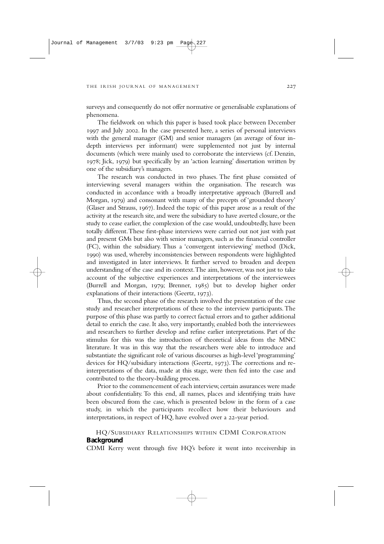surveys and consequently do not offer normative or generalisable explanations of phenomena.

The fieldwork on which this paper is based took place between December 1997 and July 2002. In the case presented here, a series of personal interviews with the general manager (GM) and senior managers (an average of four indepth interviews per informant) were supplemented not just by internal documents (which were mainly used to corroborate the interviews (cf. Denzin, 1978; Jick, 1979) but specifically by an 'action learning' dissertation written by one of the subsidiary's managers.

The research was conducted in two phases. The first phase consisted of interviewing several managers within the organisation. The research was conducted in accordance with a broadly interpretative approach (Burrell and Morgan, 1979) and consonant with many of the precepts of 'grounded theory'  $(Glaser and Strauss, 1967)$ . Indeed the topic of this paper arose as a result of the activity at the research site, and were the subsidiary to have averted closure, or the study to cease earlier, the complexion of the case would, undoubtedly, have been totally different.These first-phase interviews were carried out not just with past and present GMs but also with senior managers, such as the financial controller (FC), within the subsidiary. Thus a 'convergent interviewing' method (Dick, ) was used, whereby inconsistencies between respondents were highlighted and investigated in later interviews. It further served to broaden and deepen understanding of the case and its context.The aim, however, was not just to take account of the subjective experiences and interpretations of the interviewees (Burrell and Morgan, 1979; Brenner, 1985) but to develop higher order explanations of their interactions (Geertz, 1973).

Thus, the second phase of the research involved the presentation of the case study and researcher interpretations of these to the interview participants.The purpose of this phase was partly to correct factual errors and to gather additional detail to enrich the case. It also, very importantly, enabled both the interviewees and researchers to further develop and refine earlier interpretations. Part of the stimulus for this was the introduction of theoretical ideas from the MNC literature. It was in this way that the researchers were able to introduce and substantiate the significant role of various discourses as high-level 'programming' devices for HQ/subsidiary interactions (Geertz, 1973). The corrections and reinterpretations of the data, made at this stage, were then fed into the case and contributed to the theory-building process.

Prior to the commencement of each interview, certain assurances were made about confidentiality. To this end, all names, places and identifying traits have been obscured from the case, which is presented below in the form of a case study, in which the participants recollect how their behaviours and interpretations, in respect of HQ, have evolved over a 22-year period.

HQ/SUBSIDIARY RELATIONSHIPS WITHIN CDMI CORPORATION **Background**

CDMI Kerry went through five HQ's before it went into receivership in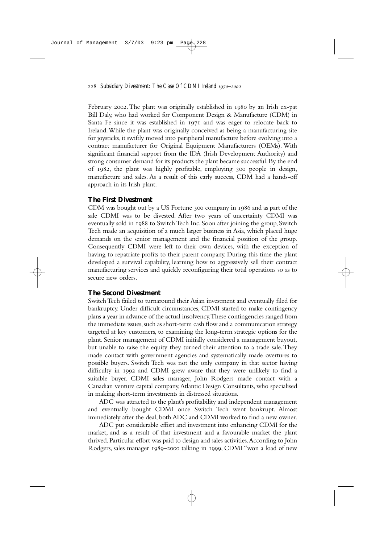February 2002. The plant was originally established in 1980 by an Irish ex-pat Bill Daly, who had worked for Component Design & Manufacture (CDM) in Santa Fe since it was established in 1971 and was eager to relocate back to Ireland.While the plant was originally conceived as being a manufacturing site for joysticks, it swiftly moved into peripheral manufacture before evolving into a contract manufacturer for Original Equipment Manufacturers (OEMs). With significant financial support from the IDA (Irish Development Authority) and strong consumer demand for its products the plant became successful.By the end of 1982, the plant was highly profitable, employing 300 people in design, manufacture and sales. As a result of this early success, CDM had a hands-off approach in its Irish plant.

# **The First Divestment**

CDM was bought out by a US Fortune 500 company in 1986 and as part of the sale CDMI was to be divested. After two years of uncertainty CDMI was eventually sold in to Switch Tech Inc. Soon after joining the group, Switch Tech made an acquisition of a much larger business in Asia, which placed huge demands on the senior management and the financial position of the group. Consequently CDMI were left to their own devices, with the exception of having to repatriate profits to their parent company. During this time the plant developed a survival capability, learning how to aggressively sell their contract manufacturing services and quickly reconfiguring their total operations so as to secure new orders.

## **The Second Divestment**

Switch Tech failed to turnaround their Asian investment and eventually filed for bankruptcy. Under difficult circumstances, CDMI started to make contingency plans a year in advance of the actual insolvency.These contingencies ranged from the immediate issues, such as short-term cash flow and a communication strategy targeted at key customers, to examining the long-term strategic options for the plant. Senior management of CDMI initially considered a management buyout, but unable to raise the equity they turned their attention to a trade sale.They made contact with government agencies and systematically made overtures to possible buyers. Switch Tech was not the only company in that sector having difficulty in 1992 and CDMI grew aware that they were unlikely to find a suitable buyer. CDMI sales manager, John Rodgers made contact with a Canadian venture capital company,Atlantic Design Consultants, who specialised in making short-term investments in distressed situations.

ADC was attracted to the plant's profitability and independent management and eventually bought CDMI once Switch Tech went bankrupt. Almost immediately after the deal, both ADC and CDMI worked to find a new owner.

ADC put considerable effort and investment into enhancing CDMI for the market, and as a result of that investment and a favourable market the plant thrived. Particular effort was paid to design and sales activities.According to John Rodgers, sales manager 1989-2000 talking in 1999, CDMI "won a load of new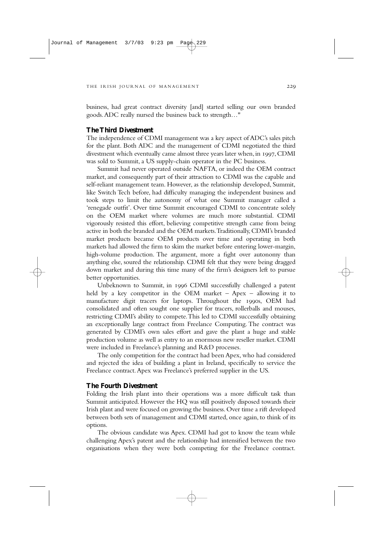business, had great contract diversity [and] started selling our own branded goods.ADC really nursed the business back to strength…"

## **The Third Divestment**

The independence of CDMI management was a key aspect of ADC's sales pitch for the plant. Both ADC and the management of CDMI negotiated the third divestment which eventually came almost three years later when, in 1997, CDMI was sold to Summit, a US supply-chain operator in the PC business.

Summit had never operated outside NAFTA, or indeed the OEM contract market, and consequently part of their attraction to CDMI was the capable and self-reliant management team. However, as the relationship developed, Summit, like Switch Tech before, had difficulty managing the independent business and took steps to limit the autonomy of what one Summit manager called a 'renegade outfit'. Over time Summit encouraged CDMI to concentrate solely on the OEM market where volumes are much more substantial. CDMI vigorously resisted this effort, believing competitive strength came from being active in both the branded and the OEM markets.Traditionally,CDMI's branded market products became OEM products over time and operating in both markets had allowed the firm to skim the market before entering lower-margin, high-volume production. The argument, more a fight over autonomy than anything else, soured the relationship. CDMI felt that they were being dragged down market and during this time many of the firm's designers left to pursue better opportunities.

Unbeknown to Summit, in 1996 CDMI successfully challenged a patent held by a key competitor in the OEM market – Apex – allowing it to manufacture digit tracers for laptops. Throughout the 1990s, OEM had consolidated and often sought one supplier for tracers, rollerballs and mouses, restricting CDMI's ability to compete.This led to CDMI successfully obtaining an exceptionally large contract from Freelance Computing. The contract was generated by CDMI's own sales effort and gave the plant a huge and stable production volume as well as entry to an enormous new reseller market. CDMI were included in Freelance's planning and R&D processes.

The only competition for the contract had been Apex, who had considered and rejected the idea of building a plant in Ireland, specifically to service the Freelance contract.Apex was Freelance's preferred supplier in the US.

#### **The Fourth Divestment**

Folding the Irish plant into their operations was a more difficult task than Summit anticipated. However the HQ was still positively disposed towards their Irish plant and were focused on growing the business.Over time a rift developed between both sets of management and CDMI started, once again, to think of its options.

The obvious candidate was Apex. CDMI had got to know the team while challenging Apex's patent and the relationship had intensified between the two organisations when they were both competing for the Freelance contract.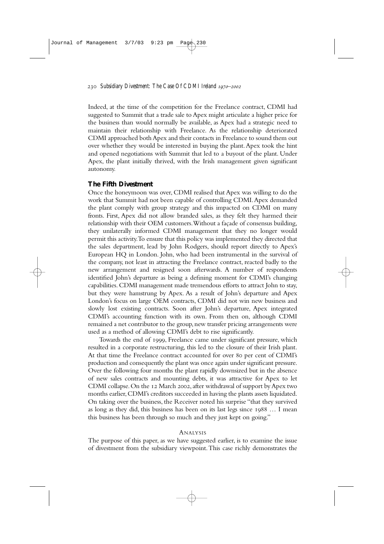Indeed, at the time of the competition for the Freelance contract, CDMI had suggested to Summit that a trade sale to Apex might articulate a higher price for the business than would normally be available, as Apex had a strategic need to maintain their relationship with Freelance. As the relationship deteriorated CDMI approached both Apex and their contacts in Freelance to sound them out over whether they would be interested in buying the plant.Apex took the hint and opened negotiations with Summit that led to a buyout of the plant. Under Apex, the plant initially thrived, with the Irish management given significant autonomy.

## **The Fifth Divestment**

Once the honeymoon was over, CDMI realised that Apex was willing to do the work that Summit had not been capable of controlling CDMI.Apex demanded the plant comply with group strategy and this impacted on CDMI on many fronts. First, Apex did not allow branded sales, as they felt they harmed their relationship with their OEM customers.Without a façade of consensus building, they unilaterally informed CDMI management that they no longer would permit this activity.To ensure that this policy was implemented they directed that the sales department, lead by John Rodgers, should report directly to Apex's European HQ in London. John, who had been instrumental in the survival of the company, not least in attracting the Freelance contract, reacted badly to the new arrangement and resigned soon afterwards. A number of respondents identified John's departure as being a defining moment for CDMI's changing capabilities. CDMI management made tremendous efforts to attract John to stay, but they were hamstrung by Apex. As a result of John's departure and Apex London's focus on large OEM contracts, CDMI did not win new business and slowly lost existing contracts. Soon after John's departure, Apex integrated CDMI's accounting function with its own. From then on, although CDMI remained a net contributor to the group, new transfer pricing arrangements were used as a method of allowing CDMI's debt to rise significantly.

Towards the end of 1999, Freelance came under significant pressure, which resulted in a corporate restructuring, this led to the closure of their Irish plant. At that time the Freelance contract accounted for over 80 per cent of CDMI's production and consequently the plant was once again under significant pressure. Over the following four months the plant rapidly downsized but in the absence of new sales contracts and mounting debts, it was attractive for Apex to let CDMI collapse. On the 12 March 2002, after withdrawal of support by Apex two months earlier,CDMI's creditors succeeded in having the plants assets liquidated. On taking over the business, the Receiver noted his surprise "that they survived as long as they did, this business has been on its last legs since 1988 ... I mean this business has been through so much and they just kept on going."

#### **ANALYSIS**

The purpose of this paper, as we have suggested earlier, is to examine the issue of divestment from the subsidiary viewpoint.This case richly demonstrates the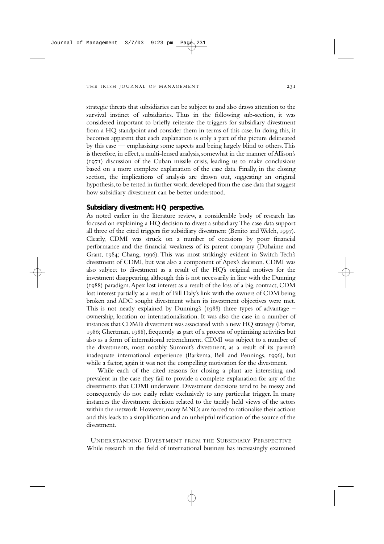strategic threats that subsidiaries can be subject to and also draws attention to the survival instinct of subsidiaries. Thus in the following sub-section, it was considered important to briefly reiterate the triggers for subsidiary divestment from a HQ standpoint and consider them in terms of this case. In doing this, it becomes apparent that each explanation is only a part of the picture delineated by this case — emphasising some aspects and being largely blind to others.This is therefore, in effect, a multi-lensed analysis, somewhat in the manner of Allison's  $(1971)$  discussion of the Cuban missile crisis, leading us to make conclusions based on a more complete explanation of the case data. Finally, in the closing section, the implications of analysis are drawn out, suggesting an original hypothesis, to be tested in further work, developed from the case data that suggest how subsidiary divestment can be better understood.

#### **Subsidiary divestment: HQ perspective.**

As noted earlier in the literature review, a considerable body of research has focused on explaining a HQ decision to divest a subsidiary.The case data support all three of the cited triggers for subsidiary divestment (Benito and Welch, 1997). Clearly, CDMI was struck on a number of occasions by poor financial performance and the financial weakness of its parent company (Duhaime and Grant, 1984; Chang, 1996). This was most strikingly evident in Switch Tech's divestment of CDMI, but was also a component of Apex's decision. CDMI was also subject to divestment as a result of the HQ's original motives for the investment disappearing, although this is not necessarily in line with the Dunning (1988) paradigm. Apex lost interest as a result of the loss of a big contract, CDM lost interest partially as a result of Bill Daly's link with the owners of CDM being broken and ADC sought divestment when its investment objectives were met. This is not neatly explained by Dunning's ( $1988$ ) three types of advantage – ownership, location or internationalisation. It was also the case in a number of instances that CDMI's divestment was associated with a new HQ strategy (Porter, 1986; Ghertman, 1988), frequently as part of a process of optimising activities but also as a form of international retrenchment. CDMI was subject to a number of the divestments, most notably Summit's divestment, as a result of its parent's inadequate international experience (Barkema, Bell and Pennings, 1996), but while a factor, again it was not the compelling motivation for the divestment.

While each of the cited reasons for closing a plant are interesting and prevalent in the case they fail to provide a complete explanation for any of the divestments that CDMI underwent. Divestment decisions tend to be messy and consequently do not easily relate exclusively to any particular trigger. In many instances the divestment decision related to the tacitly held views of the actors within the network. However, many MNCs are forced to rationalise their actions and this leads to a simplification and an unhelpful reification of the source of the divestment.

UNDERSTANDING DIVESTMENT FROM THE SUBSIDIARY PERSPECTIVE While research in the field of international business has increasingly examined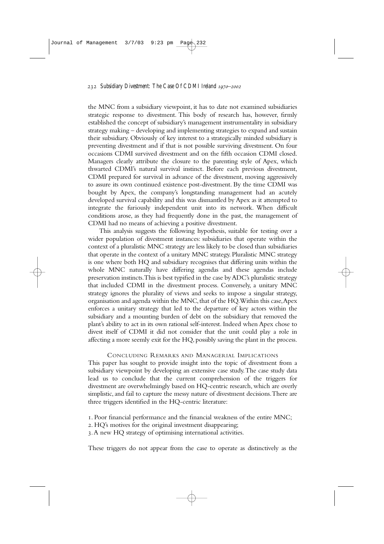the MNC from a subsidiary viewpoint, it has to date not examined subsidiaries strategic response to divestment. This body of research has, however, firmly established the concept of subsidiary's management instrumentality in subsidiary strategy making – developing and implementing strategies to expand and sustain their subsidiary. Obviously of key interest to a strategically minded subsidiary is preventing divestment and if that is not possible surviving divestment. On four occasions CDMI survived divestment and on the fifth occasion CDMI closed. Managers clearly attribute the closure to the parenting style of Apex, which thwarted CDMI's natural survival instinct. Before each previous divestment, CDMI prepared for survival in advance of the divestment, moving aggressively to assure its own continued existence post-divestment. By the time CDMI was bought by Apex, the company's longstanding management had an acutely developed survival capability and this was dismantled by Apex as it attempted to integrate the furiously independent unit into its network. When difficult conditions arose, as they had frequently done in the past, the management of CDMI had no means of achieving a positive divestment.

This analysis suggests the following hypothesis, suitable for testing over a wider population of divestment instances: subsidiaries that operate within the context of a pluralistic MNC strategy are less likely to be closed than subsidiaries that operate in the context of a unitary MNC strategy. Pluralistic MNC strategy is one where both HQ and subsidiary recognises that differing units within the whole MNC naturally have differing agendas and these agendas include preservation instincts.This is best typified in the case by ADC's pluralistic strategy that included CDMI in the divestment process. Conversely, a unitary MNC strategy ignores the plurality of views and seeks to impose a singular strategy, organisation and agenda within the MNC,that of the HQ.Within this case,Apex enforces a unitary strategy that led to the departure of key actors within the subsidiary and a mounting burden of debt on the subsidiary that removed the plant's ability to act in its own rational self-interest. Indeed when Apex chose to divest itself of CDMI it did not consider that the unit could play a role in affecting a more seemly exit for the HQ, possibly saving the plant in the process.

#### CONCLUDING REMARKS AND MANAGERIAL IMPLICATIONS

This paper has sought to provide insight into the topic of divestment from a subsidiary viewpoint by developing an extensive case study.The case study data lead us to conclude that the current comprehension of the triggers for divestment are overwhelmingly based on HQ-centric research, which are overly simplistic, and fail to capture the messy nature of divestment decisions.There are three triggers identified in the HQ-centric literature:

- . Poor financial performance and the financial weakness of the entire MNC;
- . HQ's motives for the original investment disappearing;
- .A new HQ strategy of optimising international activities.

These triggers do not appear from the case to operate as distinctively as the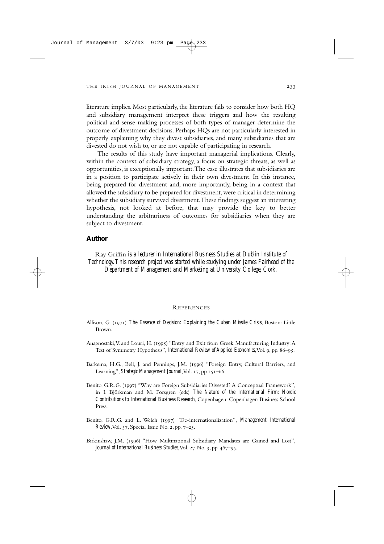literature implies. Most particularly, the literature fails to consider how both HQ and subsidiary management interpret these triggers and how the resulting political and sense-making processes of both types of manager determine the outcome of divestment decisions. Perhaps HQs are not particularly interested in properly explaining why they divest subsidiaries, and many subsidiaries that are divested do not wish to, or are not capable of participating in research.

The results of this study have important managerial implications. Clearly, within the context of subsidiary strategy, a focus on strategic threats, as well as opportunities, is exceptionally important.The case illustrates that subsidiaries are in a position to participate actively in their own divestment. In this instance, being prepared for divestment and, more importantly, being in a context that allowed the subsidiary to be prepared for divestment,were critical in determining whether the subsidiary survived divestment. These findings suggest an interesting hypothesis, not looked at before, that may provide the key to better understanding the arbitrariness of outcomes for subsidiaries when they are subject to divestment.

## **Author**

Ray Griffin *is a lecturer in International Business Studies at Dublin Institute of Technology.This research project was started while studying under James Fairhead of the Department of Management and Marketing at University College, Cork.*

#### REFERENCES

- Allison, G. (1971) *The Essence of Decision: Explaining the Cuban Missile Crisis*, Boston: Little Brown.
- Anagnostaki, V. and Louri, H. (1995) "Entry and Exit from Greek Manufacturing Industry: A Test of Symmetry Hypothesis", *International Review of Applied Economics*, Vol. 9, pp. 86-95.
- Barkema, H.G., Bell, J. and Pennings, J.M. (1996) "Foreign Entry, Cultural Barriers, and Learning", *Strategic Management Journal*, Vol. 17, pp.151-66.
- Benito, G.R.G. (1997) "Why are Foreign Subsidiaries Divested? A Conceptual Framework", in I. Björkman and M. Forsgren (eds) *The Nature of the International Firm: Nordic Contributions to International Business Research*, Copenhagen: Copenhagen Business School Press.
- Benito, G.R.G. and L. Welch (1997) "De-internationalization", *Management International Review*, Vol. 37, Special Issue No. 2, pp. 7-25.
- Birkinshaw, J.M. (1996) "How Multinational Subsidiary Mandates are Gained and Lost", *Journal of International Business Studies*, Vol. 27 No. 3, pp. 467-95.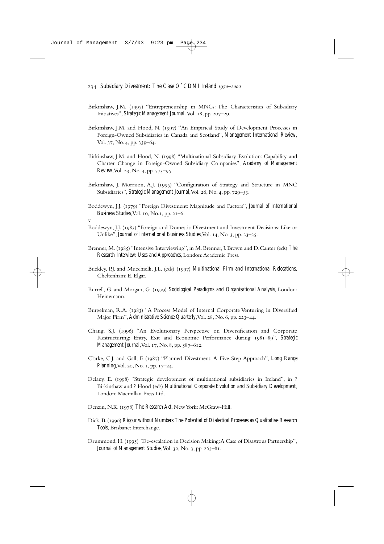- Birkinshaw, J.M. (1997) "Entrepreneurship in MNCs: The Characteristics of Subsidiary Initiatives", *Strategic Management Journal*, Vol. 18, pp. 207-29.
- Birkinshaw, J.M. and Hood, N. (1997) "An Empirical Study of Development Processes in Foreign-Owned Subsidiaries in Canada and Scotland", *Management International Review*, Vol. 37, No. 4, pp. 339–64.
- Birkinshaw, J.M. and Hood, N. (1998) "Multinational Subsidiary Evolution: Capability and Charter Change in Foreign-Owned Subsidiary Companies", *Academy of Management Review*, Vol. 23, No. 4, pp. 773–95.
- Birkinshaw, J. Morrison, A.J. (1995) "Configuration of Strategy and Structure in MNC Subsidiaries", *Strategic Management Journal*, Vol. 26, No. 4, pp. 729–53.
- Boddewyn, J.J. (1979) "Foreign Divestment: Magnitude and Factors", *Journal of International Business Studies*, Vol. 10, No.1, pp. 21–6.

- Boddewyn, J.J. (1983) "Foreign and Domestic Divestment and Investment Decisions: Like or Unlike", *Journal of International Business Studies*, Vol. 14, No. 3, pp. 23-35.
- Brenner, M. (1985) "Intensive Interviewing", in M. Brenner, J. Brown and D. Canter (eds) *The Research Interview: Uses and Approaches*, London:Academic Press.
- Buckley, P.J. and Mucchielli, J.L. (eds) (1997) *Multinational Firm and International Relocations*, Cheltenham: E. Elgar.
- Burrell, G. and Morgan, G. (1979) Sociological Paradigms and Organisational Analysis, London: Heinemann.
- Burgelman, R.A. (1983) "A Process Model of Internal Corporate Venturing in Diversified Major Firm", *Administrative Science Quarterly*, Vol. 28, No. 6, pp. 223–44.
- Chang, S.J. (1996) "An Evolutionary Perspective on Diversification and Corporate Restructuring: Entry, Exit and Economic Performance during 1981-89", Strategic *Management Journal*, Vol. 17, No. 8, pp. 587–612.
- Clarke, C.J. and Gall, F. () "Planned Divestment: A Five-Step Approach", *Long Range Planning*, Vol. 20, No. 1, pp. 17-24.
- Delany, E. (1998) "Strategic development of multinational subsidiaries in Ireland", in ? Birkinshaw and ? Hood (eds) *Multinational Corporate Evolution and Subsidiary Development*, London: Macmillan Press Ltd.
- Denzin, N.K. (1978) The Research Act, New York: McGraw-Hill.
- Dick, B. (1990) Rigour without Numbers: The Potential of Dialectical Processes as Qualitative Research *Tools*, Brisbane: Interchange.
- Drummond, H. (1995) "De-escalation in Decision Making: A Case of Disastrous Partnership", *Journal of Management Studies*, Vol. 32, No. 3, pp. 265-81.

v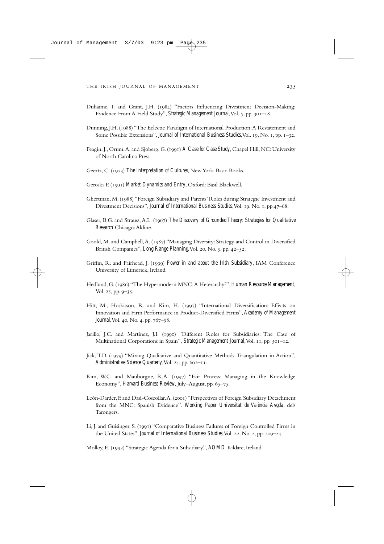- Duhaime, I. and Grant, J.H. (1984) "Factors Influencing Divestment Decision-Making: Evidence From A Field Study", *Strategic Management Journal*, Vol. 5, pp. 301-18.
- Dunning, J.H. (1988) "The Eclectic Paradigm of International Production: A Restatement and Some Possible Extensions", *Journal of International Business Studies*, Vol. 19, No. 1, pp. 1-32.
- Feagin, J., Orum,A. and Sjoberg, G. () *A Case for Case Study*, Chapel Hill, NC: University of North Carolina Press.
- Geertz, C. (1973) The Interpretation of Cultures, New York: Basic Books.
- Geroski P. (1991) Market Dynamics and Entry, Oxford: Basil Blackwell.
- Ghertman, M. (1988) "Foreign Subsidiary and Parents' Roles during Strategic Investment and Divestment Decisions", *Journal of International Business Studies*, Vol. 19, No. 1, pp.47–68.
- Glaser, B.G. and Strauss, A.L. (1967) The Discovery of Grounded Theory: Strategies for Qualitative *Research* Chicago:Aldine.
- Goold, M. and Campbell, A. (1987) "Managing Diversity: Strategy and Control in Diversified British Companies", *Long Range Planning*, Vol. 20, No. 5, pp. 42-52.
- Griffin, R. and Fairhead, J. (1999) *Power in and about the Irish Subsidiary*, IAM Conference University of Limerick, Ireland.
- Hedlund, G. () "The Hypermodern MNC:A Heterarchy?", *Human Resource Management*, Vol. 25, pp.  $9-35$ .
- Hitt, M., Hoskisson, R. and Kim, H. (1997) "International Diversification: Effects on Innovation and Firm Performance in Product-Diversified Firms",*Academy of Management Journal*, Vol. 40, No. 4, pp. 767-98.
- Jarillo, J.C. and Martínez, J.I. (1990) "Different Roles for Subsidiaries: The Case of Multinational Corporations in Spain", *Strategic Management Journal*, Vol. 11, pp. 501-12.
- Jick, T.D. () "Mixing Qualitative and Quantitative Methods: Triangulation in Action", *Administrative Science Quarterly*, Vol. 24, pp. 602-11.
- Kim, W.C. and Mauborgne, R.A. (1997) "Fair Process: Managing in the Knowledge Economy", *Harvard Business Review*, July–August, pp. 65-75.
- León-Darder, F. and Dasí-Coscollar, A. (2001) "Perspectives of Foreign Subsidiary Detachment from the MNC: Spanish Evidence". *Working Paper Universitat de València Avgda*. dels Tarongers.
- Li, J. and Guisinger, S. (1991) "Comparative Business Failures of Foreign Controlled Firms in the United States", *Journal of International Business Studies*, Vol. 22, No. 2, pp. 209–24.

Molloy, E. (1992) "Strategic Agenda for a Subsidiary", *AOMD* Kildare, Ireland.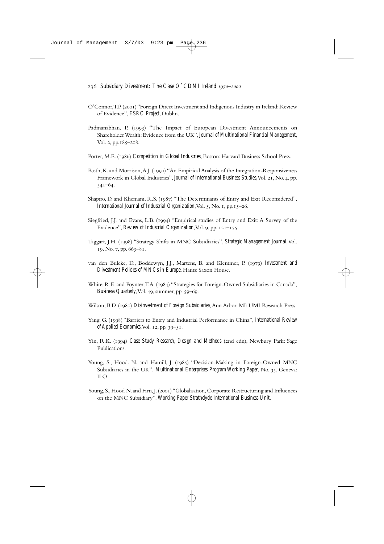- O'Connor,T.P.() "Foreign Direct Investment and Indigenous Industry in Ireland:Review of Evidence", *ESRC Project*, Dublin.
- Padmanabhan, P. (1993) "The Impact of European Divestment Announcements on Shareholder Wealth: Evidence from the UK",*Journal of Multinational Financial Management*, Vol. 2, pp. $185 - 208$ .
- Porter, M.E. (1986) Competition in Global Industries, Boston: Harvard Business School Press.
- Roth, K. and Morrison, A.J. (1990) "An Empirical Analysis of the Integration-Responsiveness Framework in Global Industries", *Journal of International Business Studies*, Vol. 21, No. 4, pp.  $541-64.$
- Shapiro, D. and Khemani, R.S. (1987) "The Determinants of Entry and Exit Reconsidered", *International Journal of Industrial Organization*, Vol. 5, No. 1, pp.15–26.
- Siegfried, J.J. and Evans, L.B. (1994) "Empirical studies of Entry and Exit: A Survey of the Evidence", *Review of Industrial Organization*, Vol. 9, pp. 121-155.
- Taggart, J.H. (1998) "Strategy Shifts in MNC Subsidiaries", Strategic Management Journal, Vol. 19, No. 7, pp. 663-81.
- van den Bulcke, D., Boddewyn, J.J., Martens, B. and Klemmer, P. () *Investment and Divestment Policies of MNCs in Europe*, Hants: Saxon House.
- White, R.E. and Poynter, T.A. (1984) "Strategies for Foreign-Owned Subsidiaries in Canada", *Business Quarterly*, Vol. 49, summer, pp. 59–69.
- Wilson, B.D. () *Disinvestment of Foreign Subsidiaries*,Ann Arbor, MI: UMI Research Press.
- Yang, G. (1998) "Barriers to Entry and Industrial Performance in China", *International Review of Applied Economics*, Vol.  $12$ , pp.  $39 - 51$ .
- Yin, R.K. (1994) Case Study Research, Design and Methods (2nd edn), Newbury Park: Sage Publications.
- Young, S., Hood. N. and Hamill, J. (1985) "Decision-Making in Foreign-Owned MNC Subsidiaries in the UK". *Multinational Enterprises Program Working Paper*, No. 35, Geneva: ILO.
- Young, S., Hood N. and Firn, J. (2001) "Globalisation, Corporate Restructuring and Influences on the MNC Subsidiary". *Working Paper Strathclyde International Business Unit*.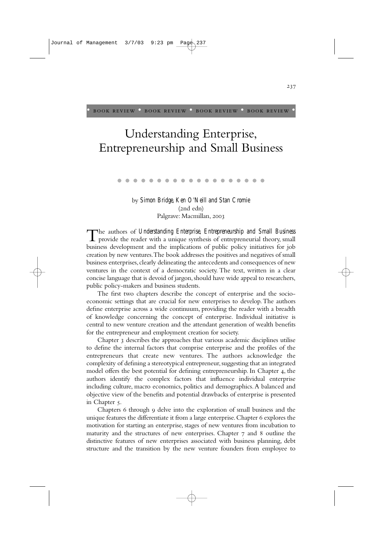# Understanding Enterprise, Entrepreneurship and Small Business

by *Simon Bridge, Ken O'Neill and Stan Cromie*  $(2nd$  edn) Palgrave: Macmillan, 2003

The authors of *Understanding Enterprise, Entrepreneurship and Small Business* provide the reader with a unique synthesis of entrepreneurial theory, small business development and the implications of public policy initiatives for job creation by new ventures.The book addresses the positives and negatives of small business enterprises,clearly delineating the antecedents and consequences of new ventures in the context of a democratic society. The text, written in a clear concise language that is devoid of jargon,should have wide appeal to researchers, public policy-makers and business students.

The first two chapters describe the concept of enterprise and the socioeconomic settings that are crucial for new enterprises to develop.The authors define enterprise across a wide continuum, providing the reader with a breadth of knowledge concerning the concept of enterprise. Individual initiative is central to new venture creation and the attendant generation of wealth benefits for the entrepreneur and employment creation for society.

Chapter 3 describes the approaches that various academic disciplines utilise to define the internal factors that comprise enterprise and the profiles of the entrepreneurs that create new ventures. The authors acknowledge the complexity of defining a stereotypical entrepreneur, suggesting that an integrated model offers the best potential for defining entrepreneurship. In Chapter 4, the authors identify the complex factors that influence individual enterprise including culture, macro economics, politics and demographics.A balanced and objective view of the benefits and potential drawbacks of enterprise is presented in Chapter  $\varsigma$ .

Chapters 6 through 9 delve into the exploration of small business and the unique features the differentiate it from a large enterprise. Chapter 6 explores the motivation for starting an enterprise, stages of new ventures from incubation to maturity and the structures of new enterprises. Chapter  $7$  and  $8$  outline the distinctive features of new enterprises associated with business planning, debt structure and the transition by the new venture founders from employee to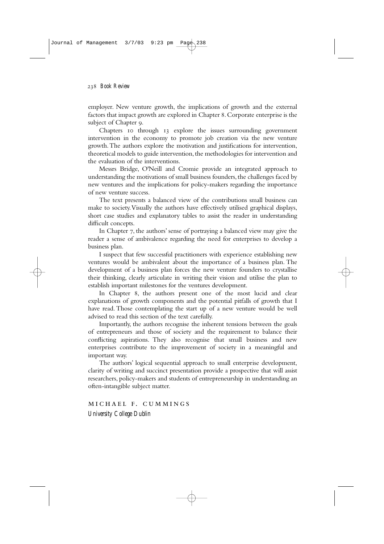employer. New venture growth, the implications of growth and the external factors that impact growth are explored in Chapter 8. Corporate enterprise is the subject of Chapter 9.

Chapters to through <sub>13</sub> explore the issues surrounding government intervention in the economy to promote job creation via the new venture growth.The authors explore the motivation and justifications for intervention, theoretical models to guide intervention, the methodologies for intervention and the evaluation of the interventions.

Messrs Bridge, O'Neill and Cromie provide an integrated approach to understanding the motivations of small business founders, the challenges faced by new ventures and the implications for policy-makers regarding the importance of new venture success.

The text presents a balanced view of the contributions small business can make to society.Visually the authors have effectively utilised graphical displays, short case studies and explanatory tables to assist the reader in understanding difficult concepts.

In Chapter 7, the authors' sense of portraying a balanced view may give the reader a sense of ambivalence regarding the need for enterprises to develop a business plan.

I suspect that few successful practitioners with experience establishing new ventures would be ambivalent about the importance of a business plan. The development of a business plan forces the new venture founders to crystallise their thinking, clearly articulate in writing their vision and utilise the plan to establish important milestones for the ventures development.

In Chapter 8, the authors present one of the most lucid and clear explanations of growth components and the potential pitfalls of growth that I have read. Those contemplating the start up of a new venture would be well advised to read this section of the text carefully.

Importantly, the authors recognise the inherent tensions between the goals of entrepreneurs and those of society and the requirement to balance their conflicting aspirations. They also recognise that small business and new enterprises contribute to the improvement of society in a meaningful and important way.

The authors' logical sequential approach to small enterprise development, clarity of writing and succinct presentation provide a prospective that will assist researchers, policy-makers and students of entrepreneurship in understanding an often-intangible subject matter.

MICHAEL F. CUMMINGS *University College Dublin*